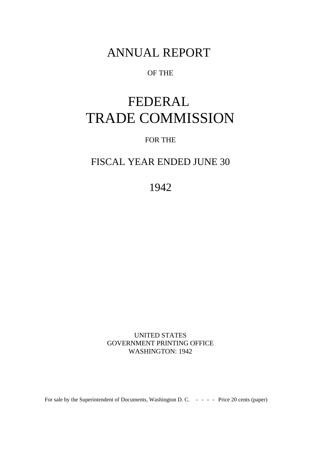# ANNUAL REPORT

# OF THE

# FEDERAL TRADE COMMISSION

# FOR THE

# FISCAL YEAR ENDED JUNE 30

1942

UNITED STATES GOVERNMENT PRINTING OFFICE WASHINGTON: 1942

For sale by the Superintendent of Documents, Washington D. C. - - - - Price 20 cents (paper)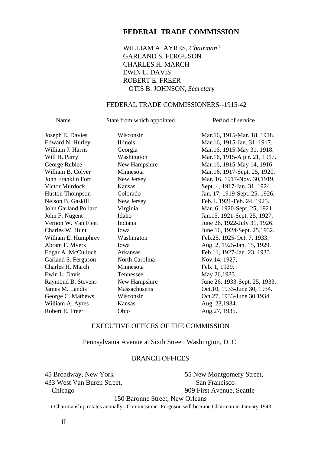# **FEDERAL TRADE COMMISSION**

WILLIAM A. AYRES, *Chairman* <sup>1</sup> GARLAND S*.* FERGUSON CHARLES H. MARCH EWIN L. DAVIS ROBERT E. FREER OTIS B. JOHNSON, *Secretary*

# FEDERAL TRADE COMMISSIONERS--1915-42

Name State from which appointed Period of service

Joseph E. Davies Wisconsin Mar.16, 1915-Mar. 18, 1918. Garland S. Ferguson North Carolina Nov. 14, 1927, Charles H. March Minnesota Feb. 1, 1929. Ewin L. Davis Tennessee May 26,1933. William A. Ayres Kansas Kansas Aug. 23,1934.

Edward N. Hurley Illinois Mar.16, 1915-Jan. 31, 1917. William J. Harris Georgia Mar.16, 1915-May 31, 1918. Will H. Parry Washington Mar.16, 1915-A p r. 21, 1917. George Rublee New Hampshire Mar.16, 1915-May 14, 1916. William B. Colver Minnesota Mar.16, 1917-Sept. 25, 1920. John Franklin Fort New Jersey Mar. 16, 1917-Nov. 30,1919. Victor Murdock Kansas Sept. 4, 1917-Jan. 31, 1924. Huston Thompson Colorado Jan. 17, 1919-Sept. 25, 1926. Nelson B. Gaskill New Jersey Feb. 1, 1921-Feb. 24, 1925. John Garland Pollard Virginia Mar. 6, 1920-Sept. 25, 1921. John F. Nugent Idaho Jan.15, 1921-Sept. 25, 1927. Vernon W. Van Fleet Indiana June 26, 1922-July 31, 1926. Charles W. Hunt Iowa Iowa June 16, 1924-Sept. 25, 1932. William E. Humphrey Washington Feb.25, 1925-Oct. 7, 1933. Abram F. Myers Iowa **Iowa** Aug. 2, 1925-Jan. 15, 1929. Edgar A. McCulloch Arkansas Feb.11, 1927-Jan. 23, 1933. Raymond B. Stevens New Hampshire June 26, 1933-Sept. 25, 1933, James M. Landis Massachusetts Oct.10, 1933-June 30, 1934. George C. Mathews Wisconsin Det. 27, 1933-June 30,1934. Robert E. Freer Ohio Aug.27, 1935.

# EXECUTIVE OFFICES OF THE COMMISSION

Pennsylvania Avenue at Sixth Street, Washington, D. C.

# BRANCH OFFICES

45 Broadway, New York 55 New Montgomery Street, 433 West Van Buren Street, San Francisco Chicago 909 First Avenue, Seattle 150 Baronne Street, New Orleans

1 Chairmanship rotates annually. Commissioner Ferguson will become Chairman in January 1943.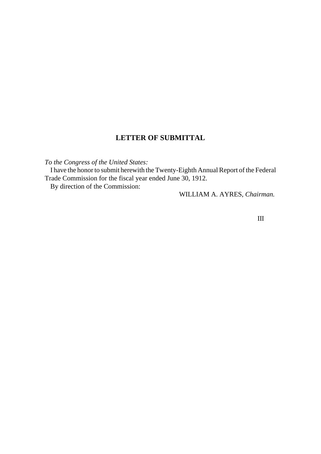# **LETTER OF SUBMITTAL**

*To the Congress of the United States:*

I have the honor to submit herewith the Twenty-Eighth Annual Report of the Federal Trade Commission for the fiscal year ended June 30, 1912.

By direction of the Commission:

WILLIAM A. AYRES, *Chairman.*

III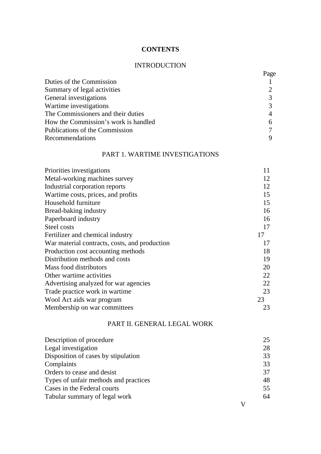# **CONTENTS**

# INTRODUCTION

Page

| Duties of the Commission             |   |
|--------------------------------------|---|
| Summary of legal activities          | 2 |
| General investigations               | 3 |
| Wartime investigations               | 3 |
| The Commissioners and their duties   | 4 |
| How the Commission's work is handled | 6 |
| Publications of the Commission       | 7 |
| Recommendations                      | 9 |
|                                      |   |

# PART 1. WARTIME INVESTIGATIONS

| Priorities investigations                     | 11 |
|-----------------------------------------------|----|
| Metal-working machines survey                 | 12 |
| Industrial corporation reports                | 12 |
| Wartime costs, prices, and profits            | 15 |
| Household furniture                           | 15 |
| Bread-baking industry                         | 16 |
| Paperboard industry                           | 16 |
| Steel costs                                   | 17 |
| Fertilizer and chemical industry              | 17 |
| War material contracts, costs, and production | 17 |
| Production cost accounting methods            | 18 |
| Distribution methods and costs                | 19 |
| Mass food distributors                        | 20 |
| Other wartime activities                      | 22 |
| Advertising analyzed for war agencies         | 22 |
| Trade practice work in wartime.               | 23 |
| Wool Act aids war program                     | 23 |
| Membership on war committees                  | 23 |

# PART II. GENERAL LEGAL WORK

| Description of procedure              | 25 |
|---------------------------------------|----|
| Legal investigation                   | 28 |
| Disposition of cases by stipulation   | 33 |
| Complaints                            | 33 |
| Orders to cease and desist            | 37 |
| Types of unfair methods and practices | 48 |
| Cases in the Federal courts           | 55 |
| Tabular summary of legal work         | 64 |
|                                       | V  |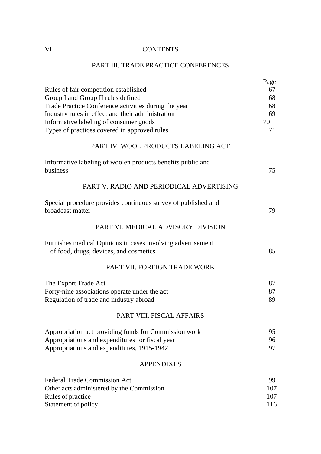# VI CONTENTS

# PART III. TRADE PRACTICE CONFERENCES

|                                                                                                       | Page |
|-------------------------------------------------------------------------------------------------------|------|
| Rules of fair competition established                                                                 | 67   |
| Group I and Group II rules defined                                                                    | 68   |
| Trade Practice Conference activities during the year                                                  | 68   |
| Industry rules in effect and their administration                                                     | 69   |
| Informative labeling of consumer goods                                                                | 70   |
| Types of practices covered in approved rules                                                          | 71   |
| PART IV. WOOL PRODUCTS LABELING ACT                                                                   |      |
| Informative labeling of woolen products benefits public and<br>business                               | 75   |
| PART V. RADIO AND PERIODICAL ADVERTISING                                                              |      |
| Special procedure provides continuous survey of published and<br>broadcast matter                     | 79   |
| PART VI. MEDICAL ADVISORY DIVISION                                                                    |      |
| Furnishes medical Opinions in cases involving advertisement<br>of food, drugs, devices, and cosmetics | 85   |
| PART VII. FOREIGN TRADE WORK                                                                          |      |
| The Export Trade Act                                                                                  | 87   |
| Forty-nine associations operate under the act                                                         | 87   |
| Regulation of trade and industry abroad                                                               | 89   |
| PART VIII. FISCAL AFFAIRS                                                                             |      |
| Appropriation act providing funds for Commission work                                                 | 95   |
| Appropriations and expenditures for fiscal year                                                       | 96   |
| Appropriations and expenditures, 1915-1942                                                            | 97   |
| <b>APPENDIXES</b>                                                                                     |      |
| <b>Federal Trade Commission Act</b>                                                                   | 99   |
| Other acts administered by the Commission                                                             | 107  |
| Rules of practice                                                                                     | 107  |
| Statement of policy                                                                                   | 116  |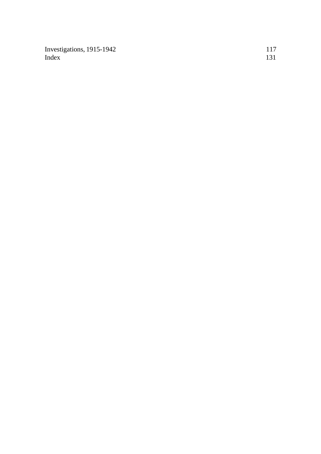Investigations, 1915-1942 117<br>Index 131 Index 131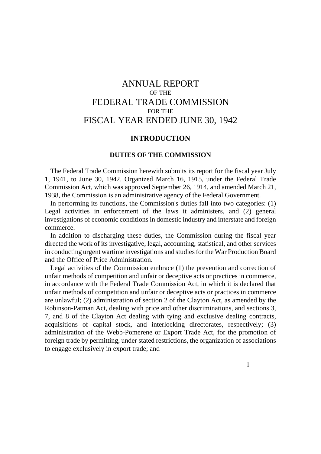# ANNUAL REPORT OF THE FEDERAL TRADE COMMISSION FOR THE FISCAL YEAR ENDED JUNE 30, 1942

# **INTRODUCTION**

#### **DUTIES OF THE COMMISSION**

The Federal Trade Commission herewith submits its report for the fiscal year July 1, 1941, to June 30, 1942. Organized March 16, 1915, under the Federal Trade Commission Act, which was approved September 26, 1914, and amended March 21, 1938, the Commission is an administrative agency of the Federal Government.

In performing its functions, the Commission's duties fall into two categories: (1) Legal activities in enforcement of the laws it administers, and (2) general investigations of economic conditions in domestic industry and interstate and foreign commerce.

In addition to discharging these duties, the Commission during the fiscal year directed the work of its investigative, legal, accounting, statistical, and other services in conducting urgent wartime investigations and studiesfor the War Production Board and the Office of Price Administration.

Legal activities of the Commission embrace (1) the prevention and correction of unfair methods of competition and unfair or deceptive acts or practices in commerce, in accordance with the Federal Trade Commission Act, in which it is declared that unfair methods of competition and unfair or deceptive acts or practices in commerce are unlawful; (2) administration of section 2 of the Clayton Act, as amended by the Robinson-Patman Act, dealing with price and other discriminations, and sections 3, 7, and 8 of the Clayton Act dealing with tying and exclusive dealing contracts, acquisitions of capital stock, and interlocking directorates, respectively; (3) administration of the Webb-Pomerene or Export Trade Act, for the promotion of foreign trade by permitting, under stated restrictions, the organization of associations to engage exclusively in export trade; and

1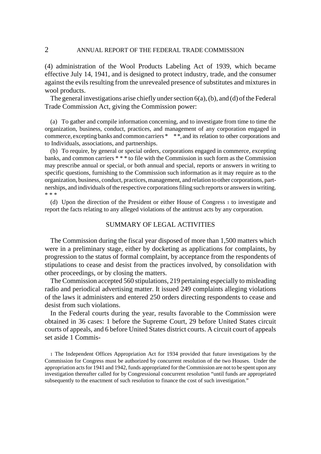(4) administration of the Wool Products Labeling Act of 1939, which became effective July 14, 1941, and is designed to protect industry, trade, and the consumer against the evils resulting from the unrevealed presence of substitutes and mixtures in wool products.

The general investigations arise chiefly under section  $6(a)$ , (b), and (d) of the Federal Trade Commission Act, giving the Commission power:

(a) To gather and compile information concerning, and to investigate from time to time the organization, business, conduct, practices, and management of any corporation engaged in commerce, excepting banks and common carriers \* \*\*, and its relation to other corporations and to Individuals, associations, and partnerships.

(b) To require, by general or special orders, corporations engaged in commerce, excepting banks, and common carriers \* \* \* to file with the Commission in such form as the Commission may prescribe annual or special, or both annual and special, reports or answers in writing to specific questions, furnishing to the Commission such information as it may require as to the organization, business, conduct, practices, management, and relation to other corporations, partnerships, and individuals ofthe respective corporationsfiling such reports or answersin writing. \* \* \*

(d) Upon the direction of the President or either House of Congress <sup>1</sup> to investigate and report the facts relating to any alleged violations of the antitrust acts by any corporation.

# SUMMARY OF LEGAL ACTIVITIES

The Commission during the fiscal year disposed of more than 1,500 matters which were in a preliminary stage, either by docketing as applications for complaints, by progression to the status of formal complaint, by acceptance from the respondents of stipulations to cease and desist from the practices involved, by consolidation with other proceedings, or by closing the matters.

The Commission accepted 560 stipulations, 219 pertaining especially to misleading radio and periodical advertising matter. It issued 249 complaints alleging violations of the laws it administers and entered 250 orders directing respondents to cease and desist from such violations.

In the Federal courts during the year, results favorable to the Commission were obtained in 36 cases: 1 before the Supreme Court, 29 before United States circuit courts of appeals, and 6 before United States district courts. A circuit court of appeals set aside 1 Commis-

1 The Independent Offices Appropriation Act for 1934 provided that future investigations by the Commission for Congress must be authorized by concurrent resolution of the two Houses. Under the appropriation acts for 1941 and 1942, funds appropriated for the Commission are not to be spent upon any investigation thereafter called for by Congressional concurrent resolution "until funds are appropriated subsequently to the enactment of such resolution to finance the cost of such investigation."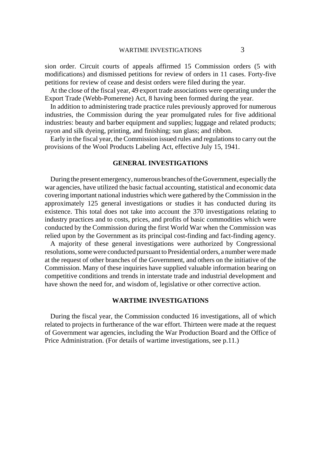#### WARTIME INVESTIGATIONS 3

sion order. Circuit courts of appeals affirmed 15 Commission orders (5 with modifications) and dismissed petitions for review of orders in 11 cases. Forty-five petitions for review of cease and desist orders were filed during the year.

At the close of the fiscal year, 49 export trade associations were operating under the Export Trade (Webb-Pomerene) Act, 8 having been formed during the year.

In addition to administering trade practice rules previously approved for numerous industries, the Commission during the year promulgated rules for five additional industries: beauty and barber equipment and supplies; luggage and related products; rayon and silk dyeing, printing, and finishing; sun glass; and ribbon.

Early in the fiscal year, the Commission issued rules and regulationsto carry out the provisions of the Wool Products Labeling Act, effective July 15, 1941.

# **GENERAL INVESTIGATIONS**

During the present emergency, numerous branches of the Government, especially the war agencies, have utilized the basic factual accounting, statistical and economic data covering important national industries which were gathered by the Commission in the approximately 125 general investigations or studies it has conducted during its existence. This total does not take into account the 370 investigations relating to industry practices and to costs, prices, and profits of basic commodities which were conducted by the Commission during the first World War when the Commission was relied upon by the Government as its principal cost-finding and fact-finding agency.

A majority of these general investigations were authorized by Congressional resolutions, some were conducted pursuant to Presidential orders, a number were made at the request of other branches of the Government, and others on the initiative of the Commission. Many of these inquiries have supplied valuable information bearing on competitive conditions and trends in interstate trade and industrial development and have shown the need for, and wisdom of, legislative or other corrective action.

# **WARTIME INVESTIGATIONS**

During the fiscal year, the Commission conducted 16 investigations, all of which related to projects in furtherance of the war effort. Thirteen were made at the request of Government war agencies, including the War Production Board and the Office of Price Administration. (For details of wartime investigations, see p.11.)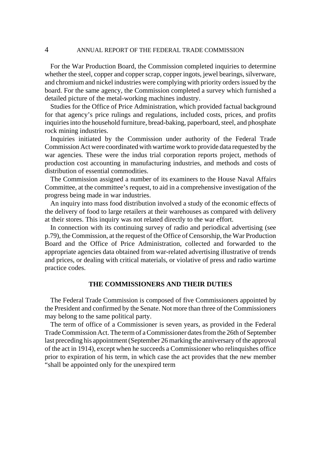For the War Production Board, the Commission completed inquiries to determine whether the steel, copper and copper scrap, copper ingots, jewel bearings, silverware, and chromium and nickel industries were complying with priority orders issued by the board. For the same agency, the Commission completed a survey which furnished a detailed picture of the metal-working machines industry.

Studies for the Office of Price Administration, which provided factual background for that agency's price rulings and regulations, included costs, prices, and profits inquiries into the household furniture, bread-baking, paperboard, steel, and phosphate rock mining industries.

Inquiries initiated by the Commission under authority of the Federal Trade Commission Act were coordinated with wartime work to provide data requested by the war agencies*.* These were the indus trial corporation reports project, methods of production cost accounting in manufacturing industries, and methods and costs of distribution of essential commodities.

The Commission assigned a number of its examiners to the House Naval Affairs Committee, at the committee's request, to aid in a comprehensive investigation of the progress being made in war industries.

An inquiry into mass food distribution involved a study of the economic effects of the delivery of food to large retailers at their warehouses as compared with delivery at their stores. This inquiry was not related directly to the war effort.

In connection with its continuing survey of radio and periodical advertising (see p.79), the Commission, at the request of the Office of Censorship, the War Production Board and the Office of Price Administration, collected and forwarded to the appropriate agencies data obtained from war-related advertising illustrative of trends and prices, or dealing with critical materials, or violative of press and radio wartime practice codes.

## **THE COMMISSIONERS AND THEIR DUTIES**

The Federal Trade Commission is composed of five Commissioners appointed by the President and confirmed by the Senate. Not more than three of the Commissioners may belong to the same political party.

The term of office of a Commissioner is seven years, as provided in the Federal Trade Commission Act. The term of a Commissioner dates from the 26th of September last preceding his appointment (September 26 marking the anniversary of the approval of the act in 1914), except when he succeeds a Commissioner who relinquishes office prior to expiration of his term, in which case the act provides that the new member "shall be appointed only for the unexpired term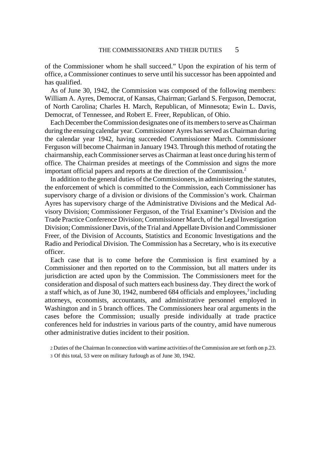of the Commissioner whom he shall succeed." Upon the expiration of his term of office, a Commissioner continues to serve until his successor has been appointed and has qualified.

As of June 30, 1942, the Commission was composed of the following members: William A. Ayres, Democrat, of Kansas, Chairman; Garland S. Ferguson, Democrat, of North Carolina; Charles H. March, Republican, of Minnesota; Ewin L. Davis, Democrat, of Tennessee, and Robert E. Freer, Republican, of Ohio.

EachDecembertheCommission designates one ofits membersto serve asChairman during the ensuing calendar year. Commissioner Ayres has served as Chairman during the calendar year 1942, having succeeded Commissioner March. Commissioner Ferguson will become Chairman in January 1943. Through this method of rotating the chairmanship, each Commissioner serves as Chairman at least once during histerm of office. The Chairman presides at meetings of the Commission and signs the more important official papers and reports at the direction of the Commission.<sup>2</sup>

In addition to the general duties of the Commissioners, in administering the statutes, the enforcement of which is committed to the Commission, each Commissioner has supervisory charge of a division or divisions of the Commission's work. Chairman Ayres has supervisory charge of the Administrative Divisions and the Medical Advisory Division; Commissioner Ferguson, of the Trial Examiner's Division and the Trade PracticeConference Division;Commissioner March, of the Legal Investigation Division; Commissioner Davis, of the Trial and Appellate Division and Commissioner Freer, of the Division of Accounts, Statistics and Economic Investigations and the Radio and Periodical Division. The Commission has a Secretary, who is its executive officer.

Each case that is to come before the Commission is first examined by a Commissioner and then reported on to the Commission, but all matters under its jurisdiction are acted upon by the Commission. The Commissioners meet for the consideration and disposal of such matters each business day. They direct the work of a staff which, as of June 30, 1942, numbered 684 officials and employees,<sup>3</sup> including attorneys, economists, accountants, and administrative personnel employed in Washington and in 5 branch offices. The Commissioners hear oral arguments in the cases before the Commission; usually preside individually at trade practice conferences held for industries in various parts of the country, amid have numerous other administrative duties incident to their position.

<sup>2</sup> Duties of the Chairman In connection with wartime activities oftheCommission are set forth on p.23. 3 Of this total, 53 were on military furlough as of June 30, 1942.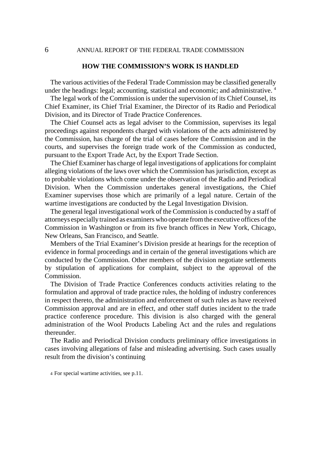#### **HOW THE COMMISSION'S WORK IS HANDLED**

The various activities of the Federal Trade Commission may be classified generally under the headings: legal; accounting, statistical and economic; and administrative.<sup>4</sup>

The legal work of the Commission is under the supervision of its Chief Counsel, its Chief Examiner, its Chief Trial Examiner, the Director of its Radio and Periodical Division, and its Director of Trade Practice Conferences.

The Chief Counsel acts as legal adviser to the Commission, supervises its legal proceedings against respondents charged with violations of the acts administered by the Commission, has charge of the trial of cases before the Commission and in the courts, and supervises the foreign trade work of the Commission as conducted, pursuant to the Export Trade Act, by the Export Trade Section.

The Chief Examiner has charge of legal investigations of applications for complaint alleging violations of the laws over which the Commission has jurisdiction, except as to probable violations which come under the observation of the Radio and Periodical Division. When the Commission undertakes general investigations, the Chief Examiner supervises those which are primarily of a legal nature. Certain of the wartime investigations are conducted by the Legal Investigation Division.

The general legal investigational work of the Commission is conducted by a staff of attorneys especially trained as examiners who operate fromthe executive offices ofthe Commission in Washington or from its five branch offices in New York, Chicago, New Orleans, San Francisco, and Seattle.

Members of the Trial Examiner's Division preside at hearings for the reception of evidence in formal proceedings and in certain of the general investigations which are conducted by the Commission. Other members of the division negotiate settlements by stipulation of applications for complaint, subject to the approval of the Commission.

The Division of Trade Practice Conferences conducts activities relating to the formulation and approval of trade practice rules, the holding of industry conferences in respect thereto, the administration and enforcement of such rules as have received Commission approval and are in effect, and other staff duties incident to the trade practice conference procedure. This division is also charged with the general administration of the Wool Products Labeling Act and the rules and regulations thereunder.

The Radio and Periodical Division conducts preliminary office investigations in cases involving allegations of false and misleading advertising. Such cases usually result from the division's continuing

<sup>4</sup> For special wartime activities, see p.11.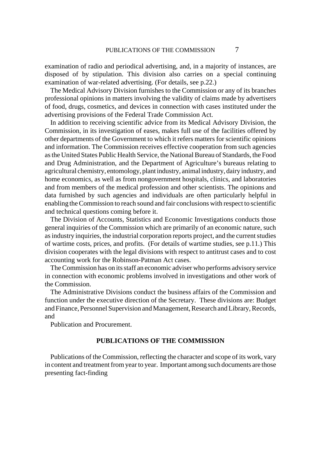examination of radio and periodical advertising, and, in a majority of instances, are disposed of by stipulation. This division also carries on a special continuing examination of war-related advertising. (For details, see p.22.)

The Medical Advisory Division furnishes to the Commission or any of its branches professional opinions in matters involving the validity of claims made by advertisers of food, drugs, cosmetics, and devices in connection with cases instituted under the advertising provisions of the Federal Trade Commission Act.

In addition to receiving scientific advice from its Medical Advisory Division, the Commission, in its investigation of eases, makes full use of the facilities offered by other departments of the Government to which it refers matters for scientific opinions and information. The Commission receives effective cooperation from such agencies asthe United States Public Health Service, the NationalBureau of Standards, the Food and Drug Administration, and the Department of Agriculture's bureaus relating to agricultural chemistry, entomology, plant industry, animal industry, dairy industry, and home economics, as well as from nongovernment hospitals, clinics, and laboratories and from members of the medical profession and other scientists. The opinions and data furnished by such agencies and individuals are often particularly helpful in enabling theCommission to reach sound and fair conclusions with respect to scientific and technical questions coming before it.

The Division of Accounts, Statistics and Economic Investigations conducts those general inquiries of the Commission which are primarily of an economic nature, such as industry inquiries, the industrial corporation reports project, and the current studies of wartime costs, prices, and profits. (For details of wartime studies, see p.11.) This division cooperates with the legal divisions with respect to antitrust cases and to cost accounting work for the Robinson-Patman Act cases.

TheCommission has on itsstaff an economic adviser who performs advisory service in connection with economic problems involved in investigations and other work of the Commission.

The Administrative Divisions conduct the business affairs of the Commission and function under the executive direction of the Secretary. These divisions are: Budget and Finance, Personnel Supervision and Management, Research and Library, Records, and

Publication and Procurement.

## **PUBLICATIONS OF THE COMMISSION**

Publications of the Commission, reflecting the character and scope of its work, vary in content and treatment from year to year. Important among such documents are those presenting fact-finding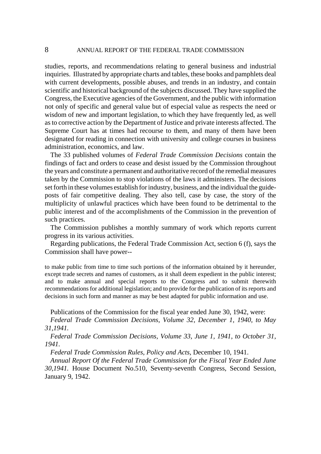studies, reports, and recommendations relating to general business and industrial inquiries. Illustrated by appropriate charts and tables, these books and pamphlets deal with current developments, possible abuses, and trends in an industry, and contain scientific and historical background of the subjects discussed. They have supplied the Congress, the Executive agencies of the Government, and the public with information not only of specific and general value but of especial value as respects the need or wisdom of new and important legislation, to which they have frequently led, as well as to corrective action by the Department of Justice and private interests affected. The Supreme Court has at times had recourse to them, and many of them have been designated for reading in connection with university and college courses in business administration, economics, and law.

The 33 published volumes of *Federal Trade Commission Decisions* contain the findings of fact and orders to cease and desist issued by the Commission throughout the years and constitute a permanent and authoritative record of the remedial measures taken by the Commission to stop violations of the laws it administers. The decisions setforth in these volumes establish forindustry, business, and the individual the guideposts of fair competitive dealing. They also tell, case by case, the story of the multiplicity of unlawful practices which have been found to be detrimental to the public interest and of the accomplishments of the Commission in the prevention of such practices.

The Commission publishes a monthly summary of work which reports current progress in its various activities.

Regarding publications, the Federal Trade Commission Act, section 6 (f), says the Commission shall have power--

to make public from time to time such portions of the information obtained by it hereunder, except trade secrets and names of customers, as it shall deem expedient in the public interest; and to make annual and special reports to the Congress and to submit therewith recommendations for additional legislation; and to provide for the publication of its reports and decisions in such form and manner as may be best adapted for public information and use.

Publications of the Commission for the fiscal year ended June 30, 1942, were:

*Federal Trade Commission Decisions, Volume 32, December 1, 1940, to May 31,1941.*

*Federal Trade Commission Decisions, Volume 33, June 1, 1941, to October 31, 1941.*

*Federal Trade Commission Rules, Policy and Acts,* December 10, 1941.

*Annual Report Of the Federal Trade Commission for the Fiscal Year Ended June 30,1941.* House Document No.510, Seventy-seventh Congress, Second Session, January 9, 1942.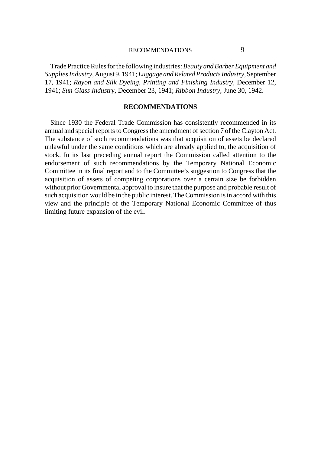# RECOMMENDATIONS 9

Trade Practice Rules for the following industries: Beauty and Barber Equipment and *SuppliesIndustry,*August 9, 1941; *Luggage and Related Products Industry,*September 17, 1941; *Rayon and Silk Dyeing, Printing and Finishing Industry,* December 12, 1941; *Sun Glass Industry,* December 23, 1941; *Ribbon Industry,* June 30, 1942.

# **RECOMMENDATIONS**

Since 1930 the Federal Trade Commission has consistently recommended in its annual and special reports to Congress the amendment of section 7 of the Clayton Act. The substance of such recommendations was that acquisition of assets be declared unlawful under the same conditions which are already applied to, the acquisition of stock. In its last preceding annual report the Commission called attention to the endorsement of such recommendations by the Temporary National Economic Committee in its final report and to the Committee's suggestion to Congress that the acquisition of assets of competing corporations over a certain size be forbidden without prior Governmental approval to insure that the purpose and probable result of such acquisition would be in the public interest. The Commission is in accord with this view and the principle of the Temporary National Economic Committee of thus limiting future expansion of the evil.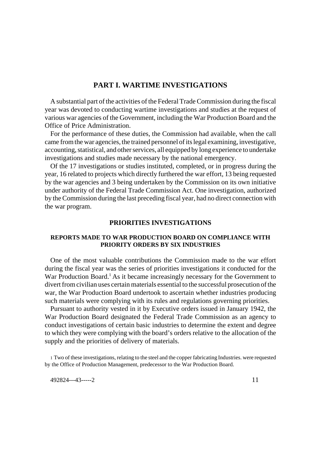# **PART I. WARTIME INVESTIGATIONS**

A substantial part of the activities of the Federal Trade Commission during the fiscal year was devoted to conducting wartime investigations and studies at the request of various war agencies of the Government, including the War Production Board and the Office of Price Administration.

For the performance of these duties, the Commission had available, when the call came from the war agencies, the trained personnel of its legal examining, investigative, accounting, statistical, and other services, all equipped by long experience to undertake investigations and studies made necessary by the national emergency.

Of the 17 investigations or studies instituted, completed, or in progress during the year, 16 related to projects which directly furthered the war effort, 13 being requested by the war agencies and 3 being undertaken by the Commission on its own initiative under authority of the Federal Trade Commission Act. One investigation, authorized by the Commission during the last preceding fiscal year, had no direct connection with the war program.

#### **PRIORITIES INVESTIGATIONS**

#### **REPORTS MADE TO WAR PRODUCTION BOARD ON COMPLIANCE WITH PRIORITY ORDERS BY SIX INDUSTRIES**

One of the most valuable contributions the Commission made to the war effort during the fiscal year was the series of priorities investigations it conducted for the War Production Board.<sup>1</sup> As it became increasingly necessary for the Government to divert from civilian uses certain materials essential to the successful prosecution of the war, the War Production Board undertook to ascertain whether industries producing such materials were complying with its rules and regulations governing priorities.

Pursuant to authority vested in it by Executive orders issued in January 1942, the War Production Board designated the Federal Trade Commission as an agency to conduct investigations of certain basic industries to determine the extent and degree to which they were complying with the board's orders relative to the allocation of the supply and the priorities of delivery of materials.

1 Two of these investigations, relating to the steel and the copper fabricating Industries. were requested by the Office of Production Management, predecessor to the War Production Board.

492824---43-----2 11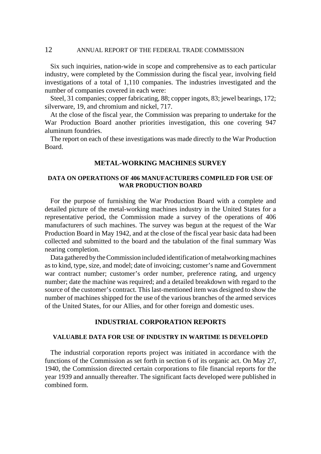Six such inquiries, nation-wide in scope and comprehensive as to each particular industry, were completed by the Commission during the fiscal year, involving field investigations of a total of 1,110 companies. The industries investigated and the number of companies covered in each were:

Steel, 31 companies; copper fabricating, 88; copper ingots, 83; jewel bearings, 172; silverware, 19, and chromium and nickel, 717.

At the close of the fiscal year, the Commission was preparing to undertake for the War Production Board another priorities investigation, this one covering 947 aluminum foundries.

The report on each of these investigations was made directly to the War Production Board.

# **METAL-WORKING MACHINES SURVEY**

#### **DATA ON OPERATIONS OF 406 MANUFACTURERS COMPILED FOR USE OF WAR PRODUCTION BOARD**

For the purpose of furnishing the War Production Board with a complete and detailed picture of the metal-working machines industry in the United States for a representative period, the Commission made a survey of the operations of 406 manufacturers of such machines. The survey was begun at the request of the War Production Board in May 1942, and at the close of the fiscal year basic data had been collected and submitted to the board and the tabulation of the final summary Was nearing completion.

Data gathered by the Commission included identification of metalworking machines as to kind, type, size, and model; date of invoicing; customer's name and Government war contract number; customer's order number, preference rating, and urgency number; date the machine was required; and a detailed breakdown with regard to the source of the customer's contract. This last-mentioned item was designed to show the number of machines shipped for the use of the various branches of the armed services of the United States, for our Allies, and for other foreign and domestic uses.

#### **INDUSTRIAL CORPORATION REPORTS**

#### **VALUABLE DATA FOR USE OF INDUSTRY IN WARTIME IS DEVELOPED**

The industrial corporation reports project was initiated in accordance with the functions of the Commission as set forth in section 6 of its organic act. On May 27, 1940, the Commission directed certain corporations to file financial reports for the year 1939 and annually thereafter. The significant facts developed were published in combined form.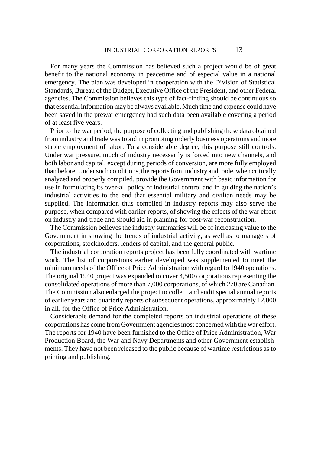For many years the Commission has believed such a project would be of great benefit to the national economy in peacetime and of especial value in a national emergency. The plan was developed in cooperation with the Division of Statistical Standards, Bureau of the Budget, Executive Office of the President, and other Federal agencies. The Commission believes this type of fact-finding should be continuous so that essential information may be always available. Much time and expense could have been saved in the prewar emergency had such data been available covering a period of at least five years.

Prior to the war period, the purpose of collecting and publishing these data obtained from industry and trade was to aid in promoting orderly business operations and more stable employment of labor. To a considerable degree, this purpose still controls. Under war pressure, much of industry necessarily is forced into new channels, and both labor and capital, except during periods of conversion, are more fully employed than before. Under such conditions, the reports from industry and trade, when critically analyzed and properly compiled, provide the Government with basic information for use in formulating its over-all policy of industrial control and in guiding the nation's industrial activities to the end that essential military and civilian needs may be supplied. The information thus compiled in industry reports may also serve the purpose, when compared with earlier reports, of showing the effects of the war effort on industry and trade and should aid in planning for post-war reconstruction.

The Commission believes the industry summaries will be of increasing value to the Government in showing the trends of industrial activity, as well as to managers of corporations, stockholders, lenders of capital, and the general public.

The industrial corporation reports project has been fully coordinated with wartime work. The list of corporations earlier developed was supplemented to meet the minimum needs of the Office of Price Administration with regard to 1940 operations. The original 1940 project was expanded to cover 4,500 corporations representing the consolidated operations of more than 7,000 corporations, of which 270 are Canadian. The Commission also enlarged the project to collect and audit special annual reports of earlier years and quarterly reports of subsequent operations, approximately 12,000 in all, for the Office of Price Administration.

Considerable demand for the completed reports on industrial operations of these corporations has come fromGovernment agencies most concerned with the war effort. The reports for 1940 have been furnished to the Office of Price Administration, War Production Board, the War and Navy Departments and other Government establishments. They have not been released to the public because of wartime restrictions as to printing and publishing.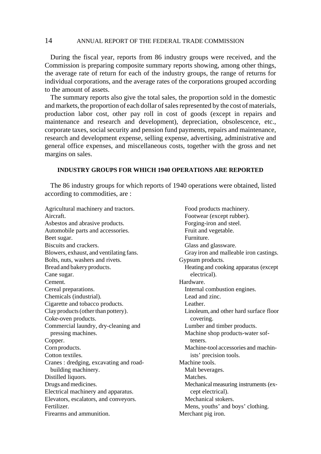During the fiscal year, reports from 86 industry groups were received, and the Commission is preparing composite summary reports showing, among other things, the average rate of return for each of the industry groups, the range of returns for individual corporations, and the average rates of the corporations grouped according to the amount of assets.

The summary reports also give the total sales, the proportion sold in the domestic and markets, the proportion of each dollar of sales represented by the cost of materials, production labor cost, other pay roll in cost of goods (except in repairs and maintenance and research and development), depreciation, obsolescence, etc., corporate taxes, social security and pension fund payments, repairs and maintenance, research and development expense, selling expense, advertising, administrative and general office expenses, and miscellaneous costs, together with the gross and net margins on sales.

#### **INDUSTRY GROUPS FOR WHICH 1940 OPERATIONS ARE REPORTED**

The 86 industry groups for which reports of 1940 operations were obtained, listed according to commodities, are :

Agricultural machinery and tractors. Food products machinery. Aircraft. Footwear (except rubber). Asbestos and abrasive products. Forging-iron and steel. Automobile parts and accessories. Fruit and vegetable. Beet sugar. Furniture. Biscuits and crackers. Glass and glassware. Bolts, nuts, washers and rivets. Gypsum products. Cane sugar. electrical). Cement. Hardware. Cereal preparations. Internal combustion engines. Chemicals (industrial). Lead and zinc. Cigarette and tobacco products. Leather. Coke-oven products. covering. Commercial laundry, dry-cleaning and Lumber and timber products. pressing machines. Machine shop products-water sof-Copper. teners. Corn products. Machine-tool accessories and machin-Cotton textiles. ists' precision tools. Cranes : dredging, excavating and road- Machine tools. building machinery. Malt beverages. Distilled liquors. Matches. Drugs and medicines. The measuring instruments (ex-Electrical machinery and apparatus. cept electrical). Elevators, escalators, and conveyors. Mechanical stokers. Fertilizer. Mens, youths' and boys' clothing. Firearms and ammunition. Merchant pig iron.

Blowers, exhaust, and ventilating fans. Grayiron and malleable iron castings. Bread and bakeryproducts. Heating and cooking apparatus (except Clayproducts(otherthan pottery). Linoleum, and other hard surface floor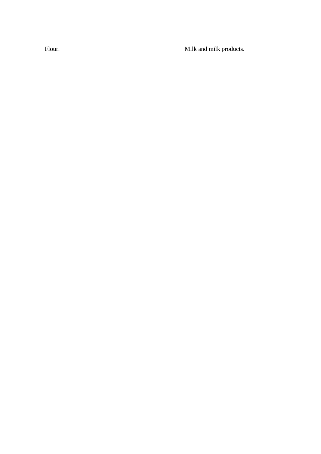Flour. Milk and milk products.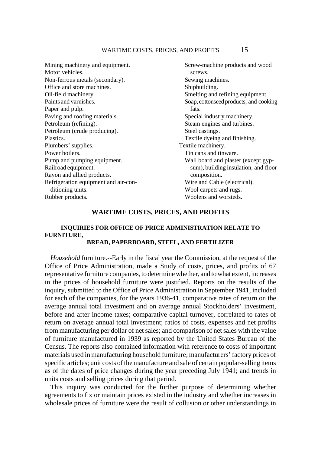| Mining machinery and equipment.      | Screw-ma    |
|--------------------------------------|-------------|
| Motor vehicles.                      | screws.     |
| Non-ferrous metals (secondary).      | Sewing m    |
| Office and store machines.           | Shipbuild   |
| Oil-field machinery.                 | Smelting    |
| Paints and varnishes.                | Soap, cotte |
| Paper and pulp.                      | fats.       |
| Paving and roofing materials.        | Special in  |
| Petroleum (refining).                | Steam en    |
| Petroleum (crude producing).         | Steel cast  |
| Plastics.                            | Textile dy  |
| Plumbers' supplies.                  | Textile mac |
| Power boilers.                       | Tin cans a  |
| Pump and pumping equipment.          | Wall boar   |
| Railroad equipment.                  | sum), b     |
| Rayon and allied products.           | compos      |
| Refrigeration equipment and air-con- | Wire and    |
| ditioning units.                     | Wool car    |
| Rubber products.                     | Woolens     |
|                                      |             |

# Screw-machine products and wood Sewing machines. Shipbuilding. Smelting and refining equipment. Soap, cottonseed products, and cooking Special industry machinery. Steam engines and turbines. Steel castings. Textile dyeing and finishing. Textile machinery. Tin cans and tinware. Wall board and plaster (except gypsum), building insulation, and floor composition. Wire and Cable (electrical). Wool carpets and rugs. Woolens and worsteds.

## **WARTIME COSTS, PRICES, AND PROFITS**

#### **INQUIRIES FOR OFFICE OF PRICE ADMINISTRATION RELATE TO FURNITURE, BREAD, PAPERBOARD, STEEL, AND FERTILIZER**

*Household* furniture.--Early in the fiscal year the Commission, at the request of the Office of Price Administration, made a Study of costs, prices, and profits of 67 representative furniture companies, to determine whether, and to what extent, increases in the prices of household furniture were justified. Reports on the results of the inquiry, submitted to the Office of Price Administration in September 1941, included for each of the companies, for the years 1936-41, comparative rates of return on the average annual total investment and on average annual Stockholders' investment, before and after income taxes; comparative capital turnover, correlated to rates of return on average annual total investment; ratios of costs, expenses and net profits from manufacturing per dollar of net sales; and comparison of netsales with the value of furniture manufactured in 1939 as reported by the United States Bureau of the Census. The reports also contained information with reference to costs of important materials used in manufacturing household furniture; manufacturers' factory prices of specific articles; unit costs of the manufacture and sale of certain popular-selling items as of the dates of price changes during the year preceding July 1941; and trends in units costs and selling prices during that period.

This inquiry was conducted for the further purpose of determining whether agreements to fix or maintain prices existed in the industry and whether increases in wholesale prices of furniture were the result of collusion or other understandings in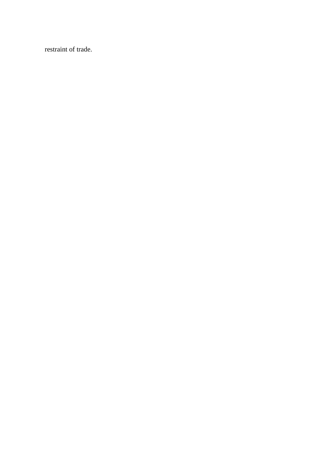restraint of trade.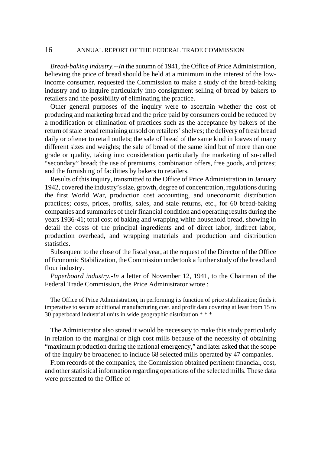*Bread-baking industry.--In* the autumn of 1941, the Office of Price Administration, believing the price of bread should be held at a minimum in the interest of the lowincome consumer, requested the Commission to make a study of the bread-baking industry and to inquire particularly into consignment selling of bread by bakers to retailers and the possibility of eliminating the practice.

Other general purposes of the inquiry were to ascertain whether the cost of producing and marketing bread and the price paid by consumers could be reduced by a modification or elimination of practices such as the acceptance by bakers of the return of stale bread remaining unsold on retailers' shelves; the delivery of fresh bread daily or oftener to retail outlets; the sale of bread of the same kind in loaves of many different sizes and weights; the sale of bread of the same kind but of more than one grade or quality, taking into consideration particularly the marketing of so-called "secondary" bread; the use of premiums, combination offers, free goods, and prizes; and the furnishing of facilities by bakers to retailers.

Results of this inquiry, transmitted to the Office of Price Administration in January 1942, covered the industry'ssize, growth, degree of concentration, regulations during the first World War, production cost accounting, and uneconomic distribution practices; costs, prices, profits, sales, and stale returns, etc., for 60 bread-baking companies and summaries of their financial condition and operating results during the years 1936-41; total cost of baking and wrapping white household bread, showing in detail the costs of the principal ingredients and of direct labor, indirect labor, production overhead, and wrapping materials and production and distribution statistics.

Subsequent to the close of the fiscal year, at the request of the Director of the Office of Economic Stabilization, the Commission undertook a further study of the bread and flour industry.

*Paperboard industry.-In* a letter of November 12, 1941, to the Chairman of the Federal Trade Commission, the Price Administrator wrote :

The Office of Price Administration, in performing its function of price stabilization; finds it imperative to secure additional manufacturing cost. and profit data covering at least from 15 to 30 paperboard industrial units in wide geographic distribution \* \* \*

The Administrator also stated it would be necessary to make this study particularly in relation to the marginal or high cost mills because of the necessity of obtaining "maximum production during the national emergency," and later asked that the scope of the inquiry be broadened to include 68 selected mills operated by 47 companies.

From records of the companies, the Commission obtained pertinent financial, cost, and other statistical information regarding operations of the selected mills. These data were presented to the Office of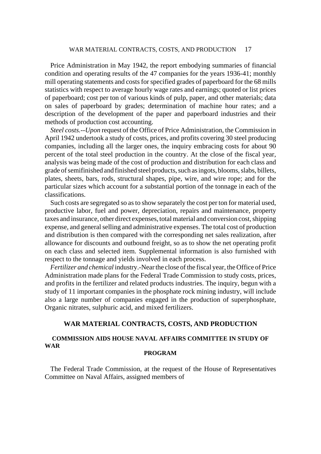#### WAR MATERIAL CONTRACTS, COSTS, AND PRODUCTION 17

Price Administration in May 1942, the report embodying summaries of financial condition and operating results of the 47 companies for the years 1936-41; monthly mill operating statements and costs for specified grades of paperboard for the 68 mills statistics with respect to average hourly wage rates and earnings; quoted or list prices of paperboard; cost per ton of various kinds of pulp, paper, and other materials; data on sales of paperboard by grades; determination of machine hour rates; and a description of the development of the paper and paperboard industries and their methods of production cost accounting.

*Steel costs.--Upon* request of the Office of Price Administration, the Commission in April 1942 undertook a study of costs, prices, and profits covering 30 steel producing companies, including all the larger ones, the inquiry embracing costs for about 90 percent of the total steel production in the country. At the close of the fiscal year, analysis was being made of the cost of production and distribution for each class and grade of semifinished and finished steel products, such as ingots, blooms, slabs, billets, plates, sheets, bars, rods, structural shapes, pipe, wire, and wire rope; and for the particular sizes which account for a substantial portion of the tonnage in each of the classifications.

Such costs are segregated so asto show separately the cost per ton for material used, productive labor, fuel and power, depreciation, repairs and maintenance, property taxes and insurance, other direct expenses, total material and conversion cost, shipping expense, and general selling and administrative expenses. The total cost of production and distribution is then compared with the corresponding net sales realization, after allowance for discounts and outbound freight, so as to show the net operating profit on each class and selected item. Supplemental information is also furnished with respect to the tonnage and yields involved in each process.

*Fertilizer and chemical* industry.-Nearthe close ofthe fiscal year, the Office of Price Administration made plans for the Federal Trade Commission to study costs, prices, and profits in the fertilizer and related products industries. The inquiry, begun with a study of 11 important companies in the phosphate rock mining industry, will include also a large number of companies engaged in the production of superphosphate, Organic nitrates, sulphuric acid, and mixed fertilizers.

#### **WAR MATERIAL CONTRACTS, COSTS, AND PRODUCTION**

# **COMMISSION AIDS HOUSE NAVAL AFFAIRS COMMITTEE IN STUDY OF WAR**

# **PROGRAM**

The Federal Trade Commission, at the request of the House of Representatives Committee on Naval Affairs, assigned members of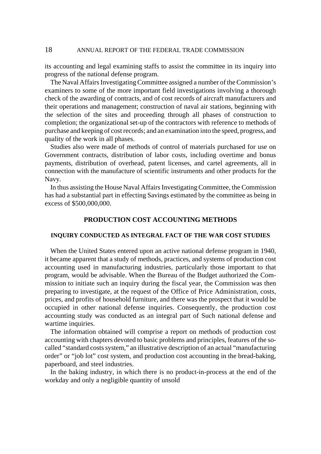its accounting and legal examining staffs to assist the committee in its inquiry into progress of the national defense program.

The Naval Affairs Investigating Committee assigned a number of the Commission's examiners to some of the more important field investigations involving a thorough check of the awarding of contracts, and of cost records of aircraft manufacturers and their operations and management; construction of naval air stations, beginning with the selection of the sites and proceeding through all phases of construction to completion; the organizational set-up of the contractors with reference to methods of purchase and keeping of costrecords; and an examination into the speed, progress, and quality of the work in all phases.

Studies also were made of methods of control of materials purchased for use on Government contracts, distribution of labor costs, including overtime and bonus payments, distribution of overhead, patent licenses, and cartel agreements, all in connection with the manufacture of scientific instruments and other products for the Navy.

In thus assisting the House Naval Affairs Investigating Committee, the Commission has had a substantial part in effecting Savings estimated by the committee as being in excess of \$500,000,000.

#### **PRODUCTION COST ACCOUNTING METHODS**

# **INQUIRY CONDUCTED AS INTEGRAL FACT OF THE WAR COST STUDIES**

When the United States entered upon an active national defense program in 1940, it became apparent that a study of methods, practices, and systems of production cost accounting used in manufacturing industries, particularly those important to that program, would be advisable. When the Bureau of the Budget authorized the Commission to initiate such an inquiry during the fiscal year, the Commission was then preparing to investigate, at the request of the Office of Price Administration, costs, prices, and profits of household furniture, and there was the prospect that it would be occupied in other national defense inquiries. Consequently, the production cost accounting study was conducted as an integral part of Such national defense and wartime inquiries.

The information obtained will comprise a report on methods of production cost accounting with chapters devoted to basic problems and principles, features of the socalled "standard costs system," an illustrative description of an actual "manufacturing order" or "job lot" cost system, and production cost accounting in the bread-baking, paperboard, and steel industries.

In the baking industry, in which there is no product-in-process at the end of the workday and only a negligible quantity of unsold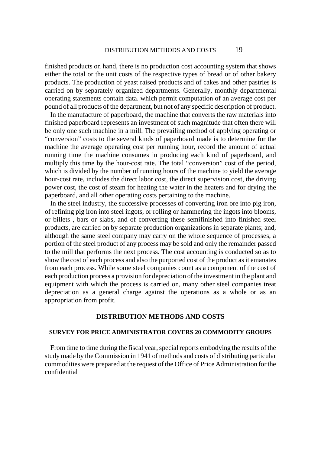finished products on hand, there is no production cost accounting system that shows either the total or the unit costs of the respective types of bread or of other bakery products. The production of yeast raised products and of cakes and other pastries is carried on by separately organized departments. Generally, monthly departmental operating statements contain data. which permit computation of an average cost per pound of all products of the department, but not of any specific description of product.

In the manufacture of paperboard, the machine that converts the raw materials into finished paperboard represents an investment of such magnitude that often there will be only one such machine in a mill. The prevailing method of applying operating or "conversion" costs to the several kinds of paperboard made is to determine for the machine the average operating cost per running hour, record the amount of actual running time the machine consumes in producing each kind of paperboard, and multiply this time by the hour-cost rate. The total "conversion" cost of the period, which is divided by the number of running hours of the machine to yield the average hour-cost rate, includes the direct labor cost, the direct supervision cost, the driving power cost, the cost of steam for heating the water in the heaters and for drying the paperboard, and all other operating costs pertaining to the machine.

In the steel industry, the successive processes of converting iron ore into pig iron, of refining pig iron into steel ingots, or rolling or hammering the ingots into blooms, or billets , bars or slabs, and of converting these semifinished into finished steel products, are carried on by separate production organizations in separate plants; and, although the same steel company may carry on the whole sequence of processes, a portion of the steel product of any process may be sold and only the remainder passed to the mill that performs the next process. The cost accounting is conducted so as to show the cost of each process and also the purported cost of the product as it emanates from each process. While some steel companies count as a component of the cost of each production process a provision for depreciation of the investment in the plant and equipment with which the process is carried on, many other steel companies treat depreciation as a general charge against the operations as a whole or as an appropriation from profit.

#### **DISTRIBUTION METHODS AND COSTS**

## **SURVEY FOR PRICE ADMINISTRATOR COVERS 20 COMMODITY GROUPS**

From time to time during the fiscal year, special reports embodying the results of the study made by the Commission in 1941 of methods and costs of distributing particular commodities were prepared at the request of the Office of Price Administration forthe confidential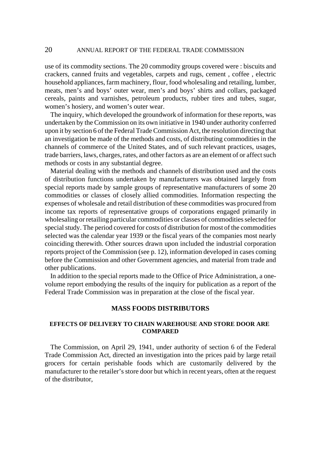use of its commodity sections. The 20 commodity groups covered were : biscuits and crackers, canned fruits and vegetables, carpets and rugs, cement , coffee , electric household appliances, farm machinery, flour, food wholesaling and retailing, lumber, meats, men's and boys' outer wear, men's and boys' shirts and collars, packaged cereals, paints and varnishes, petroleum products, rubber tires and tubes, sugar, women's hosiery, and women's outer wear.

The inquiry, which developed the groundwork of information for these reports, was undertaken by the Commission on its own initiative in 1940 under authority conferred upon it by section 6 of the Federal Trade Commission Act, the resolution directing that an investigation be made of the methods and costs, of distributing commodities in the channels of commerce of the United States, and of such relevant practices, usages, trade barriers, laws, charges, rates, and other factors as are an element of or affect such methods or costs in any substantial degree.

Material dealing with the methods and channels of distribution used and the costs of distribution functions undertaken by manufacturers was obtained largely from special reports made by sample groups of representative manufacturers of some 20 commodities or classes of closely allied commodities. Information respecting the expenses of wholesale and retail distribution of these commodities was procured from income tax reports of representative groups of corporations engaged primarily in wholesaling or retailing particular commodities or classes of commodities selected for special study. The period covered for costs of distribution for most of the commodities selected was the calendar year 1939 or the fiscal years of the companies most nearly coinciding therewith. Other sources drawn upon included the industrial corporation reports project of the Commission (see p. 12), information developed in cases coming before the Commission and other Government agencies, and material from trade and other publications.

In addition to the special reports made to the Office of Price Administration, a onevolume report embodying the results of the inquiry for publication as a report of the Federal Trade Commission was in preparation at the close of the fiscal year.

# **MASS FOODS DISTRIBUTORS**

## **EFFECTS OF DELIVERY TO CHAIN WAREHOUSE AND STORE DOOR ARE COMPARED**

The Commission, on April 29, 1941, under authority of section 6 of the Federal Trade Commission Act, directed an investigation into the prices paid by large retail grocers for certain perishable foods which are customarily delivered by the manufacturer to the retailer's store door but which in recent years, often at the request of the distributor,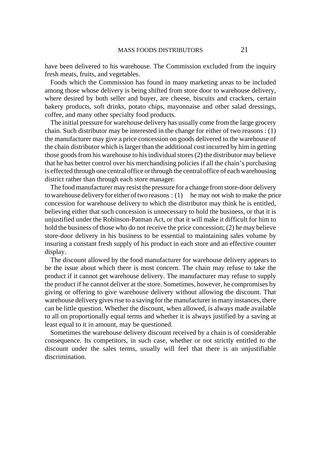have been delivered to his warehouse. The Commission excluded from the inquiry fresh meats, fruits, and vegetables.

Foods which the Commission has found in many marketing areas to be included among those whose delivery is being shifted from store door to warehouse delivery, where desired by both seller and buyer, are cheese, biscuits and crackers, certain bakery products, soft drinks, potato chips, mayonnaise and other salad dressings, coffee, and many other specialty food products.

The initial pressure for warehouse delivery has usually come from the large grocery chain. Such distributor may be interested in the change for either of two reasons : (1) the manufacturer may give a price concession on goods delivered to the warehouse of the chain distributor which islarger than the additional cost incurred by him in getting those goods from his warehouse to his individual stores (2) the distributor may believe that he has better control over his merchandising policies if all the chain's purchasing is effected through one central office or through the central office of each warehousing district rather than through each store manager.

The food manufacturer may resist the pressure for a change fromstore-door delivery to warehouse delivery for either of two reasons  $: (1)$  he may not wish to make the price concession for warehouse delivery to which the distributor may think he is entitled, believing either that such concession is unnecessary to hold the business, or that it is unjustified under the Robinson-Patman Act, or that it will make it difficult for him to hold the business of those who do not receive the price concession; (2) he may believe store-door delivery in his business to be essential to maintaining sales volume by insuring a constant fresh supply of his product in each store and an effective counter display.

The discount allowed by the food manufacturer for warehouse delivery appears to be the issue about which there is most concern. The chain may refuse to take the product if it cannot get warehouse delivery. The manufacturer may refuse to supply the product if he cannot deliver at the store. Sometimes, however, he compromises by giving or offering to give warehouse delivery without allowing the discount. That warehouse delivery gives rise to a saving for the manufacturer in many instances, there can be little question. Whether the discount, when allowed, is always made available to all on proportionally equal terms and whether it is always justified by a saving at least equal to it in amount, may be questioned.

Sometimes the warehouse delivery discount received by a chain is of considerable consequence. Its competitors, in such case, whether or not strictly entitled to the discount under the sales terms, usually will feel that there is an unjustifiable discrimination.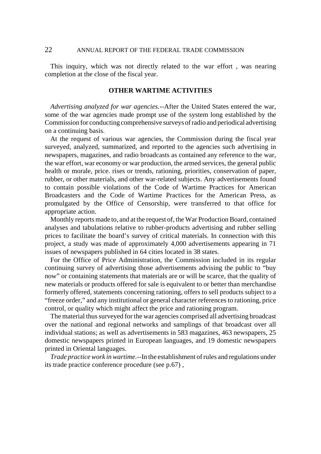This inquiry, which was not directly related to the war effort , was nearing completion at the close of the fiscal year.

## **OTHER WARTIME ACTIVITIES**

*Advertising analyzed for war agencies.--*After the United States entered the war, some of the war agencies made prompt use of the system long established by the Commission for conducting comprehensive surveys of radio and periodical advertising on a continuing basis.

At the request of various war agencies, the Commission during the fiscal year surveyed, analyzed, summarized, and reported to the agencies such advertising in newspapers, magazines, and radio broadcasts as contained any reference to the war, the war effort, war economy or war production, the armed services, the general public health or morale, price. rises or trends, rationing, priorities, conservation of paper, rubber, or other materials, and other war-related subjects. Any advertisements found to contain possible violations of the Code of Wartime Practices for American Broadcasters and the Code of Wartime Practices for the American Press, as promulgated by the Office of Censorship, were transferred to that office for appropriate action.

Monthly reports made to, and at the request of, the War Production Board, contained analyses and tabulations relative to rubber-products advertising and rubber selling prices to facilitate the board's survey of critical materials. In connection with this project, a study was made of approximately 4,000 advertisements appearing in 71 issues of newspapers published in 64 cities located in 38 states.

For the Office of Price Administration, the Commission included in its regular continuing survey of advertising those advertisements advising the public to "buy now" or containing statements that materials are or will be scarce, that the quality of new materials or products offered for sale is equivalent to or better than merchandise formerly offered, statements concerning rationing, offers to sell products subject to a "freeze order," and any institutional or general character references to rationing, price control, or quality which might affect the price and rationing program.

The material thus surveyed for the war agencies comprised all advertising broadcast over the national and regional networks and samplings of that broadcast over all individual stations; as well as advertisements in 583 magazines, 463 newspapers, 25 domestic newspapers printed in European languages, and 19 domestic newspapers printed in Oriental languages.

*Trade practicework inwartime.--*In the establishment ofrules and regulations under its trade practice conference procedure (see p.67) ,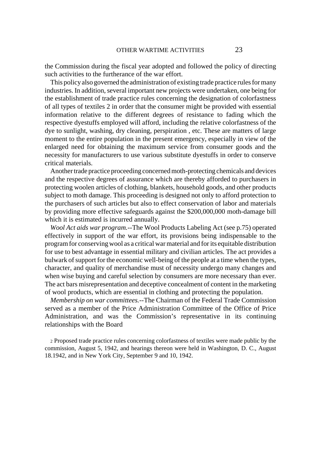the Commission during the fiscal year adopted and followed the policy of directing such activities to the furtherance of the war effort.

This policy also governed the administration of existing trade practice rules for many industries. In addition, several important new projects were undertaken, one being for the establishment of trade practice rules concerning the designation of colorfastness of all types of textiles 2 in order that the consumer might be provided with essential information relative to the different degrees of resistance to fading which the respective dyestuffs employed will afford, including the relative colorfastness of the dye to sunlight, washing, dry cleaning, perspiration , etc. These are matters of large moment to the entire population in the present emergency, especially in view of the enlarged need for obtaining the maximum service from consumer goods and the necessity for manufacturers to use various substitute dyestuffs in order to conserve critical materials.

Another trade practice proceeding concerned moth-protecting chemicals and devices and the respective degrees of assurance which are thereby afforded to purchasers in protecting woolen articles of clothing, blankets, household goods, and other products subject to moth damage. This proceeding is designed not only to afford protection to the purchasers of such articles but also to effect conservation of labor and materials by providing more effective safeguards against the \$200,000,000 moth-damage bill which it is estimated is incurred annually.

*Wool Act aids war program.--*The Wool Products Labeling Act (see p.75) operated effectively in support of the war effort, its provisions being indispensable to the programfor conservingwool as a critical warmaterial and forits equitable distribution for use to best advantage in essential military and civilian articles. The act provides a bulwark of support for the economic well-being of the people at a time when the types, character, and quality of merchandise must of necessity undergo many changes and when wise buying and careful selection by consumers are more necessary than ever. The act bars misrepresentation and deceptive concealment of content in the marketing of wool products, which are essential in clothing and protecting the population.

*Membership on war committees.--*The Chairman of the Federal Trade Commission served as a member of the Price Administration Committee of the Office of Price Administration, and was the Commission's representative in its continuing relationships with the Board

<sup>2</sup> Proposed trade practice rules concerning colorfastness of textiles were made public by the commission, August 5, 1942, and hearings thereon were held in Washington, D. C., August 18.1942, and in New York City, September 9 and 10, 1942.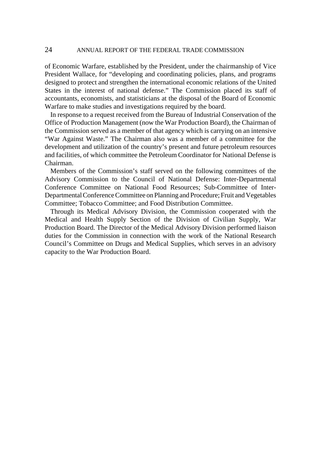of Economic Warfare, established by the President, under the chairmanship of Vice President Wallace, for "developing and coordinating policies, plans, and programs designed to protect and strengthen the international economic relations of the United States in the interest of national defense." The Commission placed its staff of accountants, economists, and statisticians at the disposal of the Board of Economic Warfare to make studies and investigations required by the board.

In response to a request received from the Bureau of Industrial Conservation of the Office of Production Management (now the War Production Board), the Chairman of the Commission served as a member of that agency which is carrying on an intensive "War Against Waste." The Chairman also was a member of a committee for the development and utilization of the country's present and future petroleum resources and facilities, of which committee the Petroleum Coordinator for National Defense is Chairman.

Members of the Commission's staff served on the following committees of the Advisory Commission to the Council of National Defense: Inter-Departmental Conference Committee on National Food Resources; Sub-Committee of Inter-Departmental Conference Committee on Planning and Procedure; Fruit and Vegetables Committee; Tobacco Committee; and Food Distribution Committee.

Through its Medical Advisory Division, the Commission cooperated with the Medical and Health Supply Section of the Division of Civilian Supply, War Production Board. The Director of the Medical Advisory Division performed liaison duties for the Commission in connection with the work of the National Research Council's Committee on Drugs and Medical Supplies, which serves in an advisory capacity to the War Production Board.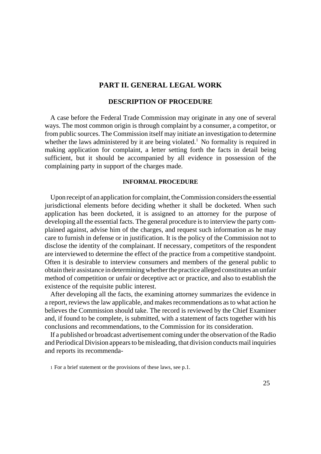# **PART II. GENERAL LEGAL WORK**

#### **DESCRIPTION OF PROCEDURE**

A case before the Federal Trade Commission may originate in any one of several ways. The most common origin is through complaint by a consumer, a competitor, or frompublic sources. The Commission itself may initiate an investigation to determine whether the laws administered by it are being violated.<sup>1</sup> No formality is required in making application for complaint, a letter setting forth the facts in detail being sufficient, but it should be accompanied by all evidence in possession of the complaining party in support of the charges made.

#### **INFORMAL PROCEDURE**

Upon receipt of an application for complaint, the Commission considers the essential jurisdictional elements before deciding whether it shall be docketed. When such application has been docketed, it is assigned to an attorney for the purpose of developing all the essential facts. The general procedure isto interview the party complained against, advise him of the charges, and request such information as he may care to furnish in defense or in justification. It is the policy of the Commission not to disclose the identity of the complainant. If necessary, competitors of the respondent are interviewed to determine the effect of the practice from a competitive standpoint. Often it is desirable to interview consumers and members of the general public to obtain their assistance in determiningwhetherthe practice alleged constitutes an unfair method of competition or unfair or deceptive act or practice, and also to establish the existence of the requisite public interest.

After developing all the facts, the examining attorney summarizes the evidence in a report, reviews the law applicable, and makes recommendations as to what action he believes the Commission should take. The record is reviewed by the Chief Examiner and, if found to be complete, is submitted, with a statement of facts together with his conclusions and recommendations, to the Commission for its consideration.

If a published or broadcast advertisement coming under the observation of the Radio and Periodical Division appears to be misleading, that division conducts mail inquiries and reports its recommenda-

<sup>1</sup> For a brief statement or the provisions of these laws, see p.1.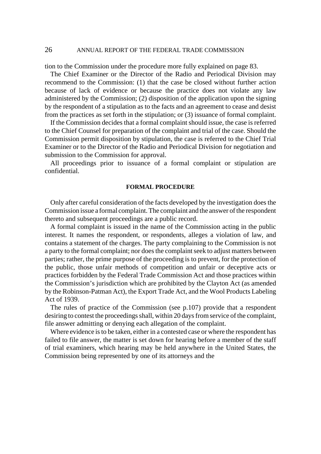tion to the Commission under the procedure more fully explained on page 83.

The Chief Examiner or the Director of the Radio and Periodical Division may recommend to the Commission: (1) that the case be closed without further action because of lack of evidence or because the practice does not violate any law administered by the Commission; (2) disposition of the application upon the signing by the respondent of a stipulation as to the facts and an agreement to cease and desist from the practices as set forth in the stipulation; or (3) issuance of formal complaint.

If the Commission decides that a formal complaint should issue, the case is referred to the Chief Counsel for preparation of the complaint and trial of the case. Should the Commission permit disposition by stipulation, the case is referred to the Chief Trial Examiner or to the Director of the Radio and Periodical Division for negotiation and submission to the Commission for approval.

All proceedings prior to issuance of a formal complaint or stipulation are confidential.

#### **FORMAL PROCEDURE**

Only after careful consideration of the facts developed by the investigation does the Commission issue a formal complaint. The complaint and the answer of the respondent thereto and subsequent proceedings are a public record.

A formal complaint is issued in the name of the Commission acting in the public interest. It names the respondent, or respondents, alleges a violation of law, and contains a statement of the charges. The party complaining to the Commission is not a party to the formal complaint; nor does the complaint seek to adjust matters between parties; rather, the prime purpose of the proceeding is to prevent, for the protection of the public, those unfair methods of competition and unfair or deceptive acts or practices forbidden by the Federal Trade Commission Act and those practices within the Commission's jurisdiction which are prohibited by the Clayton Act (as amended by the Robinson-Patman Act), the Export Trade Act, and the Wool Products Labeling Act of 1939.

The rules of practice of the Commission (see p.107) provide that a respondent desiring to contest the proceedings shall, within 20 days from service of the complaint, file answer admitting or denying each allegation of the complaint.

Where evidence is to be taken, either in a contested case or where the respondent has failed to file answer, the matter is set down for hearing before a member of the staff of trial examiners, which hearing may be held anywhere in the United States, the Commission being represented by one of its attorneys and the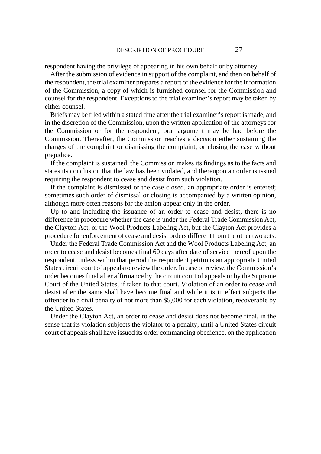respondent having the privilege of appearing in his own behalf or by attorney.

After the submission of evidence in support of the complaint, and then on behalf of the respondent, the trial examiner prepares a report of the evidence for the information of the Commission, a copy of which is furnished counsel for the Commission and counsel for the respondent. Exceptions to the trial examiner's report may be taken by either counsel.

Briefs may be filed within a stated time after the trial examiner's report is made, and in the discretion of the Commission, upon the written application of the attorneys for the Commission or for the respondent, oral argument may be had before the Commission. Thereafter, the Commission reaches a decision either sustaining the charges of the complaint or dismissing the complaint, or closing the case without prejudice.

If the complaint is sustained, the Commission makes its findings as to the facts and states its conclusion that the law has been violated, and thereupon an order is issued requiring the respondent to cease and desist from such violation.

If the complaint is dismissed or the case closed, an appropriate order is entered; sometimes such order of dismissal or closing is accompanied by a written opinion, although more often reasons for the action appear only in the order.

Up to and including the issuance of an order to cease and desist, there is no difference in procedure whether the case is under the Federal Trade Commission Act, the Clayton Act, or the Wool Products Labeling Act, but the Clayton Act provides a procedure for enforcement of cease and desist orders different from the other two acts.

Under the Federal Trade Commission Act and the Wool Products Labeling Act, an order to cease and desist becomes final 60 days after date of service thereof upon the respondent, unless within that period the respondent petitions an appropriate United States circuit court of appeals to review the order. In case of review, the Commission's order becomesfinal after affirmance by the circuit court of appeals or by the Supreme Court of the United States, if taken to that court. Violation of an order to cease and desist after the same shall have become final and while it is in effect subjects the offender to a civil penalty of not more than \$5,000 for each violation, recoverable by the United States.

Under the Clayton Act, an order to cease and desist does not become final, in the sense that its violation subjects the violator to a penalty, until a United States circuit court of appeals shall have issued its order commanding obedience, on the application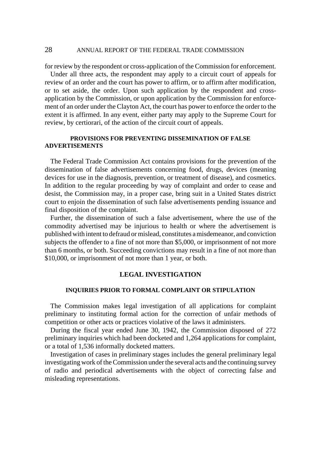for review by the respondent or cross-application of the Commission for enforcement.

Under all three acts, the respondent may apply to a circuit court of appeals for review of an order and the court has power to affirm, or to affirm after modification, or to set aside, the order. Upon such application by the respondent and crossapplication by the Commission, or upon application by the Commission for enforcement of an order under the Clayton Act, the court has power to enforce the order to the extent it is affirmed. In any event, either party may apply to the Supreme Court for review, by certiorari, of the action of the circuit court of appeals.

## **PROVISIONS FOR PREVENTING DISSEMINATION OF FALSE ADVERTISEMENTS**

The Federal Trade Commission Act contains provisions for the prevention of the dissemination of false advertisements concerning food, drugs, devices (meaning devices for use in the diagnosis, prevention, or treatment of disease), and cosmetics. In addition to the regular proceeding by way of complaint and order to cease and desist, the Commission may, in a proper case, bring suit in a United States district court to enjoin the dissemination of such false advertisements pending issuance and final disposition of the complaint.

Further, the dissemination of such a false advertisement, where the use of the commodity advertised may be injurious to health or where the advertisement is published with intent to defraud or mislead, constitutes a misdemeanor, and conviction subjects the offender to a fine of not more than \$5,000, or imprisonment of not more than 6 months, or both. Succeeding convictions may result in a fine of not more than \$10,000, or imprisonment of not more than 1 year, or both.

## **LEGAL INVESTIGATION**

#### **INQUIRIES PRIOR TO FORMAL COMPLAINT OR STIPULATION**

The Commission makes legal investigation of all applications for complaint preliminary to instituting formal action for the correction of unfair methods of competition or other acts or practices violative of the laws it administers.

During the fiscal year ended June 30, 1942, the Commission disposed of 272 preliminary inquiries which had been docketed and 1,264 applications for complaint, or a total of 1,536 informally docketed matters.

Investigation of cases in preliminary stages includes the general preliminary legal investigating work of the Commission under the several acts and the continuing survey of radio and periodical advertisements with the object of correcting false and misleading representations.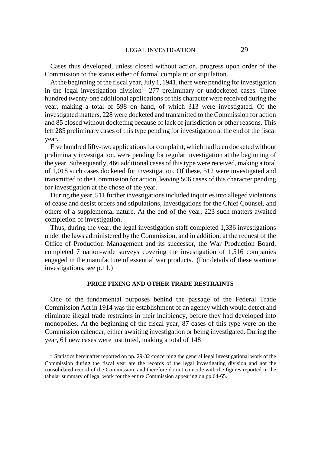Cases thus developed, unless closed without action, progress upon order of the Commission to the status either of formal complaint or stipulation.

At the beginning of the fiscal year, July 1, 1941, there were pending for investigation in the legal investigation division<sup>2</sup> 277 preliminary or undocketed cases. Three hundred twenty-one additional applications of this character were received during the year, making a total of 598 on hand, of which 313 were investigated. Of the investigated matters, 228 were docketed and transmitted to the Commission for action and 85 closed without docketing because of lack of jurisdiction or other reasons. This left 285 preliminary cases of this type pending for investigation at the end of the fiscal year.

Five hundred fifty-two applications for complaint, which had been docketed without preliminary investigation, were pending for regular investigation at the beginning of the year. Subsequently, 466 additional cases of this type were received, making a total of 1,018 such cases docketed for investigation. Of these, 512 were investigated and transmitted to the Commission for action, leaving 506 cases of this character pending for investigation at the chose of the year.

During the year, 511 further investigations included inquiries into alleged violations of cease and desist orders and stipulations, investigations for the Chief Counsel, and others of a supplemental nature. At the end of the year, 223 such matters awaited completion of investigation.

Thus, during the year, the legal investigation staff completed 1,336 investigations under the laws administered by the Commission, and in addition, at the request of the Office of Production Management and its successor, the War Production Board, completed 7 nation-wide surveys covering the investigation of 1,516 companies engaged in the manufacture of essential war products. (For details of these wartime investigations, see p.11.)

### **PRICE FIXING AND OTHER TRADE RESTRAINTS**

One of the fundamental purposes behind the passage of the Federal Trade Commission Act in 1914 was the establishment of an agency which would detect and eliminate illegal trade restraints in their incipiency, before they had developed into monopolies. At the beginning of the fiscal year, 87 cases of this type were on the Commission calendar, either awaiting investigation or being investigated. During the year, 61 new cases were instituted, making a total of 148

2 Statistics hereinafter reported on pp. 29-32 concerning the general legal investigational work of the Commission during the fiscal year are the records of the legal investigating division and not the consolidated record of the Commission, and therefore do not coincide with the figures reported in the tabular summary of legal work for the entire Commission appearing on pp.64-65.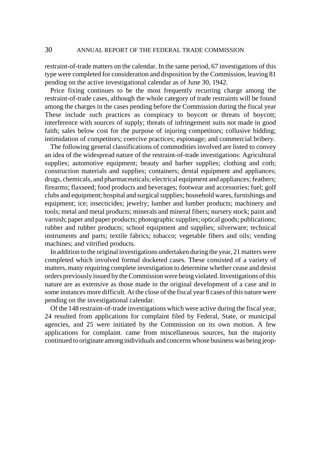restraint-of-trade matters on the calendar. In the same period, 67 investigations of this type were completed for consideration and disposition by the Commission, leaving 81 pending on the active investigational calendar as of June 30, 1942.

Price fixing continues to be the most frequently recurring charge among the restraint-of-trade cases, although the whole category of trade restraints will be found among the charges in the cases pending before the Commission during the fiscal year These include such practices as conspiracy to boycott or threats of boycott; interference with sources of supply; threats of infringement suits not made in good faith; sales below cost for the purpose of injuring competitors; collusive bidding; intimidation of competitors; coercive practices; espionage; and commercial bribery.

The following general classifications of commodities involved are listed to convey an idea of the widespread nature of the restraint-of-trade investigations: Agricultural supplies; automotive equipment; beauty and barber supplies; clothing and coth; construction materials and supplies; containers; dental equipment and appliances; drugs, chemicals, and pharmaceuticals; electrical equipment and appliances; feathers; firearms; flaxseed; food products and beverages; footwear and accessories; fuel; golf clubs and equipment; hospital and surgical supplies; household wares, furnishings and equipment; ice; insecticides; jewelry; lumber and lumber products; machinery and tools; metal and metal products; minerals and mineral fibers; nursery stock; paint and varnish; paper and paper products; photographic supplies; optical goods; publications; rubber and rubber products; school equipment and supplies; silverware; technical instruments and parts; textile fabrics; tobacco; vegetable fibers and oils; vending machines; and vitrified products.

In addition to the original investigations undertaken during the year, 21 matters were completed which involved formal docketed cases. These consisted of a variety of matters, many requiring complete investigation to determine whether cease and desist orders previously issued by theCommission were being violated.Investigations ofthis nature are as extensive as those made in the original development of a case and in some instances more difficult. At the close of the fiscal year 8 cases of this nature were pending on the investigational calendar.

Of the 148 restraint-of-trade investigations which were active during the fiscal year, 24 resulted from applications for complaint filed by Federal, State, or municipal agencies, and 25 were initiated by the Commission on its own motion. A few applications for complaint. came from miscellaneous sources, but the majority continued to originate among individuals and concernswhose business was being jeop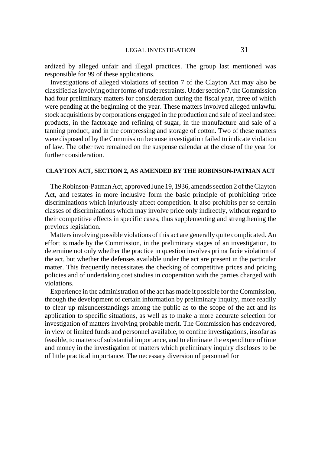ardized by alleged unfair and illegal practices. The group last mentioned was responsible for 99 of these applications.

Investigations of alleged violations of section 7 of the Clayton Act may also be classified as involving other forms of trade restraints. Under section 7, the Commission had four preliminary matters for consideration during the fiscal year, three of which were pending at the beginning of the year. These matters involved alleged unlawful stock acquisitions by corporations engaged in the production and sale of steel and steel products, in the factorage and refining of sugar, in the manufacture and sale of a tanning product, and in the compressing and storage of cotton. Two of these matters were disposed of by the Commission because investigation failed to indicate violation of law. The other two remained on the suspense calendar at the close of the year for further consideration.

## **CLAYTON ACT, SECTION 2, AS AMENDED BY THE ROBINSON-PATMAN ACT**

The Robinson-Patman Act, approved June 19, 1936, amends section 2 of the Clayton Act, and restates in more inclusive form the basic principle of prohibiting price discriminations which injuriously affect competition. It also prohibits per se certain classes of discriminations which may involve price only indirectly, without regard to their competitive effects in specific cases, thus supplementing and strengthening the previous legislation.

Mattersinvolving possible violations of this act are generally quite complicated. An effort is made by the Commission, in the preliminary stages of an investigation, to determine not only whether the practice in question involves prima facie violation of the act, but whether the defenses available under the act are present in the particular matter. This frequently necessitates the checking of competitive prices and pricing policies and of undertaking cost studies in cooperation with the parties charged with violations.

Experience in the administration of the act has made it possible for the Commission, through the development of certain information by preliminary inquiry, more readily to clear up misunderstandings among the public as to the scope of the act and its application to specific situations, as well as to make a more accurate selection for investigation of matters involving probable merit. The Commission has endeavored, in view of limited funds and personnel available, to confine investigations, insofar as feasible, to matters of substantial importance, and to eliminate the expenditure of time and money in the investigation of matters which preliminary inquiry discloses to be of little practical importance. The necessary diversion of personnel for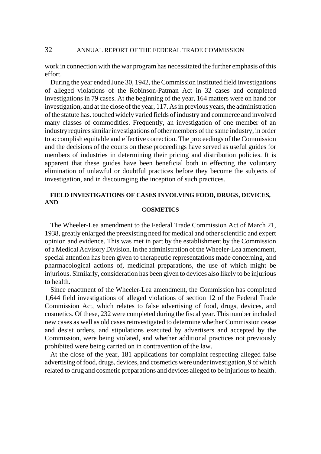work in connection with the war program has necessitated the further emphasis of this effort.

During the year ended June 30, 1942, the Commission instituted field investigations of alleged violations of the Robinson-Patman Act in 32 cases and completed investigations in 79 cases. At the beginning of the year, 164 matters were on hand for investigation, and at the close of the year, 117. As in previous years, the administration of the statute has. touched widely varied fields of industry and commerce and involved many classes of commodities. Frequently, an investigation of one member of an industry requires similar investigations of other members of the same industry, in order to accomplish equitable and effective correction. The proceedings of the Commission and the decisions of the courts on these proceedings have served as useful guides for members of industries in determining their pricing and distribution policies. It is apparent that these guides have been beneficial both in effecting the voluntary elimination of unlawful or doubtful practices before they become the subjects of investigation, and in discouraging the inception of such practices.

## **FIELD INVESTIGATIONS OF CASES INVOLVING FOOD, DRUGS, DEVICES, AND**

### **COSMETICS**

The Wheeler-Lea amendment to the Federal Trade Commission Act of March 21, 1938, greatly enlarged the preexisting need for medical and otherscientific and expert opinion and evidence. This was met in part by the establishment by the Commission of a Medical AdvisoryDivision.In the administration oftheWheeler-Lea amendment, special attention has been given to therapeutic representations made concerning, and pharmacological actions of, medicinal preparations, the use of which might be injurious. Similarly, consideration has been given to devices also likely to be injurious to health.

Since enactment of the Wheeler-Lea amendment, the Commission has completed 1,644 field investigations of alleged violations of section 12 of the Federal Trade Commission Act, which relates to false advertising of food, drugs, devices, and cosmetics. Of these, 232 were completed during the fiscal year. This number included new cases as well as old cases reinvestigated to determine whether Commission cease and desist orders, and stipulations executed by advertisers and accepted by the Commission, were being violated, and whether additional practices not previously prohibited were being carried on in contravention of the law.

At the close of the year, 181 applications for complaint respecting alleged false advertising of food, drugs, devices, and cosmetics were under investigation, 9 of which related to drug and cosmetic preparations and devices alleged to be injuriousto health.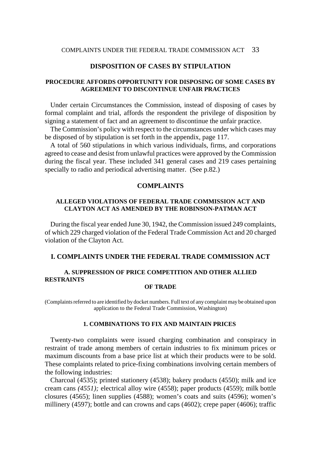### **DISPOSITION OF CASES BY STIPULATION**

### **PROCEDURE AFFORDS OPPORTUNITY FOR DISPOSING OF SOME CASES BY AGREEMENT TO DISCONTINUE UNFAIR PRACTICES**

Under certain Circumstances the Commission, instead of disposing of cases by formal complaint and trial, affords the respondent the privilege of disposition by signing a statement of fact and an agreement to discontinue the unfair practice.

The Commission's policy with respect to the circumstances under which cases may be disposed of by stipulation is set forth in the appendix, page 117.

A total of 560 stipulations in which various individuals, firms, and corporations agreed to cease and desist from unlawful practices were approved by the Commission during the fiscal year. These included 341 general cases and 219 cases pertaining specially to radio and periodical advertising matter. (See p.82.)

### **COMPLAINTS**

### **ALLEGED VIOLATIONS OF FEDERAL TRADE COMMISSION ACT AND CLAYTON ACT AS AMENDED BY THE ROBINSON-PATMAN ACT**

During the fiscal year ended June 30, 1942, the Commission issued 249 complaints, of which 229 charged violation of the Federal Trade Commission Act and 20 charged violation of the Clayton Act.

# **I. COMPLAINTS UNDER THE FEDERAL TRADE COMMISSION ACT**

## **A. SUPPRESSION OF PRICE COMPETITION AND OTHER ALLIED RESTRAINTS**

#### **OF TRADE**

(Complaints referred to are identified by docket numbers. Full text of any complaint may be obtained upon application to the Federal Trade Commission, Washington)

## **1. COMBINATIONS TO FIX AND MAINTAIN PRICES**

Twenty-two complaints were issued charging combination and conspiracy in restraint of trade among members of certain industries to fix minimum prices or maximum discounts from a base price list at which their products were to be sold. These complaints related to price-fixing combinations involving certain members of the following industries:

Charcoal (4535); printed stationery (4538); bakery products (4550); milk and ice cream cans *(4551);* electrical alloy wire (4558); paper products (4559); milk bottle closures (4565); linen supplies (4588); women's coats and suits (4596); women's millinery (4597); bottle and can crowns and caps (4602); crepe paper (4606); traffic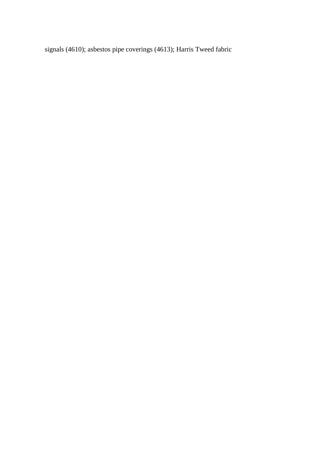signals (4610); asbestos pipe coverings (4613); Harris Tweed fabric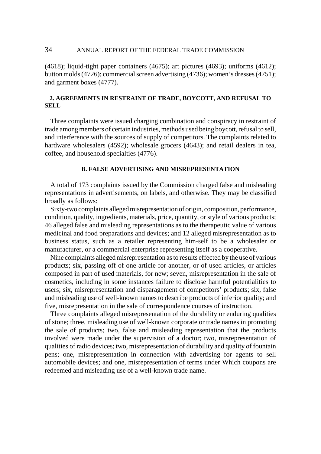(4618); liquid-tight paper containers (4675); art pictures (4693); uniforms (4612); button molds (4726); commercial screen advertising (4736); women's dresses (4751); and garment boxes (4777).

## **2. AGREEMENTS IN RESTRAINT OF TRADE, BOYCOTT, AND REFUSAL TO SELL**

Three complaints were issued charging combination and conspiracy in restraint of trade among members of certain industries, methods used being boycott, refusal to sell, and interference with the sources of supply of competitors. The complaints related to hardware wholesalers (4592); wholesale grocers (4643); and retail dealers in tea, coffee, and household specialties (4776).

### **B. FALSE ADVERTISING AND MISREPRESENTATION**

A total of 173 complaints issued by the Commission charged false and misleading representations in advertisements, on labels, and otherwise. They may be classified broadly as follows:

Sixty-two complaints alleged misrepresentation of origin, composition, performance, condition, quality, ingredients, materials, price, quantity, or style of various products; 46 alleged false and misleading representations as to the therapeutic value of various medicinal and food preparations and devices; and 12 alleged misrepresentation as to business status, such as a retailer representing him-self to be a wholesaler or manufacturer, or a commercial enterprise representing itself as a cooperative.

Nine complaints allegedmisrepresentation asto results effected by the use of various products; six, passing off of one article for another, or of used articles, or articles composed in part of used materials, for new; seven, misrepresentation in the sale of cosmetics, including in some instances failure to disclose harmful potentialities to users; six, misrepresentation and disparagement of competitors' products; six, false and misleading use of well-known namesto describe products of inferior quality; and five, misrepresentation in the sale of correspondence courses of instruction.

Three complaints alleged misrepresentation of the durability or enduring qualities of stone; three, misleading use of well-known corporate or trade names in promoting the sale of products; two, false and misleading representation that the products involved were made under the supervision of a doctor; two, misrepresentation of qualities of radio devices; two, misrepresentation of durability and quality of fountain pens; one, misrepresentation in connection with advertising for agents to sell automobile devices; and one, misrepresentation of terms under Which coupons are redeemed and misleading use of a well-known trade name.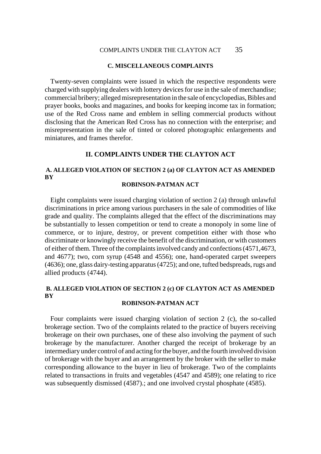### COMPLAINTS UNDER THE CLAYTON ACT 35

### **C. MISCELLANEOUS COMPLAINTS**

Twenty-seven complaints were issued in which the respective respondents were charged with supplying dealers with lottery devices for use in the sale of merchandise; commercial bribery; alleged misrepresentation in the sale of encyclopedias, Bibles and prayer books, books and magazines, and books for keeping income tax in formation; use of the Red Cross name and emblem in selling commercial products without disclosing that the American Red Cross has no connection with the enterprise; and misrepresentation in the sale of tinted or colored photographic enlargements and miniatures, and frames therefor.

### **II. COMPLAINTS UNDER THE CLAYTON ACT**

## **A. ALLEGED VIOLATION OF SECTION 2 (a) OF CLAYTON ACT AS AMENDED BY**

## **ROBINSON-PATMAN ACT**

Eight complaints were issued charging violation of section 2 (a) through unlawful discriminations in price among various purchasers in the sale of commodities of like grade and quality. The complaints alleged that the effect of the discriminations may be substantially to lessen competition or tend to create a monopoly in some line of commerce, or to injure, destroy, or prevent competition either with those who discriminate or knowingly receive the benefit of the discrimination, or with customers of either of them. Three of the complaints involved candy and confections (4571,4673, and 4677); two, corn syrup (4548 and 4556); one, hand-operated carpet sweepers (4636); one, glass dairy-testing apparatus(4725); and one, tufted bedspreads, rugs and allied products (4744).

# **B. ALLEGED VIOLATION OF SECTION 2 (c) OF CLAYTON ACT AS AMENDED BY**

### **ROBINSON-PATMAN ACT**

Four complaints were issued charging violation of section 2 (c), the so-called brokerage section. Two of the complaints related to the practice of buyers receiving brokerage on their own purchases, one of these also involving the payment of such brokerage by the manufacturer. Another charged the receipt of brokerage by an intermediary under control of and acting forthe buyer, and the fourth involved division of brokerage with the buyer and an arrangement by the broker with the seller to make corresponding allowance to the buyer in lieu of brokerage. Two of the complaints related to transactions in fruits and vegetables (4547 and 4589); one relating to rice was subsequently dismissed (4587).; and one involved crystal phosphate (4585).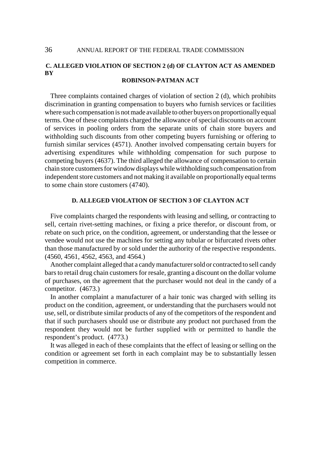#### **C. ALLEGED VIOLATION OF SECTION 2 (d) OF CLAYTON ACT AS AMENDED BY ROBINSON-PATMAN ACT**

Three complaints contained charges of violation of section 2 (d), which prohibits discrimination in granting compensation to buyers who furnish services or facilities where such compensation is notmade available to other buyers on proportionally equal terms. One of these complaints charged the allowance of special discounts on account of services in pooling orders from the separate units of chain store buyers and withholding such discounts from other competing buyers furnishing or offering to furnish similar services (4571). Another involved compensating certain buyers for advertising expenditures while withholding compensation for such purpose to competing buyers (4637). The third alleged the allowance of compensation to certain chain store customers for window displays while withholding such compensation from independent store customers and not making it available on proportionally equal terms to some chain store customers (4740).

### **D. ALLEGED VIOLATION OF SECTION 3 OF CLAYTON ACT**

Five complaints charged the respondents with leasing and selling, or contracting to sell, certain rivet-setting machines, or fixing a price therefor, or discount from, or rebate on such price, on the condition, agreement, or understanding that the lessee or vendee would not use the machines for setting any tubular or bifurcated rivets other than those manufactured by or sold under the authority of the respective respondents. (4560, 4561, 4562, 4563, and 4564.)

Another complaint alleged that a candymanufacturersold or contracted to sell candy barsto retail drug chain customers for resale, granting a discount on the dollar volume of purchases, on the agreement that the purchaser would not deal in the candy of a competitor. (4673.)

In another complaint a manufacturer of a hair tonic was charged with selling its product on the condition, agreement, or understanding that the purchasers would not use, sell, or distribute similar products of any of the competitors of the respondent and that if such purchasers should use or distribute any product not purchased from the respondent they would not be further supplied with or permitted to handle the respondent's product. (4773.)

It was alleged in each of these complaints that the effect of leasing or selling on the condition or agreement set forth in each complaint may be to substantially lessen competition in commerce.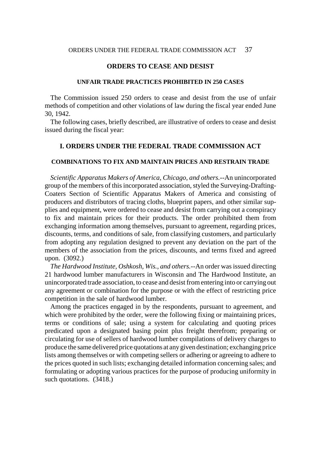### ORDERS UNDER THE FEDERAL TRADE COMMISSION ACT 37

### **ORDERS TO CEASE AND DESIST**

#### **UNFAIR TRADE PRACTICES PROHIBITED IN 250 CASES**

The Commission issued 250 orders to cease and desist from the use of unfair methods of competition and other violations of law during the fiscal year ended June 30, 1942.

The following cases, briefly described, are illustrative of orders to cease and desist issued during the fiscal year:

## **I. ORDERS UNDER THE FEDERAL TRADE COMMISSION ACT**

#### **COMBINATIONS TO FIX AND MAINTAIN PRICES AND RESTRAIN TRADE**

*Scientific Apparatus Makers of America, Chicago, and others.--*An unincorporated group of the members of this incorporated association, styled the Surveying-Drafting-Coaters Section of Scientific Apparatus Makers of America and consisting of producers and distributors of tracing cloths, blueprint papers, and other similar supplies and equipment, were ordered to cease and desist from carrying out a conspiracy to fix and maintain prices for their products. The order prohibited them from exchanging information among themselves, pursuant to agreement, regarding prices, discounts, terms, and conditions of sale, from classifying customers, and particularly from adopting any regulation designed to prevent any deviation on the part of the members of the association from the prices, discounts, and terms fixed and agreed upon. (3092.)

*The Hardwood Institute, Oshkosh, Wis., and others.--*An order was issued directing 21 hardwood lumber manufacturers in Wisconsin and The Hardwood Institute, an unincorporated trade association, to cease and desist from entering into or carrying out any agreement or combination for the purpose or with the effect of restricting price competition in the sale of hardwood lumber.

Among the practices engaged in by the respondents, pursuant to agreement, and which were prohibited by the order, were the following fixing or maintaining prices, terms or conditions of sale; using a system for calculating and quoting prices predicated upon a designated basing point plus freight therefrom; preparing or circulating for use of sellers of hardwood lumber compilations of delivery charges to produce the same delivered price quotations at any given destination; exchanging price lists among themselves or with competing sellers or adhering or agreeing to adhere to the prices quoted in such lists; exchanging detailed information concerning sales; and formulating or adopting various practices for the purpose of producing uniformity in such quotations. (3418.)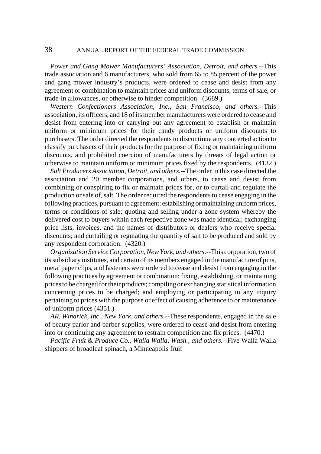*Power and Gang Mower Manufacturers' Association, Detroit, and others.--*This trade association and 6 manufacturers, who sold from 65 to 85 percent of the power and gang mower industry's products, were ordered to cease and desist from any agreement or combination to maintain prices and uniform discounts, terms of sale, or trade-in allowances, or otherwise to hinder competition. (3689.)

*Western Confectioners Association, Inc., San Francisco, and others.--*This association, its officers, and 18 of its member manufacturers were ordered to cease and desist from entering into or carrying out any agreement to establish or maintain uniform or minimum prices for their candy products or uniform discounts to purchasers. The order directed the respondents to discontinue any concerted action to classify purchasers of their products for the purpose of fixing or maintaining uniform discounts, and prohibited coercion of manufacturers by threats of legal action or otherwise to maintain uniform or minimum prices fixed by the respondents. (4132.)

*Salt Producers Association, Detroit, and others.--*The order in this case directed the association and 20 member corporations, and others, to cease and desist from combining or conspiring to fix or maintain prices for, or to curtail and regulate the production or sale of, salt. The order required the respondents to cease engaging in the following practices, pursuant to agreement: establishing or maintaining uniform prices, terms or conditions of sale; quoting and selling under a zone system whereby the delivered cost to buyers within each respective zone was made identical; exchanging price lists, invoices, and the names of distributors or dealers who receive special discounts; and curtailing or regulating the quantity of salt to be produced and sold by any respondent corporation. (4320.)

*Organization ServiceCorporation,NewYork, and others.--*This corporation, two of its subsidiary institutes, and certain of its members engaged in the manufacture of pins, metal paper clips, and fasteners were ordered to cease and desist from engaging in the following practices by agreement or combination: fixing, establishing, or maintaining pricesto be charged fortheir products; compiling or exchanging statistical information concerning prices to be charged; and employing or participating in any inquiry pertaining to prices with the purpose or effect of causing adherence to or maintenance of uniform prices (4351.)

*AR. Winarick, Inc., New York, and others.--*These respondents, engaged in the sale of beauty parlor and barber supplies, were ordered to cease and desist from entering into or continuing any agreement to restrain competition and fix prices. (4470.)

*Pacific Fruit* & *Produce Co., Walla Walla, Wash., and others.--*Five Walla Walla shippers of broadleaf spinach, a Minneapolis fruit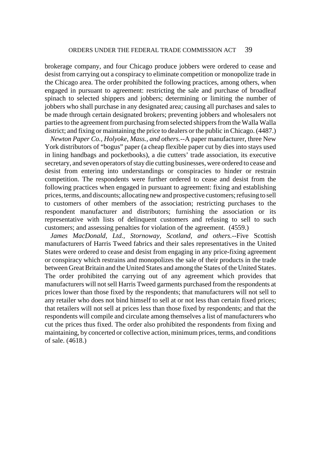brokerage company, and four Chicago produce jobbers were ordered to cease and desist from carrying out a conspiracy to eliminate competition or monopolize trade in the Chicago area. The order prohibited the following practices, among others, when engaged in pursuant to agreement: restricting the sale and purchase of broadleaf spinach to selected shippers and jobbers; determining or limiting the number of jobbers who shall purchase in any designated area; causing all purchases and sales to be made through certain designated brokers; preventing jobbers and wholesalers not parties to the agreement from purchasing from selected shippers from the Walla Walla district; and fixing or maintaining the price to dealers or the public in Chicago. (4487.)

*Newton Paper Co., Holyoke, Mass., and others.--*A paper manufacturer, three New York distributors of "bogus" paper (a cheap flexible paper cut by dies into stays used in lining handbags and pocketbooks), a die cutters' trade association, its executive secretary, and seven operators of stay die cutting businesses, were ordered to cease and desist from entering into understandings or conspiracies to hinder or restrain competition. The respondents were further ordered to cease and desist from the following practices when engaged in pursuant to agreement: fixing and establishing prices, terms, and discounts; allocating newand prospective customers;refusing to sell to customers of other members of the association; restricting purchases to the respondent manufacturer and distributors; furnishing the association or its representative with lists of delinquent customers and refusing to sell to such customers; and assessing penalties for violation of the agreement. (4559.)

*James MacDonald, Ltd., Stornoway, Scotland, and others.--*Five Scottish manufacturers of Harris Tweed fabrics and their sales representatives in the United States were ordered to cease and desist from engaging in any price-fixing agreement or conspiracy which restrains and monopolizes the sale of their products in the trade between Great Britain and the United States and among the States of the United States. The order prohibited the carrying out of any agreement which provides that manufacturers will notsell Harris Tweed garments purchased from the respondents at prices lower than those fixed by the respondents; that manufacturers will not sell to any retailer who does not bind himself to sell at or not less than certain fixed prices; that retailers will not sell at prices less than those fixed by respondents; and that the respondents will compile and circulate among themselves a list of manufacturers who cut the prices thus fixed. The order also prohibited the respondents from fixing and maintaining, by concerted or collective action, minimumprices, terms, and conditions of sale. (4618.)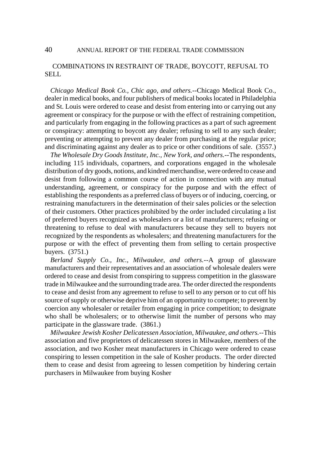# COMBINATIONS IN RESTRAINT OF TRADE, BOYCOTT, REFUSAL TO SELL

*Chicago Medical Book Co., Chic ago, and others.--*Chicago Medical Book Co., dealer in medical books, and four publishers of medical books located in Philadelphia and St. Louis were ordered to cease and desist from entering into or carrying out any agreement or conspiracy for the purpose or with the effect of restraining competition, and particularly from engaging in the following practices as a part of such agreement or conspiracy: attempting to boycott any dealer; refusing to sell to any such dealer; preventing or attempting to prevent any dealer from purchasing at the regular price; and discriminating against any dealer as to price or other conditions of sale. (3557.)

*The Wholesale Dry Goods Institute, Inc., New York, and others.--*The respondents, including 115 individuals, copartners, and corporations engaged in the wholesale distribution of dry goods, notions, and kindred merchandise, were ordered to cease and desist from following a common course of action in connection with any mutual understanding, agreement, or conspiracy for the purpose and with the effect of establishing the respondents as a preferred class of buyers or of inducing, coercing, or restraining manufacturers in the determination of their sales policies or the selection of their customers. Other practices prohibited by the order included circulating a list of preferred buyers recognized as wholesalers or a list of manufacturers; refusing or threatening to refuse to deal with manufacturers because they sell to buyers not recognized by the respondents as wholesalers; and threatening manufacturers for the purpose or with the effect of preventing them from selling to certain prospective buyers. (3751.)

*Berland Supply Co., Inc., Milwaukee, and others.--*A group of glassware manufacturers and their representatives and an association of wholesale dealers were ordered to cease and desist from conspiring to suppress competition in the glassware trade in Milwaukee and the surrounding trade area. The order directed the respondents to cease and desist from any agreement to refuse to sell to any person or to cut off his source of supply or otherwise deprive him of an opportunity to compete; to prevent by coercion any wholesaler or retailer from engaging in price competition; to designate who shall be wholesalers; or to otherwise limit the number of persons who may participate in the glassware trade. (3861.)

*Milwaukee Jewish Kosher Delicatessen Association, Milwaukee, and others.--*This association and five proprietors of delicatessen stores in Milwaukee, members of the association, and two Kosher meat manufacturers in Chicago were ordered to cease conspiring to lessen competition in the sale of Kosher products. The order directed them to cease and desist from agreeing to lessen competition by hindering certain purchasers in Milwaukee from buying Kosher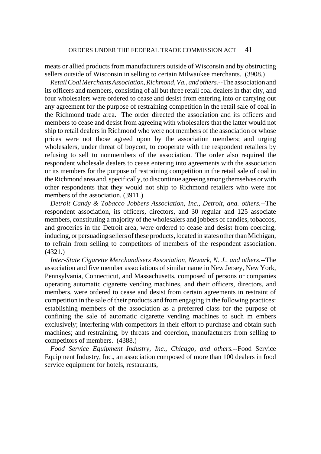### ORDERS UNDER THE FEDERAL TRADE COMMISSION ACT 41

meats or allied products from manufacturers outside of Wisconsin and by obstructing sellers outside of Wisconsin in selling to certain Milwaukee merchants. (3908.)

*Retail Coal Merchants Association, Richmond, Va., and others.--*The association and its officers and members, consisting of all but three retail coal dealers in that city, and four wholesalers were ordered to cease and desist from entering into or carrying out any agreement for the purpose of restraining competition in the retail sale of coal in the Richmond trade area. The order directed the association and its officers and members to cease and desist from agreeing with wholesalers that the latter would not ship to retail dealers in Richmond who were not members of the association or whose prices were not those agreed upon by the association members; and urging wholesalers, under threat of boycott, to cooperate with the respondent retailers by refusing to sell to nonmembers of the association. The order also required the respondent wholesale dealers to cease entering into agreements with the association or its members for the purpose of restraining competition in the retail sale of coal in the Richmond area and, specifically, to discontinue agreeing among themselves or with other respondents that they would not ship to Richmond retailers who were not members of the association. (3911.)

*Detroit Candy & Tobacco Jobbers Association, Inc., Detroit, and. others.--*The respondent association, its officers, directors, and 30 regular and 125 associate members, constituting a majority of the wholesalers and jobbers of candies, tobaccos, and groceries in the Detroit area, were ordered to cease and desist from coercing, inducing, or persuading sellers of these products, located in states other than Michigan, to refrain from selling to competitors of members of the respondent association. (4321.)

*Inter-State Cigarette Merchandisers Association, Newark, N. J., and others.--*The association and five member associations of similar name in New Jersey, New York, Pennsylvania, Connecticut, and Massachusetts, composed of persons or companies operating automatic cigarette vending machines, and their officers, directors, and members, were ordered to cease and desist from certain agreements in restraint of competition in the sale of their products and from engaging in the following practices: establishing members of the association as a preferred class for the purpose of confining the sale of automatic cigarette vending machines to such m embers exclusively; interfering with competitors in their effort to purchase and obtain such machines; and restraining, by threats and coercion, manufacturers from selling to competitors of members. (4388.)

*Food Service Equipment Industry, Inc., Chicago, and others.--*Food Service Equipment Industry, Inc., an association composed of more than 100 dealers in food service equipment for hotels, restaurants,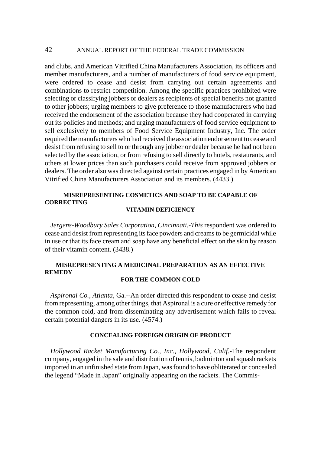and clubs, and American Vitrified China Manufacturers Association, its officers and member manufacturers, and a number of manufacturers of food service equipment, were ordered to cease and desist from carrying out certain agreements and combinations to restrict competition. Among the specific practices prohibited were selecting or classifying jobbers or dealers as recipients of special benefits not granted to other jobbers; urging members to give preference to those manufacturers who had received the endorsement of the association because they had cooperated in carrying out its policies and methods; and urging manufacturers of food service equipment to sell exclusively to members of Food Service Equipment Industry, Inc. The order required the manufacturers who had received the association endorsement to cease and desist from refusing to sell to or through any jobber or dealer because he had not been selected by the association, or from refusing to sell directly to hotels, restaurants, and others at lower prices than such purchasers could receive from approved jobbers or dealers. The order also was directed against certain practices engaged in by American Vitrified China Manufacturers Association and its members. (4433.)

# **MISREPRESENTING COSMETICS AND SOAP TO BE CAPABLE OF CORRECTING**

### **VITAMIN DEFICIENCY**

*Jergens-Woodbury Sales Corporation, Cincinnati.-This* respondent was ordered to cease and desist fromrepresenting itsface powders and creams to be germicidal while in use or that its face cream and soap have any beneficial effect on the skin by reason of their vitamin content. (3438.)

# **MISREPRESENTING A MEDICINAL PREPARATION AS AN EFFECTIVE REMEDY**

## **FOR THE COMMON COLD**

*Aspironal Co., Atlanta,* Ga.--An order directed this respondent to cease and desist fromrepresenting, among other things, that Aspironal is a cure or effective remedy for the common cold, and from disseminating any advertisement which fails to reveal certain potential dangers in its use. (4574.)

### **CONCEALING FOREIGN ORIGIN OF PRODUCT**

*Hollywood Racket Manufacturing Co., Inc., Hollywood, Calif.-*The respondent company, engaged in the sale and distribution oftennis, badminton and squash rackets imported in an unfinished state fromJapan, wasfound to have obliterated or concealed the legend "Made in Japan" originally appearing on the rackets. The Commis-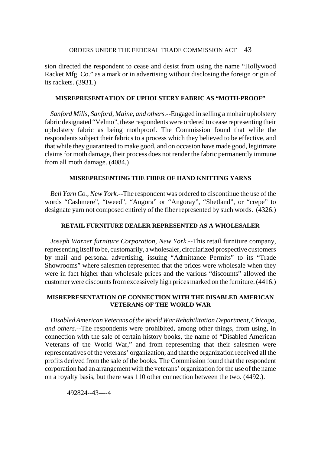### ORDERS UNDER THE FEDERAL TRADE COMMISSION ACT 43

sion directed the respondent to cease and desist from using the name "Hollywood Racket Mfg. Co." as a mark or in advertising without disclosing the foreign origin of its rackets. (3931.)

### **MISREPRESENTATION OF UPHOLSTERY FABRIC AS "MOTH-PROOF"**

*Sanford Mills, Sanford, Maine, and others.--*Engaged in selling a mohair upholstery fabric designated "Velmo", these respondents were ordered to cease representing their upholstery fabric as being mothproof. The Commission found that while the respondents subject their fabrics to a process which they believed to be effective, and that while they guaranteed to make good, and on occasion have made good, legitimate claims for moth damage, their process does not render the fabric permanently immune from all moth damage. (4084.)

### **MISREPRESENTING THE FIBER OF HAND KNITTING YARNS**

*Bell Yarn Co., New York.--*The respondent was ordered to discontinue the use of the words "Cashmere", "tweed", "Angora" or "Angoray", "Shetland", or "crepe" to designate yarn not composed entirely of the fiber represented by such words. (4326.)

## **RETAIL FURNITURE DEALER REPRESENTED AS A WHOLESALER**

*Joseph Warner furniture Corporation, New York.--*This retail furniture company, representing itselfto be, customarily, awholesaler, circularized prospective customers by mail and personal advertising, issuing "Admittance Permits" to its "Trade Showrooms" where salesmen represented that the prices were wholesale when they were in fact higher than wholesale prices and the various "discounts" allowed the customer were discounts from excessively high prices marked on the furniture. (4416.)

## **MISREPRESENTATION OF CONNECTION WITH THE DISABLED AMERICAN VETERANS OF THE WORLD WAR**

*DisabledAmerican Veterans of the World War Rehabilitation Department, Chicago, and others.--*The respondents were prohibited, among other things, from using, in connection with the sale of certain history books, the name of "Disabled American Veterans of the World War," and from representing that their salesmen were representatives of the veterans' organization, and that the organization received all the profits derived from the sale of the books. The Commission found that the respondent corporation had an arrangement with the veterans' organization forthe use ofthe name on a royalty basis, but there was 110 other connection between the two. (4492.).

492824--43----4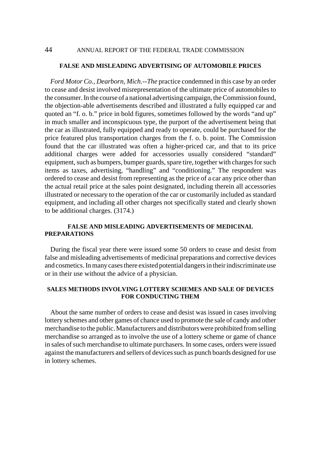### **FALSE AND MISLEADING ADVERTISING OF AUTOMOBILE PRICES**

*Ford Motor Co., Dearborn, Mich.--The* practice condemned in this case by an order to cease and desist involved misrepresentation of the ultimate price of automobiles to the consumer.In the course of a national advertising campaign, theCommission found, the objection-able advertisements described and illustrated a fully equipped car and quoted an "f. o. b." price in bold figures, sometimes followed by the words "and up" in much smaller and inconspicuous type, the purport of the advertisement being that the car as illustrated, fully equipped and ready to operate, could be purchased for the price featured plus transportation charges from the f. o. b. point. The Commission found that the car illustrated was often a higher-priced car, and that to its price additional charges were added for accessories usually considered "standard" equipment, such as bumpers, bumper guards, spare tire, together with charges for such items as taxes, advertising, "handling" and "conditioning." The respondent was ordered to cease and desist from representing as the price of a car any price other than the actual retail price at the sales point designated, including therein all accessories illustrated or necessary to the operation of the car or customarily included as standard equipment, and including all other charges not specifically stated and clearly shown to be additional charges. (3174.)

# **FALSE AND MISLEADING ADVERTISEMENTS OF MEDICINAL PREPARATIONS**

During the fiscal year there were issued some 50 orders to cease and desist from false and misleading advertisements of medicinal preparations and corrective devices and cosmetics. In many cases there existed potential dangers in their indiscriminate use or in their use without the advice of a physician.

## **SALES METHODS INVOLVING LOTTERY SCHEMES AND SALE OF DEVICES FOR CONDUCTING THEM**

About the same number of orders to cease and desist was issued in cases involving lottery schemes and other games of chance used to promote the sale of candy and other merchandise to the public.Manufacturers and distributors were prohibited from selling merchandise so arranged as to involve the use of a lottery scheme or game of chance in sales of such merchandise to ultimate purchasers. In some cases, orders were issued against the manufacturers and sellers of devicessuch as punch boards designed for use in lottery schemes.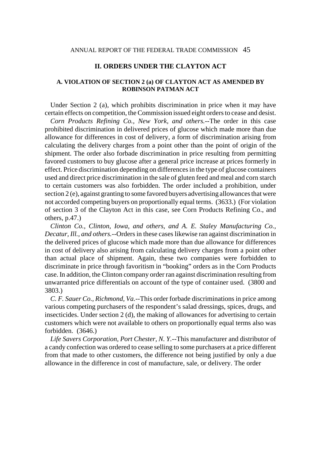### **II. ORDERS UNDER THE CLAYTON ACT**

### **A. VIOLATION OF SECTION 2 (a) OF CLAYTON ACT AS AMENDED BY ROBINSON PATMAN ACT**

Under Section 2 (a), which prohibits discrimination in price when it may have certain effects on competition, the Commission issued eight orders to cease and desist.

*Corn Products Refining Co., New York, and others.--*The order in this case prohibited discrimination in delivered prices of glucose which made more than due allowance for differences in cost of delivery, a form of discrimination arising from calculating the delivery charges from a point other than the point of origin of the shipment. The order also forbade discrimination in price resulting from permitting favored customers to buy glucose after a general price increase at prices formerly in effect. Price discrimination depending on differences in the type of glucose containers used and direct price discrimination in the sale of gluten feed and meal and corn starch to certain customers was also forbidden. The order included a prohibition, under section 2 (e), against granting to some favored buyers advertising allowancesthat were not accorded competing buyers on proportionally equal terms. (3633.) (For violation of section 3 of the Clayton Act in this case, see Corn Products Refining Co., and others, p.47.)

*Clinton Co., Clinton, Iowa, and others, and A. E. Staley Manufacturing Co., Decatur, Ill., and others.--*Orders in these cases likewise ran against discrimination in the delivered prices of glucose which made more than due allowance for differences in cost of delivery also arising from calculating delivery charges from a point other than actual place of shipment. Again, these two companies were forbidden to discriminate in price through favoritism in "booking" orders as in the Corn Products case. In addition, the Clinton company order ran against discrimination resulting from unwarranted price differentials on account of the type of container used. (3800 and 3803.)

*C. F. Sauer Co., Richmond, Va.--*This order forbade discriminations in price among various competing purchasers of the respondent's salad dressings, spices, drugs, and insecticides. Under section 2 (d), the making of allowances for advertising to certain customers which were not available to others on proportionally equal terms also was forbidden. (3646.)

*Life Savers Corporation, Port Chester, N. Y.--*This manufacturer and distributor of a candy confection was ordered to cease selling to some purchasers at a price different from that made to other customers, the difference not being justified by only a due allowance in the difference in cost of manufacture, sale, or delivery. The order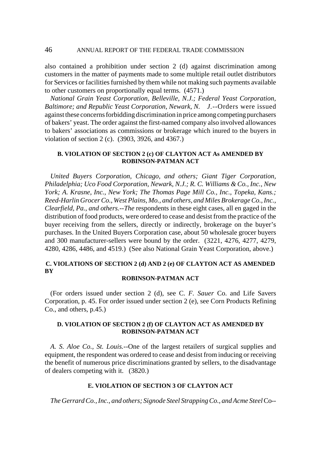also contained a prohibition under section 2 (d) against discrimination among customers in the matter of payments made to some multiple retail outlet distributors for Services or facilities furnished by them while not making such payments available to other customers on proportionally equal terms. (4571.)

*National Grain Yeast Corporation, Belleville, N.J.; Federal Yeast Corporation, Baltimore; and Republic Yeast Corporation, Newark, N. J.--*Orders were issued against these concernsforbidding discrimination in price among competing purchasers of bakers' yeast. The order against the first-named company also involved allowances to bakers' associations as commissions or brokerage which inured to the buyers in violation of section 2 (c). (3903, 3926, and 4367.)

### **B. VIOLATION OF SECTION 2 (c) OF CLAYTON ACT As AMENDED BY ROBINSON-PATMAN ACT**

*United Buyers Corporation, Chicago, and others; Giant Tiger Corporation, Philadelphia; Uco Food Corporation, Newark, N.J.; R. C. Williams & Co., Inc., New York; A. Krasne, Inc., New York; The Thomas Page Mill Co., Inc., Topeka, Kans.; Reed-Harlin GrocerCo., West Plains, Mo., and others, and Miles BrokerageCo.,Inc., Clearfield, Pa., and others.--The* respondents in these eight cases, all en gaged in the distribution of food products, were ordered to cease and desist fromthe practice of the buyer receiving from the sellers, directly or indirectly, brokerage on the buyer's purchases. In the United Buyers Corporation case, about 50 wholesale grocer buyers and 300 manufacturer-sellers were bound by the order. (3221, 4276, 4277, 4279, 4280, 4286, 4486, and 4519.) (See also National Grain Yeast Corporation, above.)

# **C. VIOLATIONS OF SECTION 2 (d) AND 2 (e) OF CLAYTON ACT AS AMENDED BY**

## **ROBINSON-PATMAN ACT**

(For orders issued under section 2 (d), see C. *F. Sauer* Co. and Life Savers Corporation, p. 45. For order issued under section 2 (e), see Corn Products Refining Co., and others, p.45.)

### **D. VIOLATION OF SECTION 2 (f) OF CLAYTON ACT AS AMENDED BY ROBINSON-PATMAN ACT**

*A. S. Aloe Co., St. Louis.--*One of the largest retailers of surgical supplies and equipment, the respondent was ordered to cease and desist from inducing or receiving the benefit of numerous price discriminations granted by sellers, to the disadvantage of dealers competing with it. (3820.)

## **E. VIOLATION OF SECTION 3 OF CLAYTON ACT**

*The GerrardCo.,Inc., and others; Signode Steel StrappingCo., andAcme Steel*Co--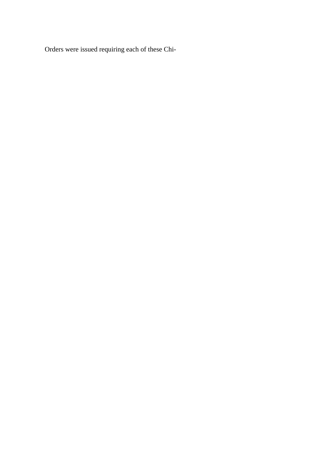Orders were issued requiring each of these Chi-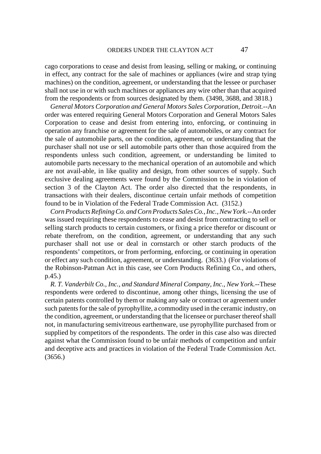cago corporations to cease and desist from leasing, selling or making, or continuing in effect, any contract for the sale of machines or appliances (wire and strap tying machines) on the condition, agreement, or understanding that the lessee or purchaser shall not use in or with such machines or appliances any wire other than that acquired from the respondents or from sources designated by them. (3498, 3688, and 3818.)

*General Motors Corporation and General Motors Sales Corporation, Detroit.--*An order was entered requiring General Motors Corporation and General Motors Sales Corporation to cease and desist from entering into, enforcing, or continuing in operation any franchise or agreement for the sale of automobiles, or any contract for the sale of automobile parts, on the condition, agreement, or understanding that the purchaser shall not use or sell automobile parts other than those acquired from the respondents unless such condition, agreement, or understanding be limited to automobile parts necessary to the mechanical operation of an automobile and which are not avail-able, in like quality and design, from other sources of supply. Such exclusive dealing agreements were found by the Commission to be in violation of section 3 of the Clayton Act. The order also directed that the respondents, in transactions with their dealers, discontinue certain unfair methods of competition found to be in Violation of the Federal Trade Commission Act. (3152.)

*CornProductsRefiningCo. andCornProducts SalesCo.,Inc.,NewYork.--*An order was issued requiring these respondents to cease and desist from contracting to sell or selling starch products to certain customers, or fixing a price therefor or discount or rebate therefrom, on the condition, agreement, or understanding that any such purchaser shall not use or deal in cornstarch or other starch products of the respondents' competitors, or from performing, enforcing, or continuing in operation or effect any such condition, agreement, or understanding. (3633.) (For violations of the Robinson-Patman Act in this case, see Corn Products Refining Co., and others, p.45.)

*R. T. Vanderbilt Co., Inc., and Standard Mineral Company, Inc., New York.--*These respondents were ordered to discontinue, among other things, licensing the use of certain patents controlled by them or making any sale or contract or agreement under such patents for the sale of pyrophyllite, a commodity used in the ceramic industry, on the condition, agreement, or understanding that the licensee or purchaser thereofshall not, in manufacturing semivitreous earthenware, use pyrophyllite purchased from or supplied by competitors of the respondents. The order in this case also was directed against what the Commission found to be unfair methods of competition and unfair and deceptive acts and practices in violation of the Federal Trade Commission Act. (3656.)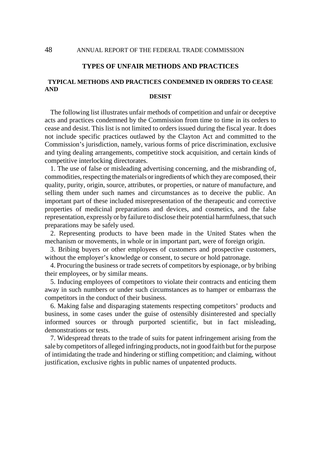### **TYPES OF UNFAIR METHODS AND PRACTICES**

# **TYPICAL METHODS AND PRACTICES CONDEMNED IN ORDERS TO CEASE AND**

## **DESIST**

The following list illustrates unfair methods of competition and unfair or deceptive acts and practices condemned by the Commission from time to time in its orders to cease and desist. This list is not limited to orders issued during the fiscal year. It does not include specific practices outlawed by the Clayton Act and committed to the Commission's jurisdiction, namely, various forms of price discrimination, exclusive and tying dealing arrangements, competitive stock acquisition, and certain kinds of competitive interlocking directorates.

1. The use of false or misleading advertising concerning, and the misbranding of, commodities, respecting the materials or ingredients of which they are composed, their quality, purity, origin, source, attributes, or properties, or nature of manufacture, and selling them under such names and circumstances as to deceive the public. An important part of these included misrepresentation of the therapeutic and corrective properties of medicinal preparations and devices, and cosmetics, and the false representation, expressly or by failure to disclose their potential harmfulness, thatsuch preparations may be safely used.

2. Representing products to have been made in the United States when the mechanism or movements, in whole or in important part, were of foreign origin.

3. Bribing buyers or other employees of customers and prospective customers, without the employer's knowledge or consent, to secure or hold patronage.

4. Procuring the business or trade secrets of competitors by espionage, or by bribing their employees, or by similar means.

5. Inducing employees of competitors to violate their contracts and enticing them away in such numbers or under such circumstances as to hamper or embarrass the competitors in the conduct of their business.

6. Making false and disparaging statements respecting competitors' products and business, in some cases under the guise of ostensibly disinterested and specially informed sources or through purported scientific, but in fact misleading, demonstrations or tests.

7. Widespread threats to the trade of suits for patent infringement arising from the sale by competitors of alleged infringing products, not in good faith but for the purpose of intimidating the trade and hindering or stifling competition; and claiming, without justification, exclusive rights in public names of unpatented products.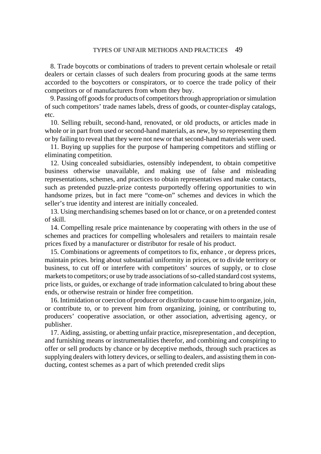### TYPES OF UNFAIR METHODS AND PRACTICES 49

8. Trade boycotts or combinations of traders to prevent certain wholesale or retail dealers or certain classes of such dealers from procuring goods at the same terms accorded to the boycotters or conspirators, or to coerce the trade policy of their competitors or of manufacturers from whom they buy.

9. Passing off goods for products of competitors through appropriation or simulation of such competitors' trade names labels, dress of goods, or counter-display catalogs, etc.

10. Selling rebuilt, second-hand, renovated, or old products, or articles made in whole or in part from used or second-hand materials, as new, by so representing them or by failing to reveal that they were not new or that second-hand materials were used.

11. Buying up supplies for the purpose of hampering competitors and stifling or eliminating competition.

12. Using concealed subsidiaries, ostensibly independent, to obtain competitive business otherwise unavailable, and making use of false and misleading representations, schemes, and practices to obtain representatives and make contacts, such as pretended puzzle-prize contests purportedly offering opportunities to win handsome prizes, but in fact mere "come-on" schemes and devices in which the seller's true identity and interest are initially concealed.

13. Using merchandising schemes based on lot or chance, or on a pretended contest of skill.

14. Compelling resale price maintenance by cooperating with others in the use of schemes and practices for compelling wholesalers and retailers to maintain resale prices fixed by a manufacturer or distributor for resale of his product.

15. Combinations or agreements of competitors to fix, enhance , or depress prices, maintain prices. bring about substantial uniformity in prices, or to divide territory or business, to cut off or interfere with competitors' sources of supply, or to close markets to competitors; or use by trade associations of so-called standard cost systems, price lists, or guides, or exchange of trade information calculated to bring about these ends, or otherwise restrain or hinder free competition.

16. Intimidation or coercion of producer or distributor to cause him to organize, join, or contribute to, or to prevent him from organizing, joining, or contributing to, producers' cooperative association, or other association, advertising agency, or publisher.

17. Aiding, assisting, or abetting unfair practice, misrepresentation , and deception, and furnishing means or instrumentalities therefor, and combining and conspiring to offer or sell products by chance or by deceptive methods, through such practices as supplying dealers with lottery devices, orselling to dealers, and assisting them in conducting, contest schemes as a part of which pretended credit slips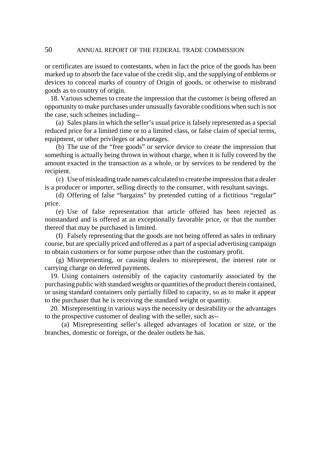or certificates are issued to contestants, when in fact the price of the goods has been marked up to absorb the face value of the credit slip, and the supplying of emblems or devices to conceal marks of country of Origin of goods, or otherwise to misbrand goods as to country of origin.

18. Various schemes to create the impression that the customer is being offered an opportunity to make purchases under unusually favorable conditions when such is not the case, such schemes including--

(a) Sales plans in which the seller's usual price is falsely represented as a special reduced price for a limited time or to a limited class, or false claim of special terms, equipment, or other privileges or advantages.

(b) The use of the "free goods" or service device to create the impression that something is actually being thrown in without charge, when it is fully covered by the amount exacted in the transaction as a whole, or by services to be rendered by the recipient.

(c) Use ofmisleading trade names calculated to create the impression that a dealer is a producer or importer, selling directly to the consumer, with resultant savings.

(d) Offering of false "bargains" by pretended cutting of a fictitious "regular" price.

(e) Use of false representation that article offered has been rejected as nonstandard and is offered at an exceptionally favorable price, or that the number thereof that may be purchased is limited.

(f) Falsely representing that the goods are not being offered as sales in ordinary course, but are specially priced and offered as a part of a special advertising campaign to obtain customers or for some purpose other than the customary profit.

(g) Misrepresenting, or causing dealers to misrepresent, the interest rate or carrying charge on deferred payments.

19. Using containers ostensibly of the capacity customarily associated by the purchasing public with standard weights or quantities of the product therein contained, or using standard containers only partially filled to capacity, so as to make it appear to the purchaser that he is receiving the standard weight or quantity.

20. Misrepresenting in various ways the necessity or desirability or the advantages to the prospective customer of dealing with the seller, such as--

(a) Misrepresenting seller's alleged advantages of location or size, or the branches, domestic or foreign, or the dealer outlets he has.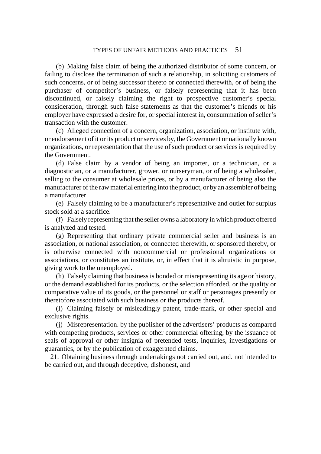### TYPES OF UNFAIR METHODS AND PRACTICES 51

(b) Making false claim of being the authorized distributor of some concern, or failing to disclose the termination of such a relationship, in soliciting customers of such concerns, or of being successor thereto or connected therewith, or of being the purchaser of competitor's business, or falsely representing that it has been discontinued, or falsely claiming the right to prospective customer's special consideration, through such false statements as that the customer's friends or his employer have expressed a desire for, or special interest in, consummation of seller's transaction with the customer.

(c) Alleged connection of a concern, organization, association, or institute with, or endorsement of it or its product orservices by, the Government or nationally known organizations, or representation that the use of such product or services is required by the Government.

(d) False claim by a vendor of being an importer, or a technician, or a diagnostician, or a manufacturer, grower, or nurseryman, or of being a wholesaler, selling to the consumer at wholesale prices, or by a manufacturer of being also the manufacturer of the raw material entering into the product, or by an assembler of being a manufacturer.

(e) Falsely claiming to be a manufacturer's representative and outlet for surplus stock sold at a sacrifice.

(f) Falsely representing that the seller owns a laboratory in which product offered is analyzed and tested.

(g) Representing that ordinary private commercial seller and business is an association, or national association, or connected therewith, or sponsored thereby, or is otherwise connected with noncommercial or professional organizations or associations, or constitutes an institute, or, in effect that it is altruistic in purpose, giving work to the unemployed.

(h) Falsely claiming that businessis bonded or misrepresenting its age or history, or the demand established for its products, or the selection afforded, or the quality or comparative value of its goods, or the personnel or staff or personages presently or theretofore associated with such business or the products thereof.

(I) Claiming falsely or misleadingly patent, trade-mark, or other special and exclusive rights.

(j) Misrepresentation. by the publisher of the advertisers' products as compared with competing products, services or other commercial offering, by the issuance of seals of approval or other insignia of pretended tests, inquiries, investigations or guaranties, or by the publication of exaggerated claims.

21. Obtaining business through undertakings not carried out, and. not intended to be carried out, and through deceptive, dishonest, and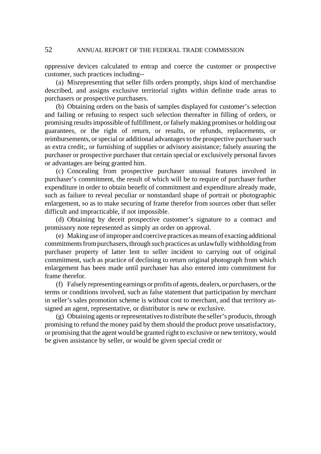oppressive devices calculated to entrap and coerce the customer or prospective customer, such practices including--

(a) Misrepresenting that seller fills orders promptly, ships kind of merchandise described, and assigns exclusive territorial rights within definite trade areas to purchasers or prospective purchasers.

(b) Obtaining orders on the basis of samples displayed for customer's selection and failing or refusing to respect such selection thereafter in filling of orders, or promising resultsimpossible of fulfillment, or falsely making promises or holding out guarantees, or the right of return, or results, or refunds, replacements, or reimbursements, or special or additional advantages to the prospective purchaser such as extra credit;, or furnishing of supplies or advisory assistance; falsely assuring the purchaser or prospective purchaser that certain special or exclusively personal favors or advantages are being granted him.

(c) Concealing from prospective purchaser unusual features involved in purchaser's commitment, the result of which will be to require of purchaser further expenditure in order to obtain benefit of commitment and expenditure already made, such as failure to reveal peculiar or nonstandard shape of portrait or photographic enlargement, so as to make securing of frame therefor from sources other than seller difficult and impracticable, if not impossible.

(d) Obtaining by deceit prospective customer's signature to a contract and promissory note represented as simply an order on approval.

(e) Making use of improper and coercive practices as means of exacting additional commitments from purchasers, through such practices as unlawfully withholding from purchaser property of latter lent to seller incident to carrying out of original commitment, such as practice of declining to return original photograph from which enlargement has been made until purchaser has also entered into commitment for frame therefor.

(f) Falsely representing earnings or profits of agents, dealers, or purchasers, or the terms or conditions involved, such as false statement that participation by merchant in seller's sales promotion scheme is without cost to merchant, and that territory assigned an agent, representative, or distributor is new or exclusive.

 $(g)$  Obtaining agents or representatives to distribute the seller's products, through promising to refund the money paid by them should the product prove unsatisfactory, or promising that the agent would be granted right to exclusive or new territory, would be given assistance by seller, or would be given special credit or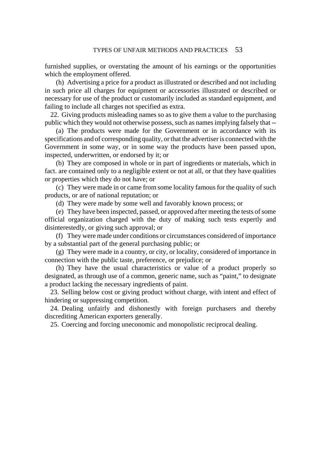furnished supplies, or overstating the amount of his earnings or the opportunities which the employment offered.

(h) Advertising a price for a product as illustrated or described and not including in such price all charges for equipment or accessories illustrated or described or necessary for use of the product or customarily included as standard equipment, and failing to include all charges not specified as extra.

22. Giving products misleading names so as to give them a value to the purchasing public which they would not otherwise possess, such as names implying falsely that --

(a) The products were made for the Government or in accordance with its specifications and of corresponding quality, orthat the advertiseris connected with the Government in some way, or in some way the products have been passed upon, inspected, underwritten, or endorsed by it; or

(b) They are composed in whole or in part of ingredients or materials, which in fact. are contained only to a negligible extent or not at all, or that they have qualities or properties which they do not have; or

(c) They were made in or came from some locality famous for the quality of such products, or are of national reputation; or

(d) They were made by some well and favorably known process; or

(e) They have been inspected, passed, or approved after meeting the tests of some official organization charged with the duty of making such tests expertly and disinterestedly, or giving such approval; or

(f) They were made under conditions or circumstances considered of importance by a substantial part of the general purchasing public; or

(g) They were made in a country, or city, or locality, considered of importance in connection with the public taste, preference, or prejudice; or

(h) They have the usual characteristics or value of a product properly so designated, as through use of a common, generic name, such as "paint," to designate a product lacking the necessary ingredients of paint.

23. Selling below cost or giving product without charge, with intent and effect of hindering or suppressing competition.

24. Dealing unfairly and dishonestly with foreign purchasers and thereby discrediting American exporters generally.

25. Coercing and forcing uneconomic and monopolistic reciprocal dealing.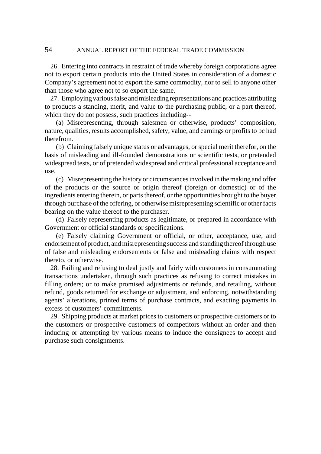26. Entering into contracts in restraint of trade whereby foreign corporations agree not to export certain products into the United States in consideration of a domestic Company's agreement not to export the same commodity, nor to sell to anyone other than those who agree not to so export the same.

27. Employing variousfalse and misleading representations and practices attributing to products a standing, merit, and value to the purchasing public, or a part thereof, which they do not possess, such practices including--

(a) Misrepresenting, through salesmen or otherwise, products' composition, nature, qualities, results accomplished, safety, value, and earnings or profits to be had therefrom.

(b) Claiming falsely unique status or advantages, or special merit therefor, on the basis of misleading and ill-founded demonstrations or scientific tests, or pretended widespread tests, or of pretended widespread and critical professional acceptance and use.

(c) Misrepresenting the history or circumstancesinvolved in themaking and offer of the products or the source or origin thereof (foreign or domestic) or of the ingredients entering therein, or parts thereof, or the opportunities brought to the buyer through purchase of the offering, or otherwise misrepresenting scientific or otherfacts bearing on the value thereof to the purchaser.

(d) Falsely representing products as legitimate, or prepared in accordance with Government or official standards or specifications.

(e) Falsely claiming Government or official, or other, acceptance, use, and endorsement of product, and misrepresenting success and standing thereof through use of false and misleading endorsements or false and misleading claims with respect thereto, or otherwise.

28. Failing and refusing to deal justly and fairly with customers in consummating transactions undertaken, through such practices as refusing to correct mistakes in filling orders; or to make promised adjustments or refunds, and retailing, without refund, goods returned for exchange or adjustment, and enforcing, notwithstanding agents' alterations, printed terms of purchase contracts, and exacting payments in excess of customers' commitments.

29. Shipping products at market prices to customers or prospective customers or to the customers or prospective customers of competitors without an order and then inducing or attempting by various means to induce the consignees to accept and purchase such consignments.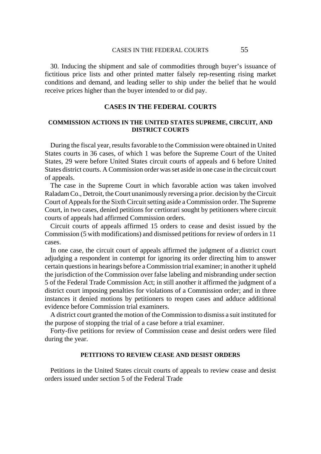30. Inducing the shipment and sale of commodities through buyer's issuance of fictitious price lists and other printed matter falsely rep-resenting rising market conditions and demand, and leading seller to ship under the belief that he would receive prices higher than the buyer intended to or did pay.

## **CASES IN THE FEDERAL COURTS**

## **COMMISSION ACTIONS IN THE UNITED STATES SUPREME, CIRCUIT, AND DISTRICT COURTS**

During the fiscal year, resultsfavorable to the Commission were obtained in United States courts in 36 cases, of which 1 was before the Supreme Court of the United States, 29 were before United States circuit courts of appeals and 6 before United States district courts. A Commission order wasset aside in one case in the circuit court of appeals.

The case in the Supreme Court in which favorable action was taken involved RaladamCo., Detroit, theCourt unanimously reversing a prior. decision by the Circuit Court of Appeals for the Sixth Circuit setting aside a Commission order. The Supreme Court, in two cases, denied petitions for certiorari sought by petitioners where circuit courts of appeals had affirmed Commission orders.

Circuit courts of appeals affirmed 15 orders to cease and desist issued by the Commission (5 with modifications) and dismissed petitions for review of orders in 11 cases.

In one case, the circuit court of appeals affirmed the judgment of a district court adjudging a respondent in contempt for ignoring its order directing him to answer certain questions in hearings before a Commission trial examiner; in another it upheld the jurisdiction of the Commission over false labeling and misbranding under section 5 of the Federal Trade Commission Act; in still another it affirmed the judgment of a district court imposing penalties for violations of a Commission order; and in three instances it denied motions by petitioners to reopen cases and adduce additional evidence before Commission trial examiners.

A district court granted the motion of the Commission to dismiss a suit instituted for the purpose of stopping the trial of a case before a trial examiner.

Forty-five petitions for review of Commission cease and desist orders were filed during the year.

#### **PETITIONS TO REVIEW CEASE AND DESIST ORDERS**

Petitions in the United States circuit courts of appeals to review cease and desist orders issued under section 5 of the Federal Trade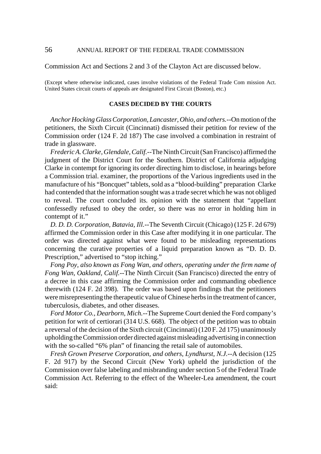Commission Act and Sections 2 and 3 of the Clayton Act are discussed below.

(Except where otherwise indicated, cases involve violations of the Federal Trade Com mission Act. United States circuit courts of appeals are designated First Circuit (Boston), etc.)

### **CASES DECIDED BY THE COURTS**

*AnchorHockingGlassCorporation, Lancaster,Ohio, and others.--*Onmotion ofthe petitioners, the Sixth Circuit (Cincinnati) dismissed their petition for review of the Commission order (124 F. 2d 187) The case involved a combination in restraint of trade in glassware.

*FredericA.Clarke,Glendale,Calif.--*The NinthCircuit (San Francisco) affirmed the judgment of the District Court for the Southern. District of California adjudging Clarke in contempt for ignoring its order directing him to disclose, in hearings before a Commission trial. examiner, the proportions of the Various ingredients used in the manufacture of his "Boncquet" tablets, sold as a "blood-building" preparation Clarke had contended that the information sought was a trade secret which he was not obliged to reveal. The court concluded its. opinion with the statement that "appellant confessedly refused to obey the order, so there was no error in holding him in contempt of it."

*D. D. D. Corporation, Batavia, Ill.--*The Seventh Circuit (Chicago) (125 F. 2d 679) affirmed the Commission order in this Case after modifying it in one particular. The order was directed against what were found to be misleading representations concerning the curative properties of a liquid preparation known as "D. D. D. Prescription," advertised to "stop itching."

*Fong Poy, also known as Fong Wan, and others, operating under the firm name of Fong Wan, Oakland, Calif.--*The Ninth Circuit (San Francisco) directed the entry of a decree in this case affirming the Commission order and commanding obedience therewith (124 F. 2d 398). The order was based upon findings that the petitioners were misrepresenting the therapeutic value of Chinese herbs in the treatment of cancer, tuberculosis, diabetes, and other diseases.

*Ford Motor Co., Dearborn, Mich.--*The Supreme Court denied the Ford company's petition for writ of certiorari (314 U.S. 668). The object of the petition was to obtain a reversal of the decision of the Sixth circuit (Cincinnati)(120 F. 2d 175) unanimously upholding theCommission order directed against misleading advertising in connection with the so-called "6% plan" of financing the retail sale of automobiles.

*Fresh Grown Preserve Corporation, and others, Lyndhurst, N.J.--*A decision (125 F. 2d 917) by the Second Circuit (New York) upheld the jurisdiction of the Commission over false labeling and misbranding under section 5 of the Federal Trade Commission Act. Referring to the effect of the Wheeler-Lea amendment, the court said: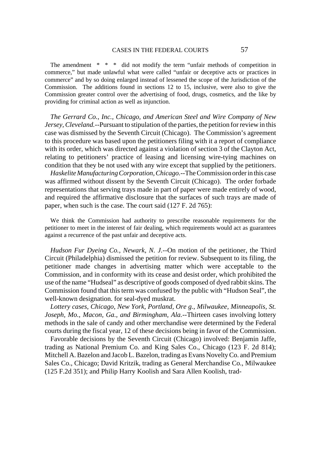The amendment \* \* \* did not modify the term "unfair methods of competition in commerce," but made unlawful what were called "unfair or deceptive acts or practices in commerce" and by so doing enlarged instead of lessened the scope of the Jurisdiction of the Commission. The additions found in sections 12 to 15, inclusive, were also to give the Commission greater control over the advertising of food, drugs, cosmetics, and the like by providing for criminal action as well as injunction.

*The Gerrard Co., Inc., Chicago, and American Steel and Wire Company of New Jersey, Cleveland.*--Pursuant to stipulation of the parties, the petition for review in this case was dismissed by the Seventh Circuit (Chicago). The Commission's agreement to this procedure was based upon the petitioners filing with it a report of compliance with its order, which was directed against a violation of section 3 of the Clayton Act, relating to petitioners' practice of leasing and licensing wire-tying machines on condition that they be not used with any wire except that supplied by the petitioners. *Haskelite Manufacturing Corporation, Chicago.--*TheCommission order in this case

was affirmed without dissent by the Seventh Circuit (Chicago). The order forbade representations that serving trays made in part of paper were made entirely of wood, and required the affirmative disclosure that the surfaces of such trays are made of paper, when such is the case. The court said (127 F. 2d 765):

We think the Commission had authority to prescribe reasonable requirements for the petitioner to meet in the interest of fair dealing, which requirements would act as guarantees against a recurrence of the past unfair and deceptive acts.

*Hudson Fur Dyeing Co., Newark, N. J.--*On motion of the petitioner, the Third Circuit (Philadelphia) dismissed the petition for review. Subsequent to its filing, the petitioner made changes in advertising matter which were acceptable to the Commission, and in conformity with its cease and desist order, which prohibited the use of the name "Hudseal" as descriptive of goods composed of dyed rabbit skins. The Commission found that this term was confused by the public with "Hudson Seal", the well-known designation. for seal-dyed muskrat.

*Lottery cases, Chicago, New York, Portland, Ore g., Milwaukee, Minneapolis, St. Joseph, Mo., Macon, Ga., and Birmingham, Ala.--*Thirteen cases involving lottery methods in the sale of candy and other merchandise were determined by the Federal courts during the fiscal year, 12 of these decisions being in favor of the Commission.

Favorable decisions by the Seventh Circuit (Chicago) involved: Benjamin Jaffe, trading as National Premium Co. and King Sales Co., Chicago (123 F. 2d 814); Mitchell A. Bazelon and Jacob L. Bazelon, trading as Evans Novelty Co. and Premium Sales Co., Chicago; David Kritzik, trading as General Merchandise Co., Milwaukee (125 F.2d 351); and Philip Harry Koolish and Sara Allen Koolish, trad-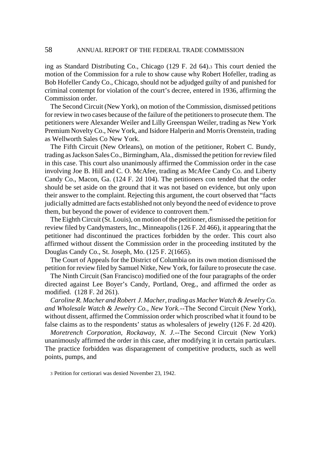ing as Standard Distributing Co., Chicago (129 F. 2d 64).<sup>3</sup> This court denied the motion of the Commission for a rule to show cause why Robert Hofeller, trading as Bob Hofeller Candy Co., Chicago, should not be adjudged guilty of and punished for criminal contempt for violation of the court's decree, entered in 1936, affirming the Commission order.

The Second Circuit (New York), on motion of the Commission, dismissed petitions for review in two cases because of the failure of the petitionersto prosecute them. The petitioners were Alexander Weiler and Lilly Greenspan Weiler, trading as New York Premium Novelty Co., New York, and Isidore Halperin and Morris Orenstein, trading as Wellworth Sales Co New York.

The Fifth Circuit (New Orleans), on motion of the petitioner, Robert C. Bundy, trading asJackson SalesCo.,Birmingham, Ala., dismissed the petition forreview filed in this case. This court also unanimously affirmed the Commission order in the case involving Joe B. Hill and C. O. McAfee, trading as McAfee Candy Co. and Liberty Candy Co., Macon, Ga. (124 F. 2d 104). The petitioners con tended that the order should be set aside on the ground that it was not based on evidence, but only upon their answer to the complaint. Rejecting this argument, the court observed that "facts judicially admitted are facts established not only beyond the need of evidence to prove them, but beyond the power of evidence to controvert them."

The Eighth Circuit (St. Louis), on motion of the petitioner, dismissed the petition for review filed by Candymasters, Inc., Minneapolis (126 F. 2d 466), it appearing that the petitioner had discontinued the practices forbidden by the order. This court also affirmed without dissent the Commission order in the proceeding instituted by the Douglas Candy Co., St. Joseph, Mo. (125 F. 2(1665).

The Court of Appeals for the District of Columbia on its own motion dismissed the petition for review filed by Samuel Nitke, New York, for failure to prosecute the case.

The Ninth Circuit (San Francisco) modified one of the four paragraphs of the order directed against Lee Boyer's Candy, Portland, Oreg., and affirmed the order as modified. (128 F. 2d 261).

*Caroline R. Macher and Robert J. Macher, trading as Macher Watch & Jewelry Co. and Wholesale Watch & Jewelry Co., New York.--*The Second Circuit (New York), without dissent, affirmed the Commission order which proscribed what it found to be false claims as to the respondents' status as wholesalers of jewelry (126 F. 2d 420).

*Moretrench Corporation, Rockaway, N. J.--*The Second Circuit (New York) unanimously affirmed the order in this case, after modifying it in certain particulars. The practice forbidden was disparagement of competitive products, such as well points, pumps, and

<sup>3</sup> Petition for certiorari was denied November 23, 1942.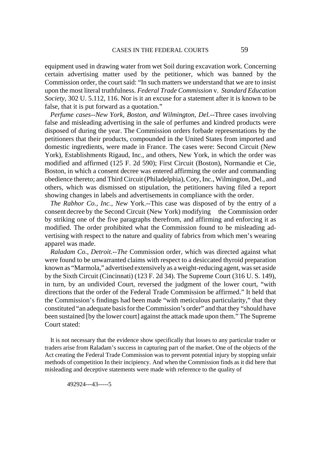equipment used in drawing water from wet Soil during excavation work. Concerning certain advertising matter used by the petitioner, which was banned by the Commission order, the court said: "In such matters we understand that we are to insist upon the most literal truthfulness. *Federal Trade Commission* v. *Standard Education Society,* 302 U. 5.112, 116. Nor is it an excuse for a statement after it is known to be false, that it is put forward as a quotation."

*Perfume cases--New York, Boston, and Wilmington, Del.--*Three cases involving false and misleading advertising in the sale of perfumes and kindred products were disposed of during the year. The Commission orders forbade representations by the petitioners that their products, compounded in the United States from imported and domestic ingredients, were made in France. The cases were: Second Circuit (New York), Establishments Rigaud, Inc., and others, New York, in which the order was modified and affirmed (125 F. 2d 590); First Circuit (Boston), Normandie et Cie, Boston, in which a consent decree was entered affirming the order and commanding obedience thereto; and Third Circuit(Philadelphia),Coty, Inc., Wilmington, Del., and others, which was dismissed on stipulation, the petitioners having filed a report showing changes in labels and advertisements in compliance with the order.

*The Rabhor Co., Inc., New* York.--This case was disposed of by the entry of a consent decree by the Second Circuit (New York) modifying the Commission order by striking one of the five paragraphs therefrom, and affirming and enforcing it as modified. The order prohibited what the Commission found to be misleading advertising with respect to the nature and quality of fabrics from which men's wearing apparel was made.

*Raladam Co., Detroit.--The* Commission order, which was directed against what were found to be unwarranted claims with respect to a desiccated thyroid preparation known as "Marmola," advertised extensively as a weight-reducing agent, was set aside by the Sixth Circuit (Cincinnati) (123 F. 2d 34). The Supreme Court (316 U. S. 149), in turn, by an undivided Court, reversed the judgment of the lower court, "with directions that the order of the Federal Trade Commission be affirmed." It held that the Commission's findings had been made "with meticulous particularity," that they constituted "an adequate basisfortheCommission's order" and that they "should have been sustained [by the lower court] against the attack made upon them." The Supreme Court stated:

It is not necessary that the evidence show specifically that losses to any particular trader or traders arise from Raladam's success in capturing part of the market. One of the objects of the Act creating the Federal Trade Commission was to prevent potential injury by stopping unfair methods of competition In their incipiency. And when the Commission finds as it did here that misleading and deceptive statements were made with reference to the quality of

492924---43-----5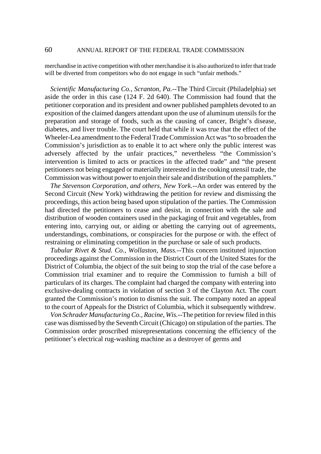merchandise in active competition with other merchandise it is also authorized to infer that trade will be diverted from competitors who do not engage in such "unfair methods."

*Scientific Manufacturing Co., Scranton, Pa.--*The Third Circuit (Philadelphia) set aside the order in this case (124 F. 2d 640). The Commission had found that the petitioner corporation and its president and owner published pamphlets devoted to an exposition of the claimed dangers attendant upon the use of aluminum utensils for the preparation and storage of foods, such as the causing of cancer, Bright's disease, diabetes, and liver trouble. The court held that while it was true that the effect of the Wheeler-Lea amendment to the Federal TradeCommission Act was "to so broaden the Commission's jurisdiction as to enable it to act where only the public interest was adversely affected by the unfair practices," nevertheless "the Commission's intervention is limited to acts or practices in the affected trade" and "the present petitioners not being engaged or materially interested in the cooking utensil trade, the Commission was without power to enjoin their sale and distribution of the pamphlets."

*The Stevenson Corporation, and others, New York.--*An order was entered by the Second Circuit (New York) withdrawing the petition for review and dismissing the proceedings, this action being based upon stipulation of the parties. The Commission had directed the petitioners to cease and desist, in connection with the sale and distribution of wooden containers used in the packaging of fruit and vegetables, from entering into, carrying out, or aiding or abetting the carrying out of agreements, understandings, combinations, or conspiracies for the purpose or with. the effect of restraining or eliminating competition in the purchase or sale of such products.

*Tubular Rivet & Stud. Co., Wollaston, Mass.--*This concern instituted injunction proceedings against the Commission in the District Court of the United States for the District of Columbia, the object of the suit being to stop the trial of the case before a Commission trial examiner and to require the Commission to furnish a bill of particulars of its charges. The complaint had charged the company with entering into exclusive-dealing contracts in violation of section 3 of the Clayton Act. The court granted the Commission's motion to dismiss the suit. The company noted an appeal to the court of Appeals for the District of Columbia, which it subsequently withdrew.

*Von Schrader Manufacturing Co., Racine, Wis.* -- The petition for review filed in this case was dismissed by the Seventh Circuit (Chicago) on stipulation of the parties. The Commission order proscribed misrepresentations concerning the efficiency of the petitioner's electrical rug-washing machine as a destroyer of germs and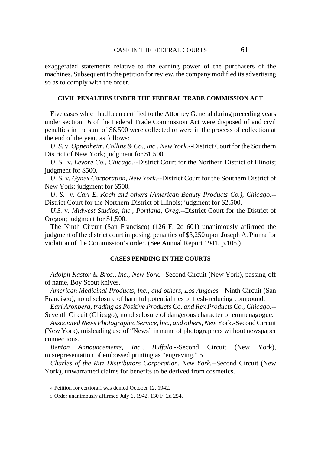exaggerated statements relative to the earning power of the purchasers of the machines. Subsequent to the petition for review, the company modified its advertising so as to comply with the order.

# **CIVIL PENALTIES UNDER THE FEDERAL TRADE COMMISSION ACT**

Five cases which had been certified to the Attorney General during preceding years under section 16 of the Federal Trade Commission Act were disposed of and civil penalties in the sum of \$6,500 were collected or were in the process of collection at the end of the year, as follows:

*U. S.* v. *Oppenheim, Collins & Co., Inc., New York.--*District Court for the Southern District of New York; judgment for \$1,500.

*U. S.* v*. Levore Co., Chicago.--*District Court for the Northern District of Illinois; judgment for \$500.

*U. S.* v*. Gynex Corporation, New York.--*District Court for the Southern District of New York; judgment for \$500.

*U. S.* v. *Carl E. Koch and others (American Beauty Products Co.), Chicago.--* District Court for the Northern District of Illinois; judgment for \$2,500.

*U.S.* v*. Midwest Studios, inc., Portland, Oreg.--*District Court for the District of Oregon; judgment for \$1,500.

The Ninth Circuit (San Francisco) (126 F. 2d 601) unanimously affirmed the judgment of the district court imposing. penalties of \$3,250 upon Joseph A. Piuma for violation of the Commission's order. (See Annual Report 1941, p.105.)

#### **CASES PENDING IN THE COURTS**

*Adolph Kastor & Bros., lnc., New York.--*Second Circuit (New York), passing-off of name, Boy Scout knives.

*American Medicinal Products, lnc., and others, Los Angeles.--*Ninth Circuit (San Francisco), nondisclosure of harmful potentialities of flesh-reducing compound.

*Earl Aronberg, trading as Positive Products Co. and Rex Products Co., Chicago.--* Seventh Circuit (Chicago), nondisclosure of dangerous character of emmenagogue.

*Associated News Photographic Service, lnc., and others,New* York.-Second Circuit (New York), misleading use of "News" in name of photographers without newspaper connections.

*Benton Announcements, Inc., Buffalo.--*Second Circuit (New York), misrepresentation of embossed printing as "engraving." 5

*Charles of the Ritz Distributors Corporation, New York.--*Second Circuit (New York), unwarranted claims for benefits to be derived from cosmetics.

4 Petition for certiorari was denied October 12, 1942.

5 Order unanimously affirmed July 6, 1942, 130 F. 2d 254.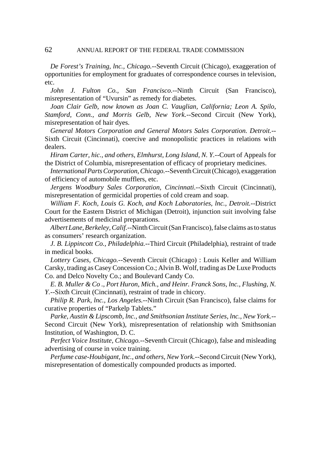*De Forest's Training, lnc., Chicago.--*Seventh Circuit (Chicago), exaggeration of opportunities for employment for graduates of correspondence courses in television, etc.

*John J. Fulton Co., San Francisco.--*Ninth Circuit (San Francisco), misrepresentation of "Uvursin" as remedy for diabetes.

*Joan Clair Gelb, now known as Joan C. Vauglian, California; Leon A. Spilo, Stamford, Conn., and Morris Gelb, New York.--*Second Circuit (New York), misrepresentation of hair dyes.

*General Motors Corporation and General Motors Sales Corporation. Detroit.--* Sixth Circuit (Cincinnati), coercive and monopolistic practices in relations with dealers.

*Hiram Carter, hic., and others, Elmhurst, Long Island, N. Y.--*Court of Appeals for the District of Columbia, misrepresentation of efficacy of proprietary medicines.

*International Parts Corporation, Chicago.--*SeventhCircuit (Chicago), exaggeration of efficiency of automobile mufflers, etc.

*Jergens Woodbury Sales Corporation, Cincinnati.--*Sixth Circuit (Cincinnati), misrepresentation of germicidal properties of cold cream and soap.

*William F. Koch, Louis G. Koch, and Koch Laboratories, lnc., Detroit.--*District Court for the Eastern District of Michigan (Detroit), injunction suit involving false advertisements of medicinal preparations.

Albert *Lane, Berkeley, Calif.* --Ninth Circuit (San Francisco), false claims as to status as consumers' research organization.

*J. B. Lippincott Co., Philadelphia.--*Third Circuit (Philadelphia), restraint of trade in medical books.

*Lottery Cases, Chicago.--*Seventh Circuit (Chicago) : Louis Keller and William Carsky, trading as CaseyConcession Co.; Alvin B. Wolf, trading as De Luxe Products Co. and Delco Novelty Co.; and Boulevard Candy Co.

*E. B. Muller & Co ., Port Huron, Mich., and Heinr. Franck Sons, lnc., Flushing, N. Y.--*Sixth Circuit (Cincinnati), restraint of trade in chicory.

*Philip R. Park, lnc., Los Angeles.--*Ninth Circuit (San Francisco), false claims for curative properties of "Parkelp Tablets."

*Parke, Austin & Lipscomb, lnc., and Smithsonian Institute Series, lnc., New York.--* Second Circuit (New York), misrepresentation of relationship with Smithsonian Institution, of Washington, D. C.

*Perfect Voice Institute, Chicago.--*Seventh Circuit (Chicago), false and misleading advertising of course in voice training.

*Perfume case-Houbigant, lnc., and others, New York.--*Second Circuit (New York), misrepresentation of domestically compounded products as imported.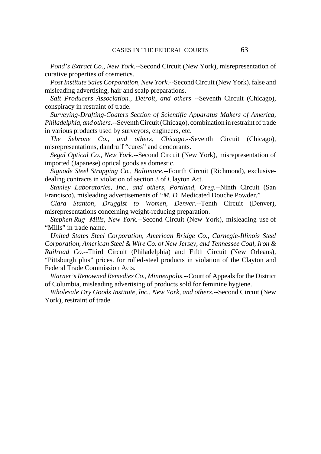*Pond's Extract Co., New York.--*Second Circuit (New York), misrepresentation of curative properties of cosmetics.

*Post Institute Sales Corporation, New York.--*Second Circuit (New York), false and misleading advertising, hair and scalp preparations.

*Salt Producers Association., Detroit, and others --*Seventh Circuit (Chicago), conspiracy in restraint of trade.

*Surveying-Drafting-Coaters Section of Scientific Apparatus Makers of America, Philadelphia, and others.--*SeventhCircuit(Chicago), combination in restraint oftrade in various products used by surveyors, engineers, etc.

*The Sebrone Co., and others, Chicago.--*Seventh Circuit (Chicago), misrepresentations, dandruff "cures" and deodorants.

*Segal Optical Co., New York.--*Second Circuit (New York), misrepresentation of imported (Japanese) optical goods as domestic.

*Signode Steel Strapping Co., Baltimore.--*Fourth Circuit (Richmond), exclusivedealing contracts in violation of section 3 of Clayton Act.

*Stanley Laboratories, Inc., and others, Portland, Oreg.--*Ninth Circuit (San Francisco), misleading advertisements of *"M. D.* Medicated Douche Powder."

*Clara Stanton, Druggist to Women, Denver.--*Tenth Circuit (Denver), misrepresentations concerning weight-reducing preparation.

*Stephen Rug Mills, New York.--*Second Circuit (New York), misleading use of "Mills" in trade name.

*United States Steel Corporation, American Bridge Co., Carnegie-Illinois Steel Corporation, American Steel & Wire Co. of New Jersey, and Tennessee Coal, Iron & Railroad Co.--*Third Circuit (Philadelphia) and Fifth Circuit (New Orleans), "Pittsburgh plus" prices. for rolled-steel products in violation of the Clayton and Federal Trade Commission Acts.

*Warner's Renowned Remedies Co., Minneapolis.* --Court of Appeals for the District of Columbia, misleading advertising of products sold for feminine hygiene.

*Wholesale Dry Goods Institute, lnc., New York, and others.--*Second Circuit (New York), restraint of trade.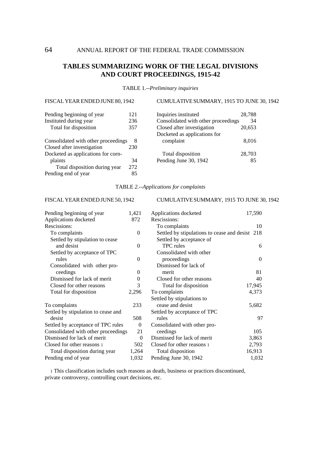# **TABLES SUMMARIZING WORK OF THE LEGAL DIVISIONS AND COURT PROCEEDINGS, 1915-42**

#### TABLE 1*.--Preliminary inquiries*

#### FISCALYEARENDED JUNE80, 1942 CUMULATIVE SUMMARY, 1915 TO JUNE 30, 1942

| Pending beginning of year           | 121 | Inquiries instituted                | 28,788 |
|-------------------------------------|-----|-------------------------------------|--------|
| Instituted during year              | 236 | Consolidated with other proceedings | 34     |
| Total for disposition               | 357 | Closed after investigation          | 20,653 |
|                                     |     | Docketed as applications for        |        |
| Consolidated with other proceedings | 8   | complaint                           | 8,016  |
| Closed after investigation          | 230 |                                     |        |
| Docketed as applications for corn-  |     | Total disposition                   | 28,703 |
| plaints                             | 34  | Pending June 30, 1942               | 85     |
| Total disposition during year       | 272 |                                     |        |
| Pending end of year                 | 85  |                                     |        |

| TABLE 2.--Applications for complaints |  |  |  |  |  |  |
|---------------------------------------|--|--|--|--|--|--|
|---------------------------------------|--|--|--|--|--|--|

#### FISCALYEARENDED JUNE50, 1942 CUMULATIVE SUMMARY, 1915 TO JUNE 30, 1942

| Pending beginning of year           | 1,421        | Applications docketed                           | 17,590   |
|-------------------------------------|--------------|-------------------------------------------------|----------|
| Applications docketed               | 872          | Rescissions:                                    |          |
| Rescissions:                        |              | To complaints                                   | 10       |
| To complaints                       | $\Omega$     | Settled by stipulations to cease and desist 218 |          |
| Settled by stipulation to cease     |              | Settled by acceptance of                        |          |
| and desist                          | $\theta$     | TPC rules                                       | 6        |
| Settled by acceptance of TPC        |              | Consolidated with other                         |          |
| rules                               | $\Omega$     | proceedings                                     | $\Omega$ |
| Consolidated with other pro-        |              | Dismissed for lack of                           |          |
| ceedings                            | 0            | merit                                           | 81       |
| Dismissed for lack of merit         | $\Omega$     | Closed for other reasons                        | 40       |
| Closed for other reasons            | 3            | Total for disposition                           | 17,945   |
| Total for disposition               | 2,296        | To complaints                                   | 4,373    |
|                                     |              | Settled by stipulations to                      |          |
| To complaints                       | 233          | cease and desist                                | 5,682    |
| Settled by stipulation to cease and |              | Settled by acceptance of TPC                    |          |
| desist                              | 508          | rules                                           | 97       |
| Settled by acceptance of TPC rules  | $\theta$     | Consolidated with other pro-                    |          |
| Consolidated with other proceedings | 21           | ceedings                                        | 105      |
| Dismissed for lack of merit         | $\mathbf{0}$ | Dismissed for lack of merit                     | 3,863    |
| Closed for other reasons 1          | 502          | Closed for other reasons 1                      | 2,793    |
| Total disposition during year       | 1,264        | Total disposition                               | 16,913   |
| Pending end of year                 | 1,032        | Pending June 30, 1942                           | 1,032    |

1 This classification includes such reasons as death, business or practices discontinued, private controversy, controlling court decisions, etc.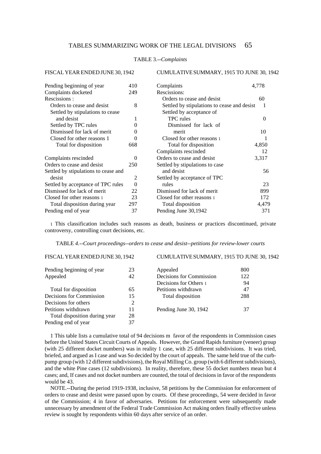#### TABLES SUMMARIZING WORK OF THE LEGAL DIVISIONS 65

#### TABLE 3.*--Complaints*

#### FISCALYEARENDED JUNE30, 1942 CUMULATIVE SUMMARY, 1915 TO JUNE 30, 1942

| Pending beginning of year            | 410      | Complaints                                  | 4,778    |
|--------------------------------------|----------|---------------------------------------------|----------|
| Complaints docketed                  | 249      | Rescissions:                                |          |
| Rescissions:                         |          | Orders to cease and desist                  | 60       |
| Orders to cease and desist           | 8        | Settled by stipulations to cease and desist | 1        |
| Settled by stipulations to cease     |          | Settled by acceptance of                    |          |
| and desist                           |          | <b>TPC</b> rules                            | $\Omega$ |
| Settled by TPC rules                 | 0        | Dismissed for lack of                       |          |
| Dismissed for lack of merit          | $\theta$ | merit                                       | 10       |
| Closed for other reasons 1           | 0        | Closed for other reasons 1                  |          |
| Total for disposition                | 668      | Total for disposition                       | 4,850    |
|                                      |          | Complaints rescinded                        | 12       |
| Complaints rescinded                 | 0        | Orders to cease and desist                  | 3,317    |
| Orders to cease and desist           | 250      | Settled by stipulations to case             |          |
| Settled by stipulations to cease and |          | and desist                                  | 56       |
| desist                               | 2        | Settled by acceptance of TPC                |          |
| Settled by acceptance of TPC rules   | $\Omega$ | rules                                       | 23       |
| Dismissed for lack of merit          | 22       | Dismissed for lack of merit                 | 899      |
| Closed for other reasons 1           | 23       | Closed for other reasons 1                  | 172      |
| Total disposition during year        | 297      | Total disposition                           | 4,479    |
| Pending end of year                  | 37       | Pending June 30,1942                        | 371      |

1 This classification includes such reasons as death, business or practices discontinued, private controversy, controlling court decisions, etc.

TABLE *4.--Court proceedings--orders to cease and desist--petitions for review-lower courts*

| FISCAL YEAR ENDED JUNE 30, 1942 |    | CUMULATIVE SUMMARY, 1915 TO JUNE 30, 1942 |     |
|---------------------------------|----|-------------------------------------------|-----|
| Pending beginning of year       | 23 | Appealed                                  | 800 |
| Appealed                        | 42 | Decisions for Commission                  | 122 |
|                                 |    | Decisions for Others 1                    | 94  |
| Total for disposition           | 65 | Petitions withdrawn                       | 47  |
| Decisions for Commission        | 15 | Total disposition                         | 288 |
| Decisions for others            | 2  |                                           |     |
| Petitions withdrawn             | 11 | Pending June 30, 1942                     | 37  |
| Total disposition during year   | 28 |                                           |     |
| Pending end of year             | 37 |                                           |     |

1 This table lists a cumulative total of 94 decisions m favor of the respondents in Commission cases before the United States Circuit Courts of Appeals. However, the Grand Rapids furniture (veneer) group (with 25 different docket numbers) was in reality 1 case, with 25 different subdivisions. It was tried, briefed, and argued as I case and was So decided by the court of appeals. The same held true of the curbpump group (with 12 different subdivisions), the Royal Milling Co. group (with 6 different subdivisions), and the white Pine cases (12 subdivisions). In reality, therefore, these 55 docket numbers mean but 4 cases; and, If cases and not docket numbers are counted, the total of decisionsin favor of the respondents would be 43.

NOTE.--During the period 1919-1938, inclusive, 58 petitions by the Commission for enforcement of orders to cease and desist were passed upon by courts. Of these proceedings, 54 were decided in favor of the Commission; 4 in favor of adversaries. Petitions for enforcement were subsequently made unnecessary by amendment of the Federal Trade Commission Act making orders finally effective unless review is sought by respondents within 60 days after service of an order.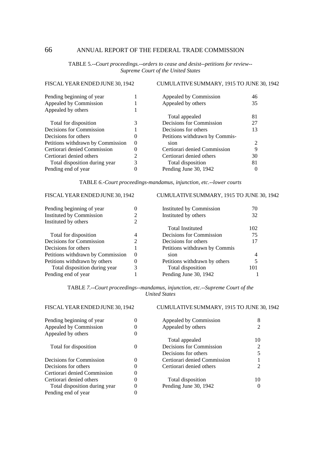#### TABLE 5*.--Court proceedings.--orders to cease and desist--petitions for review-- Supreme Court of the United States*

FISCALYEARENDED JUNE30, 1942 CUMULATIVE SUMMARY, 1915 TO JUNE 30, 1942

|          | Appealed by Commission         | 46       |
|----------|--------------------------------|----------|
|          | Appealed by others             | 35       |
|          |                                |          |
|          | Total appealed                 | 81       |
| 3        | Decisions for Commission       | 27       |
|          | Decisions for others           | 13       |
| $\theta$ | Petitions withdrawn by Commis- |          |
| $\Omega$ | sion                           | 2        |
| 0        | Certiorari denied Commission   | 9        |
| 2        | Certiorari denied others       | 30       |
| 3        | Total disposition              | 81       |
|          | Pending June 30, 1942          | $\theta$ |
|          |                                |          |

TABLE *6.-Court proceedings-mandamus, injunction, etc.--lower courts*

| FISCAL YEAR ENDED JUNE 30, 1942   |          | CUMULATIVE SUMMARY, 1915 TO JUNE 30, 1942 |     |
|-----------------------------------|----------|-------------------------------------------|-----|
| Pending beginning of year         | 0        | Instituted by Commission                  | 70  |
| Instituted by Commission          | 2        | Instituted by others                      | 32  |
| Instituted by others              | 2        |                                           |     |
|                                   |          | <b>Total Instituted</b>                   | 102 |
| Total for disposition             | 4        | Decisions for Commission                  | 75  |
| Decisions for Commission          | 2        | Decisions for others                      | 17  |
| Decisions for others              |          | Petitions withdrawn by Commis             |     |
| Petitions withdrawn by Commission | $\Omega$ | sion                                      | 4   |
| Petitions withdrawn by others     | $\Omega$ | Petitions withdrawn by others             |     |
| Total disposition during year     | 3        | Total disposition                         | 101 |
| Pending end of year               |          | Pending June 30, 1942                     |     |

TABLE *7.--Court proceedings--mandamus, injunction, etc.--Supreme Court of the United States*

# Pending beginning of year  $0$

| Appealed by Commission<br>Appealed by others |   |
|----------------------------------------------|---|
| Total for disposition                        |   |
| Decisions for Commission                     |   |
| Decisions for others                         | 0 |
| Certiorari denied Commission                 | 0 |
| Certiorari denied others                     | 0 |
| Total disposition during year                | 0 |
| Pending end of year                          |   |
|                                              |   |

#### FISCALYEARENDED JUNE30, 1942 CUMULATIVE SUMMARY, 1915 TO JUNE 30, 1942

| Pending beginning of year     | O        | Appealed by Commission       |    |
|-------------------------------|----------|------------------------------|----|
| Appealed by Commission        |          | Appealed by others           |    |
| Appealed by others            |          |                              |    |
|                               |          | Total appealed               | 10 |
| Total for disposition         |          | Decisions for Commission     |    |
|                               |          | Decisions for others         |    |
| Decisions for Commission      |          | Certiorari denied Commission |    |
| Decisions for others          | 0        | Certiorari denied others     |    |
| Certiorari denied Commission  | $\theta$ |                              |    |
| Certiorari denied others      |          | Total disposition            | 10 |
| Total disposition during year |          | Pending June 30, 1942        |    |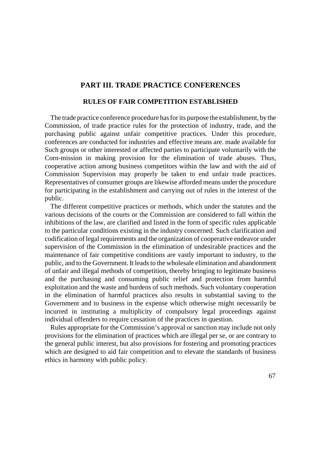# **PART III. TRADE PRACTICE CONFERENCES**

### **RULES OF FAIR COMPETITION ESTABLISHED**

The trade practice conference procedure hasforits purpose the establishment, by the Commission, of trade practice rules for the protection of industry, trade, and the purchasing public against unfair competitive practices. Under this procedure, conferences are conducted for industries and effective means are. made available for Such groups or other interested or affected parties to participate voluntarily with the Corn-mission in making provision for the elimination of trade abuses. Thus, cooperative action among business competitors within the law and with the aid of Commission Supervision may properly be taken to end unfair trade practices. Representatives of consumer groups are likewise afforded means under the procedure for participating in the establishment and carrying out of rules in the interest of the public.

The different competitive practices or methods, which under the statutes and the various decisions of the courts or the Commission are considered to fall within the inhibitions of the law, are clarified and listed in the form of specific rules applicable to the particular conditions existing in the industry concerned. Such clarification and codification of legal requirements and the organization of cooperative endeavor under supervision of the Commission in the elimination of undesirable practices and the maintenance of fair competitive conditions are vastly important to industry, to the public, and to the Government. It leads to the wholesale elimination and abandonment of unfair and illegal methods of competition, thereby bringing to legitimate business and the purchasing and consuming public relief and protection from harmful exploitation and the waste and burdens of such methods. Such voluntary cooperation in the elimination of harmful practices also results in substantial saving to the Government and to business in the expense which otherwise might necessarily be incurred in instituting a multiplicity of compulsory legal proceedings against individual offenders to require cessation of the practices in question.

Rules appropriate for the Commission's approval or sanction may include not only provisions for the elimination of practices which are illegal per se, or are contrary to the general public interest, but also provisions for fostering and promoting practices which are designed to aid fair competition and to elevate the standards of business ethics in harmony with public policy.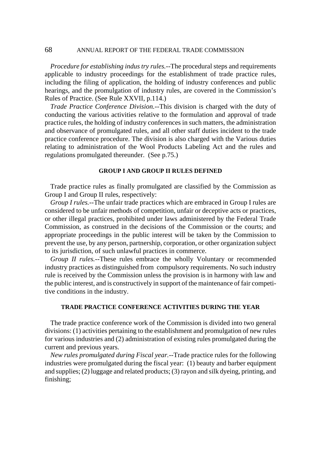*Procedure for establishing indus try rules.--*The procedural steps and requirements applicable to industry proceedings for the establishment of trade practice rules, including the filing of application, the holding of industry conferences and public hearings, and the promulgation of industry rules, are covered in the Commission's Rules of Practice. (See Rule XXVII, p.114.)

*Trade Practice Conference Division.--*This division is charged with the duty of conducting the various activities relative to the formulation and approval of trade practice rules, the holding of industry conferences in such matters, the administration and observance of promulgated rules, and all other staff duties incident to the trade practice conference procedure. The division is also charged with the Various duties relating to administration of the Wool Products Labeling Act and the rules and regulations promulgated thereunder. (See p.75.)

### **GROUP I AND GROUP II RULES DEFINED**

Trade practice rules as finally promulgated are classified by the Commission as Group I and Group II rules, respectively:

*Group I rules.--*The unfair trade practices which are embraced in Group I rules are considered to be unfair methods of competition, unfair or deceptive acts or practices, or other illegal practices, prohibited under laws administered by the Federal Trade Commission, as construed in the decisions of the Commission or the courts; and appropriate proceedings in the public interest will be taken by the Commission to prevent the use, by any person, partnership, corporation, or other organization subject to its jurisdiction, of such unlawful practices in commerce.

*Group II rules.--*These rules embrace the wholly Voluntary or recommended industry practices as distinguished from compulsory requirements. No such industry rule is received by the Commission unless the provision is in harmony with law and the public interest, and is constructively in support of the maintenance of fair competitive conditions in the industry.

#### **TRADE PRACTICE CONFERENCE ACTIVITIES DURING THE YEAR**

The trade practice conference work of the Commission is divided into two general divisions: (1) activities pertaining to the establishment and promulgation of new rules for various industries and (2) administration of existing rules promulgated during the current and previous years.

*New rules promulgated during Fiscal year.--*Trade practice rules for the following industries were promulgated during the fiscal year: (1) beauty and barber equipment and supplies; (2) luggage and related products; (3) rayon and silk dyeing, printing, and finishing;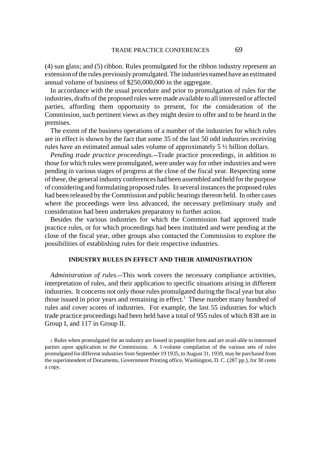(4) sun glass; and (5) ribbon. Rules promulgated for the ribbon industry represent an extension of the rules previously promulgated. The industries named have an estimated annual volume of business of \$250,000,000 in the aggregate.

In accordance with the usual procedure and prior to promulgation of rules for the industries, drafts of the proposed rules were made available to all interested or affected parties, affording them opportunity to present, for the consideration of the Commission, such pertinent views as they might desire to offer and to be heard in the premises.

The extent of the business operations of a number of the industries for which rules are in effect is shown by the fact that some 35 of the last 50 odd industries receiving rules have an estimated annual sales volume of approximately 5 ½ billion dollars.

*Pending trade practice proceedings.--*Trade practice proceedings, in addition *to* those for which rules were promulgated, were under way for other industries and were pending in various stages of progress at the close of the fiscal year. Respecting some ofthese, the general industry conferences had been assembled and held forthe purpose of considering and formulating proposed rules. In several instances the proposed rules had been released by the Commission and public hearings thereon held. In other cases where the proceedings were less advanced, the necessary preliminary study and consideration had been undertaken preparatory to further action.

Besides the various industries for which the Commission had approved trade practice rules, or for which proceedings had been instituted and were pending at the close of the fiscal year, other groups also contacted the Commission to explore the possibilities of establishing rules for their respective industries.

### **INDUSTRY RULES IN EFFECT AND THEIR ADMINISTRATION**

*Administration of rules.--*This work covers the necessary compliance activities, interpretation of rules, and their application to specific situations arising in different industries. It concerns not only those rules promulgated during the fiscal year but also those issued in prior years and remaining in effect.<sup>1</sup> These number many hundred of rules and cover scores of industries. For example, the last 55 industries for which trade practice proceedings had been held have a total of 955 rules of which 838 are in Group I, and 117 in Group II.

1 Rules when promulgated for an industry are Issued in pamphlet form and are avail-able to interested parties upon application to the Commission. A 1-volume compilation of the various sets of rules promulgated for different industriesfromSeptember 19 1935, to August 31, 1939, may be purchased from the superintendent of Documents, Government Printing office, Washington, D. C. (287 pp.), for 30 cents a copy.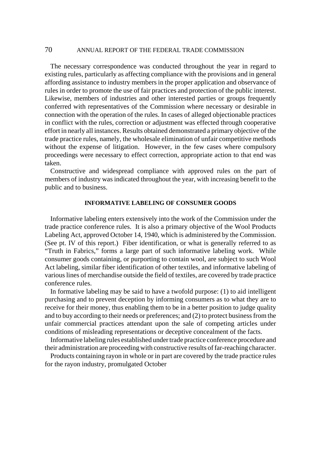The necessary correspondence was conducted throughout the year in regard to existing rules, particularly as affecting compliance with the provisions and in general affording assistance to industry members in the proper application and observance of rules in order to promote the use of fair practices and protection of the public interest. Likewise, members of industries and other interested parties or groups frequently conferred with representatives of the Commission where necessary or desirable in connection with the operation of the rules. In cases of alleged objectionable practices in conflict with the rules, correction or adjustment was effected through cooperative effort in nearly all instances. Results obtained demonstrated a primary objective of the trade practice rules, namely, the wholesale elimination of unfair competitive methods without the expense of litigation. However, in the few cases where compulsory proceedings were necessary to effect correction, appropriate action to that end was taken.

Constructive and widespread compliance with approved rules on the part of members of industry was indicated throughout the year, with increasing benefit to the public and to business.

#### **INFORMATIVE LABELING OF CONSUMER GOODS**

Informative labeling enters extensively into the work of the Commission under the trade practice conference rules. It is also a primary objective of the Wool Products Labeling Act, approved October 14, 1940, which is administered by the Commission. (See pt. IV of this report.) Fiber identification, or what is generally referred to as "Truth in Fabrics," forms a large part of such informative labeling work. While consumer goods containing, or purporting to contain wool, are subject to such Wool Act labeling, similar fiber identification of other textiles, and informative labeling of various lines of merchandise outside the field of textiles, are covered by trade practice conference rules.

In formative labeling may be said to have a twofold purpose: (1) to aid intelligent purchasing and to prevent deception by informing consumers as to what they are to receive for their money, thus enabling them to be in a better position to judge quality and to buy according to their needs or preferences; and (2) to protect businessfromthe unfair commercial practices attendant upon the sale of competing articles under conditions of misleading representations or deceptive concealment of the facts.

Informative labeling rules established under trade practice conference procedure and their administration are proceedingwith constructive results offar-reaching character.

Products containing rayon in whole or in part are covered by the trade practice rules for the rayon industry, promulgated October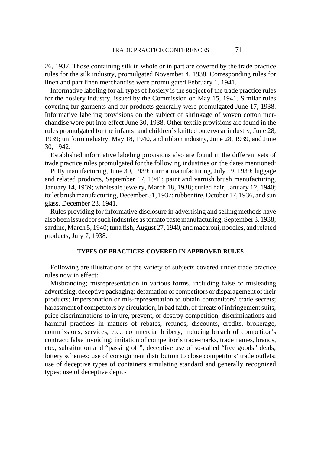26, 1937. Those containing silk in whole or in part are covered by the trade practice rules for the silk industry, promulgated November 4, 1938. Corresponding rules for linen and part linen merchandise were promulgated February 1, 1941.

Informative labeling for all types of hosiery is the subject of the trade practice rules for the hosiery industry, issued by the Commission on May 15, 1941. Similar rules covering fur garments and fur products generally were promulgated June 17, 1938. Informative labeling provisions on the subject of shrinkage of woven cotton merchandise wore put into effect June 30, 1938. Other textile provisions are found in the rules promulgated for the infants' and children's knitted outerwear industry, June 28, 1939; uniform industry, May 18, 1940, and ribbon industry, June 28, 1939, and June 30, 1942.

Established informative labeling provisions also are found in the different sets of trade practice rules promulgated for the following industries on the dates mentioned:

Putty manufacturing, June 30, 1939; mirror manufacturing, July 19, 1939; luggage and related products, September 17, 1941; paint and varnish brush manufacturing, January 14, 1939; wholesale jewelry, March 18, 1938; curled hair, January 12, 1940; toilet brush manufacturing, December 31, 1937; rubber tire, October 17, 1936, and sun glass, December 23, 1941.

Rules providing for informative disclosure in advertising and selling methods have also been issued for such industries as tomato paste manufacturing, September 3, 1938; sardine, March 5, 1940; tuna fish, August 27, 1940, and macaroni, noodles, and related products, July 7, 1938.

### **TYPES OF PRACTICES COVERED IN APPROVED RULES**

Following are illustrations of the variety of subjects covered under trade practice rules now in effect:

Misbranding; misrepresentation in various forms, including false or misleading advertising; deceptive packaging; defamation of competitors or disparagement oftheir products; impersonation or mis-representation to obtain competitors' trade secrets; harassment of competitors by circulation, in bad faith, of threats of infringement suits; price discriminations to injure, prevent, or destroy competition; discriminations and harmful practices in matters of rebates, refunds, discounts, credits, brokerage, commissions, services, etc.; commercial bribery; inducing breach of competitor's contract; false invoicing; imitation of competitor's trade-marks, trade names, brands, etc.; substitution and "passing off"; deceptive use of so-called "free goods" deals; lottery schemes; use of consignment distribution to close competitors' trade outlets; use of deceptive types of containers simulating standard and generally recognized types; use of deceptive depic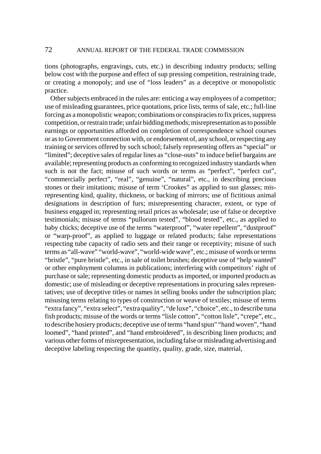tions (photographs, engravings, cuts, etc.) in describing industry products; selling below cost with the purpose and effect of sup pressing competition, restraining trade, or creating a monopoly; and use of "loss leaders" as a deceptive or monopolistic practice.

Other subjects embraced in the rules are: enticing a way employees of a competitor; use of misleading guarantees, price quotations, price lists, terms of sale, etc.; full-line forcing as a monopolistic weapon; combinations or conspiracies to fix prices, suppress competition, or restrain trade; unfair bidding methods; misrepresentation as to possible earnings or opportunities afforded on completion of correspondence school courses or asto Government connection with, or endorsement of, any school, orrespecting any training or services offered by such school; falsely representing offers as "special" or "limited"; deceptive sales of regular lines as "close-outs" to induce belief bargains are available; representing products as conforming to recognized industry standards when such is not the fact; misuse of such words or terms as "perfect", "perfect cut", "commercially perfect", "real", "genuine", "natural", etc., in describing precious stones or their imitations; misuse of term 'Crookes" as applied to sun glasses; misrepresenting kind, quality, thickness, or backing of mirrors; use of fictitious animal designations in description of furs; misrepresenting character, extent, or type of business engaged in; representing retail prices as wholesale; use of false or deceptive testimonials; misuse of terms "pullorum tested", "blood tested", etc., as applied to baby chicks; deceptive use of the terms "waterproof", "water repellent", "dustproof" or "warp-proof", as applied to luggage or related products; false representations respecting tube capacity of radio sets and their range or receptivity; misuse of such terms as "all-wave" "world-wave", "world-wide wave", etc.; misuse of words orterms "bristle", "pure bristle", etc., in sale of toilet brushes; deceptive use of "help wanted" or other employment columns in publications; interfering with competitors' right of purchase orsale; representing domestic products asimported, or imported products as domestic; use of misleading or deceptive representations in procuring sales representatives; use of deceptive titles or names in selling books under the subscription plan; misusing terms relating to types of construction or weave of textiles; misuse of terms "extra fancy", "extra select", "extra quality", "de luxe", "choice", etc., to describe tuna fish products; misuse of the words or terms "lisle cotton", "cotton lisle", "crepe", etc., to describe hosiery products; deceptive use of terms "hand spun" "hand woven", "hand loomed", "hand printed", and "hand embroidered", in describing linen products; and various other forms of misrepresentation, including false or misleading advertising and deceptive labeling respecting the quantity, quality, grade, size, material,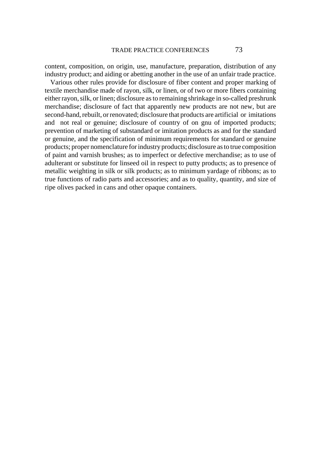# TRADE PRACTICE CONFERENCES 73

content, composition, on origin, use, manufacture, preparation, distribution of any industry product; and aiding or abetting another in the use of an unfair trade practice.

Various other rules provide for disclosure of fiber content and proper marking of textile merchandise made of rayon, silk, or linen, or of two or more fibers containing either rayon, silk, or linen; disclosure as to remaining shrinkage in so-called preshrunk merchandise; disclosure of fact that apparently new products are not new, but are second-hand, rebuilt, or renovated; disclosure that products are artificial or imitations and not real or genuine; disclosure of country of on gnu of imported products; prevention of marketing of substandard or imitation products as and for the standard or genuine, and the specification of minimum requirements for standard or genuine products; proper nomenclature forindustry products; disclosure asto true composition of paint and varnish brushes; as to imperfect or defective merchandise; as to use of adulterant or substitute for linseed oil in respect to putty products; as to presence of metallic weighting in silk or silk products; as to minimum yardage of ribbons; as to true functions of radio parts and accessories; and as to quality, quantity, and size of ripe olives packed in cans and other opaque containers.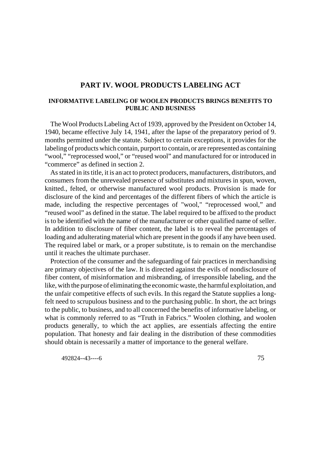# **PART IV. WOOL PRODUCTS LABELING ACT**

#### **INFORMATIVE LABELING OF WOOLEN PRODUCTS BRINGS BENEFITS TO PUBLIC AND BUSINESS**

The Wool Products Labeling Act of 1939, approved by the President on October 14, 1940, became effective July 14, 1941, after the lapse of the preparatory period of 9. months permitted under the statute. Subject to certain exceptions, it provides for the labeling of products which contain, purport to contain, or are represented as containing "wool," "reprocessed wool," or "reused wool" and manufactured for or introduced in "commerce" as defined in section 2.

As stated in its title, it is an act to protect producers, manufacturers, distributors, and consumers from the unrevealed presence of substitutes and mixtures in spun, woven, knitted., felted, or otherwise manufactured wool products. Provision is made for disclosure of the kind and percentages of the different fibers of which the article is made, including the respective percentages of "wool," "reprocessed wool," and "reused wool" as defined in the statue. The label required to be affixed to the product is to be identified with the name of the manufacturer or other qualified name of seller. In addition to disclosure of fiber content, the label is to reveal the percentages of loading and adulterating material which are present in the goods if any have been used. The required label or mark, or a proper substitute, is to remain on the merchandise until it reaches the ultimate purchaser.

Protection of the consumer and the safeguarding of fair practices in merchandising are primary objectives of the law. It is directed against the evils of nondisclosure of fiber content, of misinformation and misbranding, of irresponsible labeling, and the like, with the purpose of eliminating the economic waste, the harmful exploitation, and the unfair competitive effects of such evils. In this regard the Statute supplies a longfelt need to scrupulous business and to the purchasing public. In short, the act brings to the public, to business, and to all concerned the benefits of informative labeling, or what is commonly referred to as "Truth in Fabrics." Woolen clothing, and woolen products generally, to which the act applies, are essentials affecting the entire population. That honesty and fair dealing in the distribution of these commodities should obtain is necessarily a matter of importance to the general welfare.

492824--43----6 75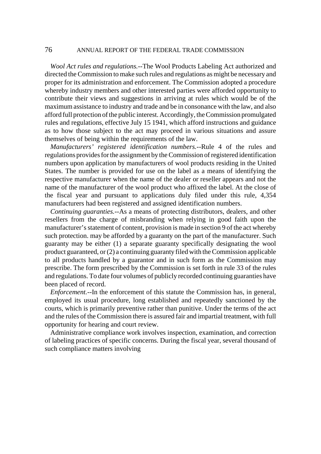*Wool Act rules and regulations.--*The Wool Products Labeling Act authorized and directed theCommission to make such rules and regulations as might be necessary and proper for its administration and enforcement. The Commission adopted a procedure whereby industry members and other interested parties were afforded opportunity to contribute their views and suggestions in arriving at rules which would be of the maximumassistance to industry and trade and be in consonance with the law, and also afford full protection of the public interest. Accordingly, the Commission promulgated rules and regulations, effective July 15 1941, which afford instructions and guidance as to how those subject to the act may proceed in various situations and assure themselves of being within the requirements of the law.

*Manufacturers' registered identification numbers.--*Rule 4 of the rules and regulations provides for the assignment by the Commission of registered identification numbers upon application by manufacturers of wool products residing in the United States. The number is provided for use on the label as a means of identifying the respective manufacturer when the name of the dealer or reseller appears and not the name of the manufacturer of the wool product who affixed the label. At the close of the fiscal year and pursuant to applications duly filed under this rule, 4,354 manufacturers had been registered and assigned identification numbers.

*Continuing guaranties.--*As a means of protecting distributors, dealers, and other resellers from the charge of misbranding when relying in good faith upon the manufacturer's statement of content, provision is made in section 9 of the act whereby such protection. may be afforded by a guaranty on the part of the manufacturer. Such guaranty may be either (1) a separate guaranty specifically designating the wool product guaranteed, or(2) a continuing guaranty filed with theCommission applicable to all products handled by a guarantor and in such form as the Commission may prescribe. The form prescribed by the Commission is set forth in rule 33 of the rules and regulations. To date four volumes of publicly recorded continuing guaranties have been placed of record.

*Enforcement.*--In the enforcement of this statute the Commission has, in general, employed its usual procedure, long established and repeatedly sanctioned by the courts, which is primarily preventive rather than punitive. Under the terms of the act and the rules of the Commission there is assured fair and impartial treatment, with full opportunity for hearing and court review.

Administrative compliance work involves inspection, examination, and correction of labeling practices of specific concerns. During the fiscal year, several thousand of such compliance matters involving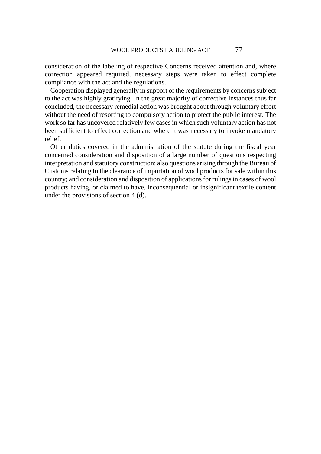consideration of the labeling of respective Concerns received attention and, where correction appeared required, necessary steps were taken to effect complete compliance with the act and the regulations.

Cooperation displayed generally in support of the requirements by concerns subject to the act was highly gratifying. In the great majority of corrective instances thus far concluded, the necessary remedial action was brought about through voluntary effort without the need of resorting to compulsory action to protect the public interest. The work so far has uncovered relatively few cases in which such voluntary action has not been sufficient to effect correction and where it was necessary to invoke mandatory relief.

Other duties covered in the administration of the statute during the fiscal year concerned consideration and disposition of a large number of questions respecting interpretation and statutory construction; also questions arising through the Bureau of Customs relating to the clearance of importation of wool products for sale within this country; and consideration and disposition of applicationsfor rulings in cases of wool products having, or claimed to have, inconsequential or insignificant textile content under the provisions of section 4 (d).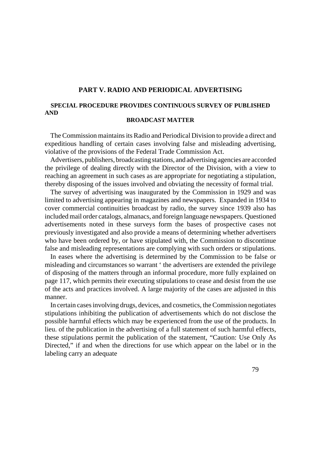# **PART V. RADIO AND PERIODICAL ADVERTISING**

#### **SPECIAL PROCEDURE PROVIDES CONTINUOUS SURVEY OF PUBLISHED AND BROADCAST MATTER**

The Commission maintains its Radio and Periodical Division to provide a direct and expeditious handling of certain cases involving false and misleading advertising, violative of the provisions of the Federal Trade Commission Act.

Advertisers, publishers, broadcasting stations, and advertising agencies are accorded the privilege of dealing directly with the Director of the Division, with a view to reaching an agreement in such cases as are appropriate for negotiating a stipulation, thereby disposing of the issues involved and obviating the necessity of formal trial.

The survey of advertising was inaugurated by the Commission in 1929 and was limited to advertising appearing in magazines and newspapers. Expanded in 1934 to cover commercial continuities broadcast by radio, the survey since 1939 also has included mail order catalogs, almanacs, and foreign language newspapers. Questioned advertisements noted in these surveys form the bases of prospective cases not previously investigated and also provide a means of determining whether advertisers who have been ordered by, or have stipulated with, the Commission to discontinue false and misleading representations are complying with such orders or stipulations.

In eases where the advertising is determined by the Commission to be false or misleading and circumstances so warrant ' the advertisers are extended the privilege of disposing of the matters through an informal procedure, more fully explained on page 117, which permits their executing stipulations to cease and desist from the use of the acts and practices involved. A large majority of the cases are adjusted in this manner.

In certain casesinvolving drugs, devices, and cosmetics, the Commission negotiates stipulations inhibiting the publication of advertisements which do not disclose the possible harmful effects which may be experienced from the use of the products. In lieu. of the publication in the advertising of a full statement of such harmful effects, these stipulations permit the publication of the statement, "Caution: Use Only As Directed," if and when the directions for use which appear on the label or in the labeling carry an adequate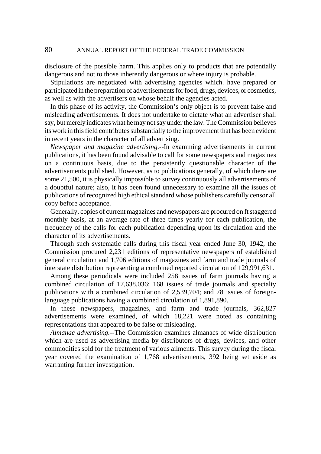disclosure of the possible harm. This applies only to products that are potentially dangerous and not to those inherently dangerous or where injury is probable.

Stipulations are negotiated with advertising agencies which. have prepared or participated in the preparation of advertisements for food, drugs, devices, or cosmetics, as well as with the advertisers on whose behalf the agencies acted.

In this phase of its activity, the Commission's only object is to prevent false and misleading advertisements. It does not undertake to dictate what an advertiser shall say, but merely indicates what he may not say under the law. The Commission believes its work in this field contributes substantially to the improvement that has been evident in recent years in the character of all advertising.

*Newspaper and magazine advertising.--*In examining advertisements in current publications, it has been found advisable to call for some newspapers and magazines on a continuous basis, due to the persistently questionable character of the advertisements published. However, as to publications generally, of which there are some 21,500, it is physically impossible to survey continuously all advertisements of a doubtful nature; also, it has been found unnecessary to examine all the issues of publications of recognized high ethical standard whose publishers carefully censor all copy before acceptance.

Generally, copies of current magazines and newspapers are procured on ftstaggered monthly basis, at an average rate of three times yearly for each publication, the frequency of the calls for each publication depending upon its circulation and the character of its advertisements.

Through such systematic calls during this fiscal year ended June 30, 1942, the Commission procured 2,231 editions of representative newspapers of established general circulation and 1,706 editions of magazines and farm and trade journals of interstate distribution representing a combined reported circulation of 129,991,631.

Among these periodicals were included 258 issues of farm journals having a combined circulation of 17,638,036; 168 issues of trade journals and specialty publications with a combined circulation of 2,539,704; and 78 issues of foreignlanguage publications having a combined circulation of 1,891,890.

In these newspapers, magazines, and farm and trade journals, 362,827 advertisements were examined, of which 18,221 were noted as containing representations that appeared to be false or misleading.

*Almanac advertising.--*The Commission examines almanacs of wide distribution which are used as advertising media by distributors of drugs, devices, and other commodities sold for the treatment of various ailments. This survey during the fiscal year covered the examination of 1,768 advertisements, 392 being set aside as warranting further investigation.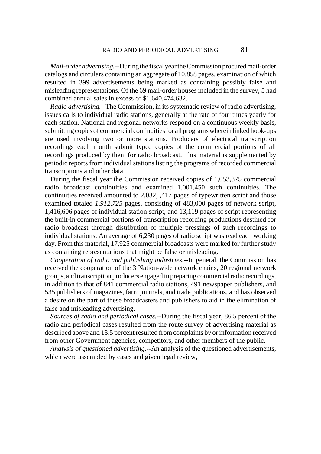*Mail-order advertising.--*During the fiscal year the Commission procured mail-order catalogs and circulars containing an aggregate of 10,858 pages, examination of which resulted in 399 advertisements being marked as containing possibly false and misleading representations. Of the 69 mail-order houses included in the survey, 5 had combined annual sales in excess of \$1,640,474,632.

*Radio advertising.--*The Commission, in its systematic review of radio advertising, issues calls to individual radio stations, generally at the rate of four times yearly for each station. National and regional networks respond on a continuous weekly basis, submitting copies of commercial continuities for all programs wherein linked hook-ups are used involving two or more stations. Producers of electrical transcription recordings each month submit typed copies of the commercial portions of all recordings produced by them for radio broadcast. This material is supplemented by periodic reports from individual stations listing the programs of recorded commercial transcriptions and other data.

During the fiscal year the Commission received copies of 1,053,875 commercial radio broadcast continuities and examined 1,001,450 such continuities. The continuities received amounted to 2,032, ,417 pages of typewritten script and those examined totaled *1,912,725* pages, consisting of 483,000 pages of network script, 1,416,606 pages of individual station script, and 13,119 pages of script representing the built-in commercial portions of transcription recording productions destined for radio broadcast through distribution of multiple pressings of such recordings to individual stations. An average of 6,230 pages of radio script was read each working day. From this material, 17,925 commercial broadcasts were marked for further study as containing representations that might be false or misleading.

*Cooperation of radio and publishing industries.--*In general, the Commission has received the cooperation of the 3 Nation-wide network chains, 20 regional network groups, and transcription producers engaged in preparing commercial radio recordings, in addition to that of 841 commercial radio stations, 491 newspaper publishers, and 535 publishers of magazines, farm journals, and trade publications, and has observed a desire on the part of these broadcasters and publishers to aid in the elimination of false and misleading advertising.

*Sources of radio and periodical cases.--*During the fiscal year, 86.5 percent of the radio and periodical cases resulted from the route survey of advertising material as described above and 13.5 percent resulted fromcomplaints by orinformation received from other Government agencies, competitors, and other members of the public.

*Analysis of questioned advertising.--*An analysis of the questioned advertisements, which were assembled by cases and given legal review,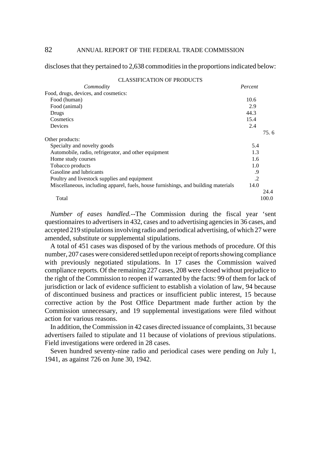discloses that they pertained to 2,638 commodities in the proportions indicated below:

| <b>CLASSIFICATION OF PRODUCTS</b>                                                  |           |       |
|------------------------------------------------------------------------------------|-----------|-------|
| Commodity                                                                          | Percent   |       |
| Food, drugs, devices, and cosmetics:                                               |           |       |
| Food (human)                                                                       | 10.6      |       |
| Food (animal)                                                                      | 2.9       |       |
| Drugs                                                                              | 44.3      |       |
| Cosmetics                                                                          | 15.4      |       |
| Devices                                                                            | 2.4       |       |
|                                                                                    |           | 75.6  |
| Other products:                                                                    |           |       |
| Specialty and novelty goods                                                        | 5.4       |       |
| Automobile, radio, refrigerator, and other equipment                               | 1.3       |       |
| Home study courses                                                                 | 1.6       |       |
| Tobacco products                                                                   | 1.0       |       |
| Gasoline and lubricants                                                            | .9        |       |
| Poultry and livestock supplies and equipment                                       | $\cdot$ 2 |       |
| Miscellaneous, including apparel, fuels, house furnishings, and building materials | 14.0      |       |
|                                                                                    |           | 24.4  |
| Total                                                                              |           | 100.0 |

*Number of eases handled.--*The Commission during the fiscal year 'sent questionnaires to advertisers in 432, cases and to advertising agencies in 36 cases, and accepted 219 stipulations involving radio and periodical advertising, of which 27 were amended, substitute or supplemental stipulations.

A total of 451 cases was disposed of by the various methods of procedure. Of this number, 207 cases were considered settled upon receipt of reports showing compliance with previously negotiated stipulations. In 17 cases the Commission waived compliance reports. Of the remaining 227 cases, 208 were closed without prejudice to the right of the Commission to reopen if warranted by the facts: 99 of them for lack of jurisdiction or lack of evidence sufficient to establish a violation of law, 94 because of discontinued business and practices or insufficient public interest, 15 because corrective action by the Post Office Department made further action by the Commission unnecessary, and 19 supplemental investigations were filed without action for various reasons.

In addition, the Commission in 42 cases directed issuance of complaints, 31 because advertisers failed to stipulate and 11 because of violations of previous stipulations. Field investigations were ordered in 28 cases.

Seven hundred seventy-nine radio and periodical cases were pending on July 1, 1941, as against 726 on June 30, 1942.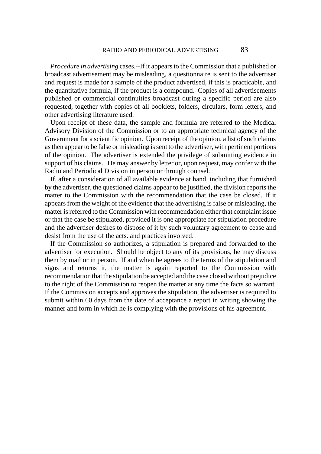*Procedure in advertising* cases.--If it appears to the Commission that a published or broadcast advertisement may be misleading, a questionnaire is sent to the advertiser and request is made for a sample of the product advertised, if this is practicable, and the quantitative formula, if the product is a compound. Copies of all advertisements published or commercial continuities broadcast during a specific period are also requested, together with copies of all booklets, folders, circulars, form letters, and other advertising literature used.

Upon receipt of these data, the sample and formula are referred to the Medical Advisory Division of the Commission or to an appropriate technical agency of the Government for a scientific opinion. Upon receipt of the opinion, a list of such claims asthen appearto be false or misleading issent to the advertiser, with pertinent portions of the opinion. The advertiser is extended the privilege of submitting evidence in support of his claims. He may answer by letter or, upon request, may confer with the Radio and Periodical Division in person or through counsel.

If, after a consideration of all available evidence at hand, including that furnished by the advertiser, the questioned claims appear to be justified, the division reports the matter to the Commission with the recommendation that the case be closed. If it appears from the weight of the evidence that the advertising is false or misleading, the matter is referred to the Commission with recommendation either that complaint issue or that the case be stipulated, provided it is one appropriate for stipulation procedure and the advertiser desires to dispose of it by such voluntary agreement to cease and desist from the use of the acts. and practices involved.

If the Commission so authorizes, a stipulation is prepared and forwarded to the advertiser for execution. Should he object to any of its provisions, he may discuss them by mail or in person. If and when he agrees to the terms of the stipulation and signs and returns it, the matter is again reported to the Commission with recommendation that the stipulation be accepted and the case closed without prejudice to the right of the Commission to reopen the matter at any time the facts so warrant. If the Commission accepts and approves the stipulation, the advertiser is required to submit within 60 days from the date of acceptance a report in writing showing the manner and form in which he is complying with the provisions of his agreement.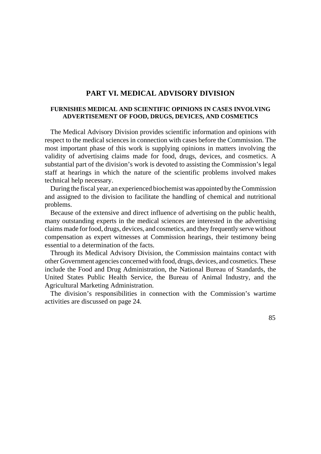# **PART VI. MEDICAL ADVISORY DIVISION**

# **FURNISHES MEDICAL AND SCIENTIFIC OPINIONS IN CASES INVOLVING ADVERTISEMENT OF FOOD, DRUGS, DEVICES, AND COSMETICS**

The Medical Advisory Division provides scientific information and opinions with respect to the medical sciences in connection with cases before the Commission. The most important phase of this work is supplying opinions in matters involving the validity of advertising claims made for food, drugs, devices, and cosmetics. A substantial part of the division's work is devoted to assisting the Commission's legal staff at hearings in which the nature of the scientific problems involved makes technical help necessary.

During the fiscal year, an experienced biochemist was appointed by theCommission and assigned to the division to facilitate the handling of chemical and nutritional problems.

Because of the extensive and direct influence of advertising on the public health, many outstanding experts in the medical sciences are interested in the advertising claims made forfood, drugs, devices, and cosmetics, and they frequently serve without compensation as expert witnesses at Commission hearings, their testimony being essential to a determination of the facts.

Through its Medical Advisory Division, the Commission maintains contact with other Government agencies concernedwith food, drugs, devices, and cosmetics.These include the Food and Drug Administration, the National Bureau of Standards, the United States Public Health Service, the Bureau of Animal Industry, and the Agricultural Marketing Administration.

The division's responsibilities in connection with the Commission's wartime activities are discussed on page 24.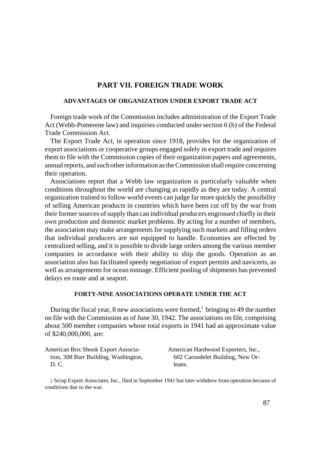# **PART VII. FOREIGN TRADE WORK**

### **ADVANTAGES OF ORGANIZATION UNDER EXPORT TRADE ACT**

Foreign trade work of the Commission includes administration of the Export Trade Act (Webb-Pomerene law) and inquiries conducted under section 6 (h) of the Federal Trade Commission Act.

The Export Trade Act, in operation since 1918, provides for the organization of export associations or cooperative groups engaged solely in export trade and requires them to file with the Commission copies of their organization papers and agreements, annual reports, and such other information as the Commission shall require concerning their operation.

Associations report that a Webb law organization is particularly valuable when conditions throughout the world are changing as rapidly as they are today. A central organization trained to follow world events can judge far more quickly the possibility of selling American products in countries which have been cut off by the war from their former sources of supply than can individual producers engrossed chiefly in their own production and domestic market problems. By acting for a number of members, the association may make arrangements for supplying such markets and filling orders that individual producers are not equipped to handle. Economies are effected by centralized selling, and it is possible to divide large orders among the various member companies in accordance with their ability to ship the goods. Operation as an association also has facilitated speedy negotiation of export permits and navicerts, as well as arrangements for ocean tonnage. Efficient pooling of shipments has prevented delays en route and at seaport.

#### **FORTY-NINE ASSOCIATIONS OPERATE UNDER THE ACT**

During the fiscal year, 8 new associations were formed, $1$  bringing to 49 the number on file with the Commission as of June 30, 1942. The associations on file, comprising about 500 member companies whose total exports in 1941 had an approximate value of \$240,000,000, are:

| American Box Shook Export Associa-   | American Hardwood Exporters, Inc., |
|--------------------------------------|------------------------------------|
| tion, 308 Barr Building, Washington, | 602 Carondelet Building, New Or-   |
| D. C.                                | leans.                             |

2 Scrap Export Associates, Inc., filed in September 1941 but later withdrew from operation because of conditions due to the war.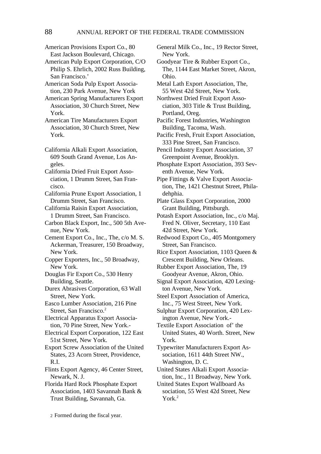East Jackson Boulevard, Chicago. New York.

San Francisco.' Ohio.

York. Portland, Oreg.

Association, 30 Church Street, New Building, Tacoma, Wash.

California Prune Export Association, 1 dehphia.

nue, New York. 42d Street, New York.

Ackerman, Treasurer, 150 Broadway, Street, San Francisco.

Durex Abrasives Corporation, 63 Wall ton Avenue, New York.

51st Street, New York. York.

R.I. Washington, D. C.

Trust Building, Savannah, Ga. York.<sup>2</sup>

American Provisions Export Co., 80 General Milk Co., Inc., 19 Rector Street, American Pulp Export Corporation, C/O Goodyear Tire & Rubber Export Co., Philip S. Ehrlich, 2002 Russ Building, The, 1144 East Market Street, Akron, American Soda Pulp Export Associa- Metal Lath Export Association, The, tion, 230 Park Avenue, New York 55 West 42d Street, New York. American Spring Manufacturers Export Northwest Dried Fruit Export Asso-Association, 30 Church Street, New ciation, 303 Title & Trust Building, American Tire Manufacturers Export Pacific Forest Industries, Washington York. Pacific Fresh, Fruit Export Association, 333 Pine Street, San Francisco. California Alkali Export Association, Pencil Industry Export Association, 37 609 South Grand Avenue, Los An- Greenpoint Avenue, Brooklyn. geles. Phosphate Export Association, 393 Sev-California Dried Fruit Export Asso- enth Avenue, New York. ciation, 1 Drumm Street, San Fran- Pipe Fittings & Valve Export Associacisco. tion, The, 1421 Chestnut Street, Phila-Drumm Street, San Francisco. Plate Glass Export Corporation, 2000 California Raisin Export Association, Grant Building, Pittsburgh. 1 Drumm Street, San Francisco. Potash Export Association, Inc., c/o Maj. Carbon Black Export, Inc., 500 5th Ave- Fred N. Oliver, Secretary, 110 East Cement Export Co., Inc., The, c/o M. S. Redwood Export Co., 405 Montgomery New York. Rice Export Association, 1103 Queen & Copper Exporters, Inc., 50 Broadway, Crescent Building, New Orleans. New York. Rubber Export Association, The, 19 Douglas Fir Export Co., 530 Henry Goodyear Avenue, Akron, Ohio. Building, Seattle. Signal Export Association, 420 Lexing-Street, New York. Steel Export Association of America, Easco Lumber Association, 216 Pine Inc., 75 West Street, New York. Street, San Francisco.<sup>2</sup> Sulphur Export Corporation, 420 Lex-Electrical Apparatus Export Associa- ington Avenue, New York. tion, 70 Pine Street, New York.- Textile Export Association of' the Electrical Export Corporation, 122 East United States, 40 Worth. Street, New Export Screw Association of the United Typewriter Manufacturers Export As-States, 23 Acorn Street, Providence, sociation, 1611 44th Street NW., Flints Export Agency, 46 Center Street, United States Alkali Export Associa-Newark, N. J. (2008) Services and Muslim and Services and Services and Services and Services and Services and S Florida Hard Rock Phosphate Export United States Export Wallboard As Association, 1403 Savannah Bank & sociation, 55 West 42d Street, New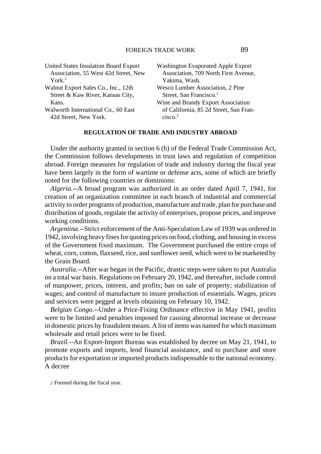| United States Insulation Board Export | Washington Evaporated Apple Export     |
|---------------------------------------|----------------------------------------|
| Association, 55 West 42d Street, New  | Association, 709 North First Avenue,   |
| $\gamma$ ork $^2$                     | Yakima, Wash.                          |
| Walnut Export Sales Co., Inc., 12th   | Wesco Lumber Association, 2 Pine       |
| Street & Kaw River, Kansas City,      | Street, San Francisco. <sup>2</sup>    |
| Kans.                                 | Wine and Brandy Export Association     |
| Walworth International Co., 60 East   | of California, 85 2d Street, San Fran- |
| 42d Street, New York.                 | cisco. <sup>2</sup>                    |

### **REGULATION OF TRADE AND INDUSTRY ABROAD**

Under the authority granted in section 6 (h) of the Federal Trade Commission Act, the Commission follows developments in trust laws and regulation of competition abroad. Foreign measures for regulation of trade and industry during the fiscal year have been largely in the form of wartime or defense acts, some of which are briefly noted for the following countries or dominions:

*Algeria.--*A broad program was authorized in an order dated April 7, 1941, for creation of an organization committee in each branch of industrial and commercial activity to order programs of production, manufacture and trade, plan for purchase and distribution of goods, regulate the activity of enterprises, propose prices, and improve working conditions.

*Argentina.--*Strict enforcement of the Anti-Speculation Law of 1939 was ordered in 1942, involving heavy finesfor quoting prices on food, clothing, and housing in excess of the Government fixed maximum. The Government purchased the entire crops of wheat, corn, cotton, flaxseed, rice, and sunflower seed, which were to be marketed by the Grain Board*.* 

*Australia.--*After war began in the Pacific, drastic steps were taken to put Australia on a total war basis. Regulations on February 20, 1942, and thereafter, include control of manpower, prices, interest, and profits; ban on sale of property; stabilization of wages; and control of manufacture to insure production of essentials. Wages, prices and services were pegged at levels obtaining on February 10, 1942.

*Belgian Congo.--*Under a Price-Fixing Ordinance effective in May 1941, profits were to be limited and penalties imposed for causing abnormal increase or decrease in domestic prices by fraudulent means. A list of items was named for which maximum wholesale and retail prices were to be fixed.

*Brazil.--*An Export-Import Bureau was established by decree on May 21, 1941, to promote exports and imports, lend financial assistance, and to purchase and store products for exportation or imported products indispensable to the national economy. A decree

2 Formed during the fiscal year.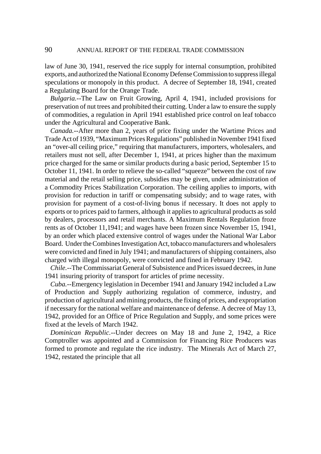law of June 30, 1941, reserved the rice supply for internal consumption, prohibited exports, and authorized the National Economy Defense Commission to suppress illegal speculations or monopoly in this product. A decree of September 18, 1941, created a Regulating Board for the Orange Trade.

*Bulgaria.--*The Law on Fruit Growing, April 4, 1941, included provisions for preservation of nut trees and prohibited their cutting. Under a law to ensure the supply of commodities, a regulation in April 1941 established price control on leaf tobacco under the Agricultural and Cooperative Bank.

*Canada.--*After more than 2, years of price fixing under the Wartime Prices and Trade Act of 1939, "MaximumPricesRegulations" published in November 1941 fixed an "over-all ceiling price," requiring that manufacturers, importers, wholesalers, and retailers must not sell, after December 1, 1941, at prices higher than the maximum price charged for the same or similar products during a basic period, September 15 to October 11, 1941. In order to relieve the so-called "squeeze" between the cost of raw material and the retail selling price, subsidies may be given, under administration of a Commodity Prices Stabilization Corporation. The ceiling applies to imports, with provision for reduction in tariff or compensating subsidy; and to wage rates, with provision for payment of a cost-of-living bonus if necessary. It does not apply to exports or to prices paid to farmers, although it appliesto agricultural products assold by dealers, processors and retail merchants. A Maximum Rentals Regulation froze rents as of October 11,1941; and wages have been frozen since November 15, 1941, by an order which placed extensive control of wages under the National War Labor Board. Under the Combines Investigation Act, tobacco manufacturers and wholesalers were convicted and fined in July 1941; and manufacturers of shipping containers, also charged with illegal monopoly, were convicted and fined in February 1942.

*Chile.*--The Commissariat General of Subsistence and Prices issued decrees, in June 1941 insuring priority of transport for articles of prime necessity.

*Cuba.--*Emergency legislation in December 1941 and January 1942 included a Law of Production and Supply authorizing regulation of commerce, industry, and production of agricultural and mining products, the fixing of prices, and expropriation if necessary for the national welfare and maintenance of defense. A decree of May 13, 1942, provided for an Office of Price Regulation and Supply, and some prices were fixed at the levels of March 1942.

*Dominican Republic.--*Under decrees on May 18 and June 2, 1942, a Rice Comptroller was appointed and a Commission for Financing Rice Producers was formed to promote and regulate the rice industry. The Minerals Act of March 27, 1942, restated the principle that all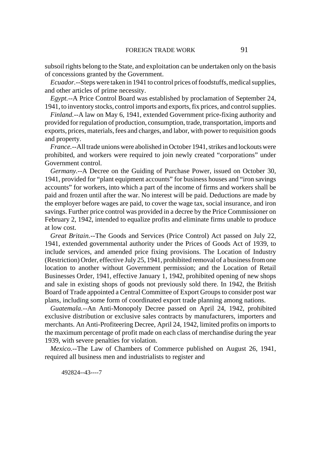subsoil rights belong to the State, and exploitation can be undertaken only on the basis of concessions granted by the Government.

*Ecuador.* --Steps were taken in 1941 to control prices of foodstuffs, medical supplies, and other articles of prime necessity.

*Egypt.--*A Price Control Board was established by proclamation of September 24, 1941, to inventory stocks, control imports and exports, fix prices, and control supplies.

*Finland.--*A law on May 6, 1941, extended Government price-fixing authority and provided forregulation of production, consumption, trade, transportation, imports and exports, prices, materials, fees and charges, and labor, with power to requisition goods and property.

*France.*--All trade unions were abolished in October 1941, strikes and lockouts were prohibited, and workers were required to join newly created "corporations" under Government control.

*Germany.--*A Decree on the Guiding of Purchase Power, issued on October 30, 1941, provided for "plant equipment accounts" for business houses and "iron savings accounts" for workers, into which a part of the income of firms and workers shall be paid and frozen until after the war. No interest will be paid. Deductions are made by the employer before wages are paid, to cover the wage tax, social insurance, and iron savings. Further price control was provided in a decree by the Price Commissioner on February 2, 1942, intended to equalize profits and eliminate firms unable to produce at low cost.

*Great Britain.--*The Goods and Services (Price Control) Act passed on July 22, 1941, extended governmental authority under the Prices of Goods Act of 1939, to include services, and amended price fixing provisions. The Location of Industry (Restriction) Order, effective July 25, 1941, prohibited removal of a business from one location to another without Government permission; and the Location of Retail Businesses Order, 1941, effective January 1, 1942, prohibited opening of new shops and sale in existing shops of goods not previously sold there. In 1942, the British Board of Trade appointed a Central Committee of Export Groups to consider post war plans, including some form of coordinated export trade planning among nations.

*Guatemala.--*An Anti-Monopoly Decree passed on April 24, 1942, prohibited exclusive distribution or exclusive sales contracts by manufacturers, importers and merchants. An Anti-Profiteering Decree, April 24, 1942, limited profits on imports to the maximum percentage of profit made on each class of merchandise during the year 1939, with severe penalties for violation.

*Mexico.--*The Law of Chambers of Commerce published on August 26, 1941, required all business men and industrialists to register and

492824--43----7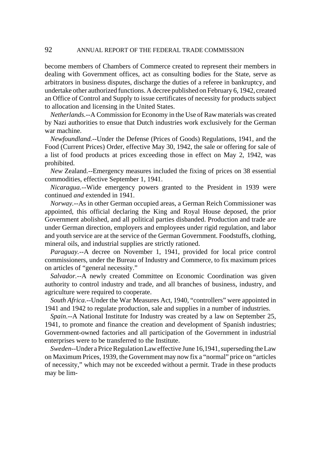become members of Chambers of Commerce created to represent their members in dealing with Government offices, act as consulting bodies for the State, serve as arbitrators in business disputes, discharge the duties of a referee in bankruptcy, and undertake other authorized functions. A decree published on February 6, 1942, created an Office of Control and Supply to issue certificates of necessity for products subject to allocation and licensing in the United States.

*Netherlands.--*A Commission for Economy in the Use of Raw materials was created by Nazi authorities to ensue that Dutch industries work exclusively for the German war machine.

*Newfoundland.--*Under the Defense (Prices of Goods) Regulations, 1941, and the Food (Current Prices) Order, effective May 30, 1942, the sale or offering for sale of a list of food products at prices exceeding those in effect on May 2, 1942, was prohibited.

*New* Zealand.--Emergency measures included the fixing of prices on 38 essential commodities, effective September 1, 1941.

*Nicaragua.--*Wide emergency powers granted to the President in 1939 were continued *and* extended in 1941.

*Norway.--*As in other German occupied areas, a German Reich Commissioner was appointed, this official declaring the King and Royal House deposed, the prior Government abolished, and all political parties disbanded. Production and trade are under German direction, employers and employees under rigid regulation, and labor and youth service are at the service of the German Government. Foodstuffs, clothing, mineral oils, and industrial supplies are strictly rationed.

*Paraguay.--*A decree on November 1, 1941, provided for local price control commissioners, under the Bureau of Industry and Commerce, to fix maximum prices on articles of "general necessity."

*Salvador.--*A newly created Committee on Economic Coordination was given authority to control industry and trade, and all branches of business, industry, and agriculture were required to cooperate.

*South Africa.--*Under the War Measures Act, 1940, "controllers" were appointed in 1941 and 1942 to regulate production, sale and supplies in a number of industries.

*Spain.--*A National Institute for Industry was created by a law on September 25, 1941, to promote and finance the creation and development of Spanish industries; Government-owned factories and all participation of the Government in industrial enterprises were to be transferred to the Institute.

*Sweden--*Under a Price Regulation Law effective June 16,1941, superseding the Law on Maximum Prices, 1939, the Government may now fix a "normal" price on "articles of necessity," which may not be exceeded without a permit. Trade in these products may be lim-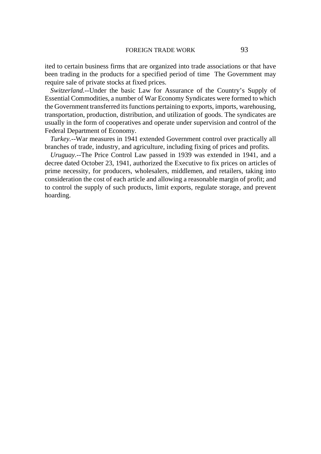*Switzerland.--*Under the basic Law for Assurance of the Country's Supply of Essential Commodities, a number of War Economy Syndicates were formed to which the Government transferred its functions pertaining to exports, imports, warehousing, transportation, production, distribution, and utilization of goods. The syndicates are usually in the form of cooperatives and operate under supervision and control of the Federal Department of Economy.

*Turkey.--*War measures in 1941 extended Government control over practically all branches of trade, industry, and agriculture, including fixing of prices and profits.

*Uruguay.--*The Price Control Law passed in 1939 was extended in 1941, and a decree dated October 23, 1941, authorized the Executive to fix prices on articles of prime necessity, for producers, wholesalers, middlemen, and retailers, taking into consideration the cost of each article and allowing a reasonable margin of profit; and to control the supply of such products, limit exports, regulate storage, and prevent hoarding.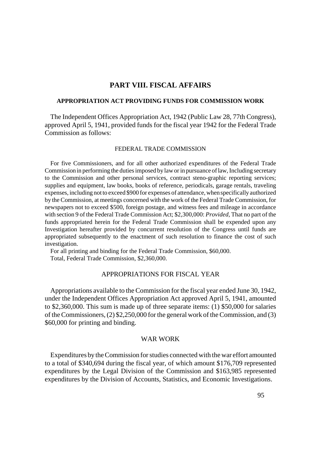# **PART VIII. FISCAL AFFAIRS**

#### **APPROPRIATION ACT PROVIDING FUNDS FOR COMMISSION WORK**

The Independent Offices Appropriation Act, 1942 (Public Law 28, 77th Congress), approved April 5, 1941, provided funds for the fiscal year 1942 for the Federal Trade Commission as follows:

### FEDERAL TRADE COMMISSION

For five Commissioners, and for all other authorized expenditures of the Federal Trade Commission in performing the dutiesimposed by laworin pursuance oflaw,Including secretary to the Commission and other personal services, contract steno-graphic reporting services; supplies and equipment, law books, books of reference, periodicals, garage rentals, traveling expenses, including notto exceed \$900 for expenses of attendance, when specifically authorized by the Commission, at meetings concerned with the work of the Federal Trade Commission, for newspapers not to exceed \$500, foreign postage, and witness fees and mileage in accordance with section 9 of the Federal Trade Commission Act; \$2,300,000: *Provided,* That no part of the funds appropriated herein for the Federal Trade Commission shall be expended upon any Investigation hereafter provided by concurrent resolution of the Congress until funds are appropriated subsequently to the enactment of such resolution to finance the cost of such investigation.

For all printing and binding for the Federal Trade Commission, \$60,000.

Total, Federal Trade Commission, \$2,360,000.

# APPROPRIATIONS FOR FISCAL YEAR

Appropriations available to the Commission for the fiscal year ended June 30, 1942, under the Independent Offices Appropriation Act approved April 5, 1941, amounted to \$2,360,000. This sum is made up of three separate items: (1) \$50,000 for salaries of the Commissioners,  $(2)$  \$2,250,000 for the general work of the Commission, and  $(3)$ \$60,000 for printing and binding.

### WAR WORK

Expenditures by theCommission forstudies connected with the war effort amounted to a total of \$340,694 during the fiscal year, of which amount \$176,709 represented expenditures by the Legal Division of the Commission and \$163,985 represented expenditures by the Division of Accounts, Statistics, and Economic Investigations.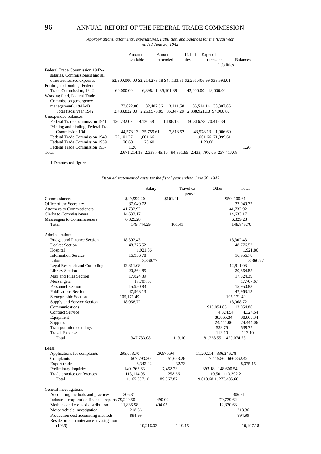*Appropriations, allotments, expenditures, liabilities, and balances for the fiscal year ended June 30, 1942*

|                                      | Amount<br>available       |           | Amount<br>expended | Liabili-<br>ties | Expendi-<br>tures and<br><i>liabilities</i>                          | <b>Balances</b> |
|--------------------------------------|---------------------------|-----------|--------------------|------------------|----------------------------------------------------------------------|-----------------|
| Federal Trade Commission 1942--      |                           |           |                    |                  |                                                                      |                 |
| salaries, Commissioners and all      |                           |           |                    |                  |                                                                      |                 |
| other authorized expenses            |                           |           |                    |                  | \$2,300,000.00 \$2,214,273.18 \$47,133.81 \$2,261,406.99 \$38,593.01 |                 |
| Printing and binding, Federal        |                           |           |                    |                  |                                                                      |                 |
| Trade Commission, 1942               | 60,000.00                 |           | 6,898.11 35,101.89 | 42,000.00        | 18,000.00                                                            |                 |
| Working fund, Federal Trade          |                           |           |                    |                  |                                                                      |                 |
| Commission (emergency                |                           |           |                    |                  |                                                                      |                 |
| management), 1942-43                 | 73.822.00                 | 32,402.56 | 3.111.58           |                  | 35.514.14 38.307.86                                                  |                 |
| Total fiscal year 1942               | 2,433,822.00 2,253,573.85 |           |                    |                  | 85, 347. 28 2, 338, 921. 13 94, 900. 87                              |                 |
| Unexpended balances:                 |                           |           |                    |                  |                                                                      |                 |
| <b>Federal Trade Commission 1941</b> | 120,732.07                | 49.130.58 | 1.186.15           |                  | 50.316.73 70.415.34                                                  |                 |
| Printing and binding, Federal Trade  |                           |           |                    |                  |                                                                      |                 |
| Commission 1941                      | 44,578.13                 | 35,759.61 | 7.818.52           |                  | 43,578.13<br>1,006.60                                                |                 |
| Federal Trade Commission 1940        | 72,101.27                 | 1.001.66  |                    |                  | 1,001.66 71,099.61                                                   |                 |
| <b>Federal Trade Commission 1939</b> | 1 20.60                   | 1 20.60   |                    |                  | 1 20.60                                                              |                 |
| <b>Federal Trade Commission 1937</b> | 1.26                      |           |                    |                  |                                                                      | 1.26            |
| Total                                |                           |           |                    |                  | 2,671,214.13 2,339,445.10 94,351.95 2,433, 797.05 237,417.08         |                 |

1 Denotes red figures.

*Detailed statement of costs for the fiscal year ending June 30, 1942*

|                                                    | Salary       | Travel ex- | Other                   | Total        |  |
|----------------------------------------------------|--------------|------------|-------------------------|--------------|--|
|                                                    |              | pense      |                         |              |  |
| Commissioners                                      | \$49,999.20  | \$101.41   |                         | \$50, 100.61 |  |
| Office of the Secretary                            | 37,049.72    |            |                         | 37,049.72    |  |
| Attorneys to Commissioners                         | 41,732.92    |            |                         | 41,732.92    |  |
| <b>Clerks</b> to Commissioners                     | 14,633.17    |            |                         | 14,633.17    |  |
| Messengers to Commissioners                        | 6,329.28     |            |                         | 6,329.28     |  |
| Total                                              | 149,744.29   | 101.41     |                         | 149,845.70   |  |
| Administration:                                    |              |            |                         |              |  |
| <b>Budget and Finance Section</b>                  | 18,302.43    |            |                         | 18,302.43    |  |
| <b>Docket Section</b>                              | 48,776.52    |            | 48,776.52               |              |  |
| Hospital                                           | 1,921.86     |            |                         | 1,921.86     |  |
| <b>Information Service</b>                         | 16,956.78    | 16,956.78  |                         |              |  |
| Labor                                              | 3,360.77     |            |                         | 3,360.77     |  |
| Legal Research and Compiling                       | 12,811.08    |            |                         | 12,811.08    |  |
| <b>Library Section</b>                             | 20,864.85    |            |                         | 20,864.85    |  |
| Mail and Files Section                             | 17,824.39    |            |                         | 17,824.39    |  |
| Messengers                                         | 17,707.67    |            |                         | 17,707.67    |  |
| <b>Personnel Section</b>                           | 15,950.83    |            |                         | 15,950.83    |  |
| <b>Publications Section</b>                        | 47,963.13    |            |                         | 47,963.13    |  |
| Stenographic Section.                              | 105,171.49   |            |                         | 105,171.49   |  |
| Supply and Service Section                         | 18,068.72    |            |                         | 18,068.72    |  |
| Communications                                     |              |            | \$13,054.86             | 13,054.86    |  |
| <b>Contract Service</b>                            |              |            | 4,324.54                | 4,324.54     |  |
| Equipment                                          |              |            | 38,865.34               | 38,865.34    |  |
| Supplies                                           |              |            | 24,444.06               | 24,444.06    |  |
| Transportation of things                           |              |            | 539.75                  | 539.75       |  |
| <b>Travel Expense</b>                              |              |            | 113.10                  | 113.10       |  |
| Total                                              | 347,733.08   | 113.10     | 81,228.55 429,074.73    |              |  |
|                                                    |              |            |                         |              |  |
| Legal:                                             |              |            |                         |              |  |
| Applications for complaints                        | 295,073.70   | 29,970.94  | 11,202.14 336,246.78    |              |  |
| Complaints                                         | 607,793.30   | 51,653.26  | 7,415.86 666,862.42     |              |  |
| Export trade                                       | 8,342.42     | 32.73      |                         | 8.375.15     |  |
| Preliminary Inquiries                              | 140, 763.63  | 7.452.23   | 393.18 148,600.54       |              |  |
| Trade practice conferences                         | 113,114.05   | 258.66     | 19.50 113,392.21        |              |  |
| Total                                              | 1,165,087.10 | 89,367.82  | 19,010.68 1, 273,485.60 |              |  |
| General investigations                             |              |            |                         |              |  |
| Accounting methods and practices                   | 306.31       |            |                         | 306.31       |  |
| Industrial corporation financial reports 79,249.60 |              | 490.02     |                         | 79,739.62    |  |
| Methods and costs of distribution                  | 11,836.58    | 494.05     | 12,330.63               |              |  |
| Motor vehicle investigation                        | 218.36       |            |                         | 218.36       |  |
| Production cost accounting methods                 | 894.99       |            |                         | 894.99       |  |
| Resale price maintenance investigation             |              |            |                         |              |  |
| (1939)                                             | 10.216.33    | 1 19.15    |                         | 10,197.18    |  |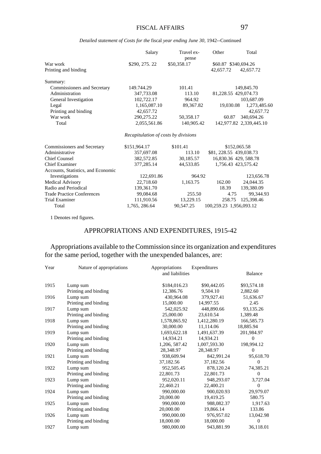|                             | Salary                               | Travel ex-<br>pense | Other                | Total                   |
|-----------------------------|--------------------------------------|---------------------|----------------------|-------------------------|
| War work                    | \$290, 275, 22                       | \$50,358.17         | \$60.87 \$340,694.26 |                         |
| Printing and binding        |                                      |                     | 42,657.72            | 42.657.72               |
| Summary:                    |                                      |                     |                      |                         |
| Commissioners and Secretary | 149.744.29                           | 101.41              | 149,845.70           |                         |
| Administration              | 347,733.08                           | 113.10              | 81.228.55 429.074.73 |                         |
| General Investigation       | 102.722.17                           | 964.92              |                      | 103.687.09              |
| Legal                       | 1.165.087.10                         | 89.367.82           | 19.030.08            | 1.273.485.60            |
| Printing and binding        | 42,657.72                            |                     |                      | 42.657.72               |
| War work                    | 290.275.22                           | 50.358.17           | 60.87                | 340,694.26              |
| Total                       | 2,055,561.86                         | 140,905.42          |                      | 142,977.82 2,339,445.10 |
|                             | Recapitulation of costs by divisions |                     |                      |                         |

*Detailed statement of Costs for the* fiscal *year ending June 30,* 1942--Continued

*Recapitulation of costs by divisions*

| Commissioners and Secretary        | \$151,964.17  | \$101.41  | \$152,065.58             |            |
|------------------------------------|---------------|-----------|--------------------------|------------|
| Administrative                     | 357,697.08    | 113.10    | \$81, 228.55 439, 038.73 |            |
| <b>Chief Counsel</b>               | 382,572.85    | 30,185.57 | 16,830.36 429, 588.78    |            |
| <b>Chief Examiner</b>              | 377,285.14    | 44.533.85 | 1,756.43 423,575.42      |            |
| Accounts, Statistics, and Economic |               |           |                          |            |
| Investigations                     | 122,691.86    | 964.92    |                          | 123,656.78 |
| <b>Medical Advisory</b>            | 22,718.60     | 1,163.75  | 162.00                   | 24,044.35  |
| Radio and Periodical               | 139,361.70    |           | 18.39                    | 139,380.09 |
| <b>Trade Practice Conferences</b>  | 99,084.68     | 255.50    | 4.75                     | 99.344.93  |
| Trial Examiner                     | 111,910.56    | 13.229.15 | 258.75                   | 125,398.46 |
| Total                              | 1.765, 286.64 | 90.547.25 | 100,259.23 1,956,093.12  |            |

1 Denotes red figures.

# APPROPRIATIONS AND EXPENDITURES, 1915-42

Appropriations available to theCommission since its organization and expenditures for the same period, together with the unexpended balances, are:

| Year | Nature of appropriations | Appropriations<br>and liabilities | Expenditures | <b>Balance</b> |
|------|--------------------------|-----------------------------------|--------------|----------------|
| 1915 | Lump sum                 | \$184,016.23                      | \$90,442.05  | \$93,574.18    |
|      | Printing and binding     | 12,386.76                         | 9,504.10     | 2,882.60       |
| 1916 | Lump sum                 | 430.964.08                        | 379,927.41   | 51,636.67      |
|      | Printing and binding     | 15,000.00                         | 14.997.55    | 2.45           |
| 1917 | Lump sum                 | 542,025.92                        | 448,890.66   | 93,135.26      |
|      | Printing and binding     | 25,000.00                         | 23,610.54    | 1,389.48       |
| 1918 | Lump sum                 | 1,578,865.92                      | 1,412,280.19 | 166,585.73     |
|      | Printing and binding     | 30,000.00                         | 11,114.06    | 18,885.94      |
| 1919 | Lump sum                 | 1,693,622.18                      | 1,491,637.39 | 201,984.97     |
|      | Printing and binding     | 14,934.21                         | 14,934.21    | $\theta$       |
| 1920 | Lump sum                 | 1,206, 587.42                     | 1,007,593.30 | 198,994.12     |
|      | Printing and binding     | 28,348.97                         | 28.348.97    | $\Omega$       |
| 1921 | Lump sum                 | 938,609.94                        | 842.991.24   | 95,618.70      |
|      | Printing and binding     | 37,182.56                         | 37,182.56    | $\Omega$       |
| 1922 | Lump sum                 | 952,505.45                        | 878,120.24   | 74,385.21      |
|      | Printing and binding     | 22,801.73                         | 22,801.73    | $\mathbf{0}$   |
| 1923 | Lump sum                 | 952,020.11                        | 948,293.07   | 3,727.04       |
|      | Printing and binding     | 22.460.21                         | 22,400.21    | $\Omega$       |
| 1924 | Lump sum                 | 990,000.00                        | 900,020.93   | 29,979.07      |
|      | Printing and binding     | 20,000.00                         | 19,419.25    | 580.75         |
| 1925 | Lump sum                 | 990,000.00                        | 988,082.37   | 1,917.63       |
|      | Printing and binding     | 20,000.00                         | 19,866.14    | 133.86         |
| 1926 | Lump sum                 | 990,000.00                        | 976,957.02   | 13,042.98      |
|      | Printing and binding     | 18,000.00                         | 18,000.00    | $\mathbf{0}$   |
| 1927 | Lump sum                 | 980,000.00                        | 943,881.99   | 36,118.01      |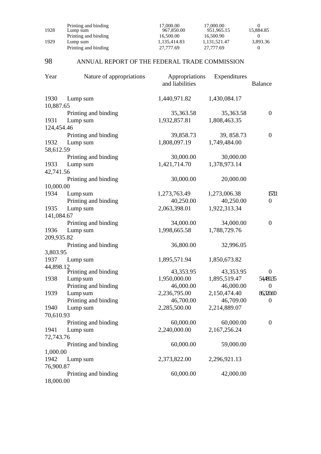| 1928              | Printing and binding<br>Lump sum<br>Printing and binding | 17,000.00<br>967,850.00<br>16,500.00 | 17,000.00<br>951,965.15<br>16,500.90 | 0<br>15,884.85<br>$\boldsymbol{0}$ |
|-------------------|----------------------------------------------------------|--------------------------------------|--------------------------------------|------------------------------------|
| 1929              | Lump sum<br>Printing and binding                         | 1,135,414.83<br>27,777.69            | 1,131,521.47<br>27,777.69            | 3,893.36<br>$\mathbf{0}$           |
| 98                | ANNUAL REPORT OF THE FEDERAL TRADE COMMISSION            |                                      |                                      |                                    |
| Year              | Nature of appropriations                                 | Appropriations<br>and liabilities    | Expenditures                         | <b>Balance</b>                     |
| 1930<br>10,887.65 | Lump sum                                                 | 1,440,971.82                         | 1,430,084.17                         |                                    |
|                   | Printing and binding                                     | 35,363.58                            | 35,363.58                            | $\overline{0}$                     |
| 1931              | Lump sum                                                 | 1,932,857.81                         | 1,808,463.35                         |                                    |
| 124,454.46        |                                                          |                                      |                                      |                                    |
|                   | Printing and binding                                     | 39,858.73                            | 39, 858.73                           | $\overline{0}$                     |
| 1932              | Lump sum                                                 | 1,808,097.19                         | 1,749,484.00                         |                                    |
| 58,612.59         |                                                          |                                      |                                      |                                    |
|                   | Printing and binding                                     | 30,000.00                            | 30,000.00                            |                                    |
| 1933              | Lump sum                                                 | 1,421,714.70                         | 1,378,973.14                         |                                    |
| 42,741.56         | Printing and binding                                     | 30,000.00                            | 20,000.00                            |                                    |
| 10,000.00         |                                                          |                                      |                                      |                                    |
| 1934              | Lump sum                                                 | 1,273,763.49                         | 1,273,006.38                         | 157.11                             |
|                   | Printing and binding                                     | 40,250.00                            | 40,250.00                            | $\mathbf{0}$                       |
| 1935              | Lump sum                                                 | 2,063,398.01                         | 1,922,313.34                         |                                    |
| 141,084.67        |                                                          |                                      |                                      |                                    |
|                   | Printing and binding                                     | 34,000.00                            | 34,000.00                            | $\overline{0}$                     |
| 1936              | Lump sum                                                 | 1,998,665.58                         | 1,788,729.76                         |                                    |
| 209,935.82        |                                                          |                                      |                                      |                                    |
|                   | Printing and binding                                     | 36,800.00                            | 32,996.05                            |                                    |
| 3,803.95          |                                                          |                                      |                                      |                                    |
| 1937              | Lump sum                                                 | 1,895,571.94                         | 1,850,673.82                         |                                    |
| 44,898.12         | Printing and binding                                     | 43,353.95                            | 43,353.95                            | $\boldsymbol{0}$                   |
| 1938              | Lump sum                                                 | 1,950,000.00                         | 1,895,519.47                         | 54,48035                           |
|                   | Printing and binding                                     | 46,000.00                            | 46,000.00                            | $\boldsymbol{0}$                   |
| 1939              | Lump sum                                                 | 2,236,795.00                         | 2,150,474.40                         | 8632060                            |
|                   | Printing and binding                                     | 46,700.00                            | 46,709.00                            | $\boldsymbol{0}$                   |
| 1940              | Lump sum                                                 | 2,285,500.00                         | 2,214,889.07                         |                                    |
| 70,610.93         |                                                          |                                      |                                      |                                    |
|                   | Printing and binding                                     | 60,000.00                            | 60,000.00                            | $\boldsymbol{0}$                   |
| 1941              | Lump sum                                                 | 2,240,000.00                         | 2,167,256.24                         |                                    |
| 72,743.76         | Printing and binding                                     | 60,000.00                            | 59,000.00                            |                                    |
| 1,000.00          |                                                          |                                      |                                      |                                    |
| 1942              | Lump sum                                                 | 2,373,822.00                         | 2,296,921.13                         |                                    |
| 76,900.87         |                                                          |                                      |                                      |                                    |
|                   | Printing and binding                                     | 60,000.00                            | 42,000.00                            |                                    |
| 18,000.00         |                                                          |                                      |                                      |                                    |
|                   |                                                          |                                      |                                      |                                    |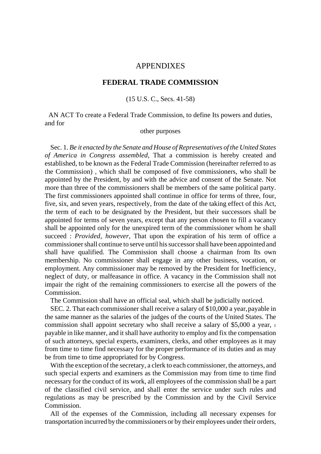### APPENDIXES

### **FEDERAL TRADE COMMISSION**

### (15 U.S. C., Secs. 41-58)

AN ACT To create a Federal Trade Commission, to define Its powers and duties, and for

### other purposes

Sec. 1. *Be it enacted by the Senate and House of Representatives of the United States of America in Congress assembled,* That a commission is hereby created and established, to be known as the Federal Trade Commission (hereinafter referred to as the Commission) , which shall be composed of five commissioners, who shall be appointed by the President, by and with the advice and consent of the Senate. Not more than three of the commissioners shall be members of the same political party. The first commissioners appointed shall continue in office for terms of three, four, five, six, and seven years, respectively, from the date of the taking effect of this Act, the term of each to be designated by the President, but their successors shall be appointed for terms of seven years, except that any person chosen to fill a vacancy shall be appointed only for the unexpired term of the commissioner whom he shall succeed : *Provided, however,* That upon the expiration of his term of office a commissioner shall continue to serve until his successor shall have been appointed and shall have qualified. The Commission shall choose a chairman from Its own membership. No commissioner shall engage in any other business, vocation, or employment. Any commissioner may be removed by the President for Inefficiency, neglect of duty, or malfeasance in office. A vacancy in the Commission shall not impair the right of the remaining commissioners to exercise all the powers of the **Commission** 

The Commission shall have an official seal, which shall be judicially noticed.

SEC. 2. That each commissioner shall receive a salary of \$10,000 a year,payable in the same manner as the salaries of the judges of the courts of the United States. The commission shall appoint secretary who shall receive a salary of \$5,000 a year, <sup>1</sup> payable in like manner, and it shall have authority to employ and fix the compensation of such attorneys, special experts, examiners, clerks, and other employees as it may from time to time find necessary for the proper performance of its duties and as may be from time to time appropriated for by Congress.

With the exception of the secretary, a clerk to each commissioner, the attorneys, and such special experts and examiners as the Commission may from time to time find necessary for the conduct of its work, all employees of the commission shall be a part of the classified civil service, and shall enter the service under such rules and regulations as may be prescribed by the Commission and by the Civil Service Commission.

All of the expenses of the Commission, including all necessary expenses for transportation incurred by the commissioners or by their employees undertheir orders,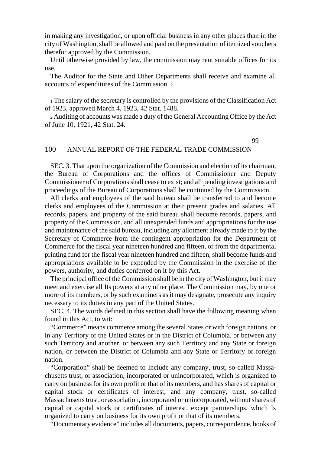in making any investigation, or upon official business in any other places than in the city of Washington, shall be allowed and paid on the presentation of itemized vouchers therefor approved by the Commission.

Until otherwise provided by law, the commission may rent suitable offices for its use.

The Auditor for the State and Other Departments shall receive and examine all accounts of expenditures of the Commission. <sup>2</sup>

<sup>1</sup> The salary of the secretary is controlled by the provisions of the Classification Act of 1923, approved March 4, 1923, 42 Stat. 1488.

<sup>2</sup> Auditing of accounts was made a duty of the General Accounting Office by the Act of June 10, 1921, 42 Stat. 24.

99

# 100 ANNUAL REPORT OF THE FEDERAL TRADE COMMISSION

SEC. 3. That upon the organization of the Commission and election of its chairman, the Bureau of Corporations and the offices of Commissioner and Deputy Commissioner of Corporations shall cease to exist; and all pending investigations and proceedings of the Bureau of Corporations shall be continued by the Commission.

All clerks and employees of the said bureau shall be transferred to and become clerks and employees of the Commission at their present grades and salaries. All records, papers, and property of the said bureau shall become records, papers, and property of the Commission, and all unexpended funds and appropriations for the use and maintenance of the said bureau, including any allotment already made to it by the Secretary of Commerce from the contingent appropriation for the Department of Commerce for the fiscal year nineteen hundred and fifteen, or from the departmental printing fund for the fiscal year nineteen hundred and fifteen, shall become funds and appropriations available to be expended by the Commission in the exercise of the powers, authority, and duties conferred on it by this Act.

The principal office of the Commission shall be in the city of Washington, but it may meet and exercise all Its powers at any other place. The Commission may, by one or more of its members, or by such examiners as it may designate, prosecute any inquiry necessary to its duties in any part of the United States.

SEC. 4. The words defined in this section shall have the following meaning when found in this Act, to wit:

"Commerce" means commerce among the several States or with foreign nations, or in any Territory of the United States or in the District of Columbia, or between any such Territory and another, or between any such Territory and any State or foreign nation, or between the District of Columbia and any State or Territory or foreign nation.

"Corporation" shall be deemed to Include any company, trust, so-called Massachusetts trust, or association, incorporated or unincorporated, which is organized to carry on business for its own profit or that of its members, and has shares of capital or capital stock or certificates of interest, and any company, trust, so-called Massachusetts trust, or association, incorporated or unincorporated, without shares of capital or capital stock or certificates of interest, except partnerships, which Is organized to carry on business for its own profit or that of its members.

"Documentary evidence" includes all documents, papers, correspondence, books of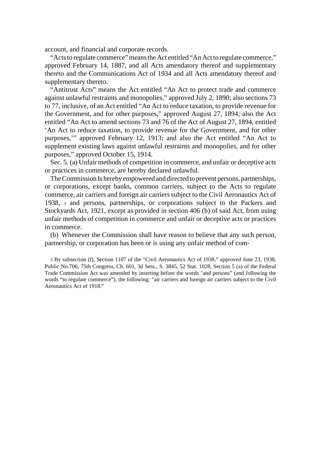account, and financial and corporate records.

"Acts to regulate commerce" means the Act entitled "An Act to regulate commerce," approved February 14, 1887, and all Acts amendatory thereof and supplementary thereto and the Communications Act of 1934 and all Acts amendatory thereof and supplementary thereto.

"Antitrust Acts" means the Act entitled "An Act to protect trade and commerce against unlawful restraints and monopolies," approved July 2, 1890; also sections 73 to 77, inclusive, of an Act entitled "An Act to reduce taxation, to provide revenue for the Government, and for other purposes," approved August 27, 1894; also the Act entitled "An Act to amend sections 73 and 76 of the Act of August 27, 1894, entitled 'An Act to reduce taxation, to provide revenue for the Government, and for other purposes,'" approved February 12, 1913; and also the Act entitled "An Act to supplement existing laws against unlawful restraints and monopolies, and for other purposes," approved October 15, 1914.

Sec. 5. (a) Unfair methods of competition in commerce, and unfair or deceptive acts or practices in commerce, are hereby declared unlawful.

TheCommission Is hereby empowered and directed to prevent persons, partnerships, or corporations, except banks, common carriers, subject to the Acts to regulate commerce, air carriers and foreign air carriers subject to the Civil Aeronautics Act of 1938, <sup>3</sup> and persons, partnerships, or corporations subject to the Packers and Stockyards Act, 1921, except as provided in section 406 (b) of said Act, from using unfair methods of competition in commerce and unfair or deceptive acts or practices in commerce.

(b) Whenever the Commission shall have reason to believe that any such person, partnership, or corporation has been or is using any unfair method of com-

3 By subsection (f), Section 1107 of the "Civil Aeronautics Act of 1938," approved June 23, 1938, Public No.706, 75th Congress, Ch. 601, 3d Sess., S. 3845, 52 Stat. 1028, Section 5 (a) of the Federal Trade Commission Act was amended by inserting before the words "and persons" (and following the words "to regulate commerce"), the following: "air carriers and foreign air carriers subject to the Civil Aeronautics Act of 1918."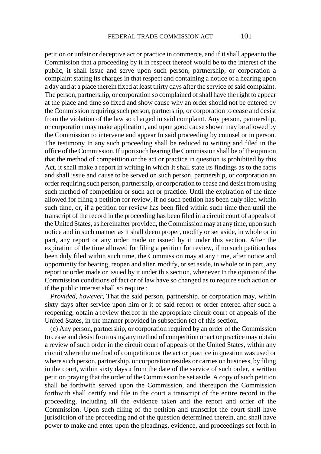petition or unfair or deceptive act or practice in commerce, and if it shall appear to the Commission that a proceeding by it in respect thereof would be to the interest of the public, it shall issue and serve upon such person, partnership, or corporation a complaint stating Its charges in that respect and containing a notice of a hearing upon a day and at a place therein fixed at least thirty days after the service of said complaint. The person, partnership, or corporation so complained of shall have the right to appear at the place and time so fixed and show cause why an order should not be entered by the Commission requiring such person, partnership, or corporation to cease and desist from the violation of the law so charged in said complaint. Any person, partnership, or corporation may make application, and upon good cause shown may be allowed by the Commission to intervene and appear In said proceeding by counsel or in person. The testimony In any such proceeding shall be reduced to writing and filed in the office oftheCommission.If upon such hearing theCommission shall be ofthe opinion that the method of competition or the act or practice in question is prohibited by this Act, it shall make a report in writing in which It shall state Its findings as to the facts and shall issue and cause to be served on such person, partnership, or corporation an order requiring such person, partnership, or corporation to cease and desist fromusing such method of competition or such act or practice. Until the expiration of the time allowed for filing a petition for review, if no such petition has been duly filed within such time, or, if a petition for review has been filed within such time then until the transcript of the record in the proceeding has been filed in a circuit court of appeals of the United States, as hereinafter provided, theCommissionmay at any time, upon such notice and in such manner as it shall deem proper, modify or set aside, in whole or in part, any report or any order made or issued by it under this section. After the expiration of the time allowed for filing a petition for review, if no such petition has been duly filed within such time, the Commission may at any time, after notice and opportunity for bearing, reopen and alter, modify, orset aside, in whole or in part, any report or order made or issued by it under this section, whenever In the opinion of the Commission conditions of fact or of law have so changed as to require such action or if the public interest shall so require :

*Provided, however,* That the said person, partnership, or corporation may, within sixty days after service upon him or it of said report or order entered after such a reopening, obtain a review thereof in the appropriate circuit court of appeals of the United States, in the manner provided in subsection (c) of this section.

(c) Any person, partnership, or corporation required by an order of the Commission to cease and desist fromusing any method of competition or act or practice may obtain a review of such order in the circuit court of appeals of the United States, within any circuit where the method of competition or the act or practice in question was used or where such person, partnership, or corporation resides or carries on business, by filing in the court, within sixty days <sup>4</sup> from the date of the service of such order, a written petition praying that the order of the Commission be set aside. A copy of such petition shall be forthwith served upon the Commission, and thereupon the Commission forthwith shall certify and file in the court a transcript of the entire record in the proceeding, including all the evidence taken and the report and order of the Commission. Upon such filing of the petition and transcript the court shall have jurisdiction of the proceeding and of the question determined therein, and shall have power to make and enter upon the pleadings, evidence, and proceedings set forth in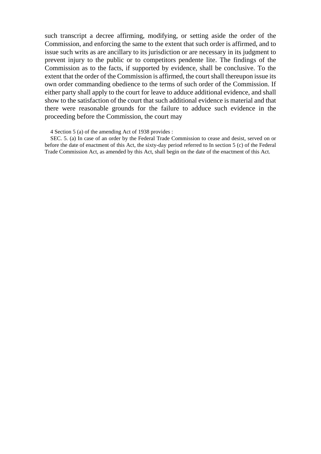such transcript a decree affirming, modifying, or setting aside the order of the Commission, and enforcing the same to the extent that such order is affirmed, and to issue such writs as are ancillary to its jurisdiction or are necessary in its judgment to prevent injury to the public or to competitors pendente lite. The findings of the Commission as to the facts, if supported by evidence, shall be conclusive. To the extent that the order of the Commission is affirmed, the court shall thereupon issue its own order commanding obedience to the terms of such order of the Commission. If either party shall apply to the court for leave to adduce additional evidence, and shall show to the satisfaction of the court that such additional evidence is material and that there were reasonable grounds for the failure to adduce such evidence in the proceeding before the Commission, the court may

SEC. 5. (a) In case of an order by the Federal Trade Commission to cease and desist, served on or before the date of enactment of this Act, the sixty-day period referred to In section 5 (c) of the Federal Trade Commission Act, as amended by this Act, shall begin on the date of the enactment of this Act.

<sup>4</sup> Section 5 (a) of the amending Act of 1938 provides :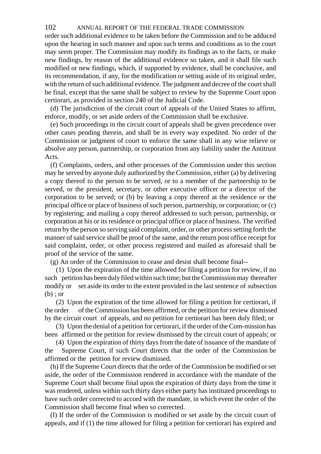#### 102 ANNUAL REPORT OF THE FEDERAL TRADE COMMISSION

order such additional evidence to be taken before the Commission and to be adduced upon the hearing in such manner and upon such terms and conditions as to the court may seem proper. The Commission may modify its findings as to the facts, or make new findings, by reason of the additional evidence so taken, and it shall file such modified or new findings, which, if supported by evidence, shall be conclusive, and its recommendation, if any, for the modification or setting aside of its original order, with the return of such additional evidence. The judgment and decree of the court shall be final, except that the same shall be subject to review by the Supreme Court upon certiorari, as provided in section 240 of the Judicial Code.

(d) The jurisdiction of the circuit court of appeals of the United States to affirm, enforce, modify, or set aside orders of the Commission shall be exclusive.

(e) Such proceedings in the circuit court of appeals shall be given precedence over other cases pending therein, and shall be in every way expedited. No order of the Commission or judgment of court to enforce the same shall in any wise relieve or absolve any person, partnership, or corporation from any liability under the Antitrust Acts.

(f) Complaints, orders, and other processes of the Commission under this section may be served by anyone duly authorized by the Commission, either (a) by delivering a copy thereof to the person to be served, or to a member of the partnership to be served, or the president, secretary, or other executive officer or a director of the corporation to be served; or (b) by leaving a copy thereof at the residence or the principal office or place of business of such person, partnership, or corporation; or  $(c)$ by registering; and mailing a copy thereof addressed to such person, partnership, or corporation at his or its residence or principal office or place of business. The verified return by the person so serving said complaint, order, or other process setting forth the manner ofsaid service shall be proof of the same, and the return post office receipt for said complaint, order, or other process registered and mailed as aforesaid shall be proof of the service of the same.

(g) An order of the Commission to cease and desist shall become final--

(1) Upon the expiration of the time allowed for filing a petition for review, if no such petition has been duly filed within such time; but the Commission may thereafter modify or set aside its order to the extent provided in the last sentence of subsection (b) ; or

(2) Upon the expiration of the time allowed for filing a petition for certiorari, if the order of the Commission has been affirmed, or the petition for review dismissed by the circuit court of appeals, and no petition for certiorari has been duly filed; or

 $(3)$  Upon the denial of a petition for certiorari, if the order of the Com-mission has been affirmed or the petition for review dismissed by the circuit court of appeals; or

(4) Upon the expiration of thirty days from the date of issuance of the mandate of the Supreme Court, if such Court directs that the order of the Commission be affirmed or the petition for review dismissed.

(h) If the Supreme Court directs that the order of the Commission be modified or set aside, the order of the Commission rendered in accordance with the mandate of the Supreme Court shall become final upon the expiration of thirty days from the time it was rendered, unless within such thirty days either party has instituted proceedings to have such order corrected to accord with the mandate, in which event the order of the Commission shall become final when so corrected.

(I) If the order of the Commission is modified or set aside by the circuit court of appeals, and if (1) the time allowed for filing a petition for certiorari has expired and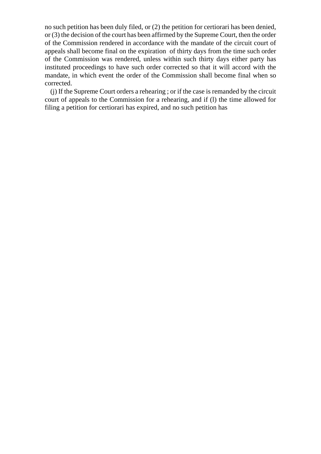no such petition has been duly filed, or (2) the petition for certiorari has been denied, or (3) the decision of the court has been affirmed by the Supreme Court, then the order of the Commission rendered in accordance with the mandate of the circuit court of appeals shall become final on the expiration of thirty days from the time such order of the Commission was rendered, unless within such thirty days either party has instituted proceedings to have such order corrected so that it will accord with the mandate, in which event the order of the Commission shall become final when so corrected.

(j) If the Supreme Court orders a rehearing ; or if the case is remanded by the circuit court of appeals to the Commission for a rehearing, and if (l) the time allowed for filing a petition for certiorari has expired, and no such petition has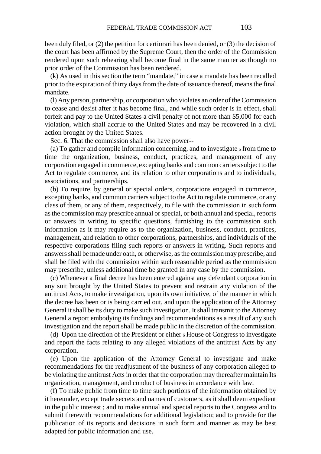been duly filed, or (2) the petition for certiorari has been denied, or (3) the decision of the court has been affirmed by the Supreme Court, then the order of the Commission rendered upon such rehearing shall become final in the same manner as though no prior order of the Commission has been rendered.

(k) As used in this section the term "mandate," in case a mandate has been recalled prior to the expiration of thirty days from the date of issuance thereof, meansthe final mandate.

(l) Any person, partnership, or corporation who violates an order of the Commission to cease and desist after it has become final, and while such order is in effect, shall forfeit and pay to the United States a civil penalty of not more than \$5,000 for each violation, which shall accrue to the United States and may be recovered in a civil action brought by the United States.

Sec. 6. That the commission shall also have power--

(a) To gather and compile information concerning, and to investigate <sup>5</sup> from time to time the organization, business, conduct, practices, and management of any corporation engaged in commerce, excepting banks and common carriers subject to the Act to regulate commerce, and its relation to other corporations and to individuals, associations, and partnerships.

(b) To require, by general or special orders, corporations engaged in commerce, excepting banks, and common carriers subject to the Act to regulate commerce, or any class of them, or any of them, respectively, to file with the commission in such form as the commission may prescribe annual or special, or both annual and special, reports or answers in writing to specific questions, furnishing to the commission such information as it may require as to the organization, business, conduct, practices, management, and relation to other corporations, partnerships, and individuals of the respective corporations filing such reports or answers in writing. Such reports and answersshall be made under oath, or otherwise, asthe commission may prescribe, and shall be filed with the commission within such reasonable period as the commission may prescribe, unless additional time be granted in any case by the commission.

(c) Whenever a final decree has been entered against any defendant corporation in any suit brought by the United States to prevent and restrain any violation of the antitrust Acts, to make investigation, upon its own initiative, of the manner in which the decree has been or is being carried out, and upon the application of the Attorney General it shall be its duty to make such investigation. It shall transmit to the Attorney General a report embodying its findings and recommendations as a result of any such investigation and the report shall be made public in the discretion of the commission.

(d) Upon the direction of the President or either <sup>6</sup> House of Congress to investigate and report the facts relating to any alleged violations of the antitrust Acts by any corporation.

(e) Upon the application of the Attorney General to investigate and make recommendations for the readjustment of the business of any corporation alleged to be violating the antitrust Acts in order that the corporation may thereafter maintain Its organization, management, and conduct of business in accordance with law.

(f) To make public from time to time such portions of the information obtained by it hereunder, except trade secrets and names of customers, as it shall deem expedient in the public interest ; and to make annual and special reports to the Congress and to submit therewith recommendations for additional legislation; and to provide for the publication of its reports and decisions in such form and manner as may be best adapted for public information and use.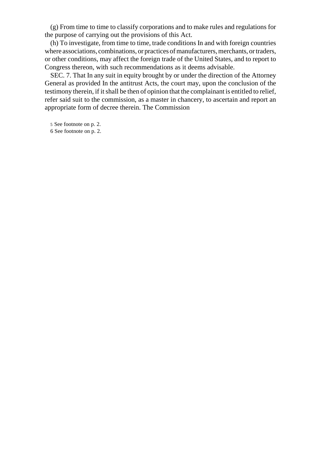(g) From time to time to classify corporations and to make rules and regulations for the purpose of carrying out the provisions of this Act.

(h) To investigate, from time to time, trade conditions In and with foreign countries where associations, combinations, or practices of manufacturers, merchants, or traders, or other conditions, may affect the foreign trade of the United States, and to report to Congress thereon, with such recommendations as it deems advisable.

SEC. 7. That In any suit in equity brought by or under the direction of the Attorney General as provided In the antitrust Acts, the court may, upon the conclusion of the testimony therein, if itshall be then of opinion that the complainant is entitled to relief, refer said suit to the commission, as a master in chancery, to ascertain and report an appropriate form of decree therein. The Commission

5 See footnote on p. 2.

6 See footnote on p. 2.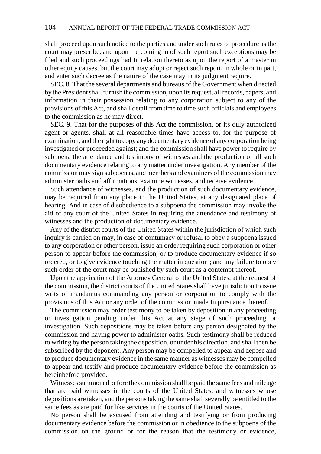shall proceed upon such notice to the parties and under such rules of procedure as the court may prescribe, and upon the coming in of such report such exceptions may be filed and such proceedings had In relation thereto as upon the report of a master in other equity causes, but the court may adopt or reject such report, in whole or in part, and enter such decree as the nature of the case may in its judgment require.

SEC. 8. That the several departments and bureaus of the Government when directed by the President shall furnish the commission, upon Its request, all records, papers, and information in their possession relating to any corporation subject to any of the provisions of this Act, and shall detail from time to time such officials and employees to the commission as he may direct.

SEC. 9. That for the purposes of this Act the commission, or its duly authorized agent or agents, shall at all reasonable times have access to, for the purpose of examination, and the right to copy any documentary evidence of any corporation being investigated or proceeded against; and the commission shall have power to require by subpoena the attendance and testimony of witnesses and the production of all such documentary evidence relating to any matter under investigation. Any member of the commission may sign subpoenas, and members and examiners of the commission may administer oaths and affirmations, examine witnesses, and receive evidence.

Such attendance of witnesses, and the production of such documentary evidence, may be required from any place in the United States, at any designated place of hearing. And in case of disobedience to a subpoena the commission may invoke the aid of any court of the United States in requiring the attendance and testimony of witnesses and the production of documentary evidence.

Any of the district courts of the United States within the jurisdiction of which such inquiry is carried on may, in case of contumacy or refusal to obey a subpoena issued to any corporation or other person, issue an order requiring such corporation or other person to appear before the commission, or to produce documentary evidence if so ordered, or to give evidence touching the matter in question ; and any failure to obey such order of the court may be punished by such court as a contempt thereof.

Upon the application of the Attorney General of the United States, at the request of the commission, the district courts of the United States shall have jurisdiction to issue writs of mandamus commanding any person or corporation to comply with the provisions of this Act or any order of the commission made In pursuance thereof.

The commission may order testimony to be taken by deposition in any proceeding or investigation pending under this Act at any stage of such proceeding or investigation. Such depositions may be taken before any person designated by the commission and having power to administer oaths. Such testimony shall be reduced to writing by the person taking the deposition, or under his direction, and shall then be subscribed by the deponent. Any person may be compelled to appear and depose and to produce documentary evidence in the same manner as witnesses may be compelled to appear and testify and produce documentary evidence before the commission as hereinbefore provided.

Witnesses summoned before the commission shall be paid the same fees and mileage that are paid witnesses in the courts of the United States, and witnesses whose depositions are taken, and the persons taking the same shall severally be entitled to the same fees as are paid for like services in the courts of the United States.

No person shall be excused from attending and testifying or from producing documentary evidence before the commission or in obedience to the subpoena of the commission on the ground or for the reason that the testimony or evidence,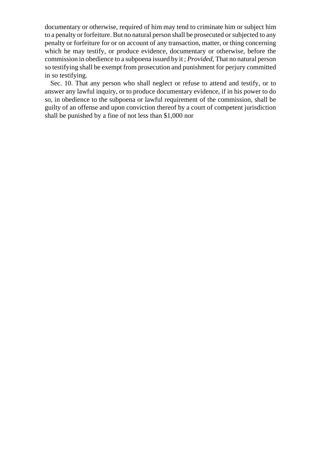documentary or otherwise, required of him may tend to criminate him or subject him to a penalty or forfeiture. But no natural person shall be prosecuted or subjected to any penalty or forfeiture for or on account of any transaction, matter, or thing concerning which he may testify, or produce evidence, documentary or otherwise, before the commission in obedience to a subpoena issued by it ; *Provided,* That no natural person so testifying shall be exempt from prosecution and punishment for perjury committed in so testifying.

Sec. 10. That any person who shall neglect or refuse to attend and testify, or to answer any lawful inquiry, or to produce documentary evidence, if in his power to do so, in obedience to the subpoena or lawful requirement of the commission, shall be guilty of an offense and upon conviction thereof by a court of competent jurisdiction shall be punished by a fine of not less than \$1,000 nor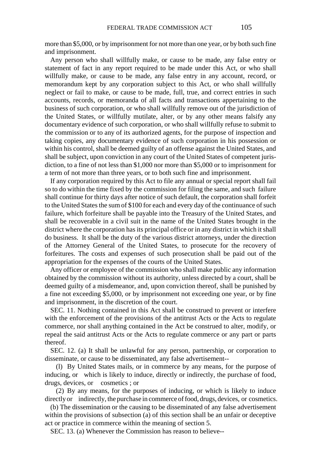more than \$5,000, or by imprisonment for not more than one year, or by both such fine and imprisonment.

Any person who shall willfully make, or cause to be made, any false entry or statement of fact in any report required to be made under this Act, or who shall willfully make, or cause to be made, any false entry in any account, record, or memorandum kept by any corporation subject to this Act, or who shall willfully neglect or fail to make, or cause to be made, full, true, and correct entries in such accounts, records, or memoranda of all facts and transactions appertaining to the business of such corporation, or who shall willfully remove out of the jurisdiction of the United States, or willfully mutilate, alter, or by any other means falsify any documentary evidence of such corporation, or who shall willfully refuse to submit to the commission or to any of its authorized agents, for the purpose of inspection and taking copies, any documentary evidence of such corporation in his possession or within his control, shall be deemed guilty of an offense against the United States, and shall be subject, upon conviction in any court of the United States of competent jurisdiction, to a fine of not less than \$1,000 nor more than \$5,000 or to imprisonment for a term of not more than three years, or to both such fine and imprisonment.

If any corporation required by this Act to file any annual or special report shall fail so to do within the time fixed by the commission for filing the same, and such failure shall continue for thirty days after notice of such default, the corporation shall forfeit to the United States the sum of \$100 for each and every day of the continuance of such failure, which forfeiture shall be payable into the Treasury of the United States, and shall be recoverable in a civil suit in the name of the United States brought in the district where the corporation has its principal office or in any district in which it shall do business. It shall be the duty of the various district attorneys, under the direction of the Attorney General of the United States, to prosecute for the recovery of forfeitures. The costs and expenses of such prosecution shall be paid out of the appropriation for the expenses of the courts of the United States.

Any officer or employee of the commission who shall make public any information obtained by the commission without its authority, unless directed by a court, shall be deemed guilty of a misdemeanor, and, upon conviction thereof, shall be punished by a fine not exceeding \$5,000, or by imprisonment not exceeding one year, or by fine and imprisonment, in the discretion of the court.

SEC. 11. Nothing contained in this Act shall be construed to prevent or interfere with the enforcement of the provisions of the antitrust Acts or the Acts to regulate commerce, nor shall anything contained in the Act be construed to alter, modify, or repeal the said antitrust Acts or the Acts to regulate commerce or any part or parts thereof.

SEC. 12. (a) It shall be unlawful for any person, partnership, or corporation to disseminate, or cause to be disseminated, any false advertisement--

(l) By United States mails, or in commerce by any means, for the purpose of inducing, or which is likely to induce, directly or indirectly, the purchase of food, drugs, devices, or cosmetics ; or

(2) By any means, for the purposes of inducing, or which is likely to induce directly or indirectly, the purchase in commerce of food, drugs, devices, or cosmetics.

(b) The dissemination or the causing to be disseminated of any false advertisement within the provisions of subsection (a) of this section shall be an unfair or deceptive act or practice in commerce within the meaning of section 5.

SEC. 13. (a) Whenever the Commission has reason to believe--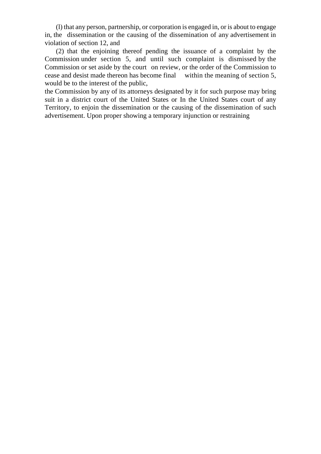(l) that any person, partnership, or corporation is engaged in, or is about to engage in, the dissemination or the causing of the dissemination of any advertisement in violation of section 12, and

(2) that the enjoining thereof pending the issuance of a complaint by the Commission under section 5, and until such complaint is dismissed by the Commission or set aside by the court on review, or the order of the Commission to cease and desist made thereon has become final within the meaning of section 5, would be to the interest of the public,

the Commission by any of its attorneys designated by it for such purpose may bring suit in a district court of the United States or In the United States court of any Territory, to enjoin the dissemination or the causing of the dissemination of such advertisement. Upon proper showing a temporary injunction or restraining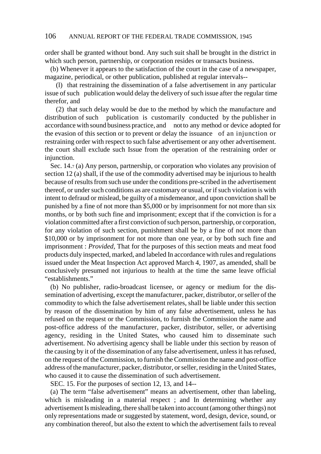#### 106 ANNUAL REPORT OF THE FEDERAL TRADE COMMISSION, 1945

order shall be granted without bond. Any such suit shall be brought in the district in which such person, partnership, or corporation resides or transacts business.

(b) Whenever it appears to the satisfaction of the court in the case of a newspaper, magazine, periodical, or other publication, published at regular intervals--

(l) that restraining the dissemination of a false advertisement in any particular issue of such publication would delay the delivery of such issue after the regular time therefor, and

(2) that such delay would be due to the method by which the manufacture and distribution of such publication is customarily conducted by the publisher in accordance with sound business practice, and not to any method or device adopted for the evasion of this section or to prevent or delay the issuance of an injunction or restraining order with respect to such false advertisement or any other advertisement. the court shall exclude such Issue from the operation of the restraining order or injunction.

Sec. 14.<sup>7</sup> (a) Any person, partnership, or corporation who violates any provision of section 12 (a) shall, if the use of the commodity advertised may be injurious to health because of results from such use under the conditions pre-scribed in the advertisement thereof, or under such conditions as are customary or usual, or if such violation is with intent to defraud or mislead, be guilty of a misdemeanor, and upon conviction shall be punished by a fine of not more than \$5,000 or by imprisonment for not more than six months, or by both such fine and imprisonment; except that if the conviction is for a violation committed after a first conviction of such person, partnership, or corporation, for any violation of such section, punishment shall be by a fine of not more than \$10,000 or by imprisonment for not more than one year, or by both such fine and imprisonment : *Provided,* That for the purposes of this section meats and meat food products duly inspected, marked, and labeled In accordance with rules and regulations issued under the Meat Inspection Act approved March 4, 1907, as amended, shall be conclusively presumed not injurious to health at the time the same leave official "establishments."

(b) No publisher, radio-broadcast licensee, or agency or medium for the dissemination of advertising, except the manufacturer, packer, distributor, orseller of the commodity to which the false advertisement relates, shall be liable under this section by reason of the dissemination by him of any false advertisement, unless he has refused on the request or the Commission, to furnish the Commission the name and post-office address of the manufacturer, packer, distributor, seller, or advertising agency, residing in the United States, who caused him to disseminate such advertisement. No advertising agency shall be liable under this section by reason of the causing by it of the dissemination of any false advertisement, unless it has refused, on the request oftheCommission, to furnish theCommission the name and post-office address of the manufacturer, packer, distributor, or seller, residing in the United States, who caused it to cause the dissemination of such advertisement.

SEC. 15. For the purposes of section 12, 13, and 14--

(a) The term "false advertisement" means an advertisement, other than labeling, which is misleading in a material respect; and In determining whether any advertisement Is misleading, there shall be taken into account (among other things) not only representations made or suggested by statement, word, design, device, sound, or any combination thereof, but also the extent to which the advertisement fails to reveal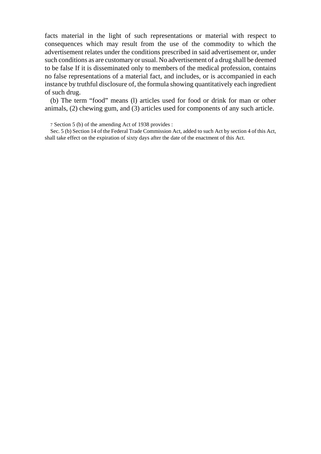facts material in the light of such representations or material with respect to consequences which may result from the use of the commodity to which the advertisement relates under the conditions prescribed in said advertisement or, under such conditions as are customary or usual. No advertisement of a drug shall be deemed to be false If it is disseminated only to members of the medical profession, contains no false representations of a material fact, and includes, or is accompanied in each instance by truthful disclosure of, the formula showing quantitatively each ingredient of such drug.

(b) The term "food" means (l) articles used for food or drink for man or other animals, (2) chewing gum, and (3) articles used for components of any such article.

7 Section 5 (b) of the amending Act of 1938 provides :

Sec. 5 (b) Section 14 of the Federal Trade Commission Act, added to such Act by section 4 of this Act, shall take effect on the expiration of sixty days after the date of the enactment of this Act.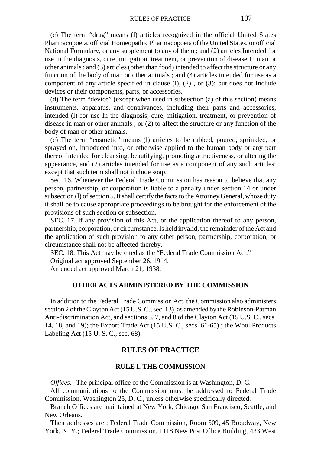(c) The term "drug" means (l) articles recognized in the official United States Pharmacopoeia, official Homeopathic Pharmacopoeia of the United States, or official National Formulary, or any supplement to any of them ; and (2) articles Intended for use In the diagnosis, cure, mitigation, treatment, or prevention of disease In man or other animals; and (3) articles (other than food) intended to affect the structure or any function of the body of man or other animals ; and (4) articles intended for use as a component of any article specified in clause (l), (2) , or (3); but does not Include devices or their components, parts, or accessories.

(d) The term "device" (except when used in subsection (a) of this section) means instruments, apparatus, and contrivances, including their parts and accessories, intended (l) for use In the diagnosis, cure, mitigation, treatment, or prevention of disease in man or other animals ; or (2) to affect the structure or any function of the body of man or other animals.

(e) The term "cosmetic" means (l) articles to be rubbed, poured, sprinkled, or sprayed on, introduced into, or otherwise applied to the human body or any part thereof intended for cleansing, beautifying, promoting attractiveness, or altering the appearance, and (2) articles intended for use as a component of any such articles; except that such term shall not include soap.

Sec. 16. Whenever the Federal Trade Commission has reason to believe that any person, partnership, or corporation is liable to a penalty under section 14 or under subsection (1) of section 5, It shall certify the facts to the Attorney General, whose duty it shall be to cause appropriate proceedings to be brought for the enforcement of the provisions of such section or subsection.

SEC. 17. If any provision of this Act, or the application thereof to any person, partnership, corporation, or circumstance, Is held invalid, the remainder of the Act and the application of such provision to any other person, partnership, corporation, or circumstance shall not be affected thereby.

SEC. 18. This Act may be cited as the "Federal Trade Commission Act." Original act approved September 26, 1914.

Amended act approved March 21, 1938.

#### **OTHER ACTS ADMINISTERED BY THE COMMISSION**

In addition to the Federal Trade Commission Act, the Commission also administers section 2 of the Clayton Act (15 U.S. C., sec. 13), as amended by the Robinson-Patman Anti-discrimination Act, and sections 3, 7, and 8 of the Clayton Act (15 U.S. C., secs. 14, 18, and 19); the Export Trade Act (15 U.S. C., secs. 61-65) ; the Wool Products Labeling Act (15 U. S. C., sec. 68).

# **RULES OF PRACTICE**

#### **RULE I. THE COMMISSION**

*Offices*.--The principal office of the Commission is at Washington, D. C.

All communications to the Commission must be addressed to Federal Trade Commission, Washington 25, D. C., unless otherwise specifically directed.

Branch Offices are maintained at New York, Chicago, San Francisco, Seattle, and New Orleans.

Their addresses are : Federal Trade Commission, Room 509, 45 Broadway, New York, N. Y.; Federal Trade Commission, 1118 New Post Office Building, 433 West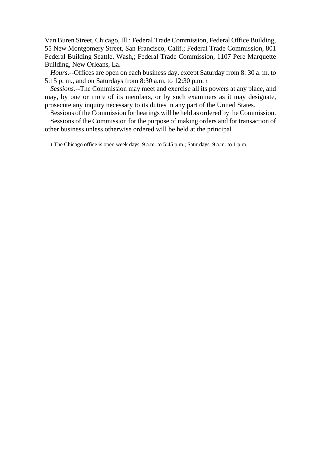Van Buren Street, Chicago, Ill.; Federal Trade Commission, Federal Office Building, 55 New Montgomery Street, San Francisco, Calif.; Federal Trade Commission, 801 Federal Building Seattle, Wash,; Federal Trade Commission, 1107 Pere Marquette Building, New Orleans, La.

*Hours.-*-Offices are open on each business day, except Saturday from 8: 30 a. m. to 5:15 p. m., and on Saturdays from 8:30 a.m. to 12:30 p.m. <sup>1</sup>

*Sessions.-*-The Commission may meet and exercise all its powers at any place, and may, by one or more of its members, or by such examiners as it may designate, prosecute any inquiry necessary to its duties in any part of the United States.

Sessions of the Commission for hearings will be held as ordered by the Commission. Sessions of the Commission for the purpose of making orders and for transaction of other business unless otherwise ordered will be held at the principal

1 The Chicago office is open week days, 9 a.m. to 5:45 p.m.; Saturdays, 9 a.m. to 1 p.m.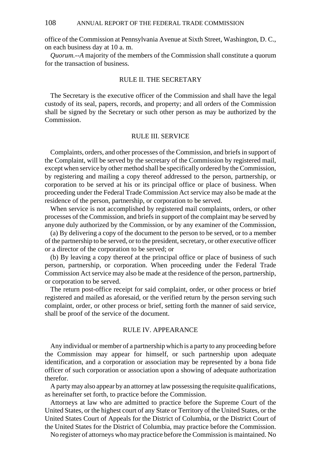office of the Commission at Pennsylvania Avenue at Sixth Street, Washington, D. C., on each business day at 10 a. m.

*Quorum.--A* majority of the members of the Commission shall constitute a quorum for the transaction of business.

#### RULE II. THE SECRETARY

The Secretary is the executive officer of the Commission and shall have the legal custody of its seal, papers, records, and property; and all orders of the Commission shall be signed by the Secretary or such other person as may be authorized by the Commission.

#### RULE III. SERVICE

Complaints, orders, and other processes of the Commission, and briefsin support of the Complaint, will be served by the secretary of the Commission by registered mail, except when service by other method shall be specifically ordered by the Commission, by registering and mailing a copy thereof addressed to the person, partnership, or corporation to be served at his or its principal office or place of business. When proceeding under the Federal Trade Commission Act service may also be made at the residence of the person, partnership, or corporation to be served.

When service is not accomplished by registered mail complaints, orders, or other processes of the Commission, and briefsin support of the complaint may be served by anyone duly authorized by the Commission, or by any examiner of the Commission,

(a) By delivering a copy of the document to the person to be served, or to a member of the partnership to be served, or to the president, secretary, or other executive officer or a director of the corporation to be served; or

(b) By leaving a copy thereof at the principal office or place of business of such person, partnership, or corporation. When proceeding under the Federal Trade Commission Act service may also be made at the residence of the person, partnership, or corporation to be served.

The return post-office receipt for said complaint, order, or other process or brief registered and mailed as aforesaid, or the verified return by the person serving such complaint, order, or other process or brief, setting forth the manner of said service, shall be proof of the service of the document.

# RULE IV. APPEARANCE

Any individual or member of a partnership which is a party to any proceeding before the Commission may appear for himself, or such partnership upon adequate identification, and a corporation or association may be represented by a bona fide officer of such corporation or association upon a showing of adequate authorization therefor.

A partymay also appear by an attorney at law possessing the requisite qualifications, as hereinafter set forth, to practice before the Commission.

Attorneys at law who are admitted to practice before the Supreme Court of the United States, or the highest court of any State or Territory of the United States, or the United States Court of Appeals for the District of Columbia, or the District Court of the United States for the District of Columbia, may practice before the Commission.

No register of attorneys who may practice before the Commission is maintained. No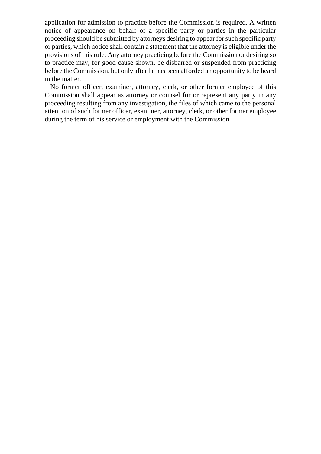application for admission to practice before the Commission is required. A written notice of appearance on behalf of a specific party or parties in the particular proceeding should be submitted by attorneys desiring to appear for such specific party or parties, which notice shall contain a statement that the attorney is eligible under the provisions of this rule. Any attorney practicing before the Commission or desiring so to practice may, for good cause shown, be disbarred or suspended from practicing before the Commission, but only after he has been afforded an opportunity to be heard in the matter.

No former officer, examiner, attorney, clerk, or other former employee of this Commission shall appear as attorney or counsel for or represent any party in any proceeding resulting from any investigation, the files of which came to the personal attention of such former officer, examiner, attorney, clerk, or other former employee during the term of his service or employment with the Commission.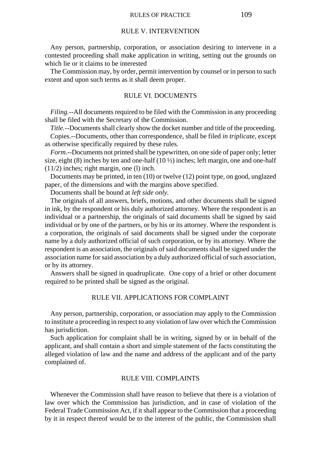### RULE V. INTERVENTION

Any person, partnership, corporation, or association desiring to intervene in a contested proceeding shall make application in writing, setting out the grounds on which lie or it claims to be interested

The Commission may, by order, permit intervention by counsel or in person to such extent and upon such terms as it shall deem proper.

#### RULE VI. DOCUMENTS

*Filing.--*All documents required to be filed with the Commission in any proceeding shall be filed with the Secretary of the Commission.

Title.--Documents shall clearly show the docket number and title of the proceeding.

Copies.--Documents, other than correspondence, shall be filed *in triplicate,* except as otherwise specifically required by these rules.

*Form*.--Documents not printed shall be typewritten, on one side of paper only; letter size, eight  $(8)$  inches by ten and one-half  $(10 \frac{1}{2})$  inches; left margin, one and one-half (11/2) inches; right margin, one (l) inch.

Documents may be printed, in ten (10) or twelve (12) point type, on good, unglazed paper, of the dimensions and with the margins above specified.

Documents shall be bound at *left side only.*

The originals of all answers, briefs, motions, and other documents shall be signed in ink, by the respondent or his duly authorized attorney. Where the respondent is an individual or a partnership, the originals of said documents shall be signed by said individual or by one of the partners, or by his or its attorney. Where the respondent is a corporation, the originals of said documents shall be signed under the corporate name by a duly authorized official of such corporation, or by its attorney. Where the respondent is an association, the originals of said documents shall be signed under the association name for said association by a duly authorized official of such association, or by its attorney.

Answers shall be signed in quadruplicate. One copy of a brief or other document required to be printed shall be signed as the original.

### RULE VII. APPLICATIONS FOR COMPLAINT

Any person, partnership, corporation, or association may apply to the Commission to institute a proceeding in respect to any violation of law over which the Commission has jurisdiction.

Such application for complaint shall be in writing, signed by or in behalf of the applicant, and shall contain a short and simple statement of the facts constituting the alleged violation of law and the name and address of the applicant and of the party complained of.

#### RULE VIII. COMPLAINTS

Whenever the Commission shall have reason to believe that there is a violation of law over which the Commission has jurisdiction, and in case of violation of the Federal Trade Commission Act, if it shall appear to the Commission that a proceeding by it in respect thereof would be to the interest of the public, the Commission shall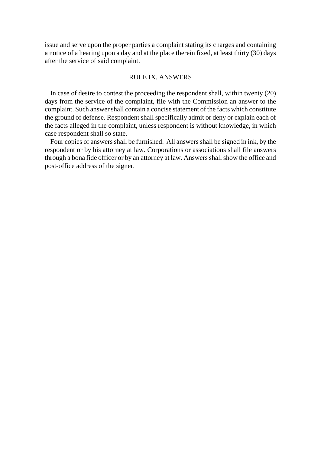issue and serve upon the proper parties a complaint stating its charges and containing a notice of a hearing upon a day and at the place therein fixed, at least thirty (30) days after the service of said complaint.

# RULE IX. ANSWERS

In case of desire to contest the proceeding the respondent shall, within twenty (20) days from the service of the complaint, file with the Commission an answer to the complaint. Such answer shall contain a concise statement of the facts which constitute the ground of defense. Respondent shall specifically admit or deny or explain each of the facts alleged in the complaint, unless respondent is without knowledge, in which case respondent shall so state.

Four copies of answersshall be furnished. All answers shall be signed in ink, by the respondent or by his attorney at law. Corporations or associations shall file answers through a bona fide officer or by an attorney at law. Answers shall show the office and post-office address of the signer.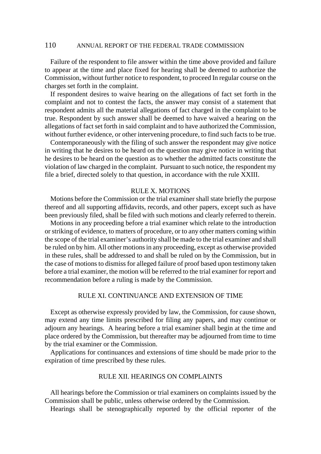### 110 ANNUAL REPORT OF THE FEDERAL TRADE COMMISSION

Failure of the respondent to file answer within the time above provided and failure to appear at the time and place fixed for hearing shall be deemed to authorize the Commission, without further notice to respondent, to proceed In regular course on the charges set forth in the complaint.

If respondent desires to waive hearing on the allegations of fact set forth in the complaint and not to contest the facts, the answer may consist of a statement that respondent admits all the material allegations of fact charged in the complaint to be true. Respondent by such answer shall be deemed to have waived a hearing on the allegations of fact set forth in said complaint and to have authorized the Commission, without further evidence, or other intervening procedure, to find such facts to be true.

Contemporaneously with the filing of such answer the respondent may give notice in writing that he desires to be heard on the question may give notice in writing that he desires to be heard on the question as to whether the admitted facts constitute the violation of law charged in the complaint. Pursuant to such notice, the respondent my file a brief, directed solely to that question, in accordance with the rule XXIII.

### RULE X. MOTIONS

Motions before the Commission or the trial examiner shall state briefly the purpose thereof and all supporting affidavits, records, and other papers, except such as have been previously filed, shall be filed with such motions and clearly referred to therein.

Motions in any proceeding before a trial examiner which relate to the introduction or striking of evidence, to matters of procedure, or to any other matters coming within the scope of the trial examiner's authority shall be made to the trial examiner and shall be ruled on by him. All other motions in any proceeding, except as otherwise provided in these rules, shall be addressed to and shall be ruled on by the Commission, but in the case of motions to dismiss for alleged failure of proof based upon testimony taken before a trial examiner, the motion will be referred to the trial examiner for report and recommendation before a ruling is made by the Commission.

### RULE XI. CONTINUANCE AND EXTENSION OF TIME

Except as otherwise expressly provided by law, the Commission, for cause shown, may extend any time limits prescribed for filing any papers, and may continue or adjourn any hearings. A hearing before a trial examiner shall begin at the time and place ordered by the Commission, but thereafter may be adjourned from time to time by the trial examiner or the Commission.

Applications for continuances and extensions of time should be made prior to the expiration of time prescribed by these rules.

## RULE XII. HEARINGS ON COMPLAINTS

All hearings before the Commission or trial examiners on complaints issued by the Commission shall be public, unless otherwise ordered by the Commission.

Hearings shall be stenographically reported by the official reporter of the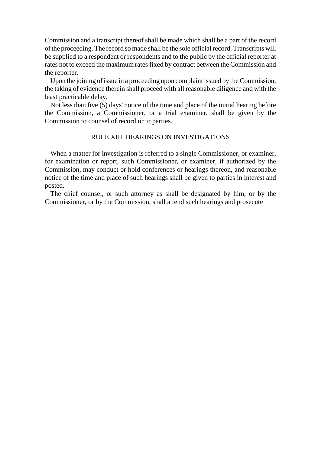Commission and a transcript thereof shall be made which shall be a part of the record of the proceeding. The record so made shall be the sole official record. Transcripts will be supplied to a respondent or respondents and to the public by the official reporter at rates not to exceed the maximum rates fixed by contract between the Commission and the reporter.

Upon the joining of issue in a proceeding upon complaint issued by the Commission, the taking of evidence therein shall proceed with all reasonable diligence and with the least practicable delay.

Not less than five (5) days' notice of the time and place of the initial hearing before the Commission, a Commissioner, or a trial examiner, shall be given by the Commission to counsel of record or to parties.

# RULE XIII. HEARINGS ON INVESTIGATIONS

When a matter for investigation is referred to a single Commissioner, or examiner, for examination or report, such Commissioner, or examiner, if authorized by the Commission, may conduct or hold conferences or hearings thereon, and reasonable notice of the time and place of such hearings shall be given to parties in interest and posted.

The chief counsel, or such attorney as shall be designated by him, or by the Commissioner, or by the Commission, shall attend such hearings and prosecute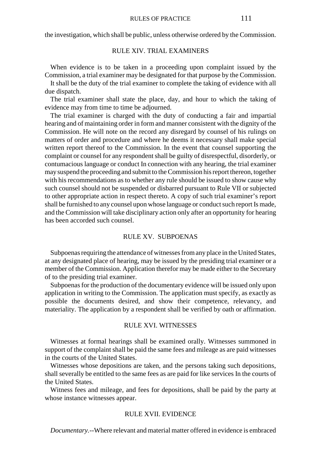the investigation, which shall be public, unless otherwise ordered by the Commission.

### RULE XIV. TRIAL EXAMINERS

When evidence is to be taken in a proceeding upon complaint issued by the Commission, a trial examiner may be designated for that purpose by the Commission.

It shall be the duty of the trial examiner to complete the taking of evidence with all due dispatch.

The trial examiner shall state the place, day, and hour to which the taking of evidence may from time to time be adjourned.

The trial examiner is charged with the duty of conducting a fair and impartial hearing and of maintaining order in formand manner consistent with the dignity of the Commission. He will note on the record any disregard by counsel of his rulings on matters of order and procedure and where he deems it necessary shall make special written report thereof to the Commission. In the event that counsel supporting the complaint or counsel for any respondent shall be guilty of disrespectful, disorderly, or contumacious language or conduct In connection with any hearing, the trial examiner may suspend the proceeding and submit to theCommission hisreport thereon, together with his recommendations as to whether any rule should be issued to show cause why such counsel should not be suspended or disbarred pursuant to Rule VII or subjected to other appropriate action in respect thereto. A copy of such trial examiner's report shall be furnished to any counsel upon whose language or conduct such report Is made, and the Commission will take disciplinary action only after an opportunity for hearing has been accorded such counsel.

## RULE XV. SUBPOENAS

Subpoenas requiring the attendance of witnesses from any place in the United States, at any designated place of hearing, may be issued by the presiding trial examiner or a member of the Commission. Application therefor may be made either to the Secretary of to the presiding trial examiner.

Subpoenas for the production of the documentary evidence will be issued only upon application in writing to the Commission. The application must specify, as exactly as possible the documents desired, and show their competence, relevancy, and materiality. The application by a respondent shall be verified by oath or affirmation.

## RULE XVI. WITNESSES

Witnesses at formal hearings shall be examined orally. Witnesses summoned in support of the complaint shall be paid the same fees and mileage as are paid witnesses in the courts of the United States.

Witnesses whose depositions are taken, and the persons taking such depositions, shall severally be entitled to the same fees as are paid for like services In the courts of the United States.

Witness fees and mileage, and fees for depositions, shall be paid by the party at whose instance witnesses appear.

### RULE XVII. EVIDENCE

*Documentary.*--Where relevant and material matter offered in evidence is embraced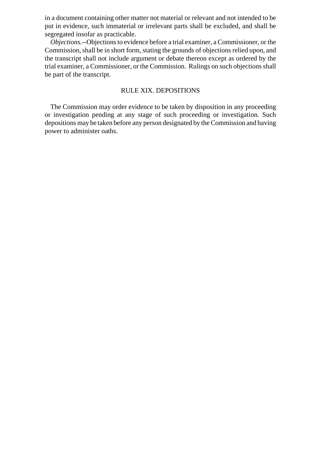in a document containing other matter not material or relevant and not intended to be put in evidence, such immaterial or irrelevant parts shall be excluded, and shall be segregated insofar as practicable.

*Objections.*--Objections to evidence before a trial examiner, a Commissioner, or the Commission, shall be in short form, stating the grounds of objections relied upon, and the transcript shall not include argument or debate thereon except as ordered by the trial examiner, a Commissioner, or the Commission. Rulings on such objections shall be part of the transcript.

# RULE XIX. DEPOSITIONS

The Commission may order evidence to be taken by disposition in any proceeding or investigation pending at any stage of such proceeding or investigation. Such depositions may be taken before any person designated by theCommission and having power to administer oaths.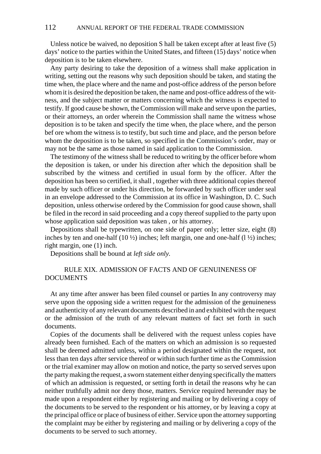Unless notice be waived, no deposition S hall be taken except after at least five (5) days' notice to the parties within the United States, and fifteen (15) days' notice when deposition is to be taken elsewhere.

Any party desiring to take the deposition of a witness shall make application in writing, setting out the reasons why such deposition should be taken, and stating the time when, the place where and the name and post-office address of the person before whom it is desired the deposition be taken, the name and post-office address of the witness, and the subject matter or matters concerning which the witness is expected to testify. If good cause be shown, the Commission will make and serve upon the parties, or their attorneys, an order wherein the Commission shall name the witness whose deposition is to be taken and specify the time when, the place where, and the person bef ore whom the witness is to testify, but such time and place, and the person before whom the deposition is to be taken, so specified in the Commission's order, may or may not be the same as those named in said application to the Commission.

The testimony of the witness shall be reduced to writing by the officer before whom the deposition is taken, or under his direction after which the deposition shall be subscribed by the witness and certified in usual form by the officer. After the deposition has been so certified, it shall , together with three additional copies thereof made by such officer or under his direction, be forwarded by such officer under seal in an envelope addressed to the Commission at its office in Washington, D. C. Such deposition, unless otherwise ordered by the Commission for good cause shown, shall be filed in the record in said proceeding and a copy thereof supplied to the party upon whose application said deposition was taken , or his attorney.

Depositions shall be typewritten, on one side of paper only; letter size, eight (8) inches by ten and one-half  $(10 \frac{1}{2})$  inches; left margin, one and one-half  $(1 \frac{1}{2})$  inches; right margin, one (1) inch.

Depositions shall be bound at *left side only.*

# RULE XIX. ADMISSION OF FACTS AND OF GENUINENESS OF DOCUMENTS

At any time after answer has been filed counsel or parties In any controversy may serve upon the opposing side a written request for the admission of the genuineness and authenticity of any relevant documents described in and exhibited with the request or the admission of the truth of any relevant matters of fact set forth in such documents.

Copies of the documents shall be delivered with the request unless copies have already been furnished. Each of the matters on which an admission is so requested shall be deemed admitted unless, within a period designated within the request, not less than ten days after service thereof or within such further time as the Commission or the trial examiner may allow on motion and notice, the party so served serves upon the partymaking the request, a sworn statement either denying specifically the matters of which an admission is requested, or setting forth in detail the reasons why he can neither truthfully admit nor deny those, matters. Service required hereunder may be made upon a respondent either by registering and mailing or by delivering a copy of the documents to be served to the respondent or his attorney, or by leaving a copy at the principal office or place of business of either. Service upon the attorney supporting the complaint may be either by registering and mailing or by delivering a copy of the documents to be served to such attorney.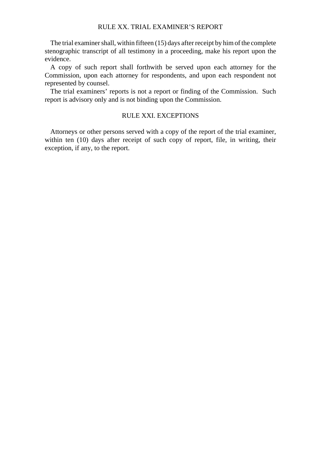## RULE XX. TRIAL EXAMINER'S REPORT

The trial examiner shall, within fifteen  $(15)$  days after receipt by him of the complete stenographic transcript of all testimony in a proceeding, make his report upon the evidence.

A copy of such report shall forthwith be served upon each attorney for the Commission, upon each attorney for respondents, and upon each respondent not represented by counsel.

The trial examiners' reports is not a report or finding of the Commission. Such report is advisory only and is not binding upon the Commission.

### RULE XXI. EXCEPTIONS

Attorneys or other persons served with a copy of the report of the trial examiner, within ten (10) days after receipt of such copy of report, file, in writing, their exception, if any, to the report.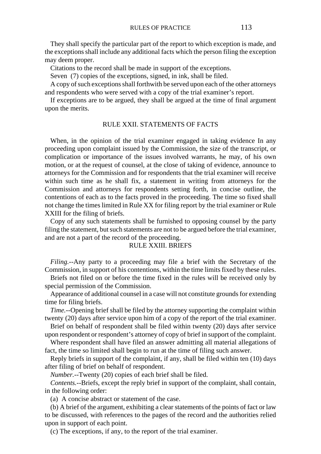They shall specify the particular part of the report to which exception is made, and the exceptions shall include any additional facts which the person filing the exception may deem proper.

Citations to the record shall be made in support of the exceptions.

Seven (7) copies of the exceptions, signed, in ink, shall be filed.

A copy of such exceptions shall forthwith be served upon each of the other attorneys and respondents who were served with a copy of the trial examiner's report.

If exceptions are to be argued, they shall be argued at the time of final argument upon the merits.

#### RULE XXII. STATEMENTS OF FACTS

When, in the opinion of the trial examiner engaged in taking evidence In any proceeding upon complaint issued by the Commission, the size of the transcript, or complication or importance of the issues involved warrants, he may, of his own motion, or at the request of counsel, at the close of taking of evidence, announce to attorneys for the Commission and for respondents that the trial examiner will receive within such time as he shall fix, a statement in writing from attorneys for the Commission and attorneys for respondents setting forth, in concise outline, the contentions of each as to the facts proved in the proceeding. The time so fixed shall not change the times limited in Rule XX for filing report by the trial examiner or Rule XXIII for the filing of briefs.

Copy of any such statements shall be furnished to opposing counsel by the party filing the statement, but such statements are not to be argued before the trial examiner, and are not a part of the record of the proceeding.

#### RULE XXIII. BRIEFS

*Filing.--*Any party to a proceeding may file a brief with the Secretary of the Commission, in support of his contentions, within the time limits fixed by these rules.

Briefs not filed on or before the time fixed in the rules will be received only by special permission of the Commission.

Appearance of additional counsel in a case will not constitute grounds for extending time for filing briefs.

*Time.--*Opening brief shall be filed by the attorney supporting the complaint within twenty (20) days after service upon him of a copy of the report of the trial examiner.

Brief on behalf of respondent shall be filed within twenty (20) days after service upon respondent or respondent's attorney of copy of brief in support of the complaint.

Where respondent shall have filed an answer admitting all material allegations of fact, the time so limited shall begin to run at the time of filing such answer.

Reply briefs in support of the complaint, if any, shall be filed within ten (10) days after filing of brief on behalf of respondent.

*Number.--*Twenty (20) copies of each brief shall be filed.

*Contents.--*Briefs, except the reply brief in support of the complaint, shall contain, in the following order:

(a) A concise abstract or statement of the case.

(b) A brief of the argument, exhibiting a clear statements of the points of fact or law to be discussed, with references to the pages of the record and the authorities relied upon in support of each point.

(c) The exceptions, if any, to the report of the trial examiner.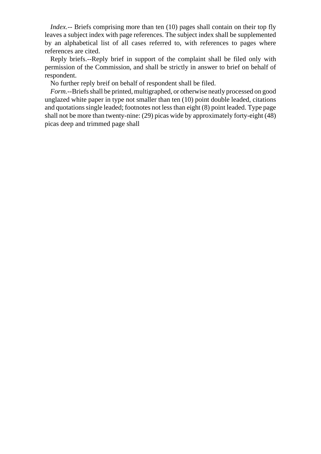*Index.*-- Briefs comprising more than ten (10) pages shall contain on their top fly leaves a subject index with page references. The subject index shall be supplemented by an alphabetical list of all cases referred to, with references to pages where references are cited.

Reply briefs.--Reply brief in support of the complaint shall be filed only with permission of the Commission, and shall be strictly in answer to brief on behalf of respondent.

No further reply breif on behalf of respondent shall be filed.

*Form.--*Briefsshall be printed, multigraphed, or otherwise neatly processed on good unglazed white paper in type not smaller than ten (10) point double leaded, citations and quotations single leaded; footnotes not less than eight (8) point leaded. Type page shall not be more than twenty-nine: (29) picas wide by approximately forty-eight (48) picas deep and trimmed page shall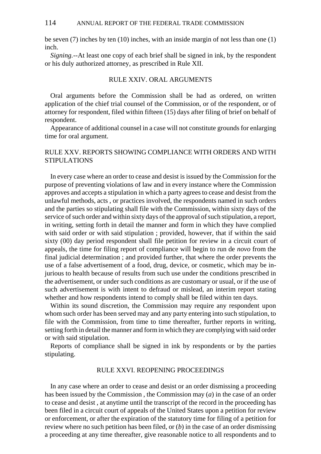be seven (7) inches by ten (10) inches, with an inside margin of not less than one (1) inch.

*Signing.--*At least one copy of each brief shall be signed in ink, by the respondent or his duly authorized attorney, as prescribed in Rule XII.

#### RULE XXIV. ORAL ARGUMENTS

Oral arguments before the Commission shall be had as ordered, on written application of the chief trial counsel of the Commission, or of the respondent, or of attorney for respondent, filed within fifteen (15) days after filing of brief on behalf of respondent.

Appearance of additional counsel in a case will not constitute grounds for enlarging time for oral argument.

# RULE XXV. REPORTS SHOWING COMPLIANCE WITH ORDERS AND WITH STIPULATIONS

In every case where an order to cease and desist is issued by the Commission for the purpose of preventing violations of law and in every instance where the Commission approves and accepts a stipulation in which a party agreesto cease and desist from the unlawful methods, acts , or practices involved, the respondents named in such orders and the parties so stipulating shall file with the Commission, within sixty days of the service of such order and within sixty days of the approval of such stipulation, a report, in writing, setting forth in detail the manner and form in which they have complied with said order or with said stipulation ; provided, however, that if within the said sixty (00) day period respondent shall file petition for review in a circuit court of appeals, the time for filing report of compliance will begin to run de *novo* from the final judicial determination ; and provided further, that where the order prevents the use of a false advertisement of a food, drug, device, or cosmetic, which may be injurious to health because of results from such use under the conditions prescribed in the advertisement, or under such conditions as are customary or usual, or if the use of such advertisement is with intent to defraud or mislead, an interim report stating whether and how respondents intend to comply shall be filed within ten days.

Within its sound discretion, the Commission may require any respondent upon whom such order has been served may and any party entering into such stipulation, to file with the Commission, from time to time thereafter, further reports in writing, setting forth in detail the manner and formin which they are complying with said order or with said stipulation.

Reports of compliance shall be signed in ink by respondents or by the parties stipulating.

#### RULE XXVI. REOPENING PROCEEDINGS

In any case where an order to cease and desist or an order dismissing a proceeding has been issued by the Commission , the Commission may (*a*) in the case of an order to cease and desist , at anytime until the transcript of the record in the proceeding has been filed in a circuit court of appeals of the United States upon a petition for review or enforcement, or after the expiration of the statutory time for filing of a petition for review where no such petition has been filed, or (*b*) in the case of an order dismissing a proceeding at any time thereafter, give reasonable notice to all respondents and to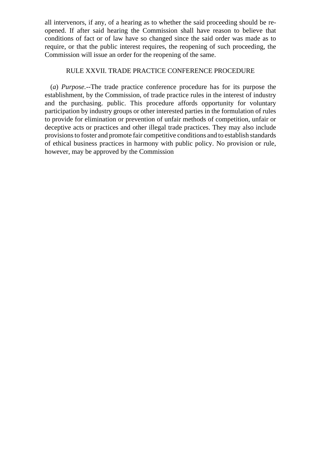all intervenors, if any, of a hearing as to whether the said proceeding should be reopened. If after said hearing the Commission shall have reason to believe that conditions of fact or of law have so changed since the said order was made as to require, or that the public interest requires, the reopening of such proceeding, the Commission will issue an order for the reopening of the same.

## RULE XXVII. TRADE PRACTICE CONFERENCE PROCEDURE

(*a*) *Purpose.--*The trade practice conference procedure has for its purpose the establishment, by the Commission, of trade practice rules in the interest of industry and the purchasing. public. This procedure affords opportunity for voluntary participation by industry groups or other interested parties in the formulation of rules to provide for elimination or prevention of unfair methods of competition, unfair or deceptive acts or practices and other illegal trade practices. They may also include provisionsto foster and promote fair competitive conditions and to establish standards of ethical business practices in harmony with public policy. No provision or rule, however, may be approved by the Commission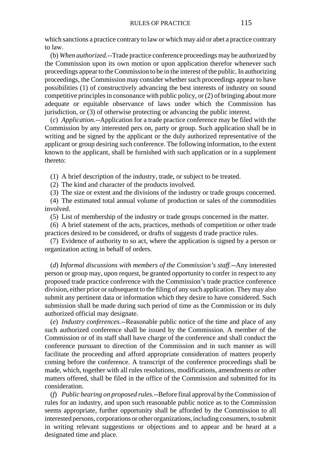which sanctions a practice contrary to law or which may aid or abet a practice contrary to law.

(b) *When authorized.--*Trade practice conference proceedings may be authorized by the Commission upon its own motion or upon application therefor whenever such proceedings appear to the Commission to be in the interest of the public. In authorizing proceedings, the Commission may consider whether such proceedings appear to have possibilities (1) of constructively advancing the best interests of industry on sound competitive principles in consonance with public policy, or  $(2)$  of bringing about more adequate or equitable observance of laws under which the Commission has jurisdiction, or (3) of otherwise protecting or advancing the public interest.

(*c*) *Application.--*Application for a trade practice conference may be filed with the Commission by any interested pers on, party or group. Such application shall be in writing and be signed by the applicant or the duly authorized representative of the applicant or group desiring such conference. The following information, to the extent known to the applicant, shall be furnished with such application or in a supplement thereto:

(1) A brief description of the industry, trade, or subject to be treated.

(2) The kind and character of the products involved.

(3) The size or extent and the divisions of the industry or trade groups concerned.

(4) The estimated total annual volume of production or sales of the commodities involved.

(5) List of membership of the industry or trade groups concerned in the matter.

(6) A brief statement of the acts, practices, methods of competition or other trade practices desired to be considered, or drafts of suggests d trade practice rules.

(7) Evidence of authority to so act, where the application is signed by a person or organization acting in behalf of orders.

(*d*) *Informal discussions with members of the Commission's staff.--*Any interested person or group may, upon request, be granted opportunity to confer in respect to any proposed trade practice conference with the Commission's trade practice conference division, either prior orsubsequent to the filing of any such application. Theymay also submit any pertinent data or information which they desire to have considered. Such submission shall be made during such period of time as the Commission or its duly authorized official may designate.

(*e*) *Industry conferences.--*Reasonable public notice of the time and place of any such authorized conference shall be issued by the Commission. A member of the Commission or of its staff shall have charge of the conference and shall conduct the conference pursuant to direction of the Commission and in such manner as will facilitate the proceeding and afford appropriate consideration of matters properly coming before the conference. A transcript of the conference proceedings shall be made, which, together with all rules resolutions, modifications, amendments or other matters offered, shall be filed in the office of the Commission and submitted for its consideration.

(*f*) *Public hearing on proposed rules.--*Before final approval by theCommission of rules for an industry, and upon such reasonable public notice as to the Commission seems appropriate, further opportunity shall be afforded by the Commission to all interested persons, corporations or other organizations, including consumers, to submit in writing relevant suggestions or objections and to appear and be heard at a designated time and place.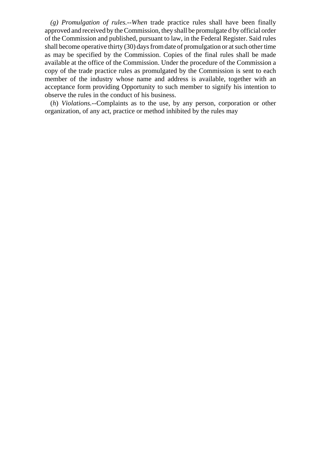*(g) Promulgation of rules.--When* trade practice rules shall have been finally approved and received by theCommission, they shall be promulgate d by official order of the Commission and published, pursuant to law, in the Federal Register. Said rules shall become operative thirty (30) days from date of promulgation or at such other time as may be specified by the Commission. Copies of the final rules shall be made available at the office of the Commission. Under the procedure of the Commission a copy of the trade practice rules as promulgated by the Commission is sent to each member of the industry whose name and address is available, together with an acceptance form providing Opportunity to such member to signify his intention to observe the rules in the conduct of his business.

(*h*) *Violations.--*Complaints as to the use, by any person, corporation or other organization, of any act, practice or method inhibited by the rules may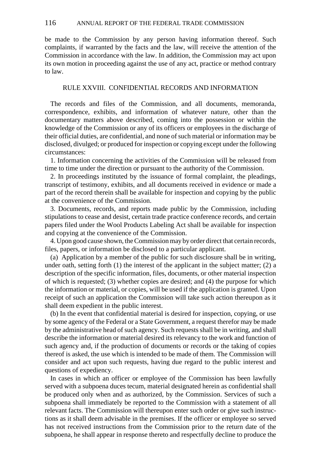be made to the Commission by any person having information thereof. Such complaints, if warranted by the facts and the law, will receive the attention of the Commission in accordance with the law. In addition, the Commission may act upon its own motion in proceeding against the use of any act, practice or method contrary to law.

#### RULE XXVIII. CONFIDENTIAL RECORDS AND INFORMATION

The records and files of the Commission, and all documents, memoranda, correspondence, exhibits, and information of whatever nature, other than the documentary matters above described, coming into the possession or within the knowledge of the Commission or any of its officers or employees in the discharge of their official duties, are confidential, and none of such material or information may be disclosed, divulged; or produced for inspection or copying except under the following circumstances:

1. Information concerning the activities of the Commission will be released from time to time under the direction or pursuant to the authority of the Commission.

2. In proceedings instituted by the issuance of formal complaint, the pleadings, transcript of testimony, exhibits, and all documents received in evidence or made a part of the record therein shall be available for inspection and copying by the public at the convenience of the Commission.

3. Documents, records, and reports made public by the Commission, including stipulations to cease and desist, certain trade practice conference records, and certain papers filed under the Wool Products Labeling Act shall be available for inspection and copying at the convenience of the Commission.

4. Upon good cause shown, theCommissionmay by order direct that certain records, files, papers, or information be disclosed to a particular applicant.

(a) Application by a member of the public for such disclosure shall be in writing, under oath, setting forth  $(1)$  the interest of the applicant in the subject matter;  $(2)$  a description of the specific information, files, documents, or other material inspection of which is requested; (3) whether copies are desired; and (4) the purpose for which the information or material, or copies, will be used if the application is granted. Upon receipt of such an application the Commission will take such action thereupon as it shall deem expedient in the public interest.

(b) In the event that confidential material is desired for inspection, copying, or use by some agency of the Federal or a State Government, a request therefor may be made by the administrative head of such agency. Such requests shall be in writing, and shall describe the information or material desired its relevancy to the work and function of such agency and, if the production of documents or records or the taking of copies thereof is asked, the use which is intended to be made of them. The Commission will consider and act upon such requests, having due regard to the public interest and questions of expediency.

In cases in which an officer or employee of the Commission has been lawfully served with a subpoena duces tecum, material designated herein as confidential shall be produced only when and as authorized, by the Commission. Services of such a subpoena shall immediately be reported to the Commission with a statement of all relevant facts. The Commission will thereupon enter such order or give such instructions as it shall deem advisable in the premises. If the officer or employee so served has not received instructions from the Commission prior to the return date of the subpoena, he shall appear in response thereto and respectfully decline to produce the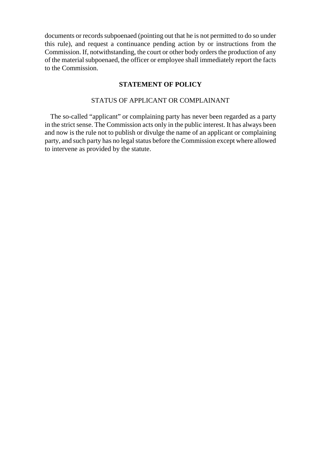documents or records subpoenaed (pointing out that he is not permitted to do so under this rule), and request a continuance pending action by or instructions from the Commission. If, notwithstanding, the court or other body orders the production of any of the material subpoenaed, the officer or employee shall immediately report the facts to the Commission.

## **STATEMENT OF POLICY**

## STATUS OF APPLICANT OR COMPLAINANT

The so-called "applicant" or complaining party has never been regarded as a party in the strict sense. The Commission acts only in the public interest. It has always been and now is the rule not to publish or divulge the name of an applicant or complaining party, and such party has no legal status before the Commission except where allowed to intervene as provided by the statute.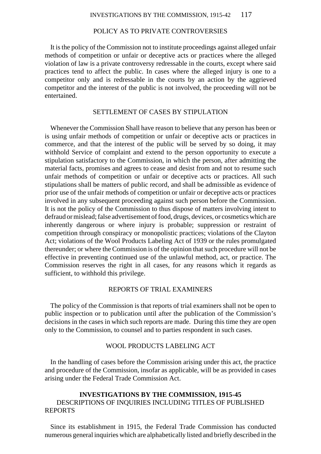## POLICY AS TO PRIVATE CONTROVERSIES

It isthe policy of the Commission not to institute proceedings against alleged unfair methods of competition or unfair or deceptive acts or practices where the alleged violation of law is a private controversy redressable in the courts, except where said practices tend to affect the public. In cases where the alleged injury is one to a competitor only and is redressable in the courts by an action by the aggrieved competitor and the interest of the public is not involved, the proceeding will not be entertained.

#### SETTLEMENT OF CASES BY STIPULATION

Whenever the Commission Shall have reason to believe that any person has been or is using unfair methods of competition or unfair or deceptive acts or practices in commerce, and that the interest of the public will be served by so doing, it may withhold Service of complaint and extend to the person opportunity to execute a stipulation satisfactory to the Commission, in which the person, after admitting the material facts, promises and agrees to cease and desist from and not to resume such unfair methods of competition or unfair or deceptive acts or practices. All such stipulations shall be matters of public record, and shall be admissible as evidence of prior use of the unfair methods of competition or unfair or deceptive acts or practices involved in any subsequent proceeding against such person before the Commission. It is not the policy of the Commission to thus dispose of matters involving intent to defraud or mislead; false advertisement of food, drugs, devices, or cosmetics which are inherently dangerous or where injury is probable; suppression or restraint of competition through conspiracy or monopolistic practices; violations of the Clayton Act; violations of the Wool Products Labeling Act of 1939 or the rules promulgated thereunder; or where the Commission is of the opinion that such procedure will not be effective in preventing continued use of the unlawful method, act, or practice. The Commission reserves the right in all cases, for any reasons which it regards as sufficient, to withhold this privilege.

## REPORTS OF TRIAL EXAMINERS

The policy of the Commission is that reports of trial examiners shall not be open to public inspection or to publication until after the publication of the Commission's decisions in the cases in which such reports are made. During this time they are open only to the Commission, to counsel and to parties respondent in such cases.

## WOOL PRODUCTS LABELING ACT

In the handling of cases before the Commission arising under this act, the practice and procedure of the Commission, insofar as applicable, will be as provided in cases arising under the Federal Trade Commission Act.

## **INVESTIGATIONS BY THE COMMISSION, 1915-45** DESCRIPTIONS OF INQUIRIES INCLUDING TITLES OF PUBLISHED **REPORTS**

Since its establishment in 1915, the Federal Trade Commission has conducted numerous general inquiries which are alphabetically listed and briefly described in the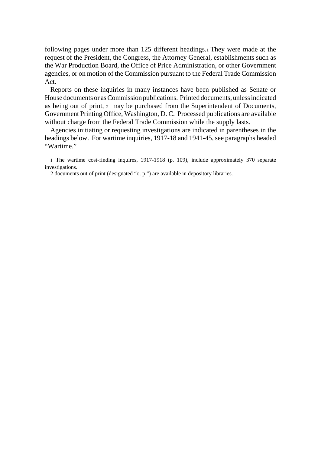following pages under more than 125 different headings.<sup>1</sup> They were made at the request of the President, the Congress, the Attorney General, establishments such as the War Production Board, the Office of Price Administration, or other Government agencies, or on motion of the Commission pursuant to the Federal Trade Commission Act.

Reports on these inquiries in many instances have been published as Senate or House documents or asCommission publications. Printed documents, unless indicated as being out of print, <sup>2</sup> may be purchased from the Superintendent of Documents, Government Printing Office, Washington, D. C. Processed publications are available without charge from the Federal Trade Commission while the supply lasts.

Agencies initiating or requesting investigations are indicated in parentheses in the headings below. For wartime inquiries, 1917-18 and 1941-45, see paragraphs headed "Wartime."

1 The wartime cost-finding inquires, 1917-1918 (p. 109), include approximately 370 separate investigations.

2 documents out of print (designated "o. p.") are available in depository libraries.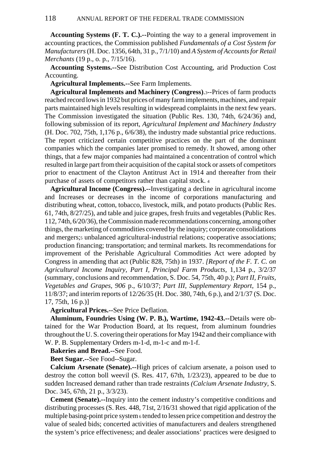**Accounting Systems (F. T. C.).--**Pointing the way to a general improvement in accounting practices, the Commission published *Fundamentals of a Cost System for Manufacturers*(H. Doc. 1356, 64th, 31 p., 7/1/10) and *A System of Accountsfor Retail Merchants* (19 p., o. p., 7/15/16).

**Accounting Systems.--**See Distribution Cost Accounting, arid Production Cost Accounting.

**Agricultural Implements.--**See Farm Implements.

**Agricultural Implements and Machinery (Congress)**.3--Prices of farm products reached record lows in 1932 but prices of many farm implements, machines, and repair parts maintained high levels resulting in widespread complaints in the next few years. The Commission investigated the situation (Public Res. 130, 74th, 6/24/36) and, following submission of its report, *Agricultural Implement and Machinery Industry* (H. Doc. 702, 75th, 1,176 p., 6/6/38), the industry made substantial price reductions. The report criticized certain competitive practices on the part of the dominant companies which the companies later promised to remedy. It showed, among other things, that a few major companies had maintained a concentration of control which resulted in large part from their acquisition of the capital stock or assets of competitors prior to enactment of the Clayton Antitrust Act in 1914 and thereafter from their purchase of assets of competitors rather than capital stock. <sup>4</sup>

**Agricultural Income (Congress).--**Investigating a decline in agricultural income and Increases or decreases in the income of corporations manufacturing and distributing wheat, cotton, tobacco, livestock, milk, and potato products (Public Res. 61, 74th, 8/27/25), and table and juice grapes, fresh fruits and vegetables (Public Res. 112, 74th, 6/20/36), theCommissionmade recommendations concerning, among other things, the marketing of commodities covered by the inquiry; corporate consolidations and mergers;<sub>5</sub> unbalanced agricultural-industrial relations; cooperative associations; production financing; transportation; and terminal markets. Its recommendations for improvement of the Perishable Agricultural Commodities Act were adopted by Congress in amending that act (Public 828, 75th) in 1937. *[Report of the F. T. C. on Agricultural Income Inquiry, Part I, Principal Farm Products,* 1,134 p., 3/2/37 (summary, conclusions and recommendation, S. Doc. 54, 75th, 40 p.); *Part II, Fruits, Vegetables and Grapes, 906* p., 6/10/37; *Part III, Supplementary Report,* 154 p., 11/8/37; and interim reports of 12/26/35 (H. Doc. 380, 74th, 6 p.), and 2/1/37 (S. Doc. 17, 75th, 16 p.)]

**Agricultural Prices.--**See Price Deflation.

**Aluminum, Foundries Using (W. P. B.), Wartime, 1942-43.--**Details were obtained for the War Production Board, at Its request, from aluminum foundries throughout the U. S. covering their operationsfor May 1942 and their compliance with W. P. B. Supplementary Orders m-1-d, m-1-c and m-1-f.

**Bakeries and Bread.--**See Food.

**Beet Sugar.--**See Food--Sugar.

**Calcium Arsenate (Senate).--**High prices of calcium arsenate, a poison used to destroy the cotton boll weevil (S. Res. 417, 67th, 1/23/23), appeared to be due to sudden Increased demand rather than trade restraints *(Calcium Arsenate Industry,* S. Doc. 345, 67th, 21 p., 3/3/23).

**Cement (Senate).--**Inquiry into the cement industry's competitive conditions and distributing processes (S. Res. 448, 71st, 2/16/31 showed that rigid application of the multiple basing-point price system  $\epsilon$  tended to lessen price competition and destroy the value of sealed bids; concerted activities of manufacturers and dealers strengthened the system's price effectiveness; and dealer associations' practices were designed to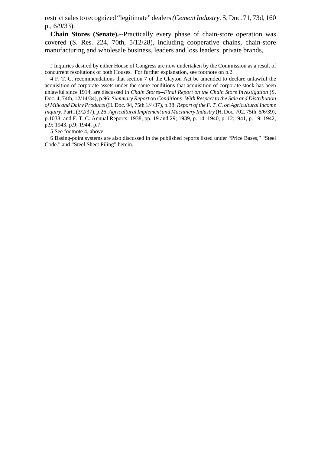restrict sales to recognized "legitimate" dealers (Cement Industry. S, Doc. 71, 73d, 160 p., 6/9/33).

**Chain Stores (Senate).--**Practically every phase of chain-store operation was covered (S. Res. 224, 70th, 5/12/28), including cooperative chains, chain-store manufacturing and wholesale business, leaders and loss leaders, private brands,

3 Inquiries desired by either House of Congress are now undertaken by the Commission as a result of concurrent resolutions of both Houses. For further explanation, see footnote on p.2.

4 F. T. C. recommendations that section 7 of the Clayton Act be amended to declare unlawful the acquisition of corporate assets under the same conditions that acquisition of corporate stock has been unlawful since 1914, are discussed in *Chain Stores--Final Report on the Chain Store Investigation* (S. Doc. 4, 74th, 12/14/34), p.96: *Summary Report* on *Conditions- With Respect to the Sale and Distribution of Milk and Dairy Products*(H. Doc. 94, 75th 1/4/37), p.38: *Report of the F. T. C. on Agricultural Income Inquiry,* PartI(3/2/37), p.26;*AgriculturalImplement and Machinery Industry* (H. Doc. 702, 75th. 6/6/39), p.1038; and F. T. C. Annual Reports: 1938, pp. 19 and 29; 1939, p. 14; 1940, p. 12;1941, p. 19: 1942, p.9; 1943, p.9; 1944, p.7.

5 See footnote 4, above.

6 Basing-point systems are also discussed in the published reports listed under "Price Bases," "Steel Code." and "Steel Sheet Piling" herein.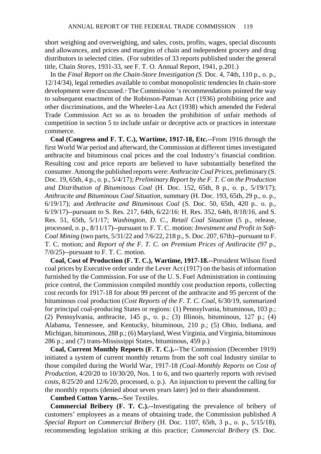short weighing and overweighing, and sales, costs, profits, wages, special discounts and allowances, and prices and margins of chain and independent grocery and drug distributors in selected cities. (For subtitles of 33 reports published under the general title, Chain *Stores,* 1931-33, see F. T. O. Annual Report, 1941, p.201.)

In the *Final Report* on *the Chain-Store Investigation (S.* Doc. 4, 74th, 110 p., o. p., 12/14/34), legal remedies available to combat monopolistic tendencies In chain-store development were discussed.<sup>7</sup> The Commission 's recommendations pointed the way to subsequent enactment of the Robinson-Patman Act (1936) prohibiting price and other discriminations, and the Wheeler-Lea Act (1938) which amended the Federal Trade Commission Act so as to broaden the prohibition of unfair methods of competition in section 5 to include unfair or deceptive acts or practices in interstate commerce.

**Coal (Congress and F. T. C.), Wartime, 1917-18, Etc.--**From 1916 through the first World War period and afterward, the Commission at different times investigated anthracite and bituminous coal prices and the coal Industry's financial condition. Resulting cost and price reports are believed to have substantially benefited the consumer. Among the published reports were: *Anthracite Coal Prices*, preliminary (S. Doc. 19, 65th, 4 p., o. p., 5/4/17); *Preliminary Report by the F. T. C on the Production and Distribution of Bituminous Coal* (H. Doc. 152, 65th, 8 p., o. p., 5/19/17); *Anthracite and Bituminous Coal Situation,* summary (H. Doc. 193, 65th, 29 p., o. p., 6/19/17); and *Anthracite and Bituminous Coal* (S. Doc. 50, 65th, 420 p.. o. p., 6/19/17)--pursuant to S. Res. 217, 64th, 6/22/16: H. Res. 352, 64th, 8/18/16, and S. Res. 51, 65th, 5/1/17; *Washington, D. C., Retail Coal Situation* (5 p., release, processed, o. p., 8/11/17)--pursuant to F. T. C. motion: *Investment and Profit in Soft-Coal Mining* (two parts, 5/31/22 and 7/6/22, 218 p., S. Doc. 207, 67th)--pursuant to F. T. C. motion; and *Report of the F. T. C. on Premium Prices of Antliracite (97* p., 7/0/25)--pursuant to F. T. C. motion.

**Coal, Cost of Production (F. T. C.), Wartime, 1917-18.--**President Wilson fixed coal prices by Executive order under the Lever Act (1917) on the basis of information furnished by the Commission. For use of the U. S. Fuel Administration in continuing price control, the Commission compiled monthly cost production reports, collecting cost records for 1917-18 for about 99 percent of the anthracite and 95 percent of the bituminous coal production (*Cost Reports of the F. T. C. Coal,* 6/30/19, summarized for principal coal-producing States or regions: (1) Pennsylvania, bituminous, 103 p.; (2) Pennsylvania, anthracite, 145 p., o. p.; (3) Illinois, bituminous, 127 p.; (4) Alabama, Tennessee, and Kentucky, bituminous, 210 p.; (5) Ohio, Indiana, and Michigan, bituminous, 288 p.; (6) Maryland, West Virginia, and Virginia, bituminous 286 p.; and (7) trans-Mississippi States, bituminous, 459 p.)

**Coal, Current Monthly Reports (F. T. C.).--**The Commission (December 1919) initiated a system of current monthly returns from the soft coal Industry similar to those compiled during the World War, 1917-18 *(Coal-Monthly Reports on Cost of Production,* 4/20/20 to 10/30/20, Nos. 1 to 6, and two quarterly reports with revised costs, 8/25/20 and 12/6/20, processed, o. p.). An injunction to prevent the calling for the monthly reports (denied about seven years later) ]ed to their abandonment.

**Combed Cotton Yarns.--**See Textiles.

**Commercial Bribery (F. T. C.).--**Investigating the prevalence of bribery of customers' employees as a means of obtaining trade, the Commission published *A Special Report on Commercial Bribery* (H. Doc. 1107, 65th, 3 p., o. p., 5/15/18), recommending legislation striking at this practice; *Commercial Bribery* (S. Doc.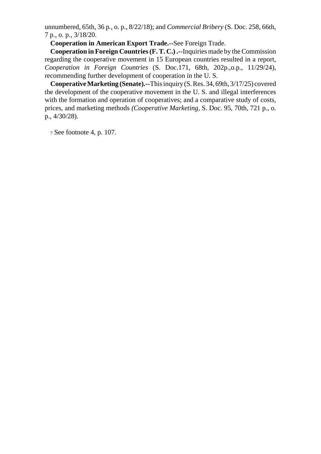unnumbered, 65th, 36 p., o. p., 8/22/18); and *Commercial Bribery* (S. Doc. 258, 66th, 7 p., o. p., 3/18/20.

**Cooperation in American Export Trade.--**See Foreign Trade.

**Cooperation in Foreign Countries (F. T. C.).--Inquiries made by the Commission** regarding the cooperative movement in 15 European countries resulted in a report, *Cooperation in Foreign Countries* (S. Doc.171, 68th, 202p.,o.p., 11/29/24), recommending further development of cooperation in the U. S.

**CooperativeMarketing (Senate).--**Thisinquiry (S. Res. 34, 69th, 3/17/25) covered the development of the cooperative movement in the U. S. and illegal interferences with the formation and operation of cooperatives; and a comparative study of costs, prices, and marketing methods *(Cooperative Marketing,* S. Doc. 95, 70th, 721 p., o. p., 4/30/28).

7 See footnote 4, p. 107.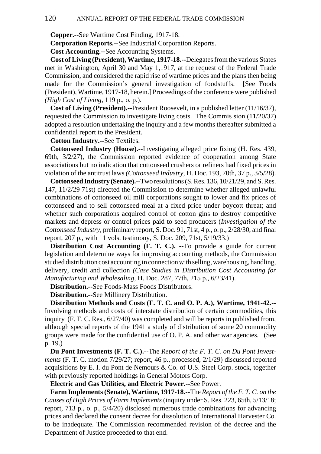**Copper.--**See Wartime Cost Finding, 1917-18.

**Corporation Reports.--**See Industrial Corporation Reports.

**Cost Accounting.--**See Accounting Systems.

**Cost of Living (President), Wartime, 1917-18.--**Delegates from the various States met in Washington, April 30 and May 1,1917, at the request of the Federal Trade Commission, and considered the rapid rise of wartime prices and the plans then being made for the Commission's general investigation of foodstuffs. [See Foods (President), Wartime, 1917-18, herein.] Proceedings of the conference were published *(High Cost of Living,* 119 p., o. p.).

**Cost of Living (President).--**President Roosevelt, in a published letter (11/16/37), requested the Commission to investigate living costs. The Commis sion (11/20/37) adopted a resolution undertaking the inquiry and a few months thereafter submitted a confidential report to the President.

**Cotton Industry.--**See Textiles.

**Cottonseed Industry (House).--**Investigating alleged price fixing (H. Res. 439, 69th, 3/2/27), the Commission reported evidence of cooperation among State associations but no indication that cottonseed crushers or refiners had fixed prices in violation of the antitrust laws *(Cottonseed Industry,* H. Doc. 193, 70th, 37 p., 3/5/28).

**Cottonseed Industry (Senate).--**Two resolutions (S. Res. 136, 10/21/29, and S. Res. 147, 11/2/29 71st) directed the Commission to determine whether alleged unlawful combinations of cottonseed oil mill corporations sought to lower and fix prices of cottonseed and to sell cottonseed meal at a fixed price under boycott threat; and whether such corporations acquired control of cotton gins to destroy competitive markets and depress or control prices paid to seed producers (*Investigation of the Cottonseed Industry,* preliminary report, S. Doc. 91, 71st, 4 p., o. p., 2/28/30, and final report, 207 p., with 11 vols. testimony, S. Doc. 209, 71st, 5/19/33.)

**Distribution Cost Accounting (F. T. C.). --**To provide a guide for current legislation and determine ways for improving accounting methods, the Commission studied distribution cost accounting in connection with selling, warehousing, handling, delivery, credit and collection *(Case Studies in Distribution Cost Accounting for Manufacturing and Wholesaling,* H. Doc. 287, 77th, 215 p., 6/23/41).

**Distribution.--**See Foods-Mass Foods Distributors.

**Distribution.--**See Millinery Distribution.

**Distribution Methods and Costs (F. T. C. and O. P. A.), Wartime, 1941-42.--** Involving methods and costs of interstate distribution of certain commodities, this inquiry (F. T. C. Res., 6/27/40) was completed and will be reports in published from, although special reports of the 1941 a study of distribution of some 20 commodity groups were made for the confidential use of O. P. A. and other war agencies. (See p. 19.)

**Du Pont Investments (F. T. C.).--**The *Report of the F. T. C. on Du Pont Investments* (F. T. C. motion 7/29/27; report, 46 p., processed, 2/1/29) discussed reported acquisitions by E. I. du Pont de Nemours & Co. of U.S. Steel Corp. stock, together with previously reported holdings in General Motors Corp.

**Electric and Gas Utilities, and Electric Power.--**See Power.

**Farm Implements(Senate), Wartime, 1917-18.--**The *Report of the F. T. C. on the Causes of High Prices of Farm Implements* (inquiry under S. Res. 223, 65th, 5/13/18; report, 713 p., o. p., 5/4/20) disclosed numerous trade combinations for advancing prices and declared the consent decree for dissolution of International Harvester Co. to be inadequate. The Commission recommended revision of the decree and the Department of Justice proceeded to that end.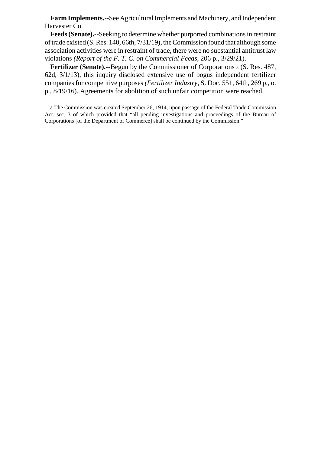**Farm Implements.--**See Agricultural Implements and Machinery, and Independent Harvester Co.

**Feeds (Senate).--Seeking to determine whether purported combinations in restraint** of trade existed (S. Res. 140, 66th, 7/31/19), the Commission found that although some association activities were in restraint of trade, there were no substantial antitrust law violations *(Report of the F. T. C. on Commercial Feeds,* 206 p., 3/29/21).

**Fertilizer (Senate).--**Begun by the Commissioner of Corporations <sup>8</sup> (S. Res. 487, 62d, 3/1/13), this inquiry disclosed extensive use of bogus independent fertilizer companies for competitive purposes *(Fertilizer Industry,* S. Doc. 551, 64th, 269 p., o. p., 8/19/16). Agreements for abolition of such unfair competition were reached.

8 The Commission was created September 26, 1914, upon passage of the Federal Trade Commission Act. sec. 3 of which provided that "all pending investigations and proceedings of the Bureau of Corporations [of the Department of Commerce] shall be continued by the Commission."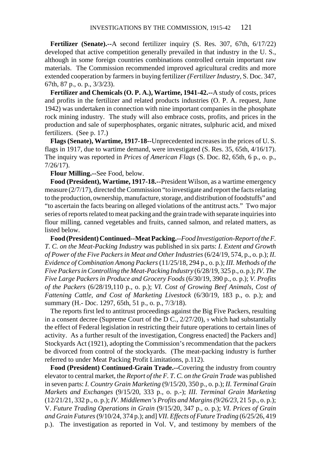**Fertilizer (Senate).--**A second fertilizer inquiry (S. Res. 307, 67th, 6/17/22) developed that active competition generally prevailed in that industry in the U. S., although in some foreign countries combinations controlled certain important raw materials. The Commission recommended improved agricultural credits and more extended cooperation by farmers in buying fertilizer *(Fertilizer Industry*, S. Doc. 347, 67th, 87 p., o. p., 3/3/23).

**Fertilizer and Chemicals (O. P. A.), Wartime, 1941-42.--**A study of costs, prices and profits in the fertilizer and related products industries (O. P. A. request, June 1942) was undertaken in connection with nine important companies in the phosphate rock mining industry. The study will also embrace costs, profits, and prices in the production and sale of superphosphates, organic nitrates, sulphuric acid, and mixed fertilizers. (See p. 17.)

**Flags (Senate), Wartime, 1917-18--**Unprecedented increasesin the prices of U. S. flags in 1917, due to wartime demand, were investigated (S. Res. 35, 65th, 4/16/17). The inquiry was reported in *Prices of American Flags* (S. Doc. 82, 65th, 6 p., o. p., 7/26/17).

#### **Flour Milling.--**See Food, below.

**Food (President), Wartime, 1917-18.--**President Wilson, as a wartime emergency measure (2/7/17), directed the Commission "to investigate and report the facts relating to the production, ownership, manufacture, storage, and distribution of foodstuffs" and "to ascertain the facts bearing on alleged violations of the antitrust acts." Two major series of reports related to meat packing and the grain trade with separate inquiries into flour milling, canned vegetables and fruits, canned salmon, and related matters, as listed below.

**Food (President) Continued--Meat Packing.**-*-Food Investigation-Report of the F. T. C. on the Meat-Packing Industry* was published in six parts: *I. Extent and Growth of Power of the Five Packers in Meat and Other Industries* (6/24/19, 574, p., o. p.); *II. Evidence of Combination Among Packers* (11/25/18, 294 p., o. p.); *III. Methods of the Five PackersinControlling the Meat-Packing Industry* (6/28/19, 325 p., o. p.);*IV. The Five Large Packers in Produce and Grocery Foods* (6/30/19, 390 p., o. p.); *V. Profits of the Packers* (6/28/19,110 p., o. p.); *VI. Cost of Growing Beef Animals, Cost of Fattening Cattle, and Cost of Marketing Livestock* (6/30/19, 183 p., o. p.); and summary (H.- Doc. 1297, 65th, 51 p., o. p., 7/3/18).

The reports first led to antitrust proceedings against the Big Five Packers, resulting in a consent decree (Supreme Court of the D C., 2/27/20), <sup>9</sup> which had substantially the effect of Federal legislation in restricting their future operations to certain lines of activity. As a further result of the investigation, Congress enacted] the Packers and] Stockyards Act (1921), adopting the Commission's recommendation that the packers be divorced from control of the stockyards. (The meat-packing industry is further referred to under Meat Packing Profit Limitations, p.112).

**Food (President) Continued-Grain Trade.--**Covering the industry from country elevator to central market, the *Report of the F. T. C. on the Grain Trade* was published in seven parts: *I. Country Grain Marketing* (9/15/20, 350 p., o. p.); *II. Terminal Grain Markets and Exchanges* (9/15/20, 333 p., o. p.-); *III. Terminal Grain Marketing* (12/21/21, 332 p., o. p.); *IV. Middlemen's Profits and Margins(9/26/23,* 21 5 p., o. p.); V. *Future Trading Operations in Grain* (9/15/20, 347 p., o. p.); *VI. Prices of Grain and Grain Futures*(9/10/24, 374 p.); and] *VII. Effects of Future Trading* (6/25/26, 419 p.). The investigation as reported in Vol. V, and testimony by members of the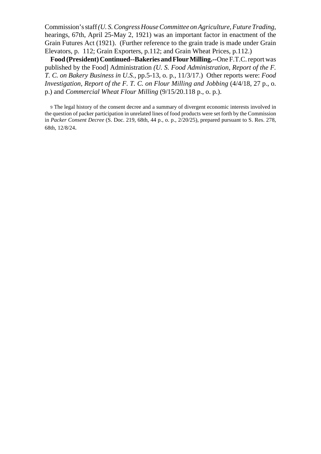Commission's staff*(U. S.CongressHouseCommittee onAgriculture,Future Trading,* hearings, 67th, April 25-May 2, 1921) was an important factor in enactment of the Grain Futures Act (1921). (Further reference to the grain trade is made under Grain Elevators, p. 112; Grain Exporters, p.112; and Grain Wheat Prices, p.112.)

**Food (President) Continued--Bakeries and Flour Milling.--**One F.T.C.reportwas published by the Food] Administration *(U. S. Food Administration, Report of the F. T. C. on Bakery Business in U.S.,* pp.5-13, o. p., 11/3/17.) Other reports were: *Food Investigation, Report of the F. T. C. on Flour Milling and Jobbing* (4/4/18, 27 p., o. p.) and *Commercial Wheat Flour Milling* (9/15/20.118 p., o. p.).

9 The legal history of the consent decree and a summary of divergent economic interests involved in the question of packer participation in unrelated lines of food products were set forth by the Commission in *Packer Consent Decree* (S. Doc. 219, 68th, 44 p., o. p., 2/20/25), prepared pursuant to S. Res. 278, 68th, 12/8/24.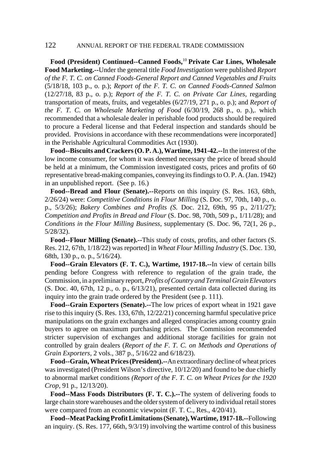#### 122 ANNUAL REPORT OF THE FEDERAL TRADE COMMISSION

**Food (President) Continued--Canned Foods,**<sup>10</sup> **Private Car Lines, Wholesale Food Marketing.--**Under the general title *Food Investigation* were published *Report of the F. T. C. on Canned Foods-General Report and Canned Vegetables and Fruits* (5/18/18, 103 p., o. p.); *Report of the F. T. C. on Canned Foods-Canned Salmon* (12/27/18, 83 p., o. p.); *Report of the F. T. C. on Private Car Lines,* regarding transportation of meats, fruits, and vegetables (6/27/19, 271 p., o. p.); and *Report of the F. T. C. on Wholesale Marketing of Food* (6/30/19, 268 p., o. p.),. which recommended that a wholesale dealer in perishable food products should be required to procure a Federal license and that Federal inspection and standards should be provided. Provisions in accordance with these recommendations were incorporated] in the Perishable Agricultural Commodities Act (1930).

**Food--Biscuits and Crackers(O. P. A.),Wartime, 1941-42.--**In the interest of the low income consumer, for whom it was deemed necessary the price of bread should be held at a minimum, the Commission investigated costs, prices and profits of 60 representative bread-making companies, conveying itsfindingsto O. P. A.(Jan. 1942) in an unpublished report. (See p. 16.)

**Food--Bread and Flour (Senate).--**Reports on this inquiry (S. Res. 163, 68th, 2/26/24) were: *Competitive Conditions in Flour Milling* (S. Doc. 97, 70th, 140 p., o. p., 5/3/26); *Bakery Combines and Profits (S.* Doc. 212, 69th, 95 p., 2/11/27); *Competition and Profits in Bread and Flour* (S. Doc. 98, 70th, 509 p., 1/11/28); and *Conditions in the Flour Milling Business,* supplementary (S. Doc. 96, 72(1, 26 p., 5/28/32).

**Food--Flour Milling (Senate).--**This study of costs, profits, and other factors (S. Res. 212, 67th, 1/18/22) was reported] in *Wheat Flour Milling Industry* (S. Doc. 130, 68th, 130 p., o. p., 5/16/24).

**Food--Grain Elevators (F. T. C.), Wartime, 1917-18.--**In view of certain bills pending before Congress with reference to regulation of the grain trade, the Commission, in a preliminary report,*Profits ofCountry and Terminal GrainElevators* (S. Doc. 40, 67th, 12 p., o. p., 6/13/21), presented certain data collected during its inquiry into the grain trade ordered by the President (see p. 111).

**Food--Grain Exporters (Senate).--**The low prices of export wheat in 1921 gave rise to this inquiry (S. Res. 133, 67th, 12/22/21) concerning harmful speculative price manipulations on the grain exchanges and alleged conspiracies among country grain buyers to agree on maximum purchasing prices. The Commission recommended stricter supervision of exchanges and additional storage facilities for grain not controlled by grain dealers (*Report of the F. T. C. on Methods and Operations of Grain Exporters,* 2 vols., 387 p., 5/16/22 and 6/18/23).

**Food--Grain,WheatPrices (President).--**An extraordinary decline of wheat prices was investigated (President Wilson's directive, 10/12/20) and found to be due chiefly to abnormal market conditions *(Report of the F. T. C. on Wheat Prices for the 1920 Crop,* 91 p., 12/13/20).

**Food--Mass Foods Distributors (F. T. C.).--**The system of delivering foods to large chain store warehouses and the older system of delivery to individual retail stores were compared from an economic viewpoint (F. T. C., Res., 4/20/41).

**Food--Meat Packing Profit Limitations (Senate), Wartime, 1917-18.--**Following an inquiry. (S. Res. 177, 66th, 9/3/19) involving the wartime control of this business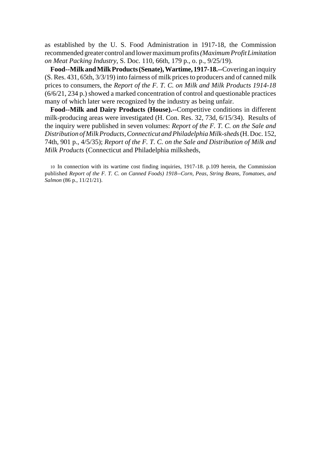as established by the U. S. Food Administration in 1917-18, the Commission recommended greater control and lower maximum profits (Maximum Profit Limitation *on Meat Packing Industry,* S. Doc. 110, 66th, 179 p., o. p., 9/25/19).

**Food--Milkand Milk Products (Senate), Wartime, 1917-18.--**Covering an inquiry (S. Res. 431, 65th, 3/3/19) into fairness of milk pricesto producers and of canned milk prices to consumers, the *Report of the F. T. C. on Milk and Milk Products 1914-18* (6/6/21, 234 p.) showed a marked concentration of control and questionable practices many of which later were recognized by the industry as being unfair.

**Food--Milk and Dairy Products (House).--**Competitive conditions in different milk-producing areas were investigated (H. Con. Res. 32, 73d, 6/15/34). Results of the inquiry were published in seven volumes: *Report of the F. T. C. on the Sale and Distribution of MilkProducts,Connecticut andPhiladelphia Milk-sheds* (H.Doc. 152, 74th, 901 p., 4/5/35); *Report of the F. T. C. on the Sale and Distribution of Milk and Milk Products* (Connecticut and Philadelphia milksheds,

<sup>10</sup> In connection with its wartime cost finding inquiries, 1917-18. p.109 herein, the Commission published *Report of the F. T. C. on Canned Foods) 1918--Corn, Peas, String Beans, Tomatoes, and Salmon* (86 p., 11/21/21).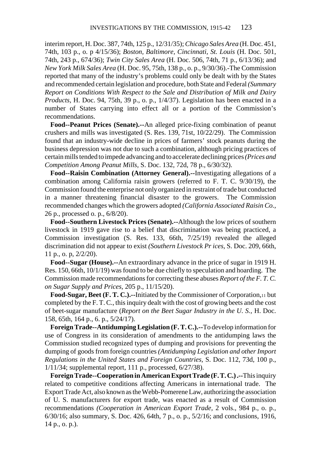interim report, H. Doc. 387, 74th, 125 p., 12/31/35);*Chicago Sales Area* (H. Doc. 451, 74th, 103 p., o. p 4/15/36); *Boston, Baltimore, Cincinnati, St. Louis* (H. Doc. 501, 74th, 243 p., 674/36); *Twin City Sales Area* (H. Doc. 506, 74th, 71 p., 6/13/36); and *New York Milk Sales Area* (H. Doc. 95, 75th, 138 p., o. p., 9/30/36).-The Commission reported that many of the industry's problems could only be dealt with by the States and recommended certain legislation and procedure, both State and Federal*(Summary Report on Conditions With Respect to the Sale and Distribution of Milk and Dairy Products,* H. Doc. 94, 75th, 39 p., o. p., 1/4/37). Legislation has been enacted in a number of States carrying into effect all or a portion of the Commission's recommendations.

**Food--Peanut Prices (Senate).--**An alleged price-fixing combination of peanut crushers and mills was investigated (S. Res. 139, 71st, 10/22/29). The Commission found that an industry-wide decline in prices of farmers' stock peanuts during the business depression was not due to such a combination, although pricing practices of certain mills tended to impede advancing and to accelerate declining prices (Prices and *Competition Among Peanut Mills,* S. Doc. 132, 72d, 78 p., 6/30/32).

**Food--Raisin Combination (Attorney General).--**Investigating allegations of a combination among California raisin growers (referred to F. T. C. 9/30/19), the Commission found the enterprise not only organized in restraint of trade but conducted in a manner threatening financial disaster to the growers. The Commission recommended changes which the growers adopted *(California Associated Raisin Co.,* 26 p., processed o. p., 6/8/20).

**Food--Southern Livestock Prices (Senate).--**Although the low prices of southern livestock in 1919 gave rise to a belief that discrimination was being practiced, a Commission investigation (S. Res. 133, 66th, 7/25/19) revealed the alleged discrimination did not appear to exist *(Southern Livestock Pr ices,* S. Doc. 209, 66th, 11 p., o. p, 2/2/20).

**Food--Sugar (House).--**An extraordinary advance in the price of sugar in 1919 H. Res. 150, 66th, 10/1/19) wasfound to be due chiefly to speculation and hoarding. The Commission made recommendations for correcting these abuses *Report of the F.T.C. on Sugar Supply and Prices,* 205 p., 11/15/20).

**Food-Sugar, Beet (F. T. C.).--**Initiated by the Commissioner of Corporation,<sup>11</sup> but completed by the F. T. C., thisinquiry dealt with the cost of growing beets and the cost of beet-sugar manufacture (*Report on the Beet Sugar Industry in the U. S.,* H. Doc. 158, 65th, 164 p., 6. p., 5/24/17).

**ForeignTrade--AntidumpingLegislation (F.T. C.).--**To develop information for use of Congress in its consideration of amendments to the antidumping laws the Commission studied recognized types of dumping and provisions for preventing the dumping of goods from foreign countries *(Antidumping Legislation and other Import Regulations in the United States and Foreign Countries,* S. Doc. 112, 73d, 100 p., 1/11/34; supplemental report, 111 p., processed, 6/27/38).

**ForeignTrade--Cooperation inAmerican Export Trade (F. T. C.) .--**Thisinquiry related to competitive conditions affecting Americans in international trade. The Export Trade Act, also known as the Webb-Pomerene Law, authorizing the association of U. S. manufacturers for export trade, was enacted as a result of Commission recommendations *(Cooperation in American Export Trade,* 2 vols., 984 p., o. p., 6/30/16; also summary, S. Doc. 426, 64th, 7 p., o. p., 5/2/16; and conclusions, 1916, 14 p., o. p.).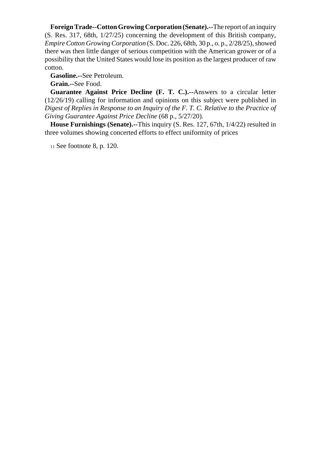**ForeignTrade--CottonGrowingCorporation (Senate).--**The report of an inquiry (S. Res. 317, 68th, 1/27/25) concerning the development of this British company, *Empire Cotton Growing Corporation* (S. Doc. 226, 68th, 30 p., o. p., 2/28/25), showed there was then little danger of serious competition with the American grower or of a possibility that the United States would lose its position asthe largest producer of raw cotton.

**Gasoline.--**See Petroleum.

**Grain.--**See Food.

**Guarantee Against Price Decline (F. T. C.).--**Answers to a circular letter (12/26/19) calling for information and opinions on this subject were published in *Digest of Replies in Response to an Inquiry of the F. T. C. Relative to the Practice of Giving Guarantee Against Price Decline* (68 p., 5/27/20).

**House Furnishings (Senate).--**This inquiry (S. Res. 127, 67th, 1/4/22) resulted in three volumes showing concerted efforts to effect uniformity of prices

11 See footnote 8, p. 120.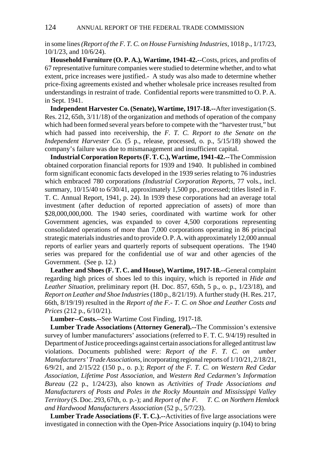in some lines*(Report of the F. T. C. on House Furnishing Industries,* 1018 p., 1/17/23, 10/1/23, and 10/6/24).

**Household Furniture (O. P. A.), Wartime, 1941-42.--**Costs, prices, and profits of 67 representative furniture companies were studied to determine whether, and to what extent, price increases were justified.- A study was also made to determine whether price-fixing agreements existed and whether wholesale price increases resulted from understandings in restraint of trade. Confidential reports were transmitted to O. P. A. in Sept. 1941.

**Independent Harvester Co.(Senate),Wartime, 1917-18.--**Afterinvestigation (S. Res. 212, 65th, 3/11/18) of the organization and methods of operation of the company which had been formed several years before to compete with the "harvester trust," but which had passed into receivership, the *F. T. C. Report to the Senate on the Independent Harvester Co.* (5 p., release, processed, o. p., 5/15/18) showed the company's failure was due to mismanagement and insufficient capital.

**Industrial Corporation Reports(F.T. C.),Wartime, 1941-42.--**TheCommission obtained corporation financial reports for 1939 and 1940. It published in combined form significant economic facts developed in the 1939 series relating to 76 industries which embraced 780 corporations *(Industrial Corporation Reports,* 77 vols., incl. summary, 10/15/40 to 6/30/41, approximately 1,500 pp., processed; titles listed in F. T. C. Annual Report, 1941, p. 24). In 1939 these corporations had an average total investment (after deduction of reported appreciation of assets) of more than \$28,000,000,000. The 1940 series, coordinated with wartime work for other Government agencies, was expanded to cover 4,500 corporations representing consolidated operations of more than 7,000 corporations operating in 86 principal strategic materials industries and to provide O.P. A. with approximately 12,000 annual reports of earlier years and quarterly reports of subsequent operations. The 1940 series was prepared for the confidential use of war and other agencies of the Government. (See p. 12.)

**Leather and Shoes (F. T. C. and House), Wartime, 1917-18.--**General complaint regarding high prices of shoes led to this inquiry, which is reported in *Hide and Leather Situation,* preliminary report (H. Doc. 857, 65th, 5 p., o. p., 1/23/18), and *Report on Leather and Shoe Industries* (180 p., 8/21/19). A further study (H. Res. 217, 66th, 8/19/19) resulted in the *Report of the F.- T. C. on Shoe and Leather Costs and Prices* (212 p., 6/10/21).

**Lumber--Costs.--**See Wartime Cost Finding, 1917-18.

**Lumber Trade Associations (Attorney General).--**The Commission's extensive survey of lumber manufacturers' associations (referred to F. T. C. 9/4/19) resulted in Department ofJustice proceedings against certain associations for alleged antitrust law violations. Documents published were: *Report of the F. T. C. on umber Manufacturers' Trade Associations,*incorporating regional reports of 1/10/21, 2/18/21, 6/9/21, and 2/15/22 (150 p., o. p.); *Report of the F. T. C. on Western Red Cedar Association, Lifetime Post Association,* and *Western Red Cedarmen's Information Bureau* (22 p., 1/24/23), also known as *Activities of Trade Associations and Manufacturers of Posts and Poles in the Rocky Mountain and Mississippi Valley Territory* (S.Doc. 293, 67th, o. p.-); and *Report of the F. T. C. on Northern Hemlock and Hardwood Manufacturers Association* (52 p., 5/7/23).

**Lumber Trade Associations (F. T. C.).--**Activities of five large associations were investigated in connection with the Open-Price Associations inquiry (p.104) to brin*g*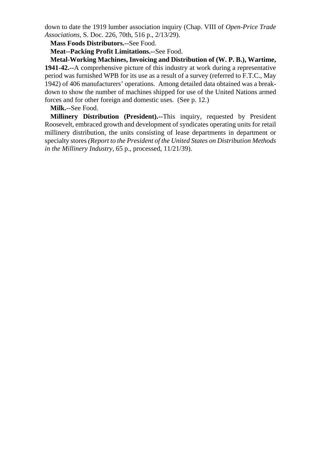down to date the 1919 lumber association inquiry (Chap. VIII of *Open-Price Trade Associations,* S. Doc. 226, 70th, 516 p., 2/13/29).

**Mass Foods Distributors.--**See Food.

**Meat--Packing Profit Limitations.--**See Food.

**Metal-Working Machines, Invoicing and Distribution of (W. P. B.), Wartime, 1941-42.--**A comprehensive picture of this industry at work during a representative period was furnished WPB for its use as a result of a survey (referred to F.T.C., May 1942) of 406 manufacturers' operations. Among detailed data obtained was a breakdown to show the number of machines shipped for use of the United Nations armed forces and for other foreign and domestic uses. (See p. 12.)

**Milk.--**See Food.

**Millinery Distribution (President).--**This inquiry, requested by President Roosevelt, embraced growth and development of syndicates operating units for retail millinery distribution, the units consisting of lease departments in department or specialty stores *(Report to the President of the United States on Distribution Methods in the Millinery Industry,* 65 p., processed, 11/21/39).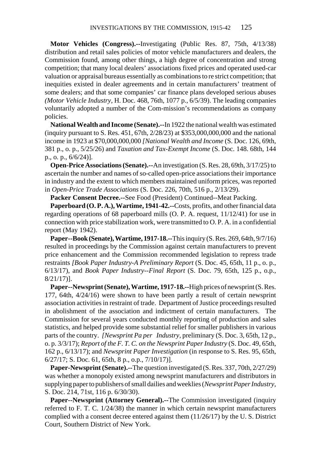**Motor Vehicles (Congress).--**Investigating (Public Res. 87, 75th, 4/13/38) distribution and retail sales policies of motor vehicle manufacturers and dealers, the Commission found, among other things, a high degree of concentration and strong competition; that many local dealers' associations fixed prices and operated used-car valuation or appraisal bureaus essentially as combinationsto re strict competition; that inequities existed in dealer agreements and in certain manufacturers' treatment of some dealers; and that some companies' car finance plans developed serious abuses *(Motor Vehicle Industry,* H. Doc. 468, 76th, 1077 p., 6/5/39). The leading companies voluntarily adopted a number of the Com-mission's recommendations as company policies.

**NationalWealth and Income (Senate).--**In 1922 the national wealth was estimated (inquiry pursuant to S. Res. 451, 67th, 2/28/23) at \$353,000,000,000 and the national income in 1923 at \$70,000,000,000 *[National Wealth and Income* (S. Doc. 126, 69th, 381 p., o. p., 5/25/26) and *Taxation and Tax-Exempt Income* (S. Doc. 148. 68th, 144 p., o. p., 6/6/24)].

**Open-Price Associations (Senate).--**An investigation (S. Res. 28, 69th, 3/17/25) to ascertain the number and names of so-called open-price associationstheir importance in industry and the extent to which members maintained uniform prices, was reported in *Open-Price Trade Associations* (S. Doc. 226, 70th, 516 p., 2/13/29).

**Packer Consent Decree.--**See Food (President) Continued--Meat Packing.

**Paperboard** (O.P.A.), Wartime, 1941-42.--Costs, profits, and other financial data regarding operations of 68 paperboard mills (O. P. A. request, 11/12/41) for use in connection with price stabilization work, were transmitted to O. P. A. in a confidential report (May 1942).

**Paper--Book (Senate), Wartime, 1917-18.--**Thisinquiry (S.Res. 269, 64th, 9/7/16) resulted in proceedings by the Commission against certain manufacturers to prevent price enhancement and the Commission recommended legislation to repress trade restraints *[Book Paper Industry-A Preliminary Report* (S. Doc. 45, 65th, 11 p., o. p., 6/13/17), and *Book Paper Industry--Final Report* (S. Doc. 79, 65th, 125 p., o.p., 8/21/17)].

**Paper--Newsprint(Senate),Wartime, 1917-18.--**High prices of newsprint (S. Res. 177, 64th, 4/24/16) were shown to have been partly a result of certain newsprint association activitiesin restraint of trade. Department of Justice proceedings resulted in abolishment of the association and indictment of certain manufacturers. The Commission for several years conducted monthly reporting of production and sales statistics, and helped provide some substantial relief for smaller publishers in various parts of the country. *[Newsprint Pa per Industry,* preliminary (S. Doc. 3, 65th, 12 p., o. p. 3/3/17); *Report of the F. T. C. on the Newsprint PaperIndustry* (S. Doc. 49, 65th, 162 p., 6/13/17); and *Newsprint Paper Investigation* (in response to S. Res. 95, 65th,  $6/27/17$ ; S. Doc. 61, 65th, 8 p., o.p.,  $7/10/17$ ].

**Paper-Newsprint(Senate).--**The question investigated (S.Res. 337, 70th, 2/27/29) was whether a monopoly existed among newsprint manufacturers and distributors in supplying paper to publishers of small dailies and weeklies (*NewsprintPaperIndustry,* S. Doc. 214, 71st, 116 p. 6/30/30).

**Paper--Newsprint (Attorney General).--**The Commission investigated (inquiry referred to F. T. C. 1/24/38) the manner in which certain newsprint manufacturers complied with a consent decree entered against them (11/26/17) by the U. S. District Court, Southern District of New York.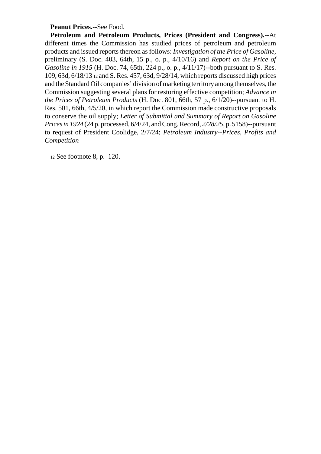#### **Peanut Prices.--**See Food.

**Petroleum and Petroleum Products, Prices (President and Congress).--**At different times the Commission has studied prices of petroleum and petroleum products and issued reports thereon as follows: *Investigation of the Price of Gasoline,* preliminary (S. Doc. 403, 64th, 15 p., o. p., 4/10/16) and *Report on the Price of Gasoline in 1915* (H. Doc. 74, 65th, 224 p., o. p., 4/11/17)--both pursuant to S. Res. 109, 63d, 6/18/13 <sup>12</sup> and S. Res. 457, 63d, 9/28/14, which reports discussed high prices and the Standard Oil companies' division of marketing territory among themselves, the Commission suggesting several plans for restoring effective competition; *Advance in the Prices of Petroleum Products* (H. Doc. 801, 66th, 57 p., 6/1/20)--pursuant to H. Res. 501, 66th, 4/5/20, in which report the Commission made constructive proposals to conserve the oil supply; *Letter of Submittal and Summary of Report on Gasoline Pricesin 1924* (24 p. processed, 6/4/24, andCong.Record, *2/28/25,* p. 5158)--pursuant to request of President Coolidge, 2/7/24; *Petroleum Industry--Prices, Profits and Competition* 

12 See footnote 8, p. 120.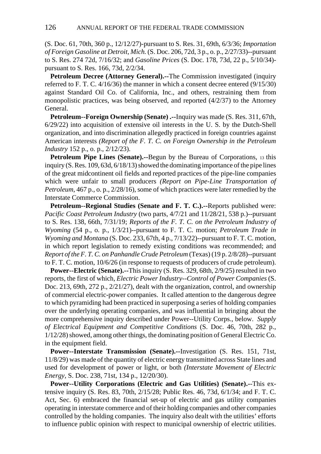(S. Doc. 61, 70th, 360 p., 12/12/27)-pursuant to S. Res. 31, 69th, 6/3/36; *Importation of Foreign Gasoline at Detroit, Mich.* (S. Doc. 206, 72d, 3 p., o. p., 2/27/33)--pursuant to S. Res. 274 72d, 7/16/32; and *Gasoline Prices* (S. Doc. 178, 73d, 22 p., 5/10/34) pursuant to S. Res. 166, 73d, 2/2/34.

**Petroleum Decree (Attorney General).--**The Commission investigated (inquiry referred to F. T. C. 4/16/36) the manner in which a consent decree entered (9/15/30) against Standard Oil Co. of California, Inc., and others, restraining them from monopolistic practices, was being observed, and reported (4/2/37) to the Attorney General.

**Petroleum--Foreign Ownership (Senate) .--**Inquiry was made (S. Res. 311, 67th, 6/29/22) into acquisition of extensive oil interests in the U. S. by the Dutch-Shell organization, and into discrimination allegedly practiced in foreign countries against American interests *(Report of the F. T. C. on Foreign Ownership in the Petroleum Industry* 152 p., o. p., 2/12/23).

**Petroleum Pipe Lines (Senate).--**Begun by the Bureau of Corporations, <sup>13</sup> this inquiry (S. Res. 109, 63d, 6/18/13) showed the dominating importance of the pipe lines of the great midcontinent oil fields and reported practices of the pipe-line companies which were unfair to small producers *(Report on Pipe-Line Transportation of Petroleum,* 467 p., o. p., 2/28/16), some of which practices were later remedied by the Interstate Commerce Commission.

**Petroleum--Regional Studies (Senate and F. T. C.).--**Reports published were: *Pacific Coast Petroleum Industry* (two parts, 4/7/21 and 11/28/21, 538 p.)--pursuant to S. Res. 138, 66th, 7/31/19; *Reports of the F. T. C. on the Petroleum Industry of Wyoming* (54 p., o. p., 1/3/21)--pursuant to F. T. C. motion; *Petroleum Trade in Wyoming and Montana* (S. Doc. 233, 67th, 4 p., 7/13/22)--pursuant to F. T. C. motion, in which report legislation to remedy existing conditions was recommended; and *Report of the F. T. C. on Panhandle Crude Petroleum* (Texas) (19 p. 2/8/28)--pursuant to F. T. C. motion, 10/6/26 (in response to requests of producers of crude petroleum).

**Power--Electric (Senate).--**This inquiry (S. Res. 329, 68th, 2/9/25) resulted in two reports, the first of which, *Electric Power Industry--Control of Power Companies* (S. Doc. 213, 69th, 272 p., 2/21/27), dealt with the organization, control, and ownership of commercial electric-power companies. It called attention to the dangerous degree to which pyramiding had been practiced in superposing a series of holding companies over the underlying operating companies, and was influential in bringing about the more comprehensive inquiry described under Power--Utility Corps., below. *Supply of Electrical Equipment and Competitive Conditions* (S. Doc. 46, 70th, 282 p., 1/12/28) showed, among other things, the dominating position of General Electric Co. in the equipment field.

**Power--Interstate Transmission (Senate).--**Investigation (S. Res. 151, 71st, 11/8/29) was made of the quantity of electric energy transmitted across State lines and used for development of power or light, or both *(Interstate Movement of Electric Energy,* S. Doc. 238, 71st, 134 p., 12/20/30).

**Power--Utility Corporations (Electric and Gas Utilities) (Senate).-**-This extensive inquiry (S. Res. 83, 70th, 2/15/28; Public Res. 46, 73d, 6/1/34; and F. T. C. Act, Sec. 6) embraced the financial set-up of electric and gas utility companies operating in interstate commerce and of their holding companies and other companies controlled by the holding companies. The inquiry also dealt with the utilities' efforts to influence public opinion with respect to municipal ownership of electric utilities.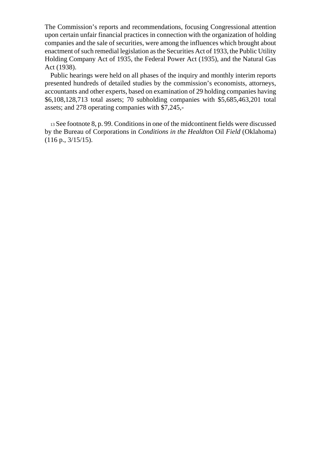The Commission's reports and recommendations, focusing Congressional attention upon certain unfair financial practices in connection with the organization of holding companies and the sale of securities, were among the influences which brought about enactment of such remedial legislation as the Securities Act of 1933, the Public Utility Holding Company Act of 1935, the Federal Power Act (1935), and the Natural Gas Act (1938).

Public hearings were held on all phases of the inquiry and monthly interim reports presented hundreds of detailed studies by the commission's economists, attorneys, accountants and other experts, based on examination of 29 holding companies having \$6,108,128,713 total assets; 70 subholding companies with \$5,685,463,201 total assets; and 278 operating companies with \$7,245,-

<sup>13</sup> See footnote 8, p. 99. Conditions in one of the midcontinent fields were discussed by the Bureau of Corporations in *Conditions in the Healdton* Oil *Field* (Oklahoma)  $(116 \text{ p.}, 3/15/15).$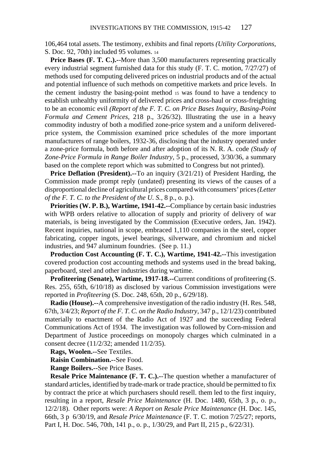106,464 total assets. The testimony, exhibits and final reports *(Utility Corporations,* S. Doc. 92, 70th) included 95 volumes. <sup>14</sup>

**Price Bases (F. T. C.).-**-More than 3,500 manufacturers representing practically every industrial segment furnished data for this study (F. T. C. motion, 7/27/27) of methods used for computing delivered prices on industrial products and of the actual and potential influence of such methods on competitive markets and price levels. In the cement industry the basing-point method <sup>15</sup> was found to have a tendency to establish unhealthy uniformity of delivered prices and cross-haul or cross-freighting to be an economic evil *(Report of the F. T. C. on Price Bases Inquiry, Basing-Point Formula and Cement Prices,* 218 p., 3/26/32). Illustrating the use in a heavy commodity industry of both a modified zone-price system and a uniform deliveredprice system, the Commission examined price schedules of the more important manufacturers of range boilers, 1932-36, disclosing that the industry operated under a zone-price formula, both before and after adoption of its N. R. A. code *(Study of Zone-Price Formula in Range Boiler Industry,* 5 p., processed, 3/30/36, a summary based on the complete report which was submitted to Congress but not printed).

**Price Deflation (President).--**To an inquiry (3/21/21) of President Harding, the Commission made prompt reply (undated) presenting its views of the causes of a disproportional decline of agricultural prices comparedwith consumers' prices*(Letter of the F. T. C. to the President of the U. S.,* 8 p., o. p.).

**Priorities (W. P. B.), Wartime, 1941-42.--**Compliance by certain basic industries with WPB orders relative to allocation of supply and priority of delivery of war materials, is being investigated by the Commission (Executive orders, Jan. 1942). Recent inquiries, national in scope, embraced 1,110 companies in the steel, copper fabricating, copper ingots, jewel bearings, silverware, and chromium and nickel industries, and 947 aluminum foundries. (See p. 11.)

**Production Cost Accounting (F. T. C.), Wartime, 1941-42.--**This investigation covered production cost accounting methods and systems used in the bread baking, paperboard, steel and other industries during wartime.

**Profiteering (Senate), Wartime, 1917-18.--**Current conditions of profiteering (S. Res. 255, 65th, 6/10/18) as disclosed by various Commission investigations were reported in *Profiteering* (S. Doc. 248, 65th, 20 p., 6/29/18).

**Radio (House).--**A comprehensive investigation of the radio industry (H. Res. 548, 67th, 3/4/23; *Report of the F. T. C. on the Radio Industry,* 347 p., 12/1/23) contributed materially to enactment of the Radio Act of 1927 and the succeeding Federal Communications Act of 1934. The investigation was followed by Corn-mission and Department of Justice proceedings on monopoly charges which culminated in a consent decree (11/2/32; amended 11/2/35).

**Rags, Woolen.--**See Textiles.

**Raisin Combination.-**-See Food.

**Range Boilers.--**See Price Bases.

**Resale Price Maintenance (F. T. C.).-**-The question whether a manufacturer of standard articles, identified by trade-mark or trade practice, should be permitted to fix by contract the price at which purchasers should resell. them led to the first inquiry, resulting in a report, *Resale Price Maintenance* (H. Doc. 1480, 65th, 3 p., o. p., 12/2/18). Other reports were: *A Report on Resale Price Maintenance* (H. Doc. 145, 66th, 3 p 6/30/19, and *Resale Price Maintenance* (F. T. C. motion 7/25/27; reports, Part I, H. Doc. 546, 70th, 141 p., o. p., 1/30/29, and Part II, 215 p., 6/22/31).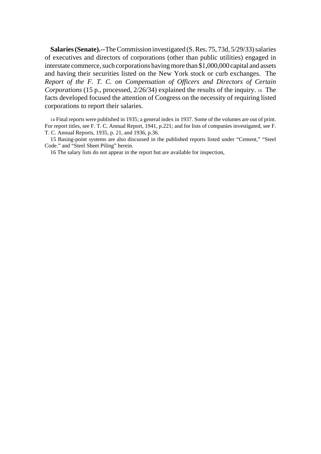**Salaries (Senate).--The Commission investigated (S.Res. 75, 73d, 5/29/33) salaries** of executives and directors of corporations (other than public utilities) engaged in interstate commerce, such corporations having more than \$1,000,000 capital and assets and having their securities listed on the New York stock or curb exchanges. The *Report of the F. T. C. on Compensation of Officers and Directors of Certain Corporations* (15 p., processed, 2/26/34) explained the results of the inquiry. <sup>16</sup> The facts developed focused the attention of Congress on the necessity of requiring listed corporations to report their salaries.

14 Final reports were published in 1935; a general index in 1937. Some of the volumes are out of print. For report titles, see F. T. C. Annual Report, 1941, p.221; and for lists of companies investigated, see F. T. C. Annual Reports, 1935, p. 21, and 1936, p.36.

15 Basing-point systems are also discussed in the published reports listed under "Cement," "Steel Code." and "Steel Sheet Piling" herein.

16 The salary lists do not appear in the report but are available for inspection,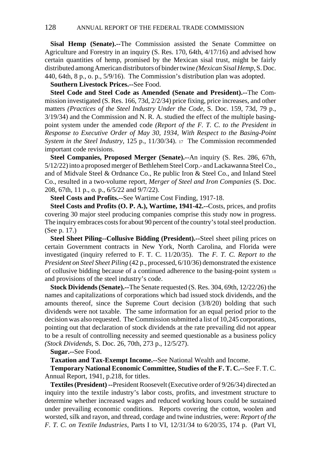**Sisal Hemp (Senate).--**The Commission assisted the Senate Committee on Agriculture and Forestry in an inquiry (S. Res. 170, 64th, 4/17/16) and advised how certain quantities of hemp, promised by the Mexican sisal trust, might be fairly distributed amongAmerican distributors of binder twine *(Mexican SisalHemp,* S.Doc. 440, 64th, 8 p., o. p., 5/9/16). The Commission's distribution plan was adopted.

**Southern Livestock Prices.--**See Food.

**Steel Code and Steel Code as Amended (Senate and President).--**The Commission investigated (S. Res. 166, 73d, 2/2/34) price fixing, price increases, and other matters *(Practices of the Steel Industry Under the Code,* S. Doc. 159, 73d, 79 p., 3/19/34) and the Commission and N. R. A. studied the effect of the multiple basingpoint system under the amended code *(Report of the F. T. C. to the President in Response to Executive Order of May 30, 1934, With Respect to the Basing-Point System in the Steel Industry,* 125 p., 11/30/34). <sup>17</sup> The Commission recommended important code revisions.

**Steel Companies, Proposed Merger (Senate).-**-An inquiry (S. Res. 286, 67th, 5/12/22) into a proposed merger of Bethlehem Steel Corp.- and Lackawanna Steel Co., and of Midvale Steel & Ordnance Co., Re public Iron & Steel Co., and Inland Steel Co., resulted in a two-volume report, *Merger of Steel and Iron Companies* (S. Doc. 208, 67th, 11 p., o. p., 6/5/22 and 9/7/22).

**Steel Costs and Profits.--**See Wartime Cost Finding, 1917-18.

**Steel Costs and Profits (O. P. A.), Wartime, 1941-42.--**Costs, prices, and profits covering 30 major steel producing companies comprise this study now in progress. The inquiry embraces costs for about 90 percent of the country's total steel production. (See p. 17.)

**Steel Sheet Piling--Collusive Bidding (President).--**Steel sheet piling prices on certain Government contracts in New York, North Carolina, and Florida were investigated (inquiry referred to F. T. C. 11/20/35). The *F. T. C. Report to the President on Steel Sheet Piling* (42 p., processed, 6/10/36) demonstrated the existence of collusive bidding because of a continued adherence to the basing-point system <sup>18</sup> and provisions of the steel industry's code.

**Stock Dividends(Senate).--**The Senate requested (S. Res. 304, 69th, 12/22/26) the names and capitalizations of corporations which bad issued stock dividends, and the amounts thereof, since the Supreme Court decision (3/8/20) bolding that such dividends were not taxable. The same information for an equal period prior to the decision was also requested. The Commission submitted a list of 10,245 corporations, pointing out that declaration of stock dividends at the rate prevailing did not appear to be a result of controlling necessity and seemed questionable as a business policy *(Stock Dividends,* S. Doc. 26, 70th, 273 p., 12/5/27).

**Sugar.--**See Food.

**Taxation and Tax-Exempt Income.--**See National Wealth and Income.

**Temporary National Economic Committee, Studies of the F. T. C.--**See F. T. C. Annual Report, 1941, p.218, for titles.

**Textiles(President) --**President Roosevelt(Executive order of 9/26/34) directed an inquiry into the textile industry's labor costs, profits, and investment structure to determine whether increased wages and reduced working hours could be sustained under prevailing economic conditions. Reports covering the cotton, woolen and worsted, silk and rayon, and thread, cordage and twine industries, were: *Report of the F. T. C. on Textile Industries,* Parts I to VI, 12/31/34 to 6/20/35, 174 p. (Part VI,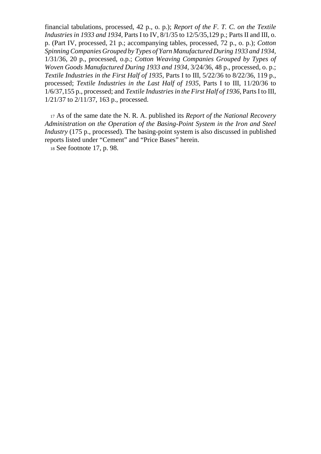financial tabulations, processed, 42 p., o. p.); *Report of the F. T. C. on the Textile Industries in 1933 and 1934,* Parts I to IV, 8/1/35 to 12/5/35,129 p.; Parts II and III, o. p. (Part IV, processed, 21 p.; accompanying tables, processed, 72 p., o. p.); *Cotton SpinningCompanies Grouped by Types of Yarn Manufactured During 1933 and 1934,* 1/31/36, 20 p., processed, o.p.; *Cotton Weaving Companies Grouped by Types of Woven Goods Manufactured During 1933 and 1934,* 3/24/36, 48 p., processed, o. p.; *Textile Industries in the First Half of 1935,* Parts I to III, 5/22/36 to 8/22/36, 119 p., processed; *Textile Industries in the Last Half of 1935,* Parts I to III, 11/20/36 to 1/6/37,155 p., processed; and *Textile Industriesin the First Half of 1936,* PartsI to III, 1/21/37 to 2/11/37, 163 p., processed.

<sup>17</sup> As of the same date the N. R. A. published its *Report of the National Recovery Administration on the Operation of the Basing-Point System in the Iron and Steel Industry* (175 p., processed). The basing-point system is also discussed in published reports listed under "Cement" and "Price Bases" herein.

18 See footnote 17, p. 98.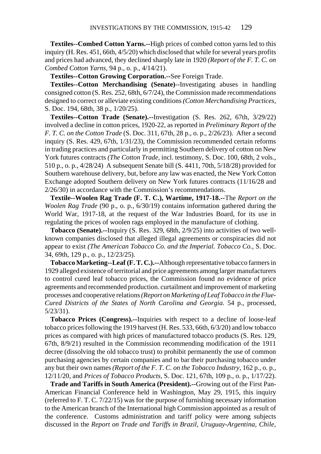**Textiles--Combed Cotton Yarns.--**High prices of combed cotton yarns led to this inquiry (H. Res. 451, 66th, 4/5/20) which disclosed that while for several years profits and prices had advanced, they declined sharply late in 1920 *(Report of the F. T. C. on Combed Cotton Yarns,* 94 p., o. p., 4/14/21).

**Textiles--Cotton Growing Corporation.--**See Foreign Trade.

**Textiles--Cotton Merchandising (Senate)**--Investigating abuses in handling consigned cotton (S. Res. 252, 68th, 6/7/24), the Commission made recommendations designed to correct or alleviate existing conditions *(Cotton Merchandising Practices,* S. Doc. 194, 68th, 38 p., 1/20/25).

**Textiles--Cotton Trade (Senate).--**Investigation (S. Res. 262, 67th, 3/29/22) involved a decline in cotton prices, 1920-22, as reported in *Preliminary Report of the F. T. C. on the Cotton Trade* (S. Doc. 311, 67th, 28 p., o. p., 2/26/23). After a second inquiry (S. Res. 429, 67th, 1/31/23), the Commission recommended certain reforms in trading practices and particularly in permitting Southern delivery of cotton on New York futures contracts *(The Cotton Trade,* incl. testimony, S. Doc. 100, 68th, 2 vols., 510 p., o. p., 4/28/24) A subsequent Senate bill (S. 4411, 70th, 5/18/28) provided for Southern warehouse delivery, but, before any law was enacted, the New York Cotton Exchange adopted Southern delivery on New York futures contracts (11/16/28 and 2/26/30) in accordance with the Commission's recommendations.

**Textile--Woolen Rag Trade (F. T. C.), Wartime, 1917-18.--**The *Report on the Woolen Rag Trade* (90 p., o. p., 6/30/19) contains information gathered during the World War, 1917-18, at the request of the War Industries Board, for its use in regulating the prices of woolen rags employed in the manufacture of clothing.

**Tobacco (Senate).--**Inquiry (S. Res. 329, 68th, 2/9/25) into activities of two wellknown companies disclosed that alleged illegal agreements or conspiracies did not appear to exist *(The American Tobacco Co. and the Imperial. Tobacco Co.,* S. Doc. 34, 69th, 129 p., o. p., 12/23/25).

**Tobacco Marketing--Leaf (F. T. C.).--**Although representative tobacco farmersin 1929 alleged existence of territorial and price agreements among larger manufacturers to control cured leaf tobacco prices, the Commission found no evidence of price agreements and recommended production. curtailment and improvement of marketing processes and cooperative relations*(Report on Marketing of Leaf Tobacco in the Flue-Cured Districts of the States of North Carolina and Georgia.* 54 p., processed, 5/23/31).

**Tobacco Prices (Congress).--**Inquiries with respect to a decline of loose-leaf tobacco prices following the 1919 harvest (H. Res. 533, 66th,  $6/3/20$ ) and low tobacco prices as compared with high prices of manufactured tobacco products (S. Res. 129, 67th, 8/9/21) resulted in the Commission recommending modification of the 1911 decree (dissolving the old tobacco trust) to prohibit permanently the use of common purchasing agencies by certain companies and to bar their purchasing tobacco under any but their own names*(Report of the F. T. C. on the Tobacco Industry,* 162 p., o. p., 12/11/20, and *Prices of Tobacco Products,* S. Doc. 121, 67th, 109 p., o. p., 1/17/22).

**Trade and Tariffs in South America (President).--**Growing out of the First Pan-American Financial Conference held in Washington, May 29, 1915, this inquiry (referred to F. T. C. 7/22/15) was for the purpose of furnishing necessary information to the American branch of the International high Commission appointed as a result of the conference. Customs administration and tariff policy were among subjects discussed in the *Report on Trade and Tariffs in Brazil, Uruguay-Argentina, Chile,*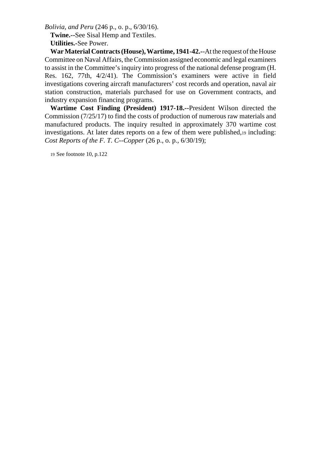*Bolivia, and Peru* (246 p., o. p., 6/30/16).

**Twine.--**See Sisal Hemp and Textiles.

**Utilities.-**See Power.

**War Material Contracts (House), Wartime, 1941-42.-**-At the request of the House Committee on Naval Affairs, theCommission assigned economic and legal examiners to assist in the Committee's inquiry into progress of the national defense program (H. Res. 162, 77th, 4/2/41). The Commission's examiners were active in field investigations covering aircraft manufacturers' cost records and operation, naval air station construction, materials purchased for use on Government contracts, and industry expansion financing programs.

**Wartime Cost Finding (President) 1917-18.--**President Wilson directed the Commission (7/25/17) to find the costs of production of numerous raw materials and manufactured products. The inquiry resulted in approximately 370 wartime cost investigations. At later dates reports on a few of them were published,<sup>19</sup> including: *Cost Reports of the F. T. C--Copper* (26 p., o. p.*,* 6/30/19);

19 See footnote 10, p.122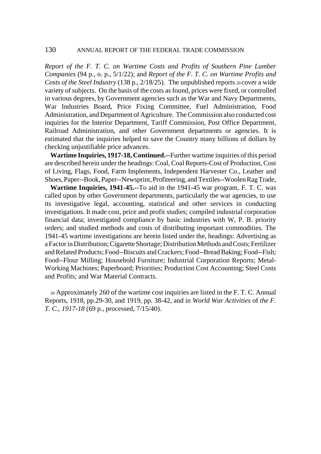#### 130 ANNUAL REPORT OF THE FEDERAL TRADE COMMISSION

*Report of the F. T. C. on Wartime Costs and Profits of Southern Pine Lumber Companies* (94 p., o. p., 5/1/22); and *Report of the F. T. C. on Wartime Profits and Costs of the Steel Industry* (138 p., 2/18/25). The unpublished reports <sup>20</sup> cover a wide variety of subjects. On the basis of the costs as found, prices were fixed, or controlled in various degrees, by Government agencies such as the War and Navy Departments, War Industries Board, Price Fixing Committee, Fuel Administration, Food Administration, and Department of Agriculture. The Commission also conducted cost inquiries for the Interior Department, Tariff Commission, Post Office Department, Railroad Administration, and other Government departments or agencies. It is estimated that the inquiries helped to save the Country many billions of dollars by checking unjustifiable price advances.

**Wartime Inquiries, 1917-18, Continued.--**Further wartime inquiries ofthis period are described herein under the headings: Coal, Coal Reports-Cost of Production, Cost of Living, Flags, Food, Farm Implements, Independent Harvester Co., Leather and Shoes, Paper--Book, Paper--Newsprint, Profiteering, and Textiles--Woolen Rag Trade,

**Wartime Inquiries, 1941-45.--**To aid in the 1941-45 war program, F. T. C. was called upon by other Government departments, particularly the war agencies, to use its investigative legal, accounting, statistical and other services in conducting investigations. It made cost, price and profit studies; compiled industrial corporation financial data; investigated compliance by basic industries with W, P. B. priority orders; and studied methods and costs of distributing important commodities. The 1941-45 wartime investigations are herein listed under the, headings: Advertising as a FactorinDistribution; Cigarette Shortage; Distribution Methods and Costs; Fertilizer and Related Products; Food--Biscuits and Crackers; Food--Bread Baking; Food--Fish; Food--Flour Milling; Household Furniture; Industrial Corporation Reports; Metal-Working Machines; Paperboard; Priorities; Production Cost Accounting; Steel Costs and Profits; and War Material Contracts.

<sup>20</sup> Approximately 260 of the wartime cost inquiries are listed in the F. T. C. Annual Reports, 1918, pp.29-30, and 1919, pp. 38-42, and in *World War Activities* of *the F. T. C., 1917-18* (69 p., processed, 7/15/40).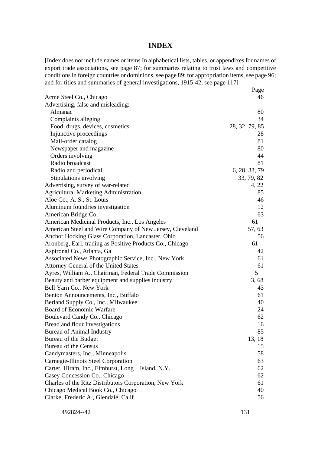# **INDEX**

[Index does not include names or items In alphabetical lists, tables, or appendixes for names of export trade associations, see page 87; for summaries relating to trust laws and competitive conditions in foreign countries or dominions, see page 89; for appropriation items, see page 96; and for titles and summaries of general investigations, 1915-42, see page 117]  $\mathbf{p}$ 

|                                                           | rage           |
|-----------------------------------------------------------|----------------|
| Acme Steel Co., Chicago                                   | 46             |
| Advertising, false and misleading:                        |                |
| Almanac                                                   | 80             |
| Complaints alleging                                       | 34             |
| Food, drugs, devices, cosmetics                           | 28, 32, 79, 85 |
| Injunctive proceedings                                    | 28             |
| Mail-order catalog                                        | 81             |
| Newspaper and magazine                                    | 80             |
| Orders involving                                          | 44             |
| Radio broadcast                                           | 81             |
| Radio and periodical                                      | 6, 28, 33, 79  |
| Stipulations involving                                    | 33, 79, 82     |
| Advertising, survey of war-related                        | 4, 22          |
| <b>Agricultural Marketing Administration</b>              | 85             |
| Aloe Co., A. S., St. Louis                                | 46             |
| Aluminum foundries investigation                          | 12             |
| American Bridge Co                                        | 63             |
| American Medicinal Products, Inc., Los Angeles            | 61             |
| American Steel and Wire Company of New Jersey, Cleveland  | 57, 63         |
| Anchor Hocking Glass Corporation, Lancaster, Ohio         | 56             |
| Aronberg, Earl, trading as Positive Products Co., Chicago | 61             |
| Aspironal Co., Atlanta, Ga                                | 42             |
| Associated News Photographic Service, Inc., New York      | 61             |
| Attorney General of the United States                     | 61             |
| Ayres, William A., Chairman, Federal Trade Commission     | 5              |
| Beauty and barber equipment and supplies industry         | 3, 68          |
| Bell Yarn Co., New York                                   | 43             |
| Benton Announcements, Inc., Buffalo                       | 61             |
| Berland Supply Co., Inc., Milwaukee                       | 40             |
| Board of Economic Warfare                                 | 24             |
| Boulevard Candy Co., Chicago                              | 62             |
| Bread and flour Investigations                            | 16             |
| <b>Bureau of Animal Industry</b>                          | 85             |
| Bureau of the Budget                                      | 13, 18         |
| Bureau of the Census                                      | 15             |
| Candymasters, Inc., Minneapolis                           | 58             |
| Carnegie-Illinois Steel Corporation                       | 63             |
| Carter, Hiram, Inc., Elmhurst, Long<br>Island, N.Y.       | 62             |
| Casey Concession Co., Chicago                             | 62             |
| Charles of the Ritz Distributors Corporation, New York    | 61             |
| Chicago Medical Book Co., Chicago                         | 40             |
| Clarke, Frederic A., Glendale, Calif                      | 56             |
|                                                           |                |

492824--42 131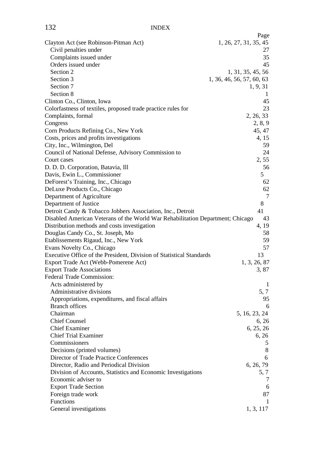| 132                                                                            | <b>INDEX</b>              |
|--------------------------------------------------------------------------------|---------------------------|
|                                                                                | Page                      |
| Clayton Act (see Robinson-Pitman Act)                                          | 1, 26, 27, 31, 35, 45     |
| Civil penalties under                                                          | 27                        |
| Complaints issued under                                                        | 35                        |
| Orders issued under                                                            | 45                        |
| Section 2                                                                      | 1, 31, 35, 45, 56         |
| Section 3                                                                      | 1, 36, 46, 56, 57, 60, 63 |
| Section 7                                                                      | 1, 9, 31                  |
| Section 8                                                                      | 1                         |
| Clinton Co., Clinton, Iowa                                                     | 45                        |
| Colorfastness of textiles, proposed trade practice rules for                   | 23                        |
| Complaints, formal                                                             | 2, 26, 33                 |
| Congress                                                                       | 2, 8, 9                   |
| Corn Products Refining Co., New York                                           | 45, 47                    |
| Costs, prices and profits investigations                                       | 4, 15                     |
| City, Inc., Wilmington, Del                                                    | 59                        |
| Council of National Defense, Advisory Commission to                            | 24                        |
| Court cases                                                                    | 2, 55                     |
| D. D. D. Corporation, Batavia, Ill                                             | 56                        |
| Davis, Ewin L., Commissioner                                                   | 5                         |
| DeForest's Training, Inc., Chicago                                             | 62                        |
| DeLuxe Products Co., Chicago                                                   | 62                        |
| Department of Agriculture                                                      | 7                         |
| Department of Justice                                                          | 8                         |
| Detroit Candy & Tobacco Jobbers Association, Inc., Detroit                     | 41                        |
| Disabled American Veterans of the World War Rehabilitation Department; Chicago | 43                        |
| Distribution methods and costs investigation                                   | 4, 19                     |
| Douglas Candy Co., St. Joseph, Mo                                              | 58                        |
| Etablissements Rigaud, Inc., New York                                          | 59                        |
| Evans Novelty Co., Chicago                                                     | 57                        |
| Executive Office of the President, Division of Statistical Standards           | 13                        |
| Export Trade Act (Webb-Pomerene Act)                                           | 1, 3, 26, 87              |
| <b>Export Trade Associations</b>                                               | 3, 87                     |
| Federal Trade Commission:                                                      |                           |
| Acts administered by                                                           | 1                         |
| Administrative divisions                                                       | 5, 7                      |
| Appropriations, expenditures, and fiscal affairs                               | 95                        |
| <b>Branch offices</b><br>Chairman                                              | 6                         |
| <b>Chief Counsel</b>                                                           | 5, 16, 23, 24             |
| <b>Chief Examiner</b>                                                          | 6, 26<br>6, 25, 26        |
| <b>Chief Trial Examiner</b>                                                    | 6, 26                     |
| Commissioners                                                                  | 5.                        |
| Decisions (printed volumes)                                                    | 8                         |
| Director of Trade Practice Conferences                                         | 6                         |
| Director, Radio and Periodical Division                                        | 6, 26, 79                 |
| Division of Accounts, Statistics and Economic Investigations                   |                           |
| Economic adviser to                                                            | 5, 7<br>$\frac{1}{2}$     |
| <b>Export Trade Section</b>                                                    | 6                         |
| Foreign trade work                                                             | 87                        |
| Functions                                                                      | 1                         |
| General investigations                                                         | 1, 3, 117                 |
|                                                                                |                           |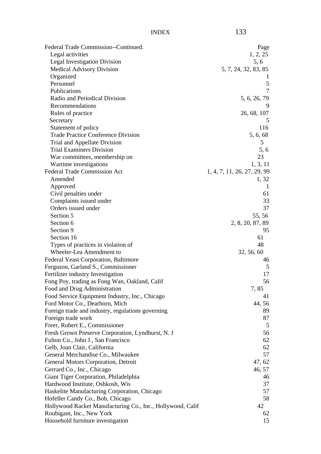INDEX 133

Federal Trade Commission--Continued. The example of the Page Page of the Page of the Page of the Page of the Page of the Page of the Page of the Page of the Page of the Page of the Page of the Page of the Page of the Page Legal activities  $1, 2, 25$ Legal Investigation Division 5, 6 Medical Advisory Division 6. 2008 1. 2010 1. 2010 1. 2010 1. 2010 1. 2010 1. 2010 1. 2010 1. 2010 1. 2010 1. 20 Organized 1 Personnel 5 Publications 7 Radio and Periodical Division 5, 6, 26, 79 **Recommendations** Rules of practice 26, 68, 107 Secretary 5 Statement of policy 116 Trade Practice Conference Division 5, 6, 68 Trial and Appellate Division 5 Trial Examiners Division 5, 6 War committees, membership on 23 Wartime investigations 1, 3, 11 Federal Trade Commission Act 1, 4, 7, 11, 26, 27, 29, 99 Amended 1, 32 Approved 1 Civil penalties under 61 Complaints issued under 33 Orders issued under 37 Section 5  $55, 56$ Section 6 2, 8, 20, 87, 89 Section 9 95 Section 16 61 Types of practices in violation of 48 Wheeler-Lea Amendment to 32, 56, 60 Federal Yeast Corporation, Baltimore 46 Ferguson, Garland S., Commissioner 5 Fertilizer industry Investigation 17 Fong Poy, trading as Fong Wan, Oakland, Calif 56 Food and Drug Administration 7, 85 Food Service Equipment Industry, Inc., Chicago 41 Ford Motor Co., Dearborn, Mich 44, 56 Foreign trade and industry, regulations governing 89 Foreign trade work 87 Freer, Robert E., Commissioner 5 Fresh Grown Preserve Corporation, Lyndhurst, N. J 56 Fulton Co., John J., San Francisco 62 Gelb, Joan Clair, California 62 General Merchandise Co., Milwaukee 57 General Motors Corporation, Detroit 47, 62 Gerrard Co., Inc., Chicago 46, 57 Giant Tiger Corporation, Philadelphia 46 Hardwood Institute, Oshkosh, Wis 37 Haskelite Manufacturing Corporation, Chicago 57 Hofeller Candy Co., Bob, Chicago 58 Hollywood Racket Manufacturing Co., Inc., Hollywood, Calif 42 Roubigant, Inc., New York 62 Household furniture investigation 15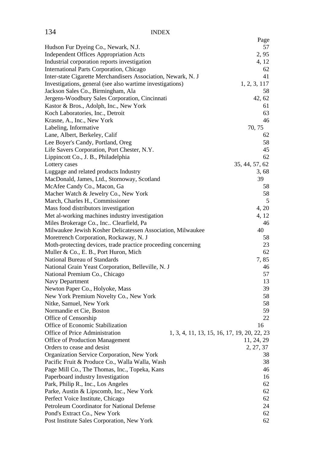| 134 | <b>INDEX</b> |
|-----|--------------|
|     |              |

|                                                                               | Page           |
|-------------------------------------------------------------------------------|----------------|
| Hudson Fur Dyeing Co., Newark, N.J.                                           | 57             |
| <b>Independent Offices Appropriation Acts</b>                                 | 2, 95          |
| Industrial corporation reports investigation                                  | 4, 12          |
| International Parts Corporation, Chicago                                      | 62             |
| Inter-state Cigarette Merchandisers Association, Newark, N. J                 | 41             |
| Investigations, general (see also wartime investigations)                     | 1, 2, 3, 117   |
| Jackson Sales Co., Birmingham, Ala                                            | 58             |
| Jergens-Woodbury Sales Corporation, Cincinnati                                | 42, 62         |
| Kastor & Bros., Adolph, Inc., New York                                        | 61             |
| Koch Laboratories, Inc., Detroit                                              | 63             |
| Krasne, A., Inc., New York                                                    | 46             |
| Labeling, Informative                                                         | 70, 75         |
| Lane, Albert, Berkeley, Calif                                                 | 62             |
| Lee Boyer's Candy, Portland, Oreg                                             | 58             |
| Life Savers Corporation, Port Chester, N.Y.                                   | 45             |
| Lippincott Co., J. B., Philadelphia                                           | 62             |
| Lottery cases                                                                 | 35, 44, 57, 62 |
| Luggage and related products Industry                                         | 3, 68          |
| MacDonald, James, Ltd., Stornoway, Scotland                                   | 39             |
| McAfee Candy Co., Macon, Ga                                                   | 58             |
| Macher Watch & Jewelry Co., New York                                          | 58             |
| March, Charles H., Commissioner                                               | 5              |
| Mass food distributors investigation                                          | 4, 20          |
| Met al-working machines industry investigation                                | 4, 12          |
| Miles Brokerage Co., Inc Clearfield, Pa                                       | 46             |
| Milwaukee Jewish Kosher Delicatessen Association, Milwaukee                   | 40             |
| Moretrench Corporation, Rockaway, N. J                                        | 58             |
| Moth-protecting devices, trade practice proceeding concerning                 | 23             |
| Muller & Co., E. B., Port Huron, Mich                                         | 62             |
| National Bureau of Standards                                                  | 7,85           |
| National Grain Yeast Corporation, Belleville, N. J                            | 46             |
| National Premium Co., Chicago                                                 | 57             |
| Navy Department                                                               | 13             |
| Newton Paper Co., Holyoke, Mass                                               | 39             |
| New York Premium Novelty Co., New York                                        | 58             |
| Nitke, Samuel, New York                                                       | 58             |
| Normandie et Cie, Boston                                                      | 59             |
| Office of Censorship                                                          | 22             |
| Office of Economic Stabilization                                              | 16             |
| Office of Price Administration<br>1, 3, 4, 11, 13, 15, 16, 17, 19, 20, 22, 23 |                |
| Office of Production Management                                               | 11, 24, 29     |
| Orders to cease and desist                                                    | 2, 27, 37      |
| Organization Service Corporation, New York                                    | 38             |
| Pacific Fruit & Produce Co., Walla Walla, Wash                                | 38             |
| Page Mill Co., The Thomas, Inc., Topeka, Kans                                 | 46             |
| Paperboard industry Investigation                                             | 16             |
| Park, Philip R., Inc., Los Angeles                                            | 62             |
| Parke, Austin & Lipscomb, Inc., New York                                      | 62             |
| Perfect Voice Institute, Chicago                                              | 62             |
| Petroleum Coordinator for National Defense                                    | 24             |
| Pond's Extract Co., New York                                                  | 62             |
| Post Institute Sales Corporation, New York                                    | 62             |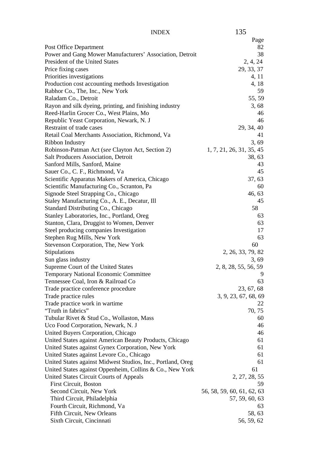| <b>INDEX</b>                                                     | 135                        |
|------------------------------------------------------------------|----------------------------|
|                                                                  | Page                       |
| Post Office Department                                           | 82                         |
| Power and Gang Mower Manufacturers' Association, Detroit         | 38                         |
| President of the United States                                   | 2, 4, 24                   |
| Price fixing cases                                               | 29, 33, 37                 |
| Priorities investigations                                        | 4, 11                      |
| Production cost accounting methods Investigation                 | 4, 18                      |
| Rabhor Co., The, Inc., New York                                  | 59                         |
| Raladam Co., Detroit                                             | 55,59                      |
| Rayon and silk dyeing, printing, and finishing industry          | 3,68                       |
| Reed-Harlin Grocer Co., West Plains, Mo                          | 46                         |
| Republic Yeast Corporation, Newark, N. J                         | 46                         |
| Restraint of trade cases                                         | 29, 34, 40                 |
| Retail Coal Merchants Association, Richmond, Va                  | 41                         |
| Ribbon Industry                                                  | 3,69                       |
| Robinson-Patman Act (see Clayton Act, Section 2)                 | 1, 7, 21, 26, 31, 35, 45   |
| Salt Producers Association, Detroit                              | 38, 63                     |
| Sanford Mills, Sanford, Maine                                    | 43                         |
| Sauer Co., C. F., Richmond, Va                                   | 45                         |
| Scientific Apparatus Makers of America, Chicago                  | 37, 63                     |
| Scientific Manufacturing Co., Scranton, Pa                       | 60                         |
| Signode Steel Strapping Co., Chicago                             | 46, 63                     |
| Staley Manufacturing Co., A. E., Decatur, Ill                    | 45                         |
| Standard Distributing Co., Chicago                               | 58                         |
| Stanley Laboratories, Inc., Portland, Oreg                       | 63                         |
| Stanton, Clara, Druggist to Women, Denver                        | 63                         |
| Steel producing companies Investigation                          | 17                         |
| Stephen Rug Mills, New York                                      | 63                         |
| Stevenson Corporation, The, New York                             | 60                         |
| Stipulations                                                     | 2, 26, 33, 79, 82          |
| Sun glass industry                                               | 3, 69                      |
| Supreme Court of the United States                               | 2, 8, 28, 55, 56, 59       |
| Temporary National Economic Committee                            | 9                          |
| Tennessee Coal, Iron & Railroad Co                               | 63                         |
| Trade practice conference procedure                              | 23, 67, 68                 |
| Trade practice rules                                             | 3, 9, 23, 67, 68, 69       |
| Trade practice work in wartime                                   | 22                         |
| "Truth in fabrics"                                               | 70, 75                     |
| Tubular Rivet & Stud Co., Wollaston, Mass                        | 60                         |
| Uco Food Corporation, Newark, N. J                               | 46                         |
| United Buyers Corporation, Chicago                               | 46                         |
| United States against American Beauty Products, Chicago          | 61                         |
| United States against Gynex Corporation, New York                | 61                         |
| United States against Levore Co., Chicago                        | 61                         |
| United States against Midwest Studios, Inc., Portland, Oreg      | 61                         |
| United States against Oppenheim, Collins & Co., New York         | 61                         |
|                                                                  |                            |
| United States Circuit Courts of Appeals<br>First Circuit, Boston | 2, 27, 28, 55<br>59        |
| Second Circuit, New York                                         | 56, 58, 59, 60, 61, 62, 63 |
|                                                                  |                            |
| Third Circuit, Philadelphia<br>Fourth Circuit, Richmond, Va      | 57, 59, 60, 63<br>63       |
| Fifth Circuit, New Orleans                                       | 58, 63                     |
| Sixth Circuit, Cincinnati                                        | 56, 59, 62                 |
|                                                                  |                            |